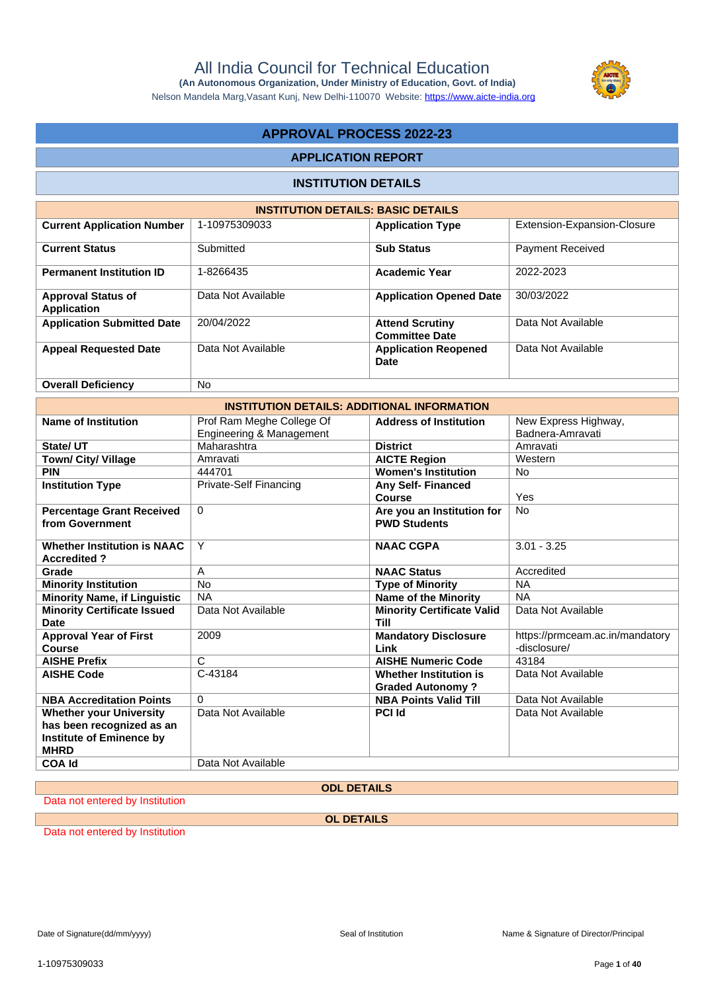Nelson Mandela Marg,Vasant Kunj, New Delhi-110070 Website:<https://www.aicte-india.org>

## **APPROVAL PROCESS 2022-23**

#### **APPLICATION REPORT**

#### **INSTITUTION DETAILS**

| <b>INSTITUTION DETAILS: BASIC DETAILS</b> |                    |                                                 |                             |  |  |  |  |
|-------------------------------------------|--------------------|-------------------------------------------------|-----------------------------|--|--|--|--|
| <b>Current Application Number</b>         | 1-10975309033      | <b>Application Type</b>                         | Extension-Expansion-Closure |  |  |  |  |
| <b>Current Status</b>                     | Submitted          | <b>Sub Status</b>                               | <b>Payment Received</b>     |  |  |  |  |
| <b>Permanent Institution ID</b>           | 1-8266435          | <b>Academic Year</b>                            | 2022-2023                   |  |  |  |  |
| <b>Approval Status of</b><br>Application  | Data Not Available | <b>Application Opened Date</b>                  | 30/03/2022                  |  |  |  |  |
| <b>Application Submitted Date</b>         | 20/04/2022         | <b>Attend Scrutiny</b><br><b>Committee Date</b> | Data Not Available          |  |  |  |  |
| <b>Appeal Requested Date</b>              | Data Not Available | <b>Application Reopened</b><br>Date             | Data Not Available          |  |  |  |  |
| <b>Overall Deficiency</b>                 | No.                |                                                 |                             |  |  |  |  |

| o veran penorum v                                        |                                                       |                                                          |                                                 |
|----------------------------------------------------------|-------------------------------------------------------|----------------------------------------------------------|-------------------------------------------------|
|                                                          |                                                       | <b>INSTITUTION DETAILS: ADDITIONAL INFORMATION</b>       |                                                 |
| Name of Institution                                      | Prof Ram Meghe College Of<br>Engineering & Management | <b>Address of Institution</b>                            | New Express Highway,<br>Badnera-Amravati        |
| State/UT                                                 | Maharashtra                                           | <b>District</b>                                          | Amravati                                        |
| Town/ City/ Village                                      | Amravati                                              | <b>AICTE Region</b>                                      | Western                                         |
| <b>PIN</b>                                               | 444701                                                | <b>Women's Institution</b>                               | No.                                             |
| <b>Institution Type</b>                                  | Private-Self Financing                                | <b>Any Self-Financed</b><br>Course                       | Yes                                             |
| <b>Percentage Grant Received</b><br>from Government      | $\Omega$                                              | Are you an Institution for<br><b>PWD Students</b>        | No.                                             |
| <b>Whether Institution is NAAC</b><br><b>Accredited?</b> | Υ                                                     | <b>NAAC CGPA</b>                                         | $3.01 - 3.25$                                   |
| Grade                                                    | A                                                     | <b>NAAC Status</b>                                       | Accredited                                      |
| <b>Minority Institution</b>                              | <b>No</b>                                             | <b>Type of Minority</b>                                  | <b>NA</b>                                       |
| <b>Minority Name, if Linguistic</b>                      | NA.                                                   | <b>Name of the Minority</b>                              | <b>NA</b>                                       |
| <b>Minority Certificate Issued</b><br>Date               | Data Not Available                                    | <b>Minority Certificate Valid</b><br><b>Till</b>         | Data Not Available                              |
| <b>Approval Year of First</b><br><b>Course</b>           | 2009                                                  | <b>Mandatory Disclosure</b><br>Link                      | https://prmceam.ac.in/mandatory<br>-disclosure/ |
| <b>AISHE Prefix</b>                                      | C                                                     | <b>AISHE Numeric Code</b>                                | 43184                                           |
| <b>AISHE Code</b>                                        | C-43184                                               | <b>Whether Institution is</b><br><b>Graded Autonomy?</b> | Data Not Available                              |
| <b>NBA Accreditation Points</b>                          | $\Omega$                                              | <b>NBA Points Valid Till</b>                             | Data Not Available                              |
| <b>Whether your University</b>                           | Data Not Available                                    | <b>PCI Id</b>                                            | Data Not Available                              |

**COA Id** Data Not Available

### **ODL DETAILS**

Data not entered by Institution

**has been recognized as an Institute of Eminence by** 

**OL DETAILS**

Data not entered by Institution

**MHRD**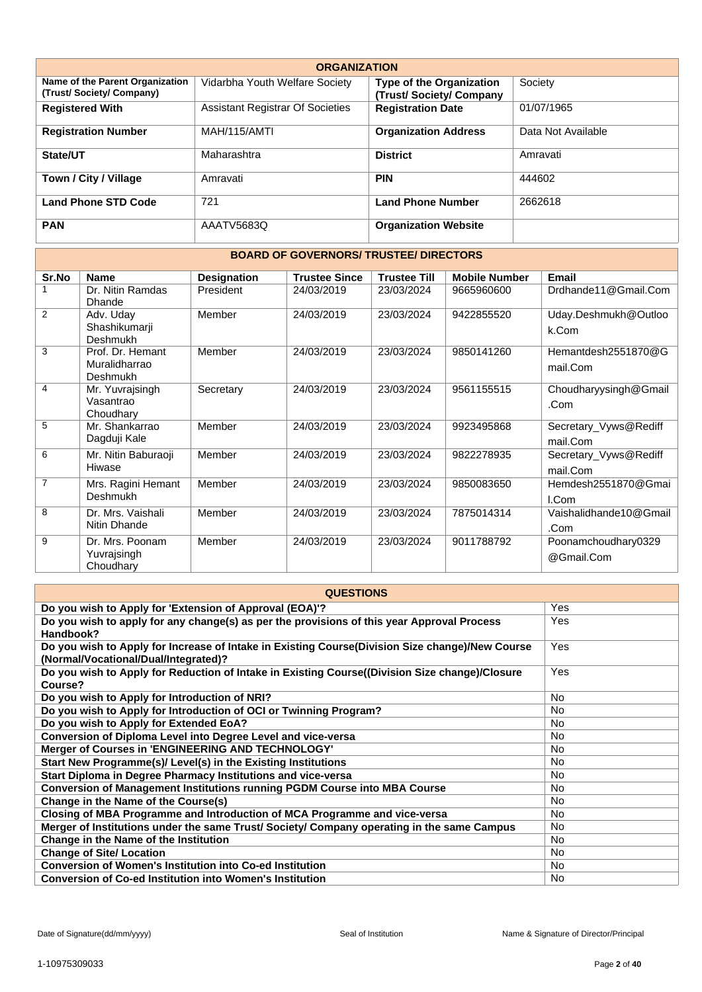| <b>ORGANIZATION</b>                                        |                                         |                                                           |                    |  |  |  |  |
|------------------------------------------------------------|-----------------------------------------|-----------------------------------------------------------|--------------------|--|--|--|--|
| Name of the Parent Organization<br>(Trust/Society/Company) | Vidarbha Youth Welfare Society          | <b>Type of the Organization</b><br>(Trust/Society/Company | Society            |  |  |  |  |
| <b>Registered With</b>                                     | <b>Assistant Registrar Of Societies</b> | <b>Registration Date</b>                                  | 01/07/1965         |  |  |  |  |
| <b>Registration Number</b>                                 | MAH/115/AMTI                            | <b>Organization Address</b>                               | Data Not Available |  |  |  |  |
| State/UT                                                   | Maharashtra                             | <b>District</b>                                           | Amravati           |  |  |  |  |
| Town / City / Village                                      | Amravati                                | <b>PIN</b>                                                | 444602             |  |  |  |  |
| <b>Land Phone STD Code</b>                                 | 721                                     | <b>Land Phone Number</b>                                  | 2662618            |  |  |  |  |
| <b>PAN</b>                                                 | AAATV5683Q                              | <b>Organization Website</b>                               |                    |  |  |  |  |

### **BOARD OF GOVERNORS/ TRUSTEE/ DIRECTORS**

| Sr.No          | <b>Name</b>         | <b>Designation</b> | <b>Trustee Since</b> | <b>Trustee Till</b> | <b>Mobile Number</b> | <b>Email</b>           |
|----------------|---------------------|--------------------|----------------------|---------------------|----------------------|------------------------|
|                | Dr. Nitin Ramdas    | President          | 24/03/2019           | 23/03/2024          | 9665960600           | Drdhande11@Gmail.Com   |
|                | <b>Dhande</b>       |                    |                      |                     |                      |                        |
| $\overline{2}$ | Adv. Uday           | Member             | 24/03/2019           | 23/03/2024          | 9422855520           | Uday.Deshmukh@Outloo   |
|                | Shashikumarji       |                    |                      |                     |                      | k.Com                  |
|                | Deshmukh            |                    |                      |                     |                      |                        |
| 3              | Prof. Dr. Hemant    | Member             | 24/03/2019           | 23/03/2024          | 9850141260           | Hemantdesh2551870@G    |
|                | Muralidharrao       |                    |                      |                     |                      | mail.Com               |
|                | Deshmukh            |                    |                      |                     |                      |                        |
| $\overline{4}$ | Mr. Yuvrajsingh     | Secretary          | 24/03/2019           | 23/03/2024          | 9561155515           | Choudharyysingh@Gmail  |
|                | Vasantrao           |                    |                      |                     |                      | .Com                   |
|                | Choudhary           |                    |                      |                     |                      |                        |
| 5              | Mr. Shankarrao      | Member             | 24/03/2019           | 23/03/2024          | 9923495868           | Secretary_Vyws@Rediff  |
|                | Dagduji Kale        |                    |                      |                     |                      | mail.Com               |
| 6              | Mr. Nitin Baburaoji | Member             | 24/03/2019           | 23/03/2024          | 9822278935           | Secretary_Vyws@Rediff  |
|                | Hiwase              |                    |                      |                     |                      | mail.Com               |
| $\overline{7}$ | Mrs. Ragini Hemant  | Member             | 24/03/2019           | 23/03/2024          | 9850083650           | Hemdesh2551870@Gmai    |
|                | Deshmukh            |                    |                      |                     |                      | I.Com                  |
| 8              | Dr. Mrs. Vaishali   | Member             | 24/03/2019           | 23/03/2024          | 7875014314           | Vaishalidhande10@Gmail |
|                | Nitin Dhande        |                    |                      |                     |                      | .Com                   |
| 9              | Dr. Mrs. Poonam     | Member             | 24/03/2019           | 23/03/2024          | 9011788792           | Poonamchoudhary0329    |
|                | Yuvrajsingh         |                    |                      |                     |                      | @Gmail.Com             |
|                | Choudhary           |                    |                      |                     |                      |                        |

| <b>QUESTIONS</b>                                                                                                                         |           |  |  |  |  |
|------------------------------------------------------------------------------------------------------------------------------------------|-----------|--|--|--|--|
| Do you wish to Apply for 'Extension of Approval (EOA)'?                                                                                  | Yes       |  |  |  |  |
| Do you wish to apply for any change(s) as per the provisions of this year Approval Process<br>Handbook?                                  | Yes       |  |  |  |  |
| Do you wish to Apply for Increase of Intake in Existing Course (Division Size change)/New Course<br>(Normal/Vocational/Dual/Integrated)? | Yes       |  |  |  |  |
| Do you wish to Apply for Reduction of Intake in Existing Course((Division Size change)/Closure<br>Course?                                | Yes       |  |  |  |  |
| Do you wish to Apply for Introduction of NRI?                                                                                            | <b>No</b> |  |  |  |  |
| Do you wish to Apply for Introduction of OCI or Twinning Program?                                                                        | <b>No</b> |  |  |  |  |
| Do you wish to Apply for Extended EoA?                                                                                                   | <b>No</b> |  |  |  |  |
| Conversion of Diploma Level into Degree Level and vice-versa                                                                             | No.       |  |  |  |  |
| Merger of Courses in 'ENGINEERING AND TECHNOLOGY'                                                                                        | <b>No</b> |  |  |  |  |
| Start New Programme(s)/ Level(s) in the Existing Institutions                                                                            | <b>No</b> |  |  |  |  |
| Start Diploma in Degree Pharmacy Institutions and vice-versa                                                                             | <b>No</b> |  |  |  |  |
| <b>Conversion of Management Institutions running PGDM Course into MBA Course</b>                                                         | No.       |  |  |  |  |
| Change in the Name of the Course(s)                                                                                                      | <b>No</b> |  |  |  |  |
| Closing of MBA Programme and Introduction of MCA Programme and vice-versa                                                                | <b>No</b> |  |  |  |  |
| Merger of Institutions under the same Trust/ Society/ Company operating in the same Campus                                               | <b>No</b> |  |  |  |  |
| Change in the Name of the Institution                                                                                                    | No.       |  |  |  |  |
| <b>Change of Site/ Location</b>                                                                                                          | No.       |  |  |  |  |
| Conversion of Women's Institution into Co-ed Institution                                                                                 | <b>No</b> |  |  |  |  |
| <b>Conversion of Co-ed Institution into Women's Institution</b>                                                                          | <b>No</b> |  |  |  |  |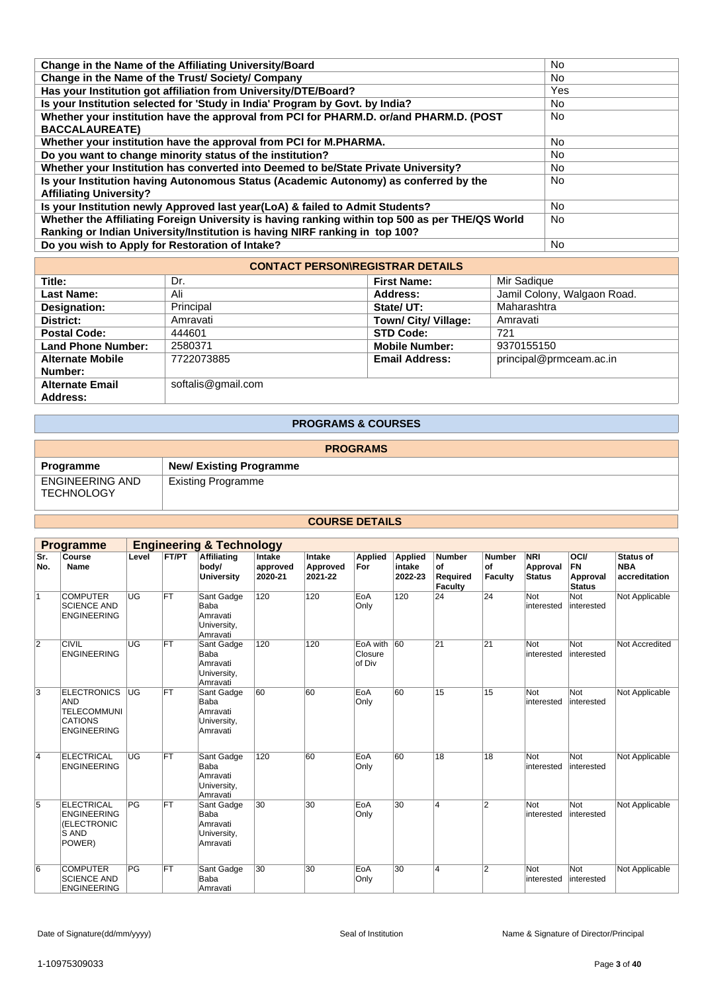| Change in the Name of the Affiliating University/Board                                          | <b>No</b> |
|-------------------------------------------------------------------------------------------------|-----------|
| Change in the Name of the Trust/ Society/ Company                                               | <b>No</b> |
| Has your Institution got affiliation from University/DTE/Board?                                 | Yes       |
| Is your Institution selected for 'Study in India' Program by Govt. by India?                    | <b>No</b> |
| Whether your institution have the approval from PCI for PHARM.D. or/and PHARM.D. (POST          | <b>No</b> |
| <b>BACCALAUREATE)</b>                                                                           |           |
| Whether your institution have the approval from PCI for M.PHARMA.                               | <b>No</b> |
| Do you want to change minority status of the institution?                                       | <b>No</b> |
| Whether your Institution has converted into Deemed to be/State Private University?              | <b>No</b> |
| Is your Institution having Autonomous Status (Academic Autonomy) as conferred by the            | <b>No</b> |
| <b>Affiliating University?</b>                                                                  |           |
| Is your Institution newly Approved last year(LoA) & failed to Admit Students?                   | <b>No</b> |
| Whether the Affiliating Foreign University is having ranking within top 500 as per THE/QS World | <b>No</b> |
| Ranking or Indian University/Institution is having NIRF ranking in top 100?                     |           |
| Do you wish to Apply for Restoration of Intake?                                                 | <b>No</b> |
|                                                                                                 |           |

| <b>CONTACT PERSON\REGISTRAR DETAILS</b> |                    |                       |                             |  |  |  |  |
|-----------------------------------------|--------------------|-----------------------|-----------------------------|--|--|--|--|
| Title:                                  | Dr.                | <b>First Name:</b>    | Mir Sadique                 |  |  |  |  |
| Last Name:                              | Ali                | Address:              | Jamil Colony, Walgaon Road. |  |  |  |  |
| Designation:                            | Principal          | State/UT:             | Maharashtra                 |  |  |  |  |
| District:                               | Amravati           | Town/ City/ Village:  | Amravati                    |  |  |  |  |
| <b>Postal Code:</b>                     | 444601             | <b>STD Code:</b>      | 721                         |  |  |  |  |
| <b>Land Phone Number:</b>               | 2580371            | <b>Mobile Number:</b> | 9370155150                  |  |  |  |  |
| <b>Alternate Mobile</b>                 | 7722073885         | <b>Email Address:</b> | principal@prmceam.ac.in     |  |  |  |  |
| Number:                                 |                    |                       |                             |  |  |  |  |
| <b>Alternate Email</b>                  | softalis@gmail.com |                       |                             |  |  |  |  |
| Address:                                |                    |                       |                             |  |  |  |  |

### **PROGRAMS & COURSES**

| <b>PROGRAMS</b>                             |                                |  |  |  |  |  |
|---------------------------------------------|--------------------------------|--|--|--|--|--|
| Programme                                   | <b>New/ Existing Programme</b> |  |  |  |  |  |
| <b>ENGINEERING AND</b><br><b>TECHNOLOGY</b> | Existing Programme             |  |  |  |  |  |
|                                             |                                |  |  |  |  |  |

### **COURSE DETAILS**

| <b>Engineering &amp; Technology</b><br><b>Programme</b> |                                                                                         |                 |              |                                                           |                               |                               |                               |                              |                                            |                                |                                         |                                                       |                                          |
|---------------------------------------------------------|-----------------------------------------------------------------------------------------|-----------------|--------------|-----------------------------------------------------------|-------------------------------|-------------------------------|-------------------------------|------------------------------|--------------------------------------------|--------------------------------|-----------------------------------------|-------------------------------------------------------|------------------------------------------|
| Sr.<br>No.                                              | Course<br>Name                                                                          | Level           | <b>FT/PT</b> | Affiliating<br>body/<br><b>University</b>                 | Intake<br>approved<br>2020-21 | Intake<br>Approved<br>2021-22 | <b>Applied</b><br>For         | Applied<br>intake<br>2022-23 | <b>Number</b><br>of<br>Required<br>Faculty | <b>Number</b><br>of<br>Faculty | <b>NRI</b><br>Approval<br><b>Status</b> | <b>OCI/</b><br><b>FN</b><br>Approval<br><b>Status</b> | Status of<br><b>NBA</b><br>accreditation |
| $\mathbf{1}$                                            | <b>COMPUTER</b><br><b>SCIENCE AND</b><br><b>ENGINEERING</b>                             | UG              | <b>FT</b>    | Sant Gadge<br>Baba<br>Amravati<br>University,<br>Amravati | 120                           | 120                           | EoA<br>Only                   | 120                          | 24                                         | 24                             | Not<br>interested                       | Not<br>interested                                     | Not Applicable                           |
| $\overline{2}$                                          | <b>CIVIL</b><br><b>ENGINEERING</b>                                                      | UG              | FT           | Sant Gadge<br>Baba<br>Amravati<br>University,<br>Amravati | 120                           | 120                           | EoA with<br>Closure<br>of Div | 60                           | 21                                         | 21                             | Not<br>interested                       | Not<br>interested                                     | Not Accredited                           |
| 3                                                       | <b>ELECTRONICS</b><br>AND<br><b>TELECOMMUNI</b><br><b>CATIONS</b><br><b>ENGINEERING</b> | UG              | FT           | Sant Gadge<br>Baba<br>Amravati<br>University,<br>Amravati | 60                            | 60                            | EoA<br>Only                   | 60                           | 15                                         | 15                             | Not<br>interested                       | Not<br>interested                                     | Not Applicable                           |
| 4                                                       | <b>ELECTRICAL</b><br><b>ENGINEERING</b>                                                 | $\overline{UG}$ | FT           | Sant Gadge<br>Baba<br>Amravati<br>University,<br>Amravati | 120                           | 60                            | EoA<br>Only                   | 60                           | 18                                         | 18                             | Not<br>interested                       | Not<br>interested                                     | Not Applicable                           |
| 5                                                       | <b>ELECTRICAL</b><br><b>ENGINEERING</b><br>(ELECTRONIC<br>S AND<br>POWER)               | PG              | FT           | Sant Gadge<br>Baba<br>Amravati<br>University,<br>Amravati | 30                            | 30                            | EoA<br>Only                   | 30                           | 4                                          | $\overline{2}$                 | Not<br>interested                       | Not<br>interested                                     | Not Applicable                           |
| 6                                                       | <b>COMPUTER</b><br><b>SCIENCE AND</b><br><b>ENGINEERING</b>                             | PG              | <b>FT</b>    | Sant Gadge<br>Baba<br>Amravati                            | 30                            | 30                            | EoA<br>Only                   | 30                           | 4                                          | $\overline{2}$                 | Not<br>interested                       | Not<br>interested                                     | Not Applicable                           |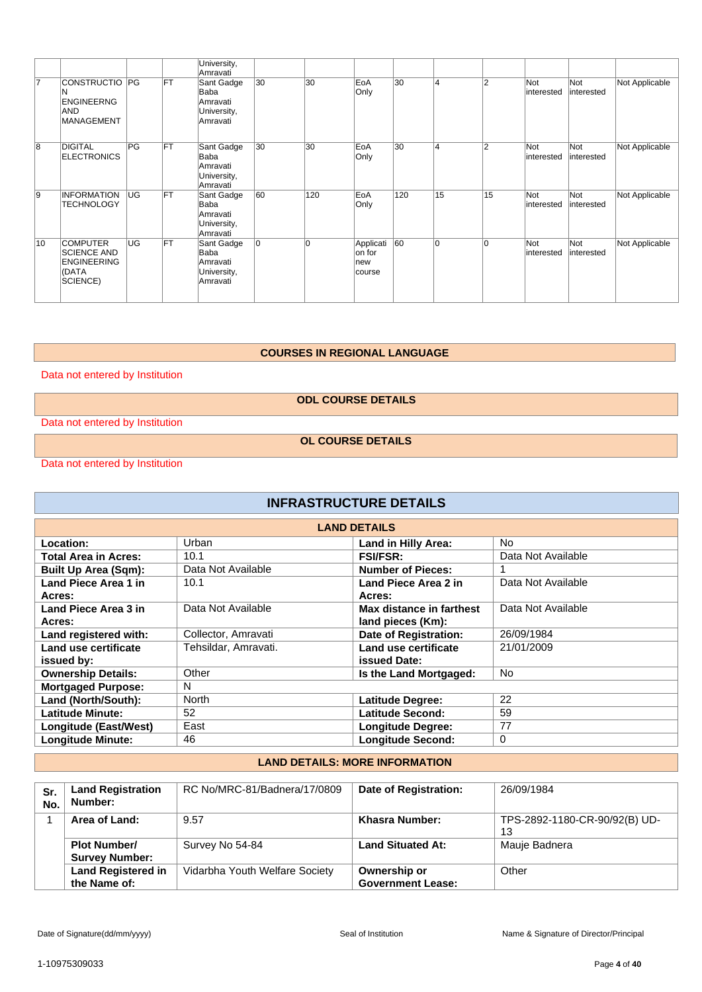|    |                                                                                  |           |           | University,<br>Amravati                                   |    |                |                                      |     |    |                |                   |                   |                |
|----|----------------------------------------------------------------------------------|-----------|-----------|-----------------------------------------------------------|----|----------------|--------------------------------------|-----|----|----------------|-------------------|-------------------|----------------|
| 17 | <b>CONSTRUCTIO PG</b><br><b>ENGINEERNG</b><br><b>AND</b><br><b>MANAGEMENT</b>    |           | FT.       | Sant Gadge<br>Baba<br>Amravati<br>University,<br>Amravati | 30 | 30             | EoA<br>Only                          | 30  | 4  | $\overline{2}$ | Not<br>interested | Not<br>interested | Not Applicable |
| 8  | <b>DIGITAL</b><br><b>ELECTRONICS</b>                                             | PG        | <b>FT</b> | Sant Gadge<br>Baba<br>Amravati<br>University,<br>Amravati | 30 | 30             | EoA<br>Only                          | 30  | 4  | $\overline{2}$ | Not<br>interested | Not<br>interested | Not Applicable |
| 9  | <b>INFORMATION</b><br><b>TECHNOLOGY</b>                                          | <b>UG</b> | <b>FT</b> | Sant Gadge<br>Baba<br>Amravati<br>University,<br>Amravati | 60 | 120            | EoA<br>Only                          | 120 | 15 | 15             | Not<br>interested | Not<br>interested | Not Applicable |
| 10 | <b>COMPUTER</b><br><b>SCIENCE AND</b><br><b>ENGINEERING</b><br>(DATA<br>SCIENCE) | UG        | FT.       | Sant Gadge<br>Baba<br>Amravati<br>University,<br>Amravati | 0  | $\overline{0}$ | Applicati<br>on for<br>new<br>course | 60  | 0  | 0              | Not<br>interested | Not<br>interested | Not Applicable |

#### **COURSES IN REGIONAL LANGUAGE**

Data not entered by Institution

**ODL COURSE DETAILS**

Data not entered by Institution

**OL COURSE DETAILS**

Data not entered by Institution

| <b>INFRASTRUCTURE DETAILS</b> |                      |                              |                    |  |  |  |  |  |
|-------------------------------|----------------------|------------------------------|--------------------|--|--|--|--|--|
| <b>LAND DETAILS</b>           |                      |                              |                    |  |  |  |  |  |
| Location:                     | Urban                | <b>Land in Hilly Area:</b>   | No.                |  |  |  |  |  |
| Total Area in Acres:          | 10.1                 | <b>FSI/FSR:</b>              | Data Not Available |  |  |  |  |  |
| <b>Built Up Area (Sqm):</b>   | Data Not Available   | <b>Number of Pieces:</b>     |                    |  |  |  |  |  |
| Land Piece Area 1 in          | 10.1                 | Land Piece Area 2 in         | Data Not Available |  |  |  |  |  |
| Acres:                        |                      | Acres:                       |                    |  |  |  |  |  |
| Land Piece Area 3 in          | Data Not Available   | Max distance in farthest     | Data Not Available |  |  |  |  |  |
| Acres:                        |                      | land pieces (Km):            |                    |  |  |  |  |  |
| Land registered with:         | Collector, Amravati  | <b>Date of Registration:</b> | 26/09/1984         |  |  |  |  |  |
| Land use certificate          | Tehsildar, Amravati. | Land use certificate         | 21/01/2009         |  |  |  |  |  |
| issued by:                    |                      | issued Date:                 |                    |  |  |  |  |  |
| <b>Ownership Details:</b>     | Other                | Is the Land Mortgaged:       | <b>No</b>          |  |  |  |  |  |
| <b>Mortgaged Purpose:</b>     | N                    |                              |                    |  |  |  |  |  |
| Land (North/South):           | <b>North</b>         | Latitude Degree:             | 22                 |  |  |  |  |  |
| <b>Latitude Minute:</b>       | 52                   | Latitude Second:             | 59                 |  |  |  |  |  |
| Longitude (East/West)         | East                 | <b>Longitude Degree:</b>     | 77                 |  |  |  |  |  |
| <b>Longitude Minute:</b>      | 46                   | <b>Longitude Second:</b>     | $\mathbf 0$        |  |  |  |  |  |

### **LAND DETAILS: MORE INFORMATION**

| Sr.<br>No. | <b>Land Registration</b><br>Number:          | RC No/MRC-81/Badnera/17/0809   | <b>Date of Registration:</b>             | 26/09/1984                          |
|------------|----------------------------------------------|--------------------------------|------------------------------------------|-------------------------------------|
|            | Area of Land:                                | 9.57                           | Khasra Number:                           | TPS-2892-1180-CR-90/92(B) UD-<br>13 |
|            | <b>Plot Number/</b><br><b>Survey Number:</b> | Survey No 54-84                | <b>Land Situated At:</b>                 | Mauje Badnera                       |
|            | <b>Land Registered in</b><br>the Name of:    | Vidarbha Youth Welfare Society | Ownership or<br><b>Government Lease:</b> | Other                               |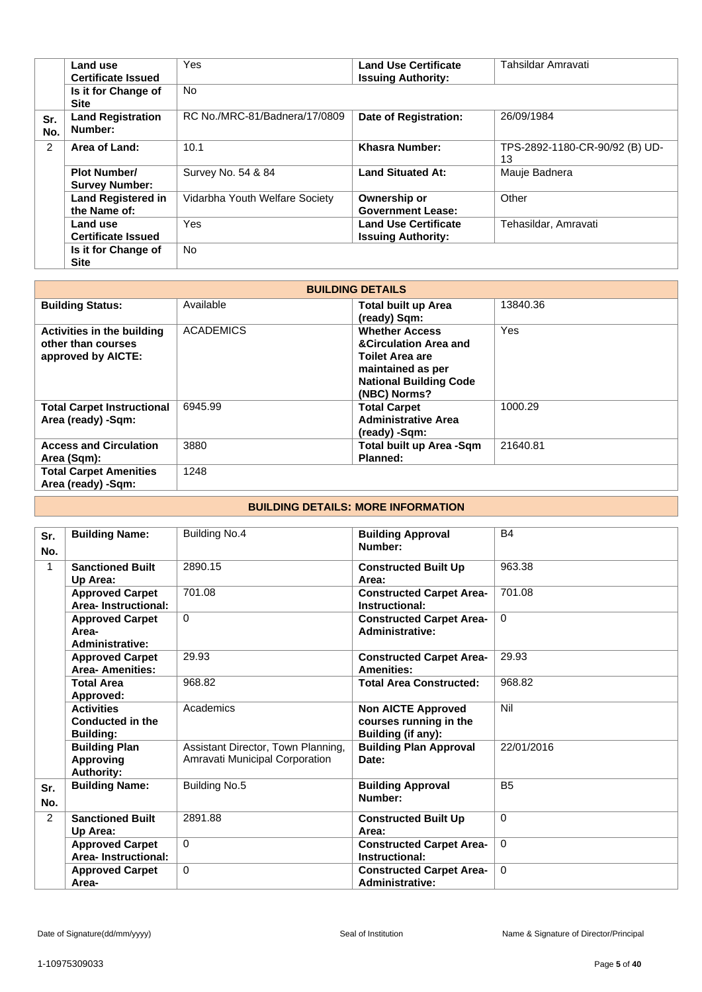|            | Land use<br><b>Certificate Issued</b>        | Yes                            | <b>Land Use Certificate</b><br><b>Issuing Authority:</b> | Tahsildar Amravati                   |
|------------|----------------------------------------------|--------------------------------|----------------------------------------------------------|--------------------------------------|
|            |                                              |                                |                                                          |                                      |
|            | Is it for Change of<br><b>Site</b>           | <b>No</b>                      |                                                          |                                      |
| Sr.<br>No. | <b>Land Registration</b><br>Number:          | RC No./MRC-81/Badnera/17/0809  | Date of Registration:                                    | 26/09/1984                           |
| 2          | Area of Land:                                | 10.1                           | Khasra Number:                                           | TPS-2892-1180-CR-90/92 (B) UD-<br>13 |
|            | <b>Plot Number/</b><br><b>Survey Number:</b> | Survey No. 54 & 84             | <b>Land Situated At:</b>                                 | Mauje Badnera                        |
|            | <b>Land Registered in</b><br>the Name of:    | Vidarbha Youth Welfare Society | Ownership or<br><b>Government Lease:</b>                 | Other                                |
|            | Land use<br><b>Certificate Issued</b>        | Yes                            | <b>Land Use Certificate</b><br><b>Issuing Authority:</b> | Tehasildar, Amravati                 |
|            | Is it for Change of<br><b>Site</b>           | <b>No</b>                      |                                                          |                                      |

| <b>BUILDING DETAILS</b>                                                |                  |                                                                                                                                                           |            |
|------------------------------------------------------------------------|------------------|-----------------------------------------------------------------------------------------------------------------------------------------------------------|------------|
| <b>Building Status:</b>                                                | Available        | <b>Total built up Area</b><br>(ready) Sqm:                                                                                                                | 13840.36   |
| Activities in the building<br>other than courses<br>approved by AICTE: | <b>ACADEMICS</b> | <b>Whether Access</b><br><b>&amp;Circulation Area and</b><br><b>Toilet Area are</b><br>maintained as per<br><b>National Building Code</b><br>(NBC) Norms? | <b>Yes</b> |
| <b>Total Carpet Instructional</b><br>Area (ready) -Sqm:                | 6945.99          | <b>Total Carpet</b><br><b>Administrative Area</b><br>(ready) -Sqm:                                                                                        | 1000.29    |
| <b>Access and Circulation</b><br>Area (Sqm):                           | 3880             | Total built up Area -Sqm<br><b>Planned:</b>                                                                                                               | 21640.81   |
| <b>Total Carpet Amenities</b><br>Area (ready) - Sqm:                   | 1248             |                                                                                                                                                           |            |

#### **BUILDING DETAILS: MORE INFORMATION**

| Sr.<br>No.     | <b>Building Name:</b>                                         | Building No.4                                                        | <b>Building Approval</b><br>Number:                                       | <b>B4</b>      |
|----------------|---------------------------------------------------------------|----------------------------------------------------------------------|---------------------------------------------------------------------------|----------------|
| 1              | <b>Sanctioned Built</b><br>Up Area:                           | 2890.15                                                              | <b>Constructed Built Up</b><br>Area:                                      | 963.38         |
|                | <b>Approved Carpet</b><br>Area-Instructional:                 | 701.08                                                               | <b>Constructed Carpet Area-</b><br>Instructional:                         | 701.08         |
|                | <b>Approved Carpet</b><br>Area-<br><b>Administrative:</b>     | $\Omega$                                                             | <b>Constructed Carpet Area-</b><br><b>Administrative:</b>                 | 0              |
|                | <b>Approved Carpet</b><br><b>Area-Amenities:</b>              | 29.93                                                                | <b>Constructed Carpet Area-</b><br><b>Amenities:</b>                      | 29.93          |
|                | <b>Total Area</b><br>Approved:                                | 968.82                                                               | <b>Total Area Constructed:</b>                                            | 968.82         |
|                | <b>Activities</b><br>Conducted in the<br><b>Building:</b>     | Academics                                                            | <b>Non AICTE Approved</b><br>courses running in the<br>Building (if any): | Nil            |
|                | <b>Building Plan</b><br><b>Approving</b><br><b>Authority:</b> | Assistant Director, Town Planning,<br>Amravati Municipal Corporation | <b>Building Plan Approval</b><br>Date:                                    | 22/01/2016     |
| Sr.<br>No.     | <b>Building Name:</b>                                         | Building No.5                                                        | <b>Building Approval</b><br>Number:                                       | B <sub>5</sub> |
| $\overline{2}$ | <b>Sanctioned Built</b><br>Up Area:                           | 2891.88                                                              | <b>Constructed Built Up</b><br>Area:                                      | $\Omega$       |
|                | <b>Approved Carpet</b><br>Area-Instructional:                 | $\Omega$                                                             | <b>Constructed Carpet Area-</b><br>Instructional:                         | $\Omega$       |
|                | <b>Approved Carpet</b><br>Area-                               | $\Omega$                                                             | <b>Constructed Carpet Area-</b><br><b>Administrative:</b>                 | $\Omega$       |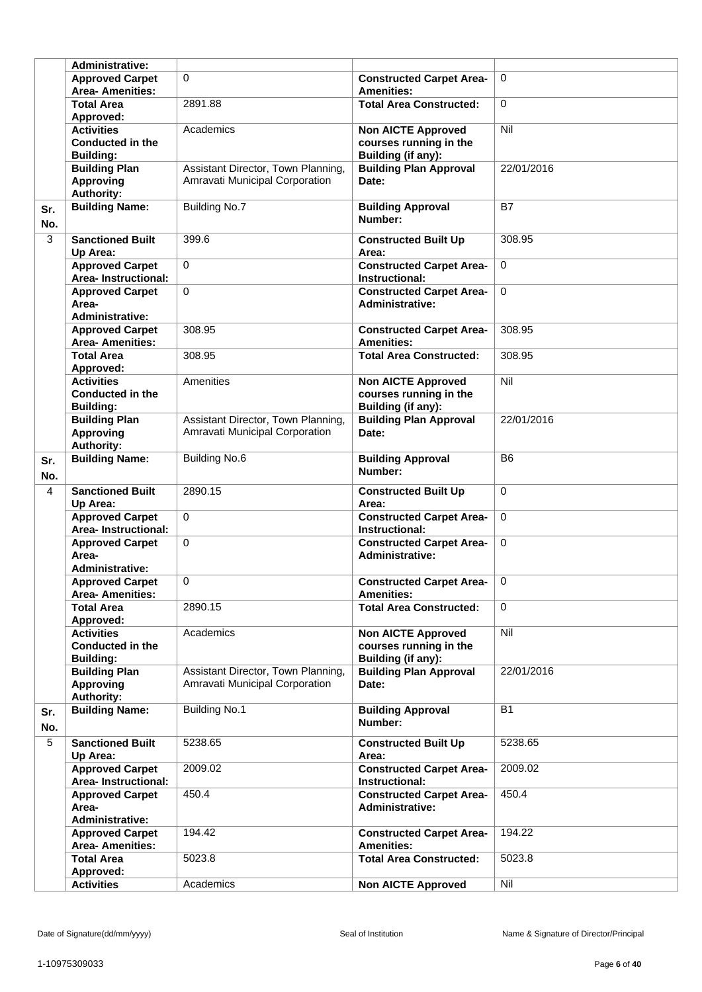|            | <b>Administrative:</b>                                           |                                                                      |                                                                                  |                |
|------------|------------------------------------------------------------------|----------------------------------------------------------------------|----------------------------------------------------------------------------------|----------------|
|            | <b>Approved Carpet</b><br><b>Area- Amenities:</b>                | $\Omega$                                                             | <b>Constructed Carpet Area-</b><br><b>Amenities:</b>                             | $\Omega$       |
|            | <b>Total Area</b><br>Approved:                                   | 2891.88                                                              | <b>Total Area Constructed:</b>                                                   | $\Omega$       |
|            | <b>Activities</b><br><b>Conducted in the</b>                     | Academics                                                            | <b>Non AICTE Approved</b><br>courses running in the                              | Nil            |
|            | <b>Building:</b><br><b>Building Plan</b><br><b>Approving</b>     | Assistant Director, Town Planning,<br>Amravati Municipal Corporation | Building (if any):<br><b>Building Plan Approval</b><br>Date:                     | 22/01/2016     |
| Sr.        | <b>Authority:</b><br><b>Building Name:</b>                       | <b>Building No.7</b>                                                 | <b>Building Approval</b><br>Number:                                              | <b>B7</b>      |
| No.<br>3   | <b>Sanctioned Built</b><br>Up Area:                              | 399.6                                                                | <b>Constructed Built Up</b><br>Area:                                             | 308.95         |
|            | <b>Approved Carpet</b><br>Area-Instructional:                    | $\Omega$                                                             | <b>Constructed Carpet Area-</b><br>Instructional:                                | 0              |
|            | <b>Approved Carpet</b><br>Area-<br><b>Administrative:</b>        | $\Omega$                                                             | <b>Constructed Carpet Area-</b><br><b>Administrative:</b>                        | $\Omega$       |
|            | <b>Approved Carpet</b><br><b>Area- Amenities:</b>                | 308.95                                                               | <b>Constructed Carpet Area-</b><br><b>Amenities:</b>                             | 308.95         |
|            | <b>Total Area</b><br>Approved:                                   | 308.95                                                               | <b>Total Area Constructed:</b>                                                   | 308.95         |
|            | <b>Activities</b><br><b>Conducted in the</b><br><b>Building:</b> | Amenities                                                            | <b>Non AICTE Approved</b><br>courses running in the<br><b>Building (if any):</b> | Nil            |
|            | <b>Building Plan</b><br><b>Approving</b><br><b>Authority:</b>    | Assistant Director, Town Planning,<br>Amravati Municipal Corporation | <b>Building Plan Approval</b><br>Date:                                           | 22/01/2016     |
| Sr.<br>No. | <b>Building Name:</b>                                            | <b>Building No.6</b>                                                 | <b>Building Approval</b><br>Number:                                              | B <sub>6</sub> |
| 4          | <b>Sanctioned Built</b><br>Up Area:                              | 2890.15                                                              | <b>Constructed Built Up</b><br>Area:                                             | $\Omega$       |
|            | <b>Approved Carpet</b><br>Area-Instructional:                    | $\Omega$                                                             | <b>Constructed Carpet Area-</b><br>Instructional:                                | $\mathbf 0$    |
|            | <b>Approved Carpet</b><br>Area-<br><b>Administrative:</b>        | $\Omega$                                                             | <b>Constructed Carpet Area-</b><br><b>Administrative:</b>                        | $\mathbf 0$    |
|            | <b>Approved Carpet</b><br>Area- Amenities:                       | $\Omega$                                                             | <b>Constructed Carpet Area-</b><br><b>Amenities:</b>                             | $\Omega$       |
|            | <b>Total Area</b><br>Approved:                                   | 2890.15                                                              | <b>Total Area Constructed:</b>                                                   | $\Omega$       |
|            | <b>Activities</b><br><b>Conducted in the</b><br><b>Building:</b> | Academics                                                            | <b>Non AICTE Approved</b><br>courses running in the<br>Building (if any):        | Nil            |
|            | <b>Building Plan</b><br><b>Approving</b><br>Authority:           | Assistant Director, Town Planning,<br>Amravati Municipal Corporation | <b>Building Plan Approval</b><br>Date:                                           | 22/01/2016     |
| Sr.<br>No. | <b>Building Name:</b>                                            | <b>Building No.1</b>                                                 | <b>Building Approval</b><br>Number:                                              | <b>B1</b>      |
| 5          | <b>Sanctioned Built</b><br>Up Area:                              | 5238.65                                                              | <b>Constructed Built Up</b><br>Area:                                             | 5238.65        |
|            | <b>Approved Carpet</b><br>Area-Instructional:                    | 2009.02                                                              | <b>Constructed Carpet Area-</b><br>Instructional:                                | 2009.02        |
|            | <b>Approved Carpet</b><br>Area-<br>Administrative:               | 450.4                                                                | <b>Constructed Carpet Area-</b><br><b>Administrative:</b>                        | 450.4          |
|            | <b>Approved Carpet</b><br><b>Area-Amenities:</b>                 | 194.42                                                               | <b>Constructed Carpet Area-</b><br><b>Amenities:</b>                             | 194.22         |
|            | <b>Total Area</b><br>Approved:                                   | 5023.8                                                               | <b>Total Area Constructed:</b>                                                   | 5023.8         |
|            | <b>Activities</b>                                                | Academics                                                            | <b>Non AICTE Approved</b>                                                        | Nil            |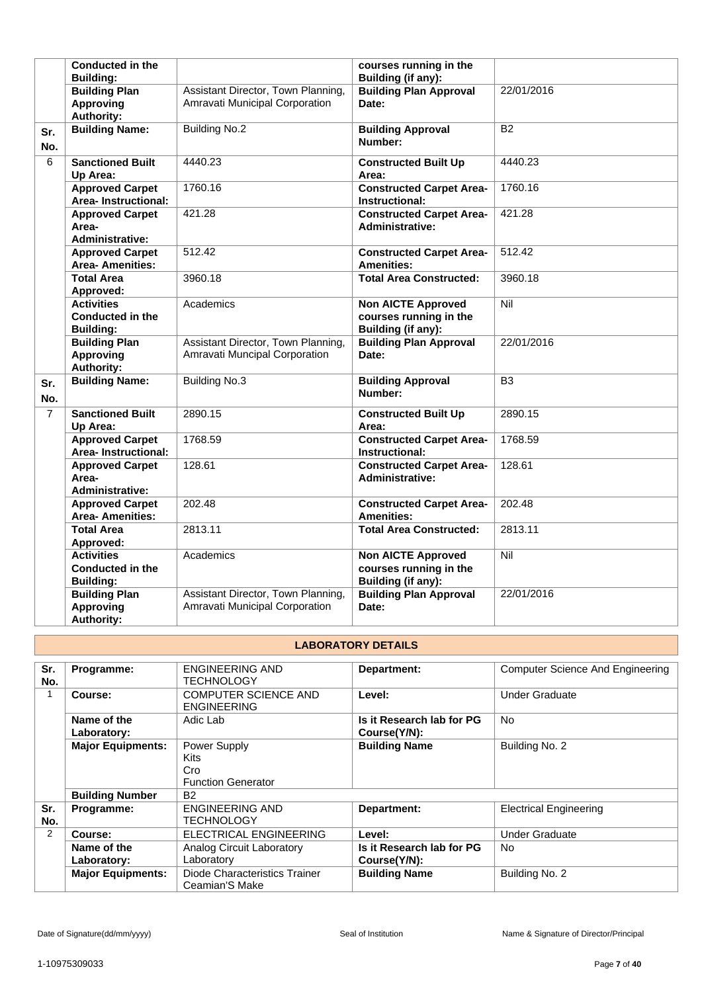|                | <b>Conducted in the</b><br><b>Building:</b>                      |                                                                      | courses running in the<br>Building (if any):                              |                  |
|----------------|------------------------------------------------------------------|----------------------------------------------------------------------|---------------------------------------------------------------------------|------------------|
|                | <b>Building Plan</b><br><b>Approving</b><br><b>Authority:</b>    | Assistant Director, Town Planning,<br>Amravati Municipal Corporation | <b>Building Plan Approval</b><br>Date:                                    | 22/01/2016       |
| Sr.<br>No.     | <b>Building Name:</b>                                            | <b>Building No.2</b>                                                 | <b>Building Approval</b><br>Number:                                       | <b>B2</b>        |
| 6              | <b>Sanctioned Built</b><br>Up Area:                              | 4440.23                                                              | <b>Constructed Built Up</b><br>Area:                                      | 4440.23          |
|                | <b>Approved Carpet</b><br><b>Area-Instructional:</b>             | 1760.16                                                              | <b>Constructed Carpet Area-</b><br>Instructional:                         | 1760.16          |
|                | <b>Approved Carpet</b><br>Area-<br><b>Administrative:</b>        | 421.28                                                               | <b>Constructed Carpet Area-</b><br><b>Administrative:</b>                 | 421.28           |
|                | <b>Approved Carpet</b><br><b>Area- Amenities:</b>                | 512.42                                                               | <b>Constructed Carpet Area-</b><br><b>Amenities:</b>                      | 512.42           |
|                | <b>Total Area</b><br>Approved:                                   | 3960.18                                                              | <b>Total Area Constructed:</b>                                            | 3960.18          |
|                | <b>Activities</b><br><b>Conducted in the</b><br><b>Building:</b> | Academics                                                            | <b>Non AICTE Approved</b><br>courses running in the<br>Building (if any): | $\overline{Nil}$ |
|                | <b>Building Plan</b><br><b>Approving</b><br><b>Authority:</b>    | Assistant Director, Town Planning,<br>Amravati Muncipal Corporation  | <b>Building Plan Approval</b><br>Date:                                    | 22/01/2016       |
| Sr.<br>No.     | <b>Building Name:</b>                                            | <b>Building No.3</b>                                                 | <b>Building Approval</b><br>Number:                                       | $\overline{B3}$  |
| $\overline{7}$ | <b>Sanctioned Built</b><br>Up Area:                              | 2890.15                                                              | <b>Constructed Built Up</b><br>Area:                                      | 2890.15          |
|                | <b>Approved Carpet</b><br><b>Area-Instructional:</b>             | 1768.59                                                              | <b>Constructed Carpet Area-</b><br>Instructional:                         | 1768.59          |
|                | <b>Approved Carpet</b><br>Area-<br><b>Administrative:</b>        | 128.61                                                               | <b>Constructed Carpet Area-</b><br><b>Administrative:</b>                 | 128.61           |
|                | <b>Approved Carpet</b><br><b>Area- Amenities:</b>                | 202.48                                                               | <b>Constructed Carpet Area-</b><br><b>Amenities:</b>                      | 202.48           |
|                | <b>Total Area</b><br>Approved:                                   | 2813.11                                                              | <b>Total Area Constructed:</b>                                            | 2813.11          |
|                | <b>Activities</b><br><b>Conducted in the</b><br><b>Building:</b> | Academics                                                            | <b>Non AICTE Approved</b><br>courses running in the<br>Building (if any): | Nil              |
|                | <b>Building Plan</b><br><b>Approving</b><br><b>Authority:</b>    | Assistant Director, Town Planning,<br>Amravati Municipal Corporation | <b>Building Plan Approval</b><br>Date:                                    | 22/01/2016       |

# **LABORATORY DETAILS**

| Sr. | Programme:               | <b>ENGINEERING AND</b>        | Department:               | <b>Computer Science And Engineering</b> |
|-----|--------------------------|-------------------------------|---------------------------|-----------------------------------------|
| No. |                          | TECHNOLOGY                    |                           |                                         |
|     |                          |                               |                           |                                         |
|     | Course:                  | <b>COMPUTER SCIENCE AND</b>   | Level:                    | <b>Under Graduate</b>                   |
|     |                          | <b>ENGINEERING</b>            |                           |                                         |
|     | Name of the              | Adic Lab                      | Is it Research lab for PG | <b>No</b>                               |
|     | Laboratory:              |                               | Course(Y/N):              |                                         |
|     | <b>Major Equipments:</b> | Power Supply                  | <b>Building Name</b>      | Building No. 2                          |
|     |                          | <b>Kits</b>                   |                           |                                         |
|     |                          | Cro                           |                           |                                         |
|     |                          | <b>Function Generator</b>     |                           |                                         |
|     | <b>Building Number</b>   | <b>B2</b>                     |                           |                                         |
| Sr. | Programme:               | <b>ENGINEERING AND</b>        | Department:               | <b>Electrical Engineering</b>           |
| No. |                          | TECHNOLOGY                    |                           |                                         |
| 2   | Course:                  | <b>ELECTRICAL ENGINEERING</b> | Level:                    | <b>Under Graduate</b>                   |
|     | Name of the              | Analog Circuit Laboratory     | Is it Research lab for PG | No.                                     |
|     | Laboratory:              | Laboratory                    | Course(Y/N):              |                                         |
|     | <b>Major Equipments:</b> | Diode Characteristics Trainer | <b>Building Name</b>      | Building No. 2                          |
|     |                          | Ceamian'S Make                |                           |                                         |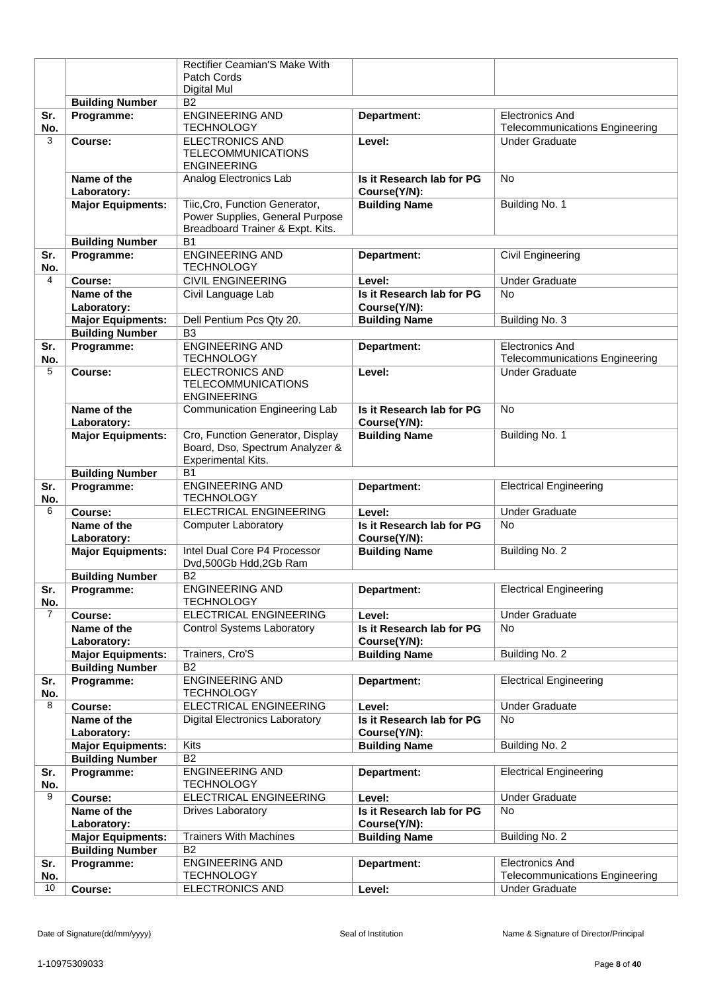| Patch Cords<br>Digital Mul<br><b>Building Number</b><br>B <sub>2</sub><br><b>ENGINEERING AND</b><br><b>Electronics And</b><br>Sr.<br>Programme:<br>Department:<br>No.<br><b>Telecommunications Engineering</b><br><b>TECHNOLOGY</b><br>3<br><b>ELECTRONICS AND</b><br>Course:<br><b>Under Graduate</b><br>Level:<br><b>TELECOMMUNICATIONS</b><br><b>ENGINEERING</b><br>Name of the<br>Analog Electronics Lab<br><b>No</b><br>Is it Research lab for PG<br>Laboratory:<br>Course(Y/N):<br>Tiic, Cro, Function Generator,<br><b>Building Name</b><br>Building No. 1<br><b>Major Equipments:</b><br>Power Supplies, General Purpose<br>Breadboard Trainer & Expt. Kits.<br><b>B1</b><br><b>Building Number</b><br><b>ENGINEERING AND</b><br>Programme:<br>Civil Engineering<br>Sr.<br>Department:<br>No.<br><b>TECHNOLOGY</b><br><b>CIVIL ENGINEERING</b><br><b>Under Graduate</b><br>4<br>Course:<br>Level:<br>Name of the<br>Is it Research lab for PG<br>No.<br>Civil Language Lab<br>Course(Y/N):<br>Laboratory:<br>Building No. 3<br><b>Major Equipments:</b><br>Dell Pentium Pcs Qty 20.<br><b>Building Name</b><br>B <sub>3</sub><br><b>Building Number</b><br><b>ENGINEERING AND</b><br>Programme:<br>Sr.<br>Department:<br><b>Electronics And</b><br><b>TECHNOLOGY</b><br><b>Telecommunications Engineering</b><br>No.<br>5<br><b>ELECTRONICS AND</b><br>Level:<br><b>Under Graduate</b><br>Course:<br><b>TELECOMMUNICATIONS</b><br><b>ENGINEERING</b><br>Name of the<br>Communication Engineering Lab<br>Is it Research lab for PG<br><b>No</b><br>Course(Y/N):<br>Laboratory:<br>Cro, Function Generator, Display<br><b>Building Name</b><br>Building No. 1<br><b>Major Equipments:</b><br>Board, Dso, Spectrum Analyzer &<br><b>Experimental Kits.</b><br><b>B1</b><br><b>Building Number</b><br><b>ENGINEERING AND</b><br>Sr.<br>Programme:<br>Department:<br><b>Electrical Engineering</b><br><b>TECHNOLOGY</b><br>No.<br><b>ELECTRICAL ENGINEERING</b><br><b>Under Graduate</b><br>6<br>Course:<br>Level:<br>Is it Research lab for PG<br>Name of the<br><b>Computer Laboratory</b><br><b>No</b><br>Course(Y/N):<br>Laboratory:<br>Intel Dual Core P4 Processor<br><b>Building Name</b><br>Building No. 2<br><b>Major Equipments:</b><br>Dvd,500Gb Hdd,2Gb Ram<br><b>Building Number</b><br><b>B2</b><br>Sr.<br>Programme:<br><b>ENGINEERING AND</b><br>Department:<br><b>Electrical Engineering</b><br><b>TECHNOLOGY</b><br>No.<br>$\overline{7}$<br>ELECTRICAL ENGINEERING<br><b>Under Graduate</b><br>Course:<br>Level:<br>Name of the<br><b>Control Systems Laboratory</b><br>Is it Research lab for PG<br><b>No</b><br>Laboratory:<br>Course(Y/N):<br>Trainers, Cro'S<br><b>Building Name</b><br>Building No. 2<br><b>Major Equipments:</b><br>B <sub>2</sub><br><b>Building Number</b><br><b>ENGINEERING AND</b><br><b>Electrical Engineering</b><br>Sr.<br>Programme:<br>Department:<br>No.<br><b>TECHNOLOGY</b><br><b>Under Graduate</b><br>8<br>ELECTRICAL ENGINEERING<br>Course:<br>Level:<br>Name of the<br><b>Digital Electronics Laboratory</b><br>Is it Research lab for PG<br><b>No</b><br>Course(Y/N):<br>Laboratory:<br>Kits<br>Building No. 2<br><b>Major Equipments:</b><br><b>Building Name</b><br><b>B2</b><br><b>Building Number</b><br>Sr.<br>Programme:<br><b>ENGINEERING AND</b><br>Department:<br><b>Electrical Engineering</b><br><b>TECHNOLOGY</b><br>No.<br>9<br>ELECTRICAL ENGINEERING<br><b>Under Graduate</b><br>Course:<br>Level:<br>Name of the<br>Is it Research lab for PG<br><b>Drives Laboratory</b><br>No<br>Laboratory:<br>Course(Y/N):<br><b>Major Equipments:</b><br><b>Trainers With Machines</b><br><b>Building Name</b><br>Building No. 2<br>B <sub>2</sub><br><b>Building Number</b><br>Programme:<br><b>ENGINEERING AND</b><br><b>Electronics And</b><br>Sr.<br>Department:<br><b>TECHNOLOGY</b><br><b>Telecommunications Engineering</b><br>No.<br>10<br><b>ELECTRONICS AND</b><br><b>Under Graduate</b><br>Course:<br>Level: |  | Rectifier Ceamian'S Make With |  |
|-------------------------------------------------------------------------------------------------------------------------------------------------------------------------------------------------------------------------------------------------------------------------------------------------------------------------------------------------------------------------------------------------------------------------------------------------------------------------------------------------------------------------------------------------------------------------------------------------------------------------------------------------------------------------------------------------------------------------------------------------------------------------------------------------------------------------------------------------------------------------------------------------------------------------------------------------------------------------------------------------------------------------------------------------------------------------------------------------------------------------------------------------------------------------------------------------------------------------------------------------------------------------------------------------------------------------------------------------------------------------------------------------------------------------------------------------------------------------------------------------------------------------------------------------------------------------------------------------------------------------------------------------------------------------------------------------------------------------------------------------------------------------------------------------------------------------------------------------------------------------------------------------------------------------------------------------------------------------------------------------------------------------------------------------------------------------------------------------------------------------------------------------------------------------------------------------------------------------------------------------------------------------------------------------------------------------------------------------------------------------------------------------------------------------------------------------------------------------------------------------------------------------------------------------------------------------------------------------------------------------------------------------------------------------------------------------------------------------------------------------------------------------------------------------------------------------------------------------------------------------------------------------------------------------------------------------------------------------------------------------------------------------------------------------------------------------------------------------------------------------------------------------------------------------------------------------------------------------------------------------------------------------------------------------------------------------------------------------------------------------------------------------------------------------------------------------------------------------------------------------------------------------------------------------------------------------------------------------------------------------------------------------------------------------------------------------------------------------------------------------------------------------------------------------------------------------------------------------------------------------------------------------------------------------------------------------------------------------------------------|--|-------------------------------|--|
|                                                                                                                                                                                                                                                                                                                                                                                                                                                                                                                                                                                                                                                                                                                                                                                                                                                                                                                                                                                                                                                                                                                                                                                                                                                                                                                                                                                                                                                                                                                                                                                                                                                                                                                                                                                                                                                                                                                                                                                                                                                                                                                                                                                                                                                                                                                                                                                                                                                                                                                                                                                                                                                                                                                                                                                                                                                                                                                                                                                                                                                                                                                                                                                                                                                                                                                                                                                                                                                                                                                                                                                                                                                                                                                                                                                                                                                                                                                                                                                           |  |                               |  |
|                                                                                                                                                                                                                                                                                                                                                                                                                                                                                                                                                                                                                                                                                                                                                                                                                                                                                                                                                                                                                                                                                                                                                                                                                                                                                                                                                                                                                                                                                                                                                                                                                                                                                                                                                                                                                                                                                                                                                                                                                                                                                                                                                                                                                                                                                                                                                                                                                                                                                                                                                                                                                                                                                                                                                                                                                                                                                                                                                                                                                                                                                                                                                                                                                                                                                                                                                                                                                                                                                                                                                                                                                                                                                                                                                                                                                                                                                                                                                                                           |  |                               |  |
|                                                                                                                                                                                                                                                                                                                                                                                                                                                                                                                                                                                                                                                                                                                                                                                                                                                                                                                                                                                                                                                                                                                                                                                                                                                                                                                                                                                                                                                                                                                                                                                                                                                                                                                                                                                                                                                                                                                                                                                                                                                                                                                                                                                                                                                                                                                                                                                                                                                                                                                                                                                                                                                                                                                                                                                                                                                                                                                                                                                                                                                                                                                                                                                                                                                                                                                                                                                                                                                                                                                                                                                                                                                                                                                                                                                                                                                                                                                                                                                           |  |                               |  |
|                                                                                                                                                                                                                                                                                                                                                                                                                                                                                                                                                                                                                                                                                                                                                                                                                                                                                                                                                                                                                                                                                                                                                                                                                                                                                                                                                                                                                                                                                                                                                                                                                                                                                                                                                                                                                                                                                                                                                                                                                                                                                                                                                                                                                                                                                                                                                                                                                                                                                                                                                                                                                                                                                                                                                                                                                                                                                                                                                                                                                                                                                                                                                                                                                                                                                                                                                                                                                                                                                                                                                                                                                                                                                                                                                                                                                                                                                                                                                                                           |  |                               |  |
|                                                                                                                                                                                                                                                                                                                                                                                                                                                                                                                                                                                                                                                                                                                                                                                                                                                                                                                                                                                                                                                                                                                                                                                                                                                                                                                                                                                                                                                                                                                                                                                                                                                                                                                                                                                                                                                                                                                                                                                                                                                                                                                                                                                                                                                                                                                                                                                                                                                                                                                                                                                                                                                                                                                                                                                                                                                                                                                                                                                                                                                                                                                                                                                                                                                                                                                                                                                                                                                                                                                                                                                                                                                                                                                                                                                                                                                                                                                                                                                           |  |                               |  |
|                                                                                                                                                                                                                                                                                                                                                                                                                                                                                                                                                                                                                                                                                                                                                                                                                                                                                                                                                                                                                                                                                                                                                                                                                                                                                                                                                                                                                                                                                                                                                                                                                                                                                                                                                                                                                                                                                                                                                                                                                                                                                                                                                                                                                                                                                                                                                                                                                                                                                                                                                                                                                                                                                                                                                                                                                                                                                                                                                                                                                                                                                                                                                                                                                                                                                                                                                                                                                                                                                                                                                                                                                                                                                                                                                                                                                                                                                                                                                                                           |  |                               |  |
|                                                                                                                                                                                                                                                                                                                                                                                                                                                                                                                                                                                                                                                                                                                                                                                                                                                                                                                                                                                                                                                                                                                                                                                                                                                                                                                                                                                                                                                                                                                                                                                                                                                                                                                                                                                                                                                                                                                                                                                                                                                                                                                                                                                                                                                                                                                                                                                                                                                                                                                                                                                                                                                                                                                                                                                                                                                                                                                                                                                                                                                                                                                                                                                                                                                                                                                                                                                                                                                                                                                                                                                                                                                                                                                                                                                                                                                                                                                                                                                           |  |                               |  |
|                                                                                                                                                                                                                                                                                                                                                                                                                                                                                                                                                                                                                                                                                                                                                                                                                                                                                                                                                                                                                                                                                                                                                                                                                                                                                                                                                                                                                                                                                                                                                                                                                                                                                                                                                                                                                                                                                                                                                                                                                                                                                                                                                                                                                                                                                                                                                                                                                                                                                                                                                                                                                                                                                                                                                                                                                                                                                                                                                                                                                                                                                                                                                                                                                                                                                                                                                                                                                                                                                                                                                                                                                                                                                                                                                                                                                                                                                                                                                                                           |  |                               |  |
|                                                                                                                                                                                                                                                                                                                                                                                                                                                                                                                                                                                                                                                                                                                                                                                                                                                                                                                                                                                                                                                                                                                                                                                                                                                                                                                                                                                                                                                                                                                                                                                                                                                                                                                                                                                                                                                                                                                                                                                                                                                                                                                                                                                                                                                                                                                                                                                                                                                                                                                                                                                                                                                                                                                                                                                                                                                                                                                                                                                                                                                                                                                                                                                                                                                                                                                                                                                                                                                                                                                                                                                                                                                                                                                                                                                                                                                                                                                                                                                           |  |                               |  |
|                                                                                                                                                                                                                                                                                                                                                                                                                                                                                                                                                                                                                                                                                                                                                                                                                                                                                                                                                                                                                                                                                                                                                                                                                                                                                                                                                                                                                                                                                                                                                                                                                                                                                                                                                                                                                                                                                                                                                                                                                                                                                                                                                                                                                                                                                                                                                                                                                                                                                                                                                                                                                                                                                                                                                                                                                                                                                                                                                                                                                                                                                                                                                                                                                                                                                                                                                                                                                                                                                                                                                                                                                                                                                                                                                                                                                                                                                                                                                                                           |  |                               |  |
|                                                                                                                                                                                                                                                                                                                                                                                                                                                                                                                                                                                                                                                                                                                                                                                                                                                                                                                                                                                                                                                                                                                                                                                                                                                                                                                                                                                                                                                                                                                                                                                                                                                                                                                                                                                                                                                                                                                                                                                                                                                                                                                                                                                                                                                                                                                                                                                                                                                                                                                                                                                                                                                                                                                                                                                                                                                                                                                                                                                                                                                                                                                                                                                                                                                                                                                                                                                                                                                                                                                                                                                                                                                                                                                                                                                                                                                                                                                                                                                           |  |                               |  |
|                                                                                                                                                                                                                                                                                                                                                                                                                                                                                                                                                                                                                                                                                                                                                                                                                                                                                                                                                                                                                                                                                                                                                                                                                                                                                                                                                                                                                                                                                                                                                                                                                                                                                                                                                                                                                                                                                                                                                                                                                                                                                                                                                                                                                                                                                                                                                                                                                                                                                                                                                                                                                                                                                                                                                                                                                                                                                                                                                                                                                                                                                                                                                                                                                                                                                                                                                                                                                                                                                                                                                                                                                                                                                                                                                                                                                                                                                                                                                                                           |  |                               |  |
|                                                                                                                                                                                                                                                                                                                                                                                                                                                                                                                                                                                                                                                                                                                                                                                                                                                                                                                                                                                                                                                                                                                                                                                                                                                                                                                                                                                                                                                                                                                                                                                                                                                                                                                                                                                                                                                                                                                                                                                                                                                                                                                                                                                                                                                                                                                                                                                                                                                                                                                                                                                                                                                                                                                                                                                                                                                                                                                                                                                                                                                                                                                                                                                                                                                                                                                                                                                                                                                                                                                                                                                                                                                                                                                                                                                                                                                                                                                                                                                           |  |                               |  |
|                                                                                                                                                                                                                                                                                                                                                                                                                                                                                                                                                                                                                                                                                                                                                                                                                                                                                                                                                                                                                                                                                                                                                                                                                                                                                                                                                                                                                                                                                                                                                                                                                                                                                                                                                                                                                                                                                                                                                                                                                                                                                                                                                                                                                                                                                                                                                                                                                                                                                                                                                                                                                                                                                                                                                                                                                                                                                                                                                                                                                                                                                                                                                                                                                                                                                                                                                                                                                                                                                                                                                                                                                                                                                                                                                                                                                                                                                                                                                                                           |  |                               |  |
|                                                                                                                                                                                                                                                                                                                                                                                                                                                                                                                                                                                                                                                                                                                                                                                                                                                                                                                                                                                                                                                                                                                                                                                                                                                                                                                                                                                                                                                                                                                                                                                                                                                                                                                                                                                                                                                                                                                                                                                                                                                                                                                                                                                                                                                                                                                                                                                                                                                                                                                                                                                                                                                                                                                                                                                                                                                                                                                                                                                                                                                                                                                                                                                                                                                                                                                                                                                                                                                                                                                                                                                                                                                                                                                                                                                                                                                                                                                                                                                           |  |                               |  |
|                                                                                                                                                                                                                                                                                                                                                                                                                                                                                                                                                                                                                                                                                                                                                                                                                                                                                                                                                                                                                                                                                                                                                                                                                                                                                                                                                                                                                                                                                                                                                                                                                                                                                                                                                                                                                                                                                                                                                                                                                                                                                                                                                                                                                                                                                                                                                                                                                                                                                                                                                                                                                                                                                                                                                                                                                                                                                                                                                                                                                                                                                                                                                                                                                                                                                                                                                                                                                                                                                                                                                                                                                                                                                                                                                                                                                                                                                                                                                                                           |  |                               |  |
|                                                                                                                                                                                                                                                                                                                                                                                                                                                                                                                                                                                                                                                                                                                                                                                                                                                                                                                                                                                                                                                                                                                                                                                                                                                                                                                                                                                                                                                                                                                                                                                                                                                                                                                                                                                                                                                                                                                                                                                                                                                                                                                                                                                                                                                                                                                                                                                                                                                                                                                                                                                                                                                                                                                                                                                                                                                                                                                                                                                                                                                                                                                                                                                                                                                                                                                                                                                                                                                                                                                                                                                                                                                                                                                                                                                                                                                                                                                                                                                           |  |                               |  |
|                                                                                                                                                                                                                                                                                                                                                                                                                                                                                                                                                                                                                                                                                                                                                                                                                                                                                                                                                                                                                                                                                                                                                                                                                                                                                                                                                                                                                                                                                                                                                                                                                                                                                                                                                                                                                                                                                                                                                                                                                                                                                                                                                                                                                                                                                                                                                                                                                                                                                                                                                                                                                                                                                                                                                                                                                                                                                                                                                                                                                                                                                                                                                                                                                                                                                                                                                                                                                                                                                                                                                                                                                                                                                                                                                                                                                                                                                                                                                                                           |  |                               |  |
|                                                                                                                                                                                                                                                                                                                                                                                                                                                                                                                                                                                                                                                                                                                                                                                                                                                                                                                                                                                                                                                                                                                                                                                                                                                                                                                                                                                                                                                                                                                                                                                                                                                                                                                                                                                                                                                                                                                                                                                                                                                                                                                                                                                                                                                                                                                                                                                                                                                                                                                                                                                                                                                                                                                                                                                                                                                                                                                                                                                                                                                                                                                                                                                                                                                                                                                                                                                                                                                                                                                                                                                                                                                                                                                                                                                                                                                                                                                                                                                           |  |                               |  |
|                                                                                                                                                                                                                                                                                                                                                                                                                                                                                                                                                                                                                                                                                                                                                                                                                                                                                                                                                                                                                                                                                                                                                                                                                                                                                                                                                                                                                                                                                                                                                                                                                                                                                                                                                                                                                                                                                                                                                                                                                                                                                                                                                                                                                                                                                                                                                                                                                                                                                                                                                                                                                                                                                                                                                                                                                                                                                                                                                                                                                                                                                                                                                                                                                                                                                                                                                                                                                                                                                                                                                                                                                                                                                                                                                                                                                                                                                                                                                                                           |  |                               |  |
|                                                                                                                                                                                                                                                                                                                                                                                                                                                                                                                                                                                                                                                                                                                                                                                                                                                                                                                                                                                                                                                                                                                                                                                                                                                                                                                                                                                                                                                                                                                                                                                                                                                                                                                                                                                                                                                                                                                                                                                                                                                                                                                                                                                                                                                                                                                                                                                                                                                                                                                                                                                                                                                                                                                                                                                                                                                                                                                                                                                                                                                                                                                                                                                                                                                                                                                                                                                                                                                                                                                                                                                                                                                                                                                                                                                                                                                                                                                                                                                           |  |                               |  |
|                                                                                                                                                                                                                                                                                                                                                                                                                                                                                                                                                                                                                                                                                                                                                                                                                                                                                                                                                                                                                                                                                                                                                                                                                                                                                                                                                                                                                                                                                                                                                                                                                                                                                                                                                                                                                                                                                                                                                                                                                                                                                                                                                                                                                                                                                                                                                                                                                                                                                                                                                                                                                                                                                                                                                                                                                                                                                                                                                                                                                                                                                                                                                                                                                                                                                                                                                                                                                                                                                                                                                                                                                                                                                                                                                                                                                                                                                                                                                                                           |  |                               |  |
|                                                                                                                                                                                                                                                                                                                                                                                                                                                                                                                                                                                                                                                                                                                                                                                                                                                                                                                                                                                                                                                                                                                                                                                                                                                                                                                                                                                                                                                                                                                                                                                                                                                                                                                                                                                                                                                                                                                                                                                                                                                                                                                                                                                                                                                                                                                                                                                                                                                                                                                                                                                                                                                                                                                                                                                                                                                                                                                                                                                                                                                                                                                                                                                                                                                                                                                                                                                                                                                                                                                                                                                                                                                                                                                                                                                                                                                                                                                                                                                           |  |                               |  |
|                                                                                                                                                                                                                                                                                                                                                                                                                                                                                                                                                                                                                                                                                                                                                                                                                                                                                                                                                                                                                                                                                                                                                                                                                                                                                                                                                                                                                                                                                                                                                                                                                                                                                                                                                                                                                                                                                                                                                                                                                                                                                                                                                                                                                                                                                                                                                                                                                                                                                                                                                                                                                                                                                                                                                                                                                                                                                                                                                                                                                                                                                                                                                                                                                                                                                                                                                                                                                                                                                                                                                                                                                                                                                                                                                                                                                                                                                                                                                                                           |  |                               |  |
|                                                                                                                                                                                                                                                                                                                                                                                                                                                                                                                                                                                                                                                                                                                                                                                                                                                                                                                                                                                                                                                                                                                                                                                                                                                                                                                                                                                                                                                                                                                                                                                                                                                                                                                                                                                                                                                                                                                                                                                                                                                                                                                                                                                                                                                                                                                                                                                                                                                                                                                                                                                                                                                                                                                                                                                                                                                                                                                                                                                                                                                                                                                                                                                                                                                                                                                                                                                                                                                                                                                                                                                                                                                                                                                                                                                                                                                                                                                                                                                           |  |                               |  |
|                                                                                                                                                                                                                                                                                                                                                                                                                                                                                                                                                                                                                                                                                                                                                                                                                                                                                                                                                                                                                                                                                                                                                                                                                                                                                                                                                                                                                                                                                                                                                                                                                                                                                                                                                                                                                                                                                                                                                                                                                                                                                                                                                                                                                                                                                                                                                                                                                                                                                                                                                                                                                                                                                                                                                                                                                                                                                                                                                                                                                                                                                                                                                                                                                                                                                                                                                                                                                                                                                                                                                                                                                                                                                                                                                                                                                                                                                                                                                                                           |  |                               |  |
|                                                                                                                                                                                                                                                                                                                                                                                                                                                                                                                                                                                                                                                                                                                                                                                                                                                                                                                                                                                                                                                                                                                                                                                                                                                                                                                                                                                                                                                                                                                                                                                                                                                                                                                                                                                                                                                                                                                                                                                                                                                                                                                                                                                                                                                                                                                                                                                                                                                                                                                                                                                                                                                                                                                                                                                                                                                                                                                                                                                                                                                                                                                                                                                                                                                                                                                                                                                                                                                                                                                                                                                                                                                                                                                                                                                                                                                                                                                                                                                           |  |                               |  |
|                                                                                                                                                                                                                                                                                                                                                                                                                                                                                                                                                                                                                                                                                                                                                                                                                                                                                                                                                                                                                                                                                                                                                                                                                                                                                                                                                                                                                                                                                                                                                                                                                                                                                                                                                                                                                                                                                                                                                                                                                                                                                                                                                                                                                                                                                                                                                                                                                                                                                                                                                                                                                                                                                                                                                                                                                                                                                                                                                                                                                                                                                                                                                                                                                                                                                                                                                                                                                                                                                                                                                                                                                                                                                                                                                                                                                                                                                                                                                                                           |  |                               |  |
|                                                                                                                                                                                                                                                                                                                                                                                                                                                                                                                                                                                                                                                                                                                                                                                                                                                                                                                                                                                                                                                                                                                                                                                                                                                                                                                                                                                                                                                                                                                                                                                                                                                                                                                                                                                                                                                                                                                                                                                                                                                                                                                                                                                                                                                                                                                                                                                                                                                                                                                                                                                                                                                                                                                                                                                                                                                                                                                                                                                                                                                                                                                                                                                                                                                                                                                                                                                                                                                                                                                                                                                                                                                                                                                                                                                                                                                                                                                                                                                           |  |                               |  |
|                                                                                                                                                                                                                                                                                                                                                                                                                                                                                                                                                                                                                                                                                                                                                                                                                                                                                                                                                                                                                                                                                                                                                                                                                                                                                                                                                                                                                                                                                                                                                                                                                                                                                                                                                                                                                                                                                                                                                                                                                                                                                                                                                                                                                                                                                                                                                                                                                                                                                                                                                                                                                                                                                                                                                                                                                                                                                                                                                                                                                                                                                                                                                                                                                                                                                                                                                                                                                                                                                                                                                                                                                                                                                                                                                                                                                                                                                                                                                                                           |  |                               |  |
|                                                                                                                                                                                                                                                                                                                                                                                                                                                                                                                                                                                                                                                                                                                                                                                                                                                                                                                                                                                                                                                                                                                                                                                                                                                                                                                                                                                                                                                                                                                                                                                                                                                                                                                                                                                                                                                                                                                                                                                                                                                                                                                                                                                                                                                                                                                                                                                                                                                                                                                                                                                                                                                                                                                                                                                                                                                                                                                                                                                                                                                                                                                                                                                                                                                                                                                                                                                                                                                                                                                                                                                                                                                                                                                                                                                                                                                                                                                                                                                           |  |                               |  |
|                                                                                                                                                                                                                                                                                                                                                                                                                                                                                                                                                                                                                                                                                                                                                                                                                                                                                                                                                                                                                                                                                                                                                                                                                                                                                                                                                                                                                                                                                                                                                                                                                                                                                                                                                                                                                                                                                                                                                                                                                                                                                                                                                                                                                                                                                                                                                                                                                                                                                                                                                                                                                                                                                                                                                                                                                                                                                                                                                                                                                                                                                                                                                                                                                                                                                                                                                                                                                                                                                                                                                                                                                                                                                                                                                                                                                                                                                                                                                                                           |  |                               |  |
|                                                                                                                                                                                                                                                                                                                                                                                                                                                                                                                                                                                                                                                                                                                                                                                                                                                                                                                                                                                                                                                                                                                                                                                                                                                                                                                                                                                                                                                                                                                                                                                                                                                                                                                                                                                                                                                                                                                                                                                                                                                                                                                                                                                                                                                                                                                                                                                                                                                                                                                                                                                                                                                                                                                                                                                                                                                                                                                                                                                                                                                                                                                                                                                                                                                                                                                                                                                                                                                                                                                                                                                                                                                                                                                                                                                                                                                                                                                                                                                           |  |                               |  |
|                                                                                                                                                                                                                                                                                                                                                                                                                                                                                                                                                                                                                                                                                                                                                                                                                                                                                                                                                                                                                                                                                                                                                                                                                                                                                                                                                                                                                                                                                                                                                                                                                                                                                                                                                                                                                                                                                                                                                                                                                                                                                                                                                                                                                                                                                                                                                                                                                                                                                                                                                                                                                                                                                                                                                                                                                                                                                                                                                                                                                                                                                                                                                                                                                                                                                                                                                                                                                                                                                                                                                                                                                                                                                                                                                                                                                                                                                                                                                                                           |  |                               |  |
|                                                                                                                                                                                                                                                                                                                                                                                                                                                                                                                                                                                                                                                                                                                                                                                                                                                                                                                                                                                                                                                                                                                                                                                                                                                                                                                                                                                                                                                                                                                                                                                                                                                                                                                                                                                                                                                                                                                                                                                                                                                                                                                                                                                                                                                                                                                                                                                                                                                                                                                                                                                                                                                                                                                                                                                                                                                                                                                                                                                                                                                                                                                                                                                                                                                                                                                                                                                                                                                                                                                                                                                                                                                                                                                                                                                                                                                                                                                                                                                           |  |                               |  |
|                                                                                                                                                                                                                                                                                                                                                                                                                                                                                                                                                                                                                                                                                                                                                                                                                                                                                                                                                                                                                                                                                                                                                                                                                                                                                                                                                                                                                                                                                                                                                                                                                                                                                                                                                                                                                                                                                                                                                                                                                                                                                                                                                                                                                                                                                                                                                                                                                                                                                                                                                                                                                                                                                                                                                                                                                                                                                                                                                                                                                                                                                                                                                                                                                                                                                                                                                                                                                                                                                                                                                                                                                                                                                                                                                                                                                                                                                                                                                                                           |  |                               |  |
|                                                                                                                                                                                                                                                                                                                                                                                                                                                                                                                                                                                                                                                                                                                                                                                                                                                                                                                                                                                                                                                                                                                                                                                                                                                                                                                                                                                                                                                                                                                                                                                                                                                                                                                                                                                                                                                                                                                                                                                                                                                                                                                                                                                                                                                                                                                                                                                                                                                                                                                                                                                                                                                                                                                                                                                                                                                                                                                                                                                                                                                                                                                                                                                                                                                                                                                                                                                                                                                                                                                                                                                                                                                                                                                                                                                                                                                                                                                                                                                           |  |                               |  |
|                                                                                                                                                                                                                                                                                                                                                                                                                                                                                                                                                                                                                                                                                                                                                                                                                                                                                                                                                                                                                                                                                                                                                                                                                                                                                                                                                                                                                                                                                                                                                                                                                                                                                                                                                                                                                                                                                                                                                                                                                                                                                                                                                                                                                                                                                                                                                                                                                                                                                                                                                                                                                                                                                                                                                                                                                                                                                                                                                                                                                                                                                                                                                                                                                                                                                                                                                                                                                                                                                                                                                                                                                                                                                                                                                                                                                                                                                                                                                                                           |  |                               |  |
|                                                                                                                                                                                                                                                                                                                                                                                                                                                                                                                                                                                                                                                                                                                                                                                                                                                                                                                                                                                                                                                                                                                                                                                                                                                                                                                                                                                                                                                                                                                                                                                                                                                                                                                                                                                                                                                                                                                                                                                                                                                                                                                                                                                                                                                                                                                                                                                                                                                                                                                                                                                                                                                                                                                                                                                                                                                                                                                                                                                                                                                                                                                                                                                                                                                                                                                                                                                                                                                                                                                                                                                                                                                                                                                                                                                                                                                                                                                                                                                           |  |                               |  |
|                                                                                                                                                                                                                                                                                                                                                                                                                                                                                                                                                                                                                                                                                                                                                                                                                                                                                                                                                                                                                                                                                                                                                                                                                                                                                                                                                                                                                                                                                                                                                                                                                                                                                                                                                                                                                                                                                                                                                                                                                                                                                                                                                                                                                                                                                                                                                                                                                                                                                                                                                                                                                                                                                                                                                                                                                                                                                                                                                                                                                                                                                                                                                                                                                                                                                                                                                                                                                                                                                                                                                                                                                                                                                                                                                                                                                                                                                                                                                                                           |  |                               |  |
|                                                                                                                                                                                                                                                                                                                                                                                                                                                                                                                                                                                                                                                                                                                                                                                                                                                                                                                                                                                                                                                                                                                                                                                                                                                                                                                                                                                                                                                                                                                                                                                                                                                                                                                                                                                                                                                                                                                                                                                                                                                                                                                                                                                                                                                                                                                                                                                                                                                                                                                                                                                                                                                                                                                                                                                                                                                                                                                                                                                                                                                                                                                                                                                                                                                                                                                                                                                                                                                                                                                                                                                                                                                                                                                                                                                                                                                                                                                                                                                           |  |                               |  |
|                                                                                                                                                                                                                                                                                                                                                                                                                                                                                                                                                                                                                                                                                                                                                                                                                                                                                                                                                                                                                                                                                                                                                                                                                                                                                                                                                                                                                                                                                                                                                                                                                                                                                                                                                                                                                                                                                                                                                                                                                                                                                                                                                                                                                                                                                                                                                                                                                                                                                                                                                                                                                                                                                                                                                                                                                                                                                                                                                                                                                                                                                                                                                                                                                                                                                                                                                                                                                                                                                                                                                                                                                                                                                                                                                                                                                                                                                                                                                                                           |  |                               |  |
|                                                                                                                                                                                                                                                                                                                                                                                                                                                                                                                                                                                                                                                                                                                                                                                                                                                                                                                                                                                                                                                                                                                                                                                                                                                                                                                                                                                                                                                                                                                                                                                                                                                                                                                                                                                                                                                                                                                                                                                                                                                                                                                                                                                                                                                                                                                                                                                                                                                                                                                                                                                                                                                                                                                                                                                                                                                                                                                                                                                                                                                                                                                                                                                                                                                                                                                                                                                                                                                                                                                                                                                                                                                                                                                                                                                                                                                                                                                                                                                           |  |                               |  |
|                                                                                                                                                                                                                                                                                                                                                                                                                                                                                                                                                                                                                                                                                                                                                                                                                                                                                                                                                                                                                                                                                                                                                                                                                                                                                                                                                                                                                                                                                                                                                                                                                                                                                                                                                                                                                                                                                                                                                                                                                                                                                                                                                                                                                                                                                                                                                                                                                                                                                                                                                                                                                                                                                                                                                                                                                                                                                                                                                                                                                                                                                                                                                                                                                                                                                                                                                                                                                                                                                                                                                                                                                                                                                                                                                                                                                                                                                                                                                                                           |  |                               |  |
|                                                                                                                                                                                                                                                                                                                                                                                                                                                                                                                                                                                                                                                                                                                                                                                                                                                                                                                                                                                                                                                                                                                                                                                                                                                                                                                                                                                                                                                                                                                                                                                                                                                                                                                                                                                                                                                                                                                                                                                                                                                                                                                                                                                                                                                                                                                                                                                                                                                                                                                                                                                                                                                                                                                                                                                                                                                                                                                                                                                                                                                                                                                                                                                                                                                                                                                                                                                                                                                                                                                                                                                                                                                                                                                                                                                                                                                                                                                                                                                           |  |                               |  |
|                                                                                                                                                                                                                                                                                                                                                                                                                                                                                                                                                                                                                                                                                                                                                                                                                                                                                                                                                                                                                                                                                                                                                                                                                                                                                                                                                                                                                                                                                                                                                                                                                                                                                                                                                                                                                                                                                                                                                                                                                                                                                                                                                                                                                                                                                                                                                                                                                                                                                                                                                                                                                                                                                                                                                                                                                                                                                                                                                                                                                                                                                                                                                                                                                                                                                                                                                                                                                                                                                                                                                                                                                                                                                                                                                                                                                                                                                                                                                                                           |  |                               |  |
|                                                                                                                                                                                                                                                                                                                                                                                                                                                                                                                                                                                                                                                                                                                                                                                                                                                                                                                                                                                                                                                                                                                                                                                                                                                                                                                                                                                                                                                                                                                                                                                                                                                                                                                                                                                                                                                                                                                                                                                                                                                                                                                                                                                                                                                                                                                                                                                                                                                                                                                                                                                                                                                                                                                                                                                                                                                                                                                                                                                                                                                                                                                                                                                                                                                                                                                                                                                                                                                                                                                                                                                                                                                                                                                                                                                                                                                                                                                                                                                           |  |                               |  |
|                                                                                                                                                                                                                                                                                                                                                                                                                                                                                                                                                                                                                                                                                                                                                                                                                                                                                                                                                                                                                                                                                                                                                                                                                                                                                                                                                                                                                                                                                                                                                                                                                                                                                                                                                                                                                                                                                                                                                                                                                                                                                                                                                                                                                                                                                                                                                                                                                                                                                                                                                                                                                                                                                                                                                                                                                                                                                                                                                                                                                                                                                                                                                                                                                                                                                                                                                                                                                                                                                                                                                                                                                                                                                                                                                                                                                                                                                                                                                                                           |  |                               |  |
|                                                                                                                                                                                                                                                                                                                                                                                                                                                                                                                                                                                                                                                                                                                                                                                                                                                                                                                                                                                                                                                                                                                                                                                                                                                                                                                                                                                                                                                                                                                                                                                                                                                                                                                                                                                                                                                                                                                                                                                                                                                                                                                                                                                                                                                                                                                                                                                                                                                                                                                                                                                                                                                                                                                                                                                                                                                                                                                                                                                                                                                                                                                                                                                                                                                                                                                                                                                                                                                                                                                                                                                                                                                                                                                                                                                                                                                                                                                                                                                           |  |                               |  |
|                                                                                                                                                                                                                                                                                                                                                                                                                                                                                                                                                                                                                                                                                                                                                                                                                                                                                                                                                                                                                                                                                                                                                                                                                                                                                                                                                                                                                                                                                                                                                                                                                                                                                                                                                                                                                                                                                                                                                                                                                                                                                                                                                                                                                                                                                                                                                                                                                                                                                                                                                                                                                                                                                                                                                                                                                                                                                                                                                                                                                                                                                                                                                                                                                                                                                                                                                                                                                                                                                                                                                                                                                                                                                                                                                                                                                                                                                                                                                                                           |  |                               |  |
|                                                                                                                                                                                                                                                                                                                                                                                                                                                                                                                                                                                                                                                                                                                                                                                                                                                                                                                                                                                                                                                                                                                                                                                                                                                                                                                                                                                                                                                                                                                                                                                                                                                                                                                                                                                                                                                                                                                                                                                                                                                                                                                                                                                                                                                                                                                                                                                                                                                                                                                                                                                                                                                                                                                                                                                                                                                                                                                                                                                                                                                                                                                                                                                                                                                                                                                                                                                                                                                                                                                                                                                                                                                                                                                                                                                                                                                                                                                                                                                           |  |                               |  |
|                                                                                                                                                                                                                                                                                                                                                                                                                                                                                                                                                                                                                                                                                                                                                                                                                                                                                                                                                                                                                                                                                                                                                                                                                                                                                                                                                                                                                                                                                                                                                                                                                                                                                                                                                                                                                                                                                                                                                                                                                                                                                                                                                                                                                                                                                                                                                                                                                                                                                                                                                                                                                                                                                                                                                                                                                                                                                                                                                                                                                                                                                                                                                                                                                                                                                                                                                                                                                                                                                                                                                                                                                                                                                                                                                                                                                                                                                                                                                                                           |  |                               |  |
|                                                                                                                                                                                                                                                                                                                                                                                                                                                                                                                                                                                                                                                                                                                                                                                                                                                                                                                                                                                                                                                                                                                                                                                                                                                                                                                                                                                                                                                                                                                                                                                                                                                                                                                                                                                                                                                                                                                                                                                                                                                                                                                                                                                                                                                                                                                                                                                                                                                                                                                                                                                                                                                                                                                                                                                                                                                                                                                                                                                                                                                                                                                                                                                                                                                                                                                                                                                                                                                                                                                                                                                                                                                                                                                                                                                                                                                                                                                                                                                           |  |                               |  |
|                                                                                                                                                                                                                                                                                                                                                                                                                                                                                                                                                                                                                                                                                                                                                                                                                                                                                                                                                                                                                                                                                                                                                                                                                                                                                                                                                                                                                                                                                                                                                                                                                                                                                                                                                                                                                                                                                                                                                                                                                                                                                                                                                                                                                                                                                                                                                                                                                                                                                                                                                                                                                                                                                                                                                                                                                                                                                                                                                                                                                                                                                                                                                                                                                                                                                                                                                                                                                                                                                                                                                                                                                                                                                                                                                                                                                                                                                                                                                                                           |  |                               |  |
|                                                                                                                                                                                                                                                                                                                                                                                                                                                                                                                                                                                                                                                                                                                                                                                                                                                                                                                                                                                                                                                                                                                                                                                                                                                                                                                                                                                                                                                                                                                                                                                                                                                                                                                                                                                                                                                                                                                                                                                                                                                                                                                                                                                                                                                                                                                                                                                                                                                                                                                                                                                                                                                                                                                                                                                                                                                                                                                                                                                                                                                                                                                                                                                                                                                                                                                                                                                                                                                                                                                                                                                                                                                                                                                                                                                                                                                                                                                                                                                           |  |                               |  |
|                                                                                                                                                                                                                                                                                                                                                                                                                                                                                                                                                                                                                                                                                                                                                                                                                                                                                                                                                                                                                                                                                                                                                                                                                                                                                                                                                                                                                                                                                                                                                                                                                                                                                                                                                                                                                                                                                                                                                                                                                                                                                                                                                                                                                                                                                                                                                                                                                                                                                                                                                                                                                                                                                                                                                                                                                                                                                                                                                                                                                                                                                                                                                                                                                                                                                                                                                                                                                                                                                                                                                                                                                                                                                                                                                                                                                                                                                                                                                                                           |  |                               |  |
|                                                                                                                                                                                                                                                                                                                                                                                                                                                                                                                                                                                                                                                                                                                                                                                                                                                                                                                                                                                                                                                                                                                                                                                                                                                                                                                                                                                                                                                                                                                                                                                                                                                                                                                                                                                                                                                                                                                                                                                                                                                                                                                                                                                                                                                                                                                                                                                                                                                                                                                                                                                                                                                                                                                                                                                                                                                                                                                                                                                                                                                                                                                                                                                                                                                                                                                                                                                                                                                                                                                                                                                                                                                                                                                                                                                                                                                                                                                                                                                           |  |                               |  |
|                                                                                                                                                                                                                                                                                                                                                                                                                                                                                                                                                                                                                                                                                                                                                                                                                                                                                                                                                                                                                                                                                                                                                                                                                                                                                                                                                                                                                                                                                                                                                                                                                                                                                                                                                                                                                                                                                                                                                                                                                                                                                                                                                                                                                                                                                                                                                                                                                                                                                                                                                                                                                                                                                                                                                                                                                                                                                                                                                                                                                                                                                                                                                                                                                                                                                                                                                                                                                                                                                                                                                                                                                                                                                                                                                                                                                                                                                                                                                                                           |  |                               |  |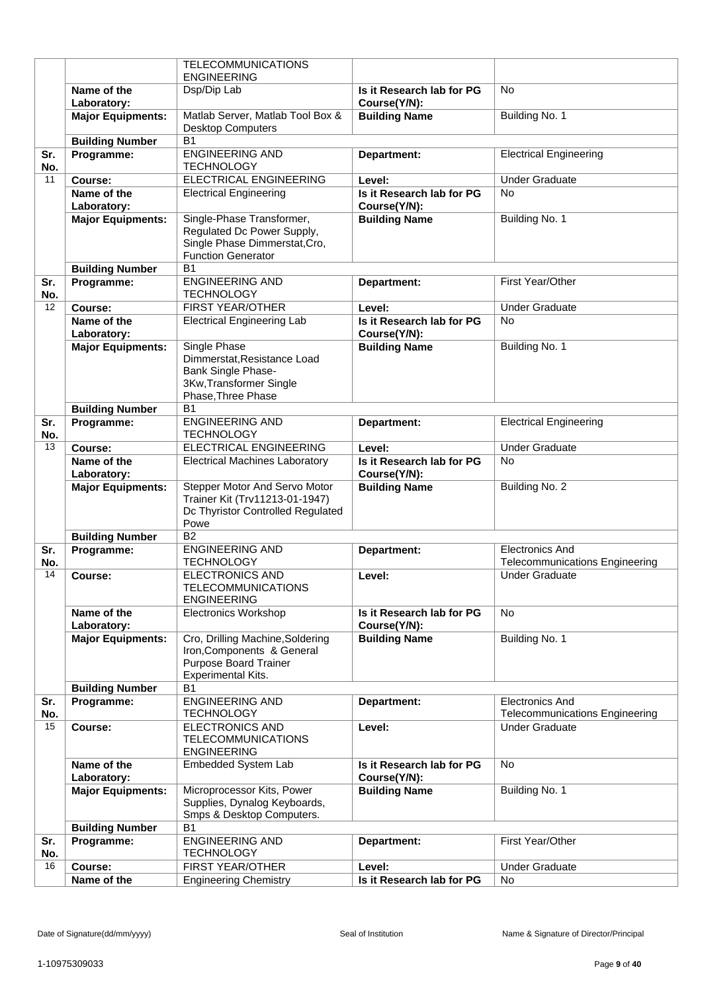|            |                            | <b>TELECOMMUNICATIONS</b>                                                                                                 |                                           |                                                                 |
|------------|----------------------------|---------------------------------------------------------------------------------------------------------------------------|-------------------------------------------|-----------------------------------------------------------------|
|            | Name of the                | <b>ENGINEERING</b>                                                                                                        |                                           | <b>No</b>                                                       |
|            | Laboratory:                | Dsp/Dip Lab                                                                                                               | Is it Research lab for PG<br>Course(Y/N): |                                                                 |
|            | <b>Major Equipments:</b>   | Matlab Server, Matlab Tool Box &                                                                                          | <b>Building Name</b>                      | Building No. 1                                                  |
|            |                            | <b>Desktop Computers</b>                                                                                                  |                                           |                                                                 |
|            | <b>Building Number</b>     | <b>B1</b>                                                                                                                 |                                           |                                                                 |
| Sr.<br>No. | Programme:                 | <b>ENGINEERING AND</b><br><b>TECHNOLOGY</b>                                                                               | Department:                               | <b>Electrical Engineering</b>                                   |
| 11         | Course:                    | <b>ELECTRICAL ENGINEERING</b>                                                                                             | Level:                                    | <b>Under Graduate</b>                                           |
|            | Name of the<br>Laboratory: | <b>Electrical Engineering</b>                                                                                             | Is it Research lab for PG<br>Course(Y/N): | <b>No</b>                                                       |
|            | <b>Major Equipments:</b>   | Single-Phase Transformer,                                                                                                 | <b>Building Name</b>                      | Building No. 1                                                  |
|            |                            | Regulated Dc Power Supply,<br>Single Phase Dimmerstat, Cro,<br><b>Function Generator</b>                                  |                                           |                                                                 |
|            | <b>Building Number</b>     | <b>B1</b>                                                                                                                 |                                           |                                                                 |
| Sr.        | Programme:                 | <b>ENGINEERING AND</b>                                                                                                    | Department:                               | First Year/Other                                                |
| No.        |                            | <b>TECHNOLOGY</b>                                                                                                         |                                           |                                                                 |
| 12         | Course:                    | <b>FIRST YEAR/OTHER</b>                                                                                                   | Level:                                    | <b>Under Graduate</b>                                           |
|            | Name of the                | <b>Electrical Engineering Lab</b>                                                                                         | Is it Research lab for PG                 | <b>No</b>                                                       |
|            | Laboratory:                |                                                                                                                           | Course(Y/N):                              |                                                                 |
|            | <b>Major Equipments:</b>   | <b>Single Phase</b><br>Dimmerstat, Resistance Load<br>Bank Single Phase-<br>3Kw, Transformer Single<br>Phase, Three Phase | <b>Building Name</b>                      | Building No. 1                                                  |
|            | <b>Building Number</b>     | B <sub>1</sub>                                                                                                            |                                           |                                                                 |
| Sr.<br>No. | Programme:                 | <b>ENGINEERING AND</b><br><b>TECHNOLOGY</b>                                                                               | Department:                               | <b>Electrical Engineering</b>                                   |
| 13         | Course:                    | <b>ELECTRICAL ENGINEERING</b>                                                                                             | Level:                                    | <b>Under Graduate</b>                                           |
|            | Name of the                | <b>Electrical Machines Laboratory</b>                                                                                     | Is it Research lab for PG                 | <b>No</b>                                                       |
|            | Laboratory:                |                                                                                                                           | Course(Y/N):                              |                                                                 |
|            | <b>Major Equipments:</b>   | Stepper Motor And Servo Motor<br>Trainer Kit (Trv11213-01-1947)<br>Dc Thyristor Controlled Regulated<br>Powe              | <b>Building Name</b>                      | Building No. 2                                                  |
|            | <b>Building Number</b>     | <b>B2</b>                                                                                                                 |                                           |                                                                 |
| Sr.        | Programme:                 | <b>ENGINEERING AND</b>                                                                                                    | Department:                               | <b>Electronics And</b>                                          |
| No.        |                            | <b>TECHNOLOGY</b>                                                                                                         |                                           | <b>Telecommunications Engineering</b>                           |
| 14         | Course:                    | <b>ELECTRONICS AND</b><br>TELECOMMUNICATIONS<br><b>ENGINEERING</b>                                                        | Level:                                    | <b>Under Graduate</b>                                           |
|            | Name of the<br>Laboratory: | <b>Electronics Workshop</b>                                                                                               | Is it Research lab for PG<br>Course(Y/N): | N <sub>o</sub>                                                  |
|            | <b>Major Equipments:</b>   | Cro, Drilling Machine, Soldering<br>Iron, Components & General<br><b>Purpose Board Trainer</b><br>Experimental Kits.      | <b>Building Name</b>                      | Building No. 1                                                  |
|            | <b>Building Number</b>     | <b>B1</b>                                                                                                                 |                                           |                                                                 |
| Sr.<br>No. | Programme:                 | <b>ENGINEERING AND</b><br><b>TECHNOLOGY</b>                                                                               | Department:                               | <b>Electronics And</b><br><b>Telecommunications Engineering</b> |
| 15         | Course:                    | <b>ELECTRONICS AND</b><br><b>TELECOMMUNICATIONS</b><br><b>ENGINEERING</b>                                                 | Level:                                    | <b>Under Graduate</b>                                           |
|            | Name of the<br>Laboratory: | Embedded System Lab                                                                                                       | Is it Research lab for PG<br>Course(Y/N): | <b>No</b>                                                       |
|            | <b>Major Equipments:</b>   | Microprocessor Kits, Power<br>Supplies, Dynalog Keyboards,<br>Smps & Desktop Computers.                                   | <b>Building Name</b>                      | Building No. 1                                                  |
|            | <b>Building Number</b>     | <b>B1</b>                                                                                                                 |                                           |                                                                 |
| Sr.<br>No. | Programme:                 | <b>ENGINEERING AND</b><br><b>TECHNOLOGY</b>                                                                               | Department:                               | First Year/Other                                                |
| 16         | Course:                    | <b>FIRST YEAR/OTHER</b>                                                                                                   | Level:                                    | <b>Under Graduate</b>                                           |
|            | Name of the                | <b>Engineering Chemistry</b>                                                                                              | Is it Research lab for PG                 | <b>No</b>                                                       |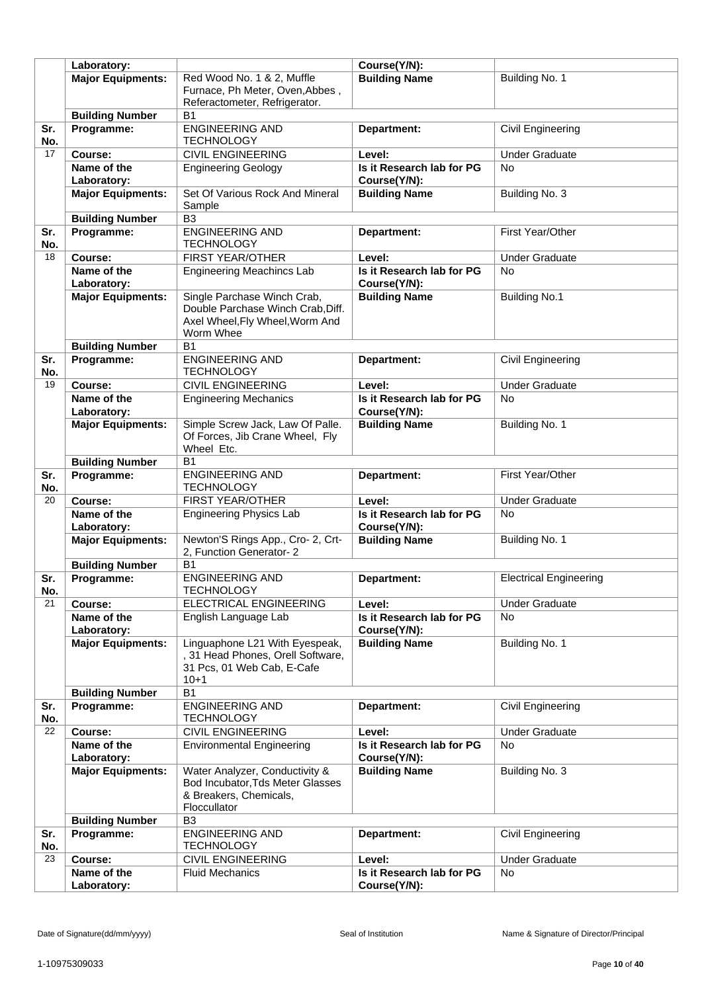|           | Laboratory:                |                                                            | Course(Y/N):                              |                               |
|-----------|----------------------------|------------------------------------------------------------|-------------------------------------------|-------------------------------|
|           | <b>Major Equipments:</b>   | Red Wood No. 1 & 2, Muffle                                 | <b>Building Name</b>                      | Building No. 1                |
|           |                            | Furnace, Ph Meter, Oven, Abbes,                            |                                           |                               |
|           |                            | Referactometer, Refrigerator.                              |                                           |                               |
|           | <b>Building Number</b>     | <b>B1</b>                                                  |                                           |                               |
| Sr.       | Programme:                 | <b>ENGINEERING AND</b>                                     | Department:                               | Civil Engineering             |
| No.       |                            | <b>TECHNOLOGY</b>                                          |                                           |                               |
| 17        | Course:                    | <b>CIVIL ENGINEERING</b>                                   | Level:                                    | <b>Under Graduate</b>         |
|           | Name of the                | <b>Engineering Geology</b>                                 | Is it Research lab for PG                 | No                            |
|           | Laboratory:                |                                                            | Course(Y/N):                              |                               |
|           | <b>Major Equipments:</b>   | Set Of Various Rock And Mineral                            | <b>Building Name</b>                      | Building No. 3                |
|           |                            | Sample                                                     |                                           |                               |
|           | <b>Building Number</b>     | B <sub>3</sub>                                             |                                           |                               |
| Sr.       | Programme:                 | <b>ENGINEERING AND</b>                                     | Department:                               | First Year/Other              |
| No.       |                            | <b>TECHNOLOGY</b>                                          |                                           |                               |
| 18        | Course:                    | FIRST YEAR/OTHER                                           | Level:                                    | <b>Under Graduate</b>         |
|           | Name of the                | <b>Engineering Meachincs Lab</b>                           | Is it Research lab for PG                 | <b>No</b>                     |
|           | Laboratory:                |                                                            | Course(Y/N):                              |                               |
|           | <b>Major Equipments:</b>   | Single Parchase Winch Crab,                                | <b>Building Name</b>                      | <b>Building No.1</b>          |
|           |                            | Double Parchase Winch Crab, Diff.                          |                                           |                               |
|           |                            | Axel Wheel, Fly Wheel, Worm And                            |                                           |                               |
|           |                            | Worm Whee                                                  |                                           |                               |
|           | <b>Building Number</b>     | B <sub>1</sub>                                             |                                           |                               |
| Sr.       | Programme:                 | <b>ENGINEERING AND</b>                                     | Department:                               | Civil Engineering             |
| No.       |                            | <b>TECHNOLOGY</b>                                          |                                           |                               |
| 19        | Course:                    | <b>CIVIL ENGINEERING</b>                                   | Level:                                    | <b>Under Graduate</b>         |
|           | Name of the                | <b>Engineering Mechanics</b>                               | Is it Research lab for PG                 | <b>No</b>                     |
|           | Laboratory:                |                                                            | Course(Y/N):                              |                               |
|           | <b>Major Equipments:</b>   | Simple Screw Jack, Law Of Palle.                           | <b>Building Name</b>                      | Building No. 1                |
|           |                            | Of Forces, Jib Crane Wheel, Fly                            |                                           |                               |
|           |                            | Wheel Etc.                                                 |                                           |                               |
|           | <b>Building Number</b>     | B1                                                         |                                           |                               |
| Sr.       | Programme:                 | <b>ENGINEERING AND</b>                                     | Department:                               | First Year/Other              |
| No.<br>20 |                            | <b>TECHNOLOGY</b><br>FIRST YEAR/OTHER                      |                                           | <b>Under Graduate</b>         |
|           | Course:                    | <b>Engineering Physics Lab</b>                             | Level:                                    | <b>No</b>                     |
|           | Name of the<br>Laboratory: |                                                            | Is it Research lab for PG<br>Course(Y/N): |                               |
|           | <b>Major Equipments:</b>   | Newton'S Rings App., Cro- 2, Crt-                          | <b>Building Name</b>                      | Building No. 1                |
|           |                            | 2, Function Generator-2                                    |                                           |                               |
|           | <b>Building Number</b>     | B <sub>1</sub>                                             |                                           |                               |
| Sr.       | Programme:                 | <b>ENGINEERING AND</b>                                     | Department:                               | <b>Electrical Engineering</b> |
| No.       |                            | <b>TECHNOLOGY</b>                                          |                                           |                               |
| 21        | Course:                    | <b>ELECTRICAL ENGINEERING</b>                              | Level:                                    | <b>Under Graduate</b>         |
|           | Name of the                | English Language Lab                                       | Is it Research lab for PG                 | No.                           |
|           | Laboratory:                |                                                            | Course(Y/N):                              |                               |
|           | <b>Major Equipments:</b>   | Linguaphone L21 With Eyespeak,                             | <b>Building Name</b>                      | Building No. 1                |
|           |                            | , 31 Head Phones, Orell Software,                          |                                           |                               |
|           |                            | 31 Pcs, 01 Web Cab, E-Cafe                                 |                                           |                               |
|           |                            | $10 + 1$                                                   |                                           |                               |
|           | <b>Building Number</b>     | <b>B1</b>                                                  |                                           |                               |
| Sr.       | Programme:                 | <b>ENGINEERING AND</b>                                     | Department:                               | Civil Engineering             |
| No.       |                            | <b>TECHNOLOGY</b>                                          |                                           |                               |
| 22        | Course:                    | <b>CIVIL ENGINEERING</b>                                   | Level:                                    | <b>Under Graduate</b>         |
|           | Name of the                | <b>Environmental Engineering</b>                           | Is it Research lab for PG                 | <b>No</b>                     |
|           | Laboratory:                |                                                            | Course(Y/N):                              |                               |
|           | <b>Major Equipments:</b>   | Water Analyzer, Conductivity &                             | <b>Building Name</b>                      | Building No. 3                |
|           |                            | Bod Incubator, Tds Meter Glasses<br>& Breakers, Chemicals, |                                           |                               |
|           |                            | Floccullator                                               |                                           |                               |
|           | <b>Building Number</b>     | B <sub>3</sub>                                             |                                           |                               |
| Sr.       | Programme:                 | <b>ENGINEERING AND</b>                                     | Department:                               | Civil Engineering             |
| No.       |                            | <b>TECHNOLOGY</b>                                          |                                           |                               |
| 23        | Course:                    | <b>CIVIL ENGINEERING</b>                                   | Level:                                    | <b>Under Graduate</b>         |
|           | Name of the                | <b>Fluid Mechanics</b>                                     | Is it Research lab for PG                 | No                            |
|           | Laboratory:                |                                                            | Course(Y/N):                              |                               |
|           |                            |                                                            |                                           |                               |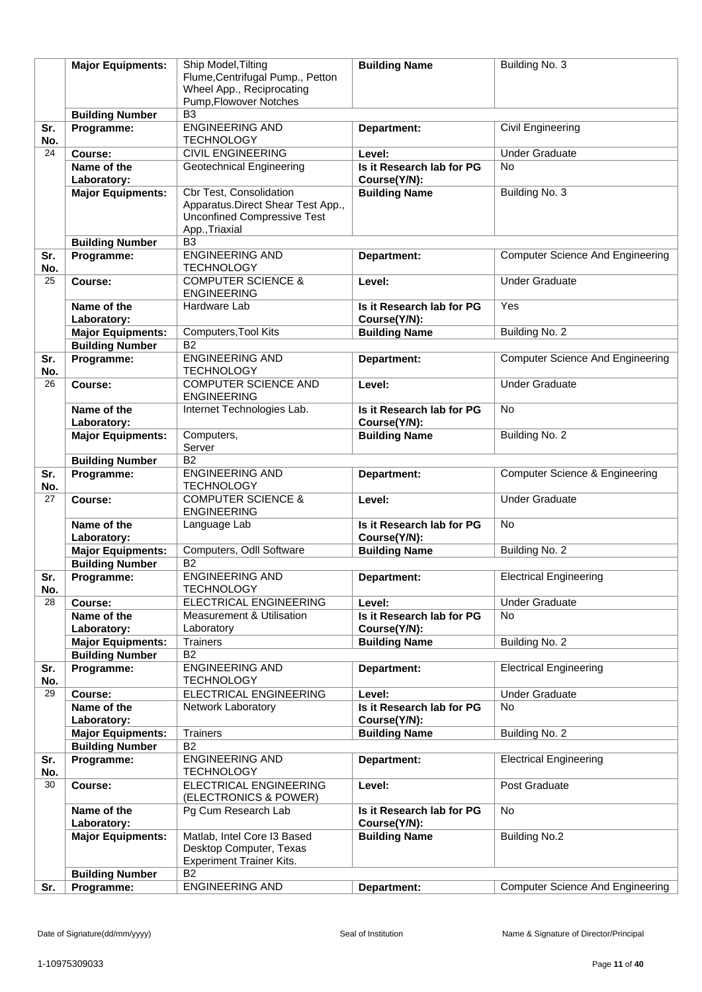|            | <b>Major Equipments:</b>             | Ship Model, Tilting                                        | <b>Building Name</b>                      | Building No. 3                            |
|------------|--------------------------------------|------------------------------------------------------------|-------------------------------------------|-------------------------------------------|
|            |                                      | Flume, Centrifugal Pump., Petton                           |                                           |                                           |
|            |                                      | Wheel App., Reciprocating                                  |                                           |                                           |
|            | <b>Building Number</b>               | Pump, Flowover Notches<br>B <sub>3</sub>                   |                                           |                                           |
| Sr.        | Programme:                           | <b>ENGINEERING AND</b>                                     | Department:                               | Civil Engineering                         |
| No.        |                                      | <b>TECHNOLOGY</b>                                          |                                           |                                           |
| 24         | Course:                              | <b>CIVIL ENGINEERING</b>                                   | Level:                                    | <b>Under Graduate</b>                     |
|            | Name of the                          | Geotechnical Engineering                                   | Is it Research lab for PG                 | <b>No</b>                                 |
|            | Laboratory:                          |                                                            | Course(Y/N):                              |                                           |
|            | <b>Major Equipments:</b>             | Cbr Test, Consolidation                                    | <b>Building Name</b>                      | Building No. 3                            |
|            |                                      | Apparatus.Direct Shear Test App.,                          |                                           |                                           |
|            |                                      | <b>Unconfined Compressive Test</b>                         |                                           |                                           |
|            | <b>Building Number</b>               | App., Triaxial<br>B <sub>3</sub>                           |                                           |                                           |
| Sr.        | Programme:                           | <b>ENGINEERING AND</b>                                     | Department:                               | <b>Computer Science And Engineering</b>   |
| No.        |                                      | <b>TECHNOLOGY</b>                                          |                                           |                                           |
| 25         | Course:                              | <b>COMPUTER SCIENCE &amp;</b>                              | Level:                                    | <b>Under Graduate</b>                     |
|            |                                      | <b>ENGINEERING</b>                                         |                                           |                                           |
|            | Name of the                          | Hardware Lab                                               | Is it Research lab for PG                 | Yes                                       |
|            | Laboratory:                          |                                                            | Course(Y/N):                              |                                           |
|            | <b>Major Equipments:</b>             | Computers, Tool Kits                                       | <b>Building Name</b>                      | Building No. 2                            |
|            | <b>Building Number</b><br>Programme: | B <sub>2</sub><br><b>ENGINEERING AND</b>                   |                                           | <b>Computer Science And Engineering</b>   |
| Sr.<br>No. |                                      | <b>TECHNOLOGY</b>                                          | Department:                               |                                           |
| 26         | Course:                              | <b>COMPUTER SCIENCE AND</b><br><b>ENGINEERING</b>          | Level:                                    | <b>Under Graduate</b>                     |
|            | Name of the                          | Internet Technologies Lab.                                 | Is it Research lab for PG                 | <b>No</b>                                 |
|            | Laboratory:                          |                                                            | Course(Y/N):                              |                                           |
|            | <b>Major Equipments:</b>             | Computers,                                                 | <b>Building Name</b>                      | Building No. 2                            |
|            |                                      | Server<br><b>B2</b>                                        |                                           |                                           |
| Sr.        | <b>Building Number</b><br>Programme: | <b>ENGINEERING AND</b>                                     | Department:                               | <b>Computer Science &amp; Engineering</b> |
| No.        |                                      | <b>TECHNOLOGY</b>                                          |                                           |                                           |
| 27         | Course:                              | <b>COMPUTER SCIENCE &amp;</b><br><b>ENGINEERING</b>        | Level:                                    | <b>Under Graduate</b>                     |
|            | Name of the<br>Laboratory:           | Language Lab                                               | Is it Research lab for PG<br>Course(Y/N): | <b>No</b>                                 |
|            | <b>Major Equipments:</b>             | Computers, Odll Software                                   | <b>Building Name</b>                      | Building No. 2                            |
|            | <b>Building Number</b>               | B <sub>2</sub>                                             |                                           |                                           |
| Sr.<br>No. | Programme:                           | <b>ENGINEERING AND</b><br><b>TECHNOLOGY</b>                | Department:                               | <b>Electrical Engineering</b>             |
| 28         | Course:                              | <b>ELECTRICAL ENGINEERING</b>                              | Level:                                    | <b>Under Graduate</b>                     |
|            | Name of the                          | <b>Measurement &amp; Utilisation</b>                       | Is it Research lab for PG                 | No                                        |
|            | Laboratory:                          | Laboratory                                                 | Course(Y/N):                              |                                           |
|            | <b>Major Equipments:</b>             | <b>Trainers</b>                                            | <b>Building Name</b>                      | Building No. 2                            |
|            | <b>Building Number</b>               | <b>B2</b>                                                  |                                           |                                           |
| Sr.<br>No. | Programme:                           | <b>ENGINEERING AND</b><br><b>TECHNOLOGY</b>                | Department:                               | <b>Electrical Engineering</b>             |
| 29         | Course:                              | ELECTRICAL ENGINEERING                                     | Level:                                    | <b>Under Graduate</b>                     |
|            | Name of the<br>Laboratory:           | Network Laboratory                                         | Is it Research lab for PG<br>Course(Y/N): | <b>No</b>                                 |
|            | <b>Major Equipments:</b>             | <b>Trainers</b>                                            | <b>Building Name</b>                      | Building No. 2                            |
|            | <b>Building Number</b>               | B <sub>2</sub>                                             |                                           |                                           |
| Sr.<br>No. | Programme:                           | <b>ENGINEERING AND</b><br><b>TECHNOLOGY</b>                | Department:                               | <b>Electrical Engineering</b>             |
| 30         | Course:                              | ELECTRICAL ENGINEERING<br>(ELECTRONICS & POWER)            | Level:                                    | Post Graduate                             |
|            | Name of the<br>Laboratory:           | Pg Cum Research Lab                                        | Is it Research lab for PG<br>Course(Y/N): | <b>No</b>                                 |
|            | <b>Major Equipments:</b>             | Matlab, Intel Core I3 Based                                | <b>Building Name</b>                      | <b>Building No.2</b>                      |
|            |                                      | Desktop Computer, Texas<br><b>Experiment Trainer Kits.</b> |                                           |                                           |
|            | <b>Building Number</b>               | <b>B2</b>                                                  |                                           |                                           |
| Sr.        | Programme:                           | <b>ENGINEERING AND</b>                                     | Department:                               | <b>Computer Science And Engineering</b>   |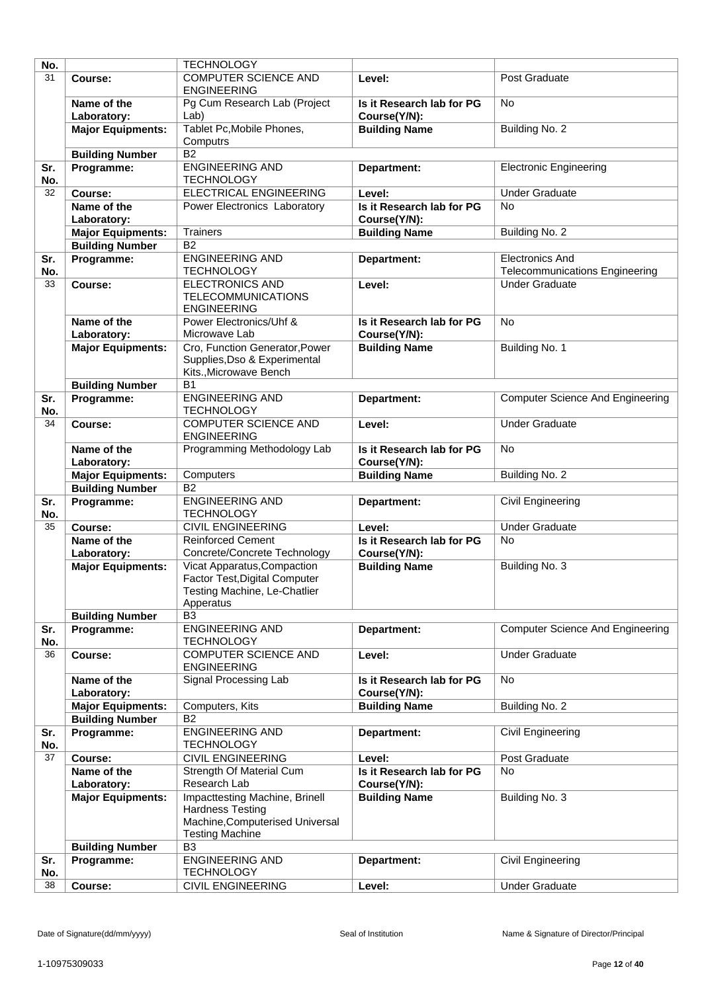| No.        |                            | <b>TECHNOLOGY</b>                                                                                                      |                                           |                                         |
|------------|----------------------------|------------------------------------------------------------------------------------------------------------------------|-------------------------------------------|-----------------------------------------|
| 31         | Course:                    | <b>COMPUTER SCIENCE AND</b><br><b>ENGINEERING</b>                                                                      | Level:                                    | Post Graduate                           |
|            | Name of the<br>Laboratory: | Pg Cum Research Lab (Project<br>Lab)                                                                                   | Is it Research lab for PG<br>Course(Y/N): | No                                      |
|            | <b>Major Equipments:</b>   | Tablet Pc, Mobile Phones,<br>Computrs                                                                                  | <b>Building Name</b>                      | Building No. 2                          |
|            | <b>Building Number</b>     | <b>B2</b>                                                                                                              |                                           |                                         |
| Sr.<br>No. | Programme:                 | <b>ENGINEERING AND</b><br><b>TECHNOLOGY</b>                                                                            | Department:                               | <b>Electronic Engineering</b>           |
| 32         | Course:                    | ELECTRICAL ENGINEERING                                                                                                 | Level:                                    | <b>Under Graduate</b>                   |
|            | Name of the                | Power Electronics Laboratory                                                                                           | Is it Research lab for PG                 | <b>No</b>                               |
|            | Laboratory:                |                                                                                                                        | Course(Y/N):                              |                                         |
|            | <b>Major Equipments:</b>   | <b>Trainers</b>                                                                                                        | <b>Building Name</b>                      | Building No. 2                          |
|            | <b>Building Number</b>     | <b>B2</b>                                                                                                              |                                           |                                         |
| Sr.        | Programme:                 | <b>ENGINEERING AND</b>                                                                                                 | Department:                               | <b>Electronics And</b>                  |
| No.        |                            | <b>TECHNOLOGY</b>                                                                                                      |                                           | <b>Telecommunications Engineering</b>   |
| 33         | Course:                    | <b>ELECTRONICS AND</b><br><b>TELECOMMUNICATIONS</b><br><b>ENGINEERING</b>                                              | Level:                                    | <b>Under Graduate</b>                   |
|            | Name of the<br>Laboratory: | Power Electronics/Uhf &<br>Microwave Lab                                                                               | Is it Research lab for PG<br>Course(Y/N): | <b>No</b>                               |
|            | <b>Major Equipments:</b>   | Cro, Function Generator, Power<br>Supplies, Dso & Experimental<br>Kits., Microwave Bench                               | <b>Building Name</b>                      | Building No. 1                          |
|            | <b>Building Number</b>     | <b>B1</b>                                                                                                              |                                           |                                         |
| Sr.<br>No. | Programme:                 | <b>ENGINEERING AND</b><br><b>TECHNOLOGY</b>                                                                            | Department:                               | <b>Computer Science And Engineering</b> |
| 34         | Course:                    | <b>COMPUTER SCIENCE AND</b><br><b>ENGINEERING</b>                                                                      | Level:                                    | <b>Under Graduate</b>                   |
|            | Name of the<br>Laboratory: | Programming Methodology Lab                                                                                            | Is it Research lab for PG<br>Course(Y/N): | <b>No</b>                               |
|            | <b>Major Equipments:</b>   | Computers                                                                                                              | <b>Building Name</b>                      | Building No. 2                          |
|            | <b>Building Number</b>     | $\overline{B2}$                                                                                                        |                                           |                                         |
| Sr.<br>No. | Programme:                 | <b>ENGINEERING AND</b><br><b>TECHNOLOGY</b>                                                                            | Department:                               | Civil Engineering                       |
| 35         | Course:                    | <b>CIVIL ENGINEERING</b>                                                                                               | Level:                                    | <b>Under Graduate</b>                   |
|            | Name of the                | <b>Reinforced Cement</b>                                                                                               | Is it Research lab for PG                 | <b>No</b>                               |
|            | Laboratory:                | Concrete/Concrete Technology                                                                                           | Course(Y/N):                              |                                         |
|            | <b>Major Equipments:</b>   | Vicat Apparatus, Compaction<br>Factor Test, Digital Computer<br>Testing Machine, Le-Chatlier<br>Apperatus              | <b>Building Name</b>                      | Building No. 3                          |
|            | <b>Building Number</b>     | B <sub>3</sub>                                                                                                         |                                           |                                         |
| Sr.<br>No. | Programme:                 | <b>ENGINEERING AND</b><br><b>TECHNOLOGY</b>                                                                            | Department:                               | <b>Computer Science And Engineering</b> |
| 36         | Course:                    | <b>COMPUTER SCIENCE AND</b><br><b>ENGINEERING</b>                                                                      | Level:                                    | <b>Under Graduate</b>                   |
|            | Name of the                | Signal Processing Lab                                                                                                  | Is it Research lab for PG                 | <b>No</b>                               |
|            | Laboratory:                |                                                                                                                        | Course(Y/N):                              |                                         |
|            | <b>Major Equipments:</b>   | Computers, Kits                                                                                                        | <b>Building Name</b>                      | Building No. 2                          |
|            | <b>Building Number</b>     | <b>B2</b>                                                                                                              |                                           |                                         |
| Sr.<br>No. | Programme:                 | <b>ENGINEERING AND</b><br><b>TECHNOLOGY</b>                                                                            | Department:                               | Civil Engineering                       |
| 37         | Course:                    | <b>CIVIL ENGINEERING</b>                                                                                               | Level:                                    | Post Graduate                           |
|            | Name of the                | Strength Of Material Cum                                                                                               | Is it Research lab for PG                 | No                                      |
|            | Laboratory:                | Research Lab                                                                                                           | Course(Y/N):                              |                                         |
|            | <b>Major Equipments:</b>   | Impacttesting Machine, Brinell<br><b>Hardness Testing</b><br>Machine, Computerised Universal<br><b>Testing Machine</b> | <b>Building Name</b>                      | Building No. 3                          |
|            | <b>Building Number</b>     | B <sub>3</sub>                                                                                                         |                                           |                                         |
| Sr.<br>No. | Programme:                 | <b>ENGINEERING AND</b><br><b>TECHNOLOGY</b>                                                                            | Department:                               | Civil Engineering                       |
| 38         | Course:                    | <b>CIVIL ENGINEERING</b>                                                                                               | Level:                                    | <b>Under Graduate</b>                   |
|            |                            |                                                                                                                        |                                           |                                         |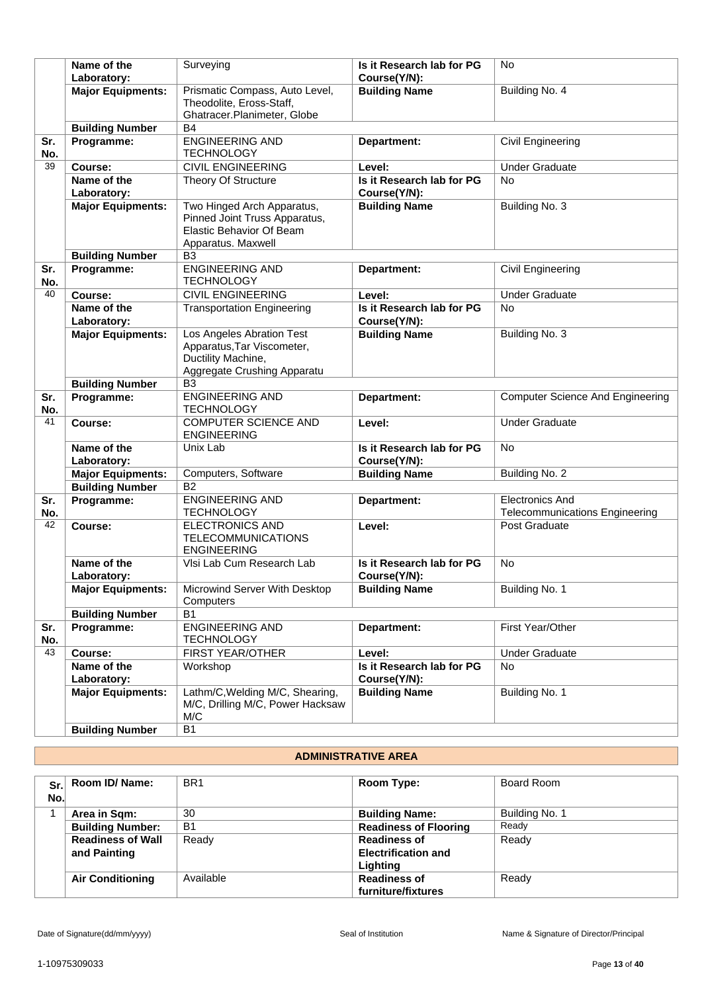|            | Name of the<br>Laboratory: | Surveying                                                                                                            | Is it Research lab for PG<br>Course(Y/N): | <b>No</b>                               |
|------------|----------------------------|----------------------------------------------------------------------------------------------------------------------|-------------------------------------------|-----------------------------------------|
|            | <b>Major Equipments:</b>   | Prismatic Compass, Auto Level,<br>Theodolite, Eross-Staff,<br>Ghatracer.Planimeter, Globe                            | <b>Building Name</b>                      | Building No. 4                          |
|            | <b>Building Number</b>     | <b>B4</b>                                                                                                            |                                           |                                         |
| Sr.<br>No. | Programme:                 | <b>ENGINEERING AND</b><br><b>TECHNOLOGY</b>                                                                          | Department:                               | Civil Engineering                       |
| 39         | Course:                    | <b>CIVIL ENGINEERING</b>                                                                                             | Level:                                    | <b>Under Graduate</b>                   |
|            | Name of the<br>Laboratory: | Theory Of Structure                                                                                                  | Is it Research lab for PG<br>Course(Y/N): | <b>No</b>                               |
|            | <b>Major Equipments:</b>   | Two Hinged Arch Apparatus,<br>Pinned Joint Truss Apparatus,<br><b>Elastic Behavior Of Beam</b><br>Apparatus. Maxwell | <b>Building Name</b>                      | Building No. 3                          |
|            | <b>Building Number</b>     | B <sub>3</sub>                                                                                                       |                                           |                                         |
| Sr.<br>No. | Programme:                 | <b>ENGINEERING AND</b><br><b>TECHNOLOGY</b>                                                                          | Department:                               | Civil Engineering                       |
| 40         | Course:                    | <b>CIVIL ENGINEERING</b>                                                                                             | Level:                                    | <b>Under Graduate</b>                   |
|            | Name of the<br>Laboratory: | <b>Transportation Engineering</b>                                                                                    | Is it Research lab for PG<br>Course(Y/N): | <b>No</b>                               |
|            | <b>Major Equipments:</b>   | Los Angeles Abration Test<br>Apparatus, Tar Viscometer,<br>Ductility Machine,<br>Aggregate Crushing Apparatu         | <b>Building Name</b>                      | Building No. 3                          |
|            | <b>Building Number</b>     | B <sub>3</sub>                                                                                                       |                                           |                                         |
| Sr.<br>No. | Programme:                 | <b>ENGINEERING AND</b><br><b>TECHNOLOGY</b>                                                                          | Department:                               | <b>Computer Science And Engineering</b> |
| 41         | Course:                    | <b>COMPUTER SCIENCE AND</b><br><b>ENGINEERING</b>                                                                    | Level:                                    | <b>Under Graduate</b>                   |
|            | Name of the<br>Laboratory: | Unix Lab                                                                                                             | Is it Research lab for PG<br>Course(Y/N): | No                                      |
|            | <b>Major Equipments:</b>   | Computers, Software                                                                                                  | <b>Building Name</b>                      | Building No. 2                          |
|            | <b>Building Number</b>     | B <sub>2</sub>                                                                                                       |                                           |                                         |
| Sr.        | Programme:                 | <b>ENGINEERING AND</b>                                                                                               | Department:                               | <b>Electronics And</b>                  |
| No.        |                            | <b>TECHNOLOGY</b>                                                                                                    |                                           | <b>Telecommunications Engineering</b>   |
| 42         | Course:                    | <b>ELECTRONICS AND</b><br><b>TELECOMMUNICATIONS</b><br><b>ENGINEERING</b>                                            | Level:                                    | Post Graduate                           |
|            | Name of the<br>Laboratory: | VIsi Lab Cum Research Lab                                                                                            | Is it Research lab for PG<br>Course(Y/N): | <b>No</b>                               |
|            | <b>Major Equipments:</b>   | Microwind Server With Desktop<br>Computers                                                                           | <b>Building Name</b>                      | Building No. 1                          |
|            | <b>Building Number</b>     | <b>B1</b>                                                                                                            |                                           |                                         |
| Sr.<br>No. | Programme:                 | <b>ENGINEERING AND</b><br><b>TECHNOLOGY</b>                                                                          | Department:                               | First Year/Other                        |
| 43         | Course:                    | FIRST YEAR/OTHER                                                                                                     | Level:                                    | <b>Under Graduate</b>                   |
|            | Name of the<br>Laboratory: | Workshop                                                                                                             | Is it Research lab for PG<br>Course(Y/N): | No                                      |
|            | <b>Major Equipments:</b>   | Lathm/C, Welding M/C, Shearing,<br>M/C, Drilling M/C, Power Hacksaw<br>M/C                                           | <b>Building Name</b>                      | Building No. 1                          |
|            | <b>Building Number</b>     | <b>B1</b>                                                                                                            |                                           |                                         |

### **ADMINISTRATIVE AREA**

| Sr.<br>No. | Room ID/ Name:           | BR <sub>1</sub> | Room Type:                   | Board Room     |
|------------|--------------------------|-----------------|------------------------------|----------------|
|            | Area in Sqm:             | 30              | <b>Building Name:</b>        | Building No. 1 |
|            | <b>Building Number:</b>  | <b>B1</b>       | <b>Readiness of Flooring</b> | Ready          |
|            | <b>Readiness of Wall</b> | Ready           | <b>Readiness of</b>          | Ready          |
|            | and Painting             |                 | <b>Electrification and</b>   |                |
|            |                          |                 | Lighting                     |                |
|            | <b>Air Conditioning</b>  | Available       | <b>Readiness of</b>          | Ready          |
|            |                          |                 | furniture/fixtures           |                |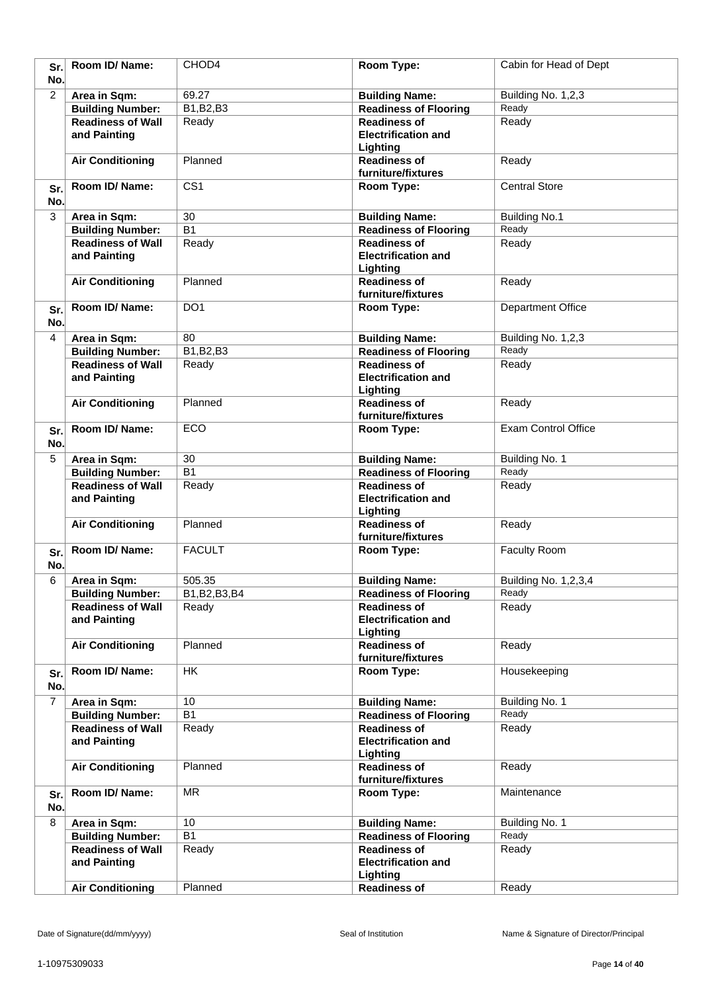| Sr.<br>No.     | Room ID/ Name:                           | CHOD4            | Room Type:                                                    | Cabin for Head of Dept     |
|----------------|------------------------------------------|------------------|---------------------------------------------------------------|----------------------------|
| $\overline{2}$ | Area in Sqm:                             | 69.27            | <b>Building Name:</b>                                         | Building No. 1,2,3         |
|                | <b>Building Number:</b>                  | B1, B2, B3       | <b>Readiness of Flooring</b>                                  | Ready                      |
|                | <b>Readiness of Wall</b>                 | Ready            | <b>Readiness of</b>                                           | Ready                      |
|                | and Painting                             |                  | <b>Electrification and</b><br>Lighting                        |                            |
|                | <b>Air Conditioning</b>                  | Planned          | <b>Readiness of</b><br>furniture/fixtures                     | Ready                      |
| Sr.<br>No.     | Room ID/Name:                            | $\overline{CS1}$ | Room Type:                                                    | <b>Central Store</b>       |
| 3              | Area in Sqm:                             | 30               | <b>Building Name:</b>                                         | <b>Building No.1</b>       |
|                | <b>Building Number:</b>                  | $\overline{B1}$  | <b>Readiness of Flooring</b>                                  | Ready                      |
|                | <b>Readiness of Wall</b><br>and Painting | Ready            | <b>Readiness of</b><br><b>Electrification and</b><br>Lighting | Ready                      |
|                | <b>Air Conditioning</b>                  | Planned          | <b>Readiness of</b><br>furniture/fixtures                     | Ready                      |
| Sr.<br>No.     | Room ID/Name:                            | DO <sub>1</sub>  | Room Type:                                                    | <b>Department Office</b>   |
| 4              | Area in Sqm:                             | 80               | <b>Building Name:</b>                                         | Building No. 1,2,3         |
|                | <b>Building Number:</b>                  | B1, B2, B3       | <b>Readiness of Flooring</b>                                  | Ready                      |
|                | <b>Readiness of Wall</b><br>and Painting | Ready            | <b>Readiness of</b><br><b>Electrification and</b><br>Lighting | Ready                      |
|                | <b>Air Conditioning</b>                  | Planned          | <b>Readiness of</b><br>furniture/fixtures                     | Ready                      |
| Sr.<br>No.     | Room ID/ Name:                           | <b>ECO</b>       | Room Type:                                                    | <b>Exam Control Office</b> |
| 5              | Area in Sqm:                             | 30               | <b>Building Name:</b>                                         | Building No. 1             |
|                | <b>Building Number:</b>                  | $\overline{B1}$  | <b>Readiness of Flooring</b>                                  | Ready                      |
|                | <b>Readiness of Wall</b>                 | Ready            | <b>Readiness of</b>                                           | Ready                      |
|                | and Painting                             |                  | <b>Electrification and</b><br>Lighting                        |                            |
|                | <b>Air Conditioning</b>                  | Planned          | <b>Readiness of</b><br>furniture/fixtures                     | Ready                      |
| Sr.<br>No.     | Room ID/Name:                            | <b>FACULT</b>    | Room Type:                                                    | Faculty Room               |
| 6              | Area in Sqm:                             | 505.35           | <b>Building Name:</b>                                         | Building No. 1, 2, 3, 4    |
|                | <b>Building Number:</b>                  | B1, B2, B3, B4   | <b>Readiness of Flooring</b>                                  | Ready                      |
|                | <b>Readiness of Wall</b><br>and Painting | Ready            | <b>Readiness of</b><br><b>Electrification and</b><br>Lighting | Ready                      |
|                | <b>Air Conditioning</b>                  | Planned          | <b>Readiness of</b><br>furniture/fixtures                     | Ready                      |
| Sr.<br>No.     | Room ID/Name:                            | HK               | Room Type:                                                    | Housekeeping               |
| 7              | Area in Sqm:                             | 10               | <b>Building Name:</b>                                         | Building No. 1             |
|                | <b>Building Number:</b>                  | <b>B1</b>        | <b>Readiness of Flooring</b>                                  | Ready                      |
|                | <b>Readiness of Wall</b><br>and Painting | Ready            | <b>Readiness of</b><br><b>Electrification and</b><br>Lighting | Ready                      |
|                | <b>Air Conditioning</b>                  | Planned          | <b>Readiness of</b><br>furniture/fixtures                     | Ready                      |
| Sr.<br>No.     | Room ID/ Name:                           | <b>MR</b>        | Room Type:                                                    | Maintenance                |
| 8              | Area in Sqm:                             | 10               | <b>Building Name:</b>                                         | Building No. 1             |
|                | <b>Building Number:</b>                  | $\overline{B1}$  | <b>Readiness of Flooring</b>                                  | Ready                      |
|                | <b>Readiness of Wall</b><br>and Painting | Ready            | <b>Readiness of</b><br><b>Electrification and</b><br>Lighting | Ready                      |
|                | <b>Air Conditioning</b>                  | Planned          | <b>Readiness of</b>                                           | Ready                      |
|                |                                          |                  |                                                               |                            |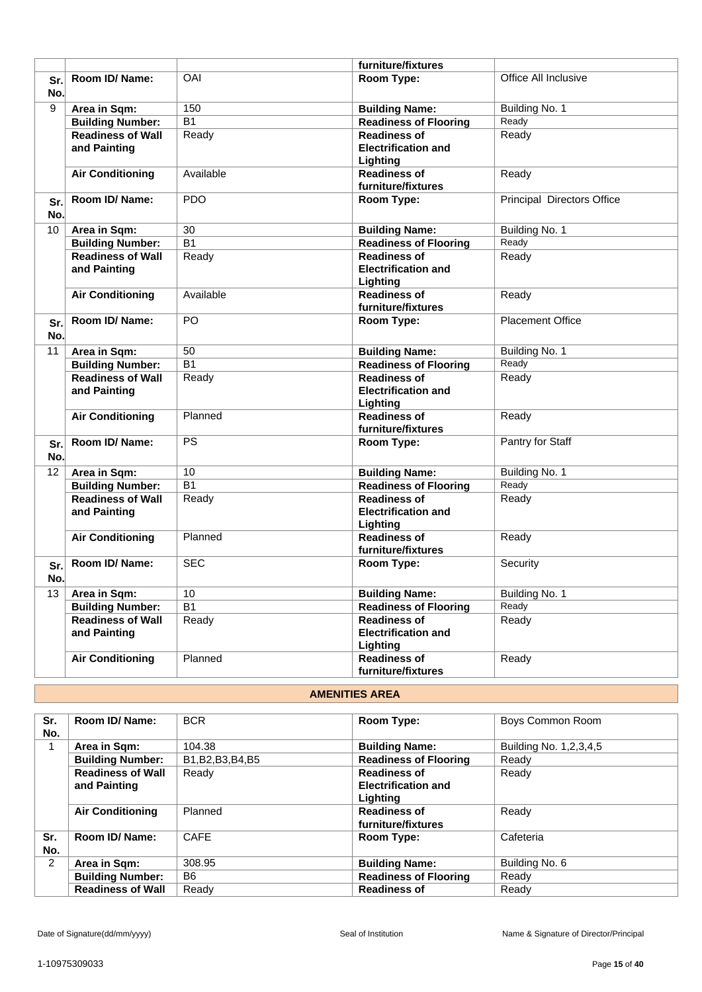|                 |                                         |                 | furniture/fixtures                                    |                            |
|-----------------|-----------------------------------------|-----------------|-------------------------------------------------------|----------------------------|
| Sr.             | Room ID/Name:                           | OAI             | Room Type:                                            | Office All Inclusive       |
| No.             |                                         |                 |                                                       |                            |
| 9               | Area in Sqm:                            | 150             | <b>Building Name:</b>                                 | Building No. 1             |
|                 | <b>Building Number:</b>                 | $\overline{B1}$ | <b>Readiness of Flooring</b>                          | Ready                      |
|                 | <b>Readiness of Wall</b>                | Ready           | <b>Readiness of</b>                                   | Ready                      |
|                 | and Painting                            |                 | <b>Electrification and</b>                            |                            |
|                 |                                         |                 | Lighting                                              |                            |
|                 | <b>Air Conditioning</b>                 | Available       | <b>Readiness of</b>                                   | Ready                      |
|                 |                                         |                 | furniture/fixtures                                    |                            |
| Sr.             | Room ID/ Name:                          | <b>PDO</b>      | Room Type:                                            | Principal Directors Office |
| No.             |                                         |                 |                                                       |                            |
| 10 <sup>°</sup> | Area in Sqm:                            | 30              | <b>Building Name:</b>                                 | Building No. 1             |
|                 | <b>Building Number:</b>                 | <b>B1</b>       | <b>Readiness of Flooring</b>                          | Ready                      |
|                 | <b>Readiness of Wall</b>                | Ready           | <b>Readiness of</b>                                   | Ready                      |
|                 | and Painting                            |                 | <b>Electrification and</b>                            |                            |
|                 |                                         |                 | Lighting                                              |                            |
|                 | <b>Air Conditioning</b>                 | Available       | <b>Readiness of</b>                                   | Ready                      |
|                 |                                         |                 | furniture/fixtures                                    |                            |
| Sr.             | Room ID/ Name:                          | PO              | Room Type:                                            | <b>Placement Office</b>    |
| No.             |                                         |                 |                                                       |                            |
| 11              | Area in Sqm:                            | 50              | <b>Building Name:</b>                                 | Building No. 1             |
|                 | <b>Building Number:</b>                 | $\overline{B1}$ | <b>Readiness of Flooring</b>                          | Ready                      |
|                 | <b>Readiness of Wall</b>                | Ready           | <b>Readiness of</b>                                   | Ready                      |
|                 | and Painting                            |                 | <b>Electrification and</b>                            |                            |
|                 |                                         |                 | Lighting                                              |                            |
|                 | <b>Air Conditioning</b>                 | Planned         | <b>Readiness of</b>                                   | Ready                      |
|                 | Room ID/ Name:                          | <b>PS</b>       | furniture/fixtures<br>Room Type:                      | Pantry for Staff           |
| Sr.             |                                         |                 |                                                       |                            |
| No.             |                                         |                 |                                                       |                            |
| 12              | Area in Sqm:                            | 10              | <b>Building Name:</b>                                 | Building No. 1             |
|                 | <b>Building Number:</b>                 | $\overline{B1}$ | <b>Readiness of Flooring</b>                          | Ready                      |
|                 | <b>Readiness of Wall</b>                | Ready           | <b>Readiness of</b>                                   | Ready                      |
|                 | and Painting                            |                 | <b>Electrification and</b>                            |                            |
|                 | <b>Air Conditioning</b>                 | Planned         | Lighting<br><b>Readiness of</b>                       | Ready                      |
|                 |                                         |                 | furniture/fixtures                                    |                            |
| Sr.             | Room ID/Name:                           | <b>SEC</b>      | Room Type:                                            | Security                   |
| No.             |                                         |                 |                                                       |                            |
| 13              |                                         | 10              |                                                       | Building No. 1             |
|                 | Area in Sqm:<br><b>Building Number:</b> | $\overline{B1}$ | <b>Building Name:</b><br><b>Readiness of Flooring</b> | Ready                      |
|                 | <b>Readiness of Wall</b>                | Ready           | <b>Readiness of</b>                                   | Ready                      |
|                 | and Painting                            |                 | <b>Electrification and</b>                            |                            |
|                 |                                         |                 | Lighting                                              |                            |
|                 | <b>Air Conditioning</b>                 | Planned         | <b>Readiness of</b>                                   | Ready                      |
|                 |                                         |                 | furniture/fixtures                                    |                            |
|                 |                                         |                 |                                                       |                            |

### **AMENITIES AREA**

| Sr.<br>No.     | Room ID/ Name:           | <b>BCR</b>         | Room Type:                   | Boys Common Room           |
|----------------|--------------------------|--------------------|------------------------------|----------------------------|
|                | Area in Sqm:             | 104.38             | <b>Building Name:</b>        | Building No. 1, 2, 3, 4, 5 |
|                | <b>Building Number:</b>  | B1, B2, B3, B4, B5 | <b>Readiness of Flooring</b> | Ready                      |
|                | <b>Readiness of Wall</b> | Ready              | <b>Readiness of</b>          | Ready                      |
|                | and Painting             |                    | <b>Electrification and</b>   |                            |
|                |                          |                    | Lighting                     |                            |
|                | <b>Air Conditioning</b>  | Planned            | <b>Readiness of</b>          | Ready                      |
|                |                          |                    | furniture/fixtures           |                            |
| Sr.            | Room ID/ Name:           | <b>CAFE</b>        | Room Type:                   | Cafeteria                  |
| No.            |                          |                    |                              |                            |
| $\overline{2}$ | Area in Sqm:             | 308.95             | <b>Building Name:</b>        | Building No. 6             |
|                | <b>Building Number:</b>  | B <sub>6</sub>     | <b>Readiness of Flooring</b> | Ready                      |
|                | <b>Readiness of Wall</b> | Ready              | <b>Readiness of</b>          | Ready                      |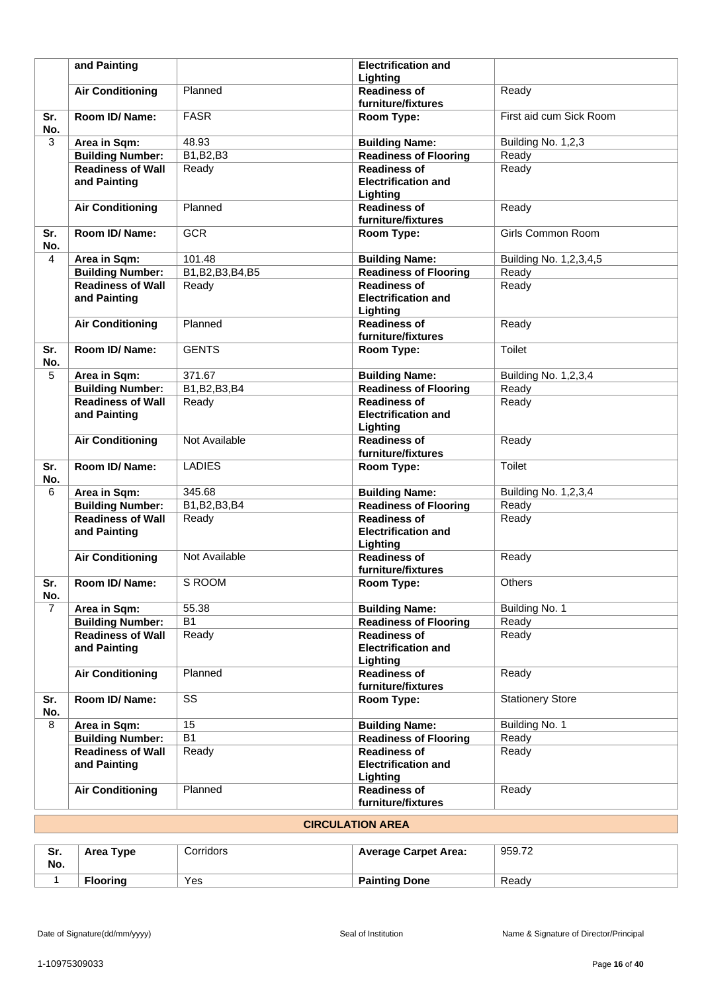|                | and Painting                             |                    | <b>Electrification and</b><br>Lighting                        |                            |
|----------------|------------------------------------------|--------------------|---------------------------------------------------------------|----------------------------|
|                | <b>Air Conditioning</b>                  | Planned            | <b>Readiness of</b><br>furniture/fixtures                     | Ready                      |
| Sr.<br>No.     | Room ID/Name:                            | <b>FASR</b>        | Room Type:                                                    | First aid cum Sick Room    |
| 3              | Area in Sqm:                             | 48.93              | <b>Building Name:</b>                                         | Building No. 1,2,3         |
|                | <b>Building Number:</b>                  | B1, B2, B3         | <b>Readiness of Flooring</b>                                  | Ready                      |
|                | <b>Readiness of Wall</b>                 | Ready              | <b>Readiness of</b>                                           | Ready                      |
|                | and Painting                             |                    | <b>Electrification and</b><br>Lighting                        |                            |
|                | <b>Air Conditioning</b>                  | Planned            | <b>Readiness of</b><br>furniture/fixtures                     | Ready                      |
| Sr.<br>No.     | Room ID/Name:                            | <b>GCR</b>         | Room Type:                                                    | Girls Common Room          |
| 4              | Area in Sqm:                             | 101.48             | <b>Building Name:</b>                                         | Building No. 1, 2, 3, 4, 5 |
|                | <b>Building Number:</b>                  | B1, B2, B3, B4, B5 | <b>Readiness of Flooring</b>                                  | Ready                      |
|                | <b>Readiness of Wall</b><br>and Painting | Ready              | <b>Readiness of</b><br><b>Electrification and</b><br>Lighting | Ready                      |
|                | <b>Air Conditioning</b>                  | Planned            | <b>Readiness of</b><br>furniture/fixtures                     | Ready                      |
| Sr.<br>No.     | Room ID/Name:                            | <b>GENTS</b>       | <b>Room Type:</b>                                             | Toilet                     |
| 5              | Area in Sqm:                             | 371.67             | <b>Building Name:</b>                                         | Building No. 1,2,3,4       |
|                | <b>Building Number:</b>                  | B1, B2, B3, B4     | <b>Readiness of Flooring</b>                                  | Ready                      |
|                | <b>Readiness of Wall</b><br>and Painting | Ready              | <b>Readiness of</b><br><b>Electrification and</b><br>Lighting | Ready                      |
|                | <b>Air Conditioning</b>                  | Not Available      | <b>Readiness of</b><br>furniture/fixtures                     | Ready                      |
| Sr.<br>No.     | Room ID/Name:                            | <b>LADIES</b>      | Room Type:                                                    | Toilet                     |
| 6              | Area in Sqm:                             | 345.68             | <b>Building Name:</b>                                         | Building No. 1,2,3,4       |
|                | <b>Building Number:</b>                  | B1, B2, B3, B4     | <b>Readiness of Flooring</b>                                  | Ready                      |
|                | <b>Readiness of Wall</b><br>and Painting | Ready              | <b>Readiness of</b><br><b>Electrification and</b><br>Lighting | Ready                      |
|                | <b>Air Conditioning</b>                  | Not Available      | <b>Readiness of</b><br>furniture/fixtures                     | Ready                      |
| Sr.<br>No.     | Room ID/ Name:                           | S ROOM             | Room Type:                                                    | Others                     |
| $\overline{7}$ | Area in Sqm:                             | 55.38              | <b>Building Name:</b>                                         | Building No. 1             |
|                | <b>Building Number:</b>                  | B <sub>1</sub>     | <b>Readiness of Flooring</b>                                  | Ready                      |
|                | <b>Readiness of Wall</b><br>and Painting | Ready              | <b>Readiness of</b><br><b>Electrification and</b><br>Lighting | Ready                      |
|                | <b>Air Conditioning</b>                  | Planned            | <b>Readiness of</b><br>furniture/fixtures                     | Ready                      |
| Sr.<br>No.     | Room ID/ Name:                           | SS                 | Room Type:                                                    | <b>Stationery Store</b>    |
| 8              | Area in Sqm:                             | 15                 | <b>Building Name:</b>                                         | Building No. 1             |
|                | <b>Building Number:</b>                  | B1                 | <b>Readiness of Flooring</b>                                  | Ready                      |
|                | <b>Readiness of Wall</b><br>and Painting | Ready              | <b>Readiness of</b><br><b>Electrification and</b><br>Lighting | Ready                      |
|                | <b>Air Conditioning</b>                  | Planned            | <b>Readiness of</b><br>furniture/fixtures                     | Ready                      |

# **CIRCULATION AREA**

| Sr.<br>No. | Area Type       | Corridors | <b>Average Carpet Area:</b> | 959.72 |
|------------|-----------------|-----------|-----------------------------|--------|
|            | <b>Flooring</b> | Yes       | <b>Painting Done</b>        | Readv  |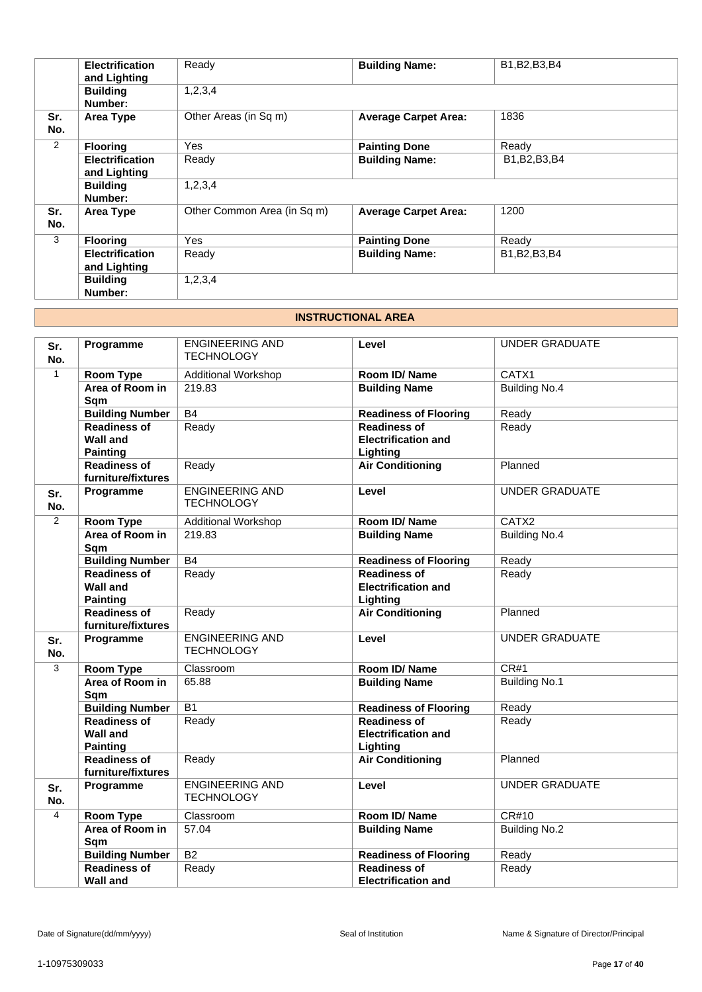|            | <b>Electrification</b><br>and Lighting | Ready                       | <b>Building Name:</b>       | B1, B2, B3, B4 |
|------------|----------------------------------------|-----------------------------|-----------------------------|----------------|
|            | <b>Building</b><br>Number:             | 1,2,3,4                     |                             |                |
| Sr.<br>No. | Area Type                              | Other Areas (in Sq m)       | <b>Average Carpet Area:</b> | 1836           |
| 2          | <b>Flooring</b>                        | <b>Yes</b>                  | <b>Painting Done</b>        | Ready          |
|            | <b>Electrification</b><br>and Lighting | Ready                       | <b>Building Name:</b>       | B1, B2, B3, B4 |
|            | <b>Building</b><br>Number:             | 1,2,3,4                     |                             |                |
| Sr.<br>No. | Area Type                              | Other Common Area (in Sq m) | <b>Average Carpet Area:</b> | 1200           |
| 3          | <b>Flooring</b>                        | <b>Yes</b>                  | <b>Painting Done</b>        | Ready          |
|            | <b>Electrification</b><br>and Lighting | Ready                       | <b>Building Name:</b>       | B1, B2, B3, B4 |
|            | <b>Building</b><br>Number:             | 1,2,3,4                     |                             |                |

### **INSTRUCTIONAL AREA**

| Sr.<br>No.     | Programme                                                 | <b>ENGINEERING AND</b><br><b>TECHNOLOGY</b> | Level                                                         | <b>UNDER GRADUATE</b> |
|----------------|-----------------------------------------------------------|---------------------------------------------|---------------------------------------------------------------|-----------------------|
| $\mathbf{1}$   | <b>Room Type</b>                                          | <b>Additional Workshop</b>                  | Room ID/Name                                                  | CATX1                 |
|                | Area of Room in<br>Sqm                                    | 219.83                                      | <b>Building Name</b>                                          | <b>Building No.4</b>  |
|                | <b>Building Number</b>                                    | B4                                          | <b>Readiness of Flooring</b>                                  | Ready                 |
|                | <b>Readiness of</b><br><b>Wall and</b><br><b>Painting</b> | Ready                                       | <b>Readiness of</b><br><b>Electrification and</b><br>Lighting | Ready                 |
|                | <b>Readiness of</b><br>furniture/fixtures                 | Ready                                       | <b>Air Conditioning</b>                                       | Planned               |
| Sr.<br>No.     | Programme                                                 | <b>ENGINEERING AND</b><br><b>TECHNOLOGY</b> | Level                                                         | <b>UNDER GRADUATE</b> |
| 2              | <b>Room Type</b>                                          | <b>Additional Workshop</b>                  | Room ID/Name                                                  | CATX2                 |
|                | Area of Room in<br>Sqm                                    | 219.83                                      | <b>Building Name</b>                                          | <b>Building No.4</b>  |
|                | <b>Building Number</b>                                    | B4                                          | <b>Readiness of Flooring</b>                                  | Ready                 |
|                | <b>Readiness of</b><br><b>Wall and</b><br><b>Painting</b> | Ready                                       | <b>Readiness of</b><br><b>Electrification and</b><br>Lighting | Ready                 |
|                | <b>Readiness of</b><br>furniture/fixtures                 | Ready                                       | <b>Air Conditioning</b>                                       | Planned               |
| Sr.<br>No.     | Programme                                                 | <b>ENGINEERING AND</b><br><b>TECHNOLOGY</b> | Level                                                         | <b>UNDER GRADUATE</b> |
| 3              | <b>Room Type</b>                                          | Classroom                                   | Room ID/Name                                                  | CR#1                  |
|                | Area of Room in<br>Sqm                                    | 65.88                                       | <b>Building Name</b>                                          | <b>Building No.1</b>  |
|                | <b>Building Number</b>                                    | $\overline{B1}$                             | <b>Readiness of Flooring</b>                                  | Ready                 |
|                | <b>Readiness of</b><br><b>Wall and</b><br><b>Painting</b> | Ready                                       | <b>Readiness of</b><br><b>Electrification and</b><br>Lighting | Ready                 |
|                | <b>Readiness of</b><br>furniture/fixtures                 | Ready                                       | <b>Air Conditioning</b>                                       | Planned               |
| Sr.<br>No.     | Programme                                                 | <b>ENGINEERING AND</b><br><b>TECHNOLOGY</b> | Level                                                         | <b>UNDER GRADUATE</b> |
| $\overline{4}$ | Room Type                                                 | Classroom                                   | Room ID/Name                                                  | CR#10                 |
|                | Area of Room in<br>Sqm                                    | 57.04                                       | <b>Building Name</b>                                          | <b>Building No.2</b>  |
|                | <b>Building Number</b>                                    | $\overline{B2}$                             | <b>Readiness of Flooring</b>                                  | Ready                 |
|                | <b>Readiness of</b><br><b>Wall and</b>                    | Ready                                       | <b>Readiness of</b><br><b>Electrification and</b>             | Ready                 |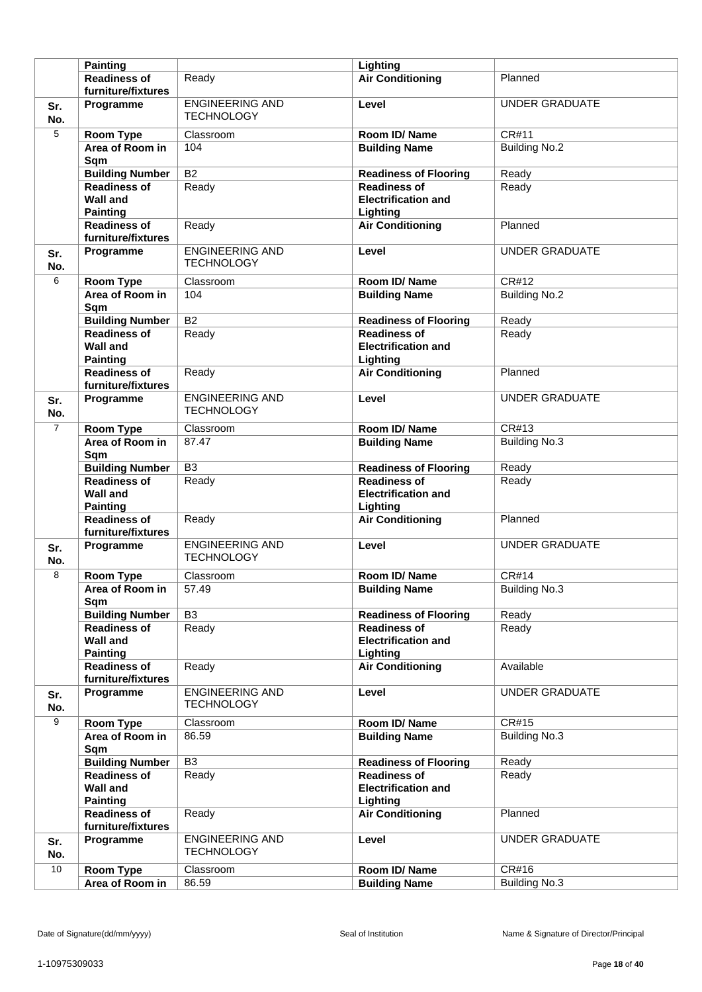|                | <b>Painting</b>                                           |                                             | Lighting                                                      |                       |
|----------------|-----------------------------------------------------------|---------------------------------------------|---------------------------------------------------------------|-----------------------|
|                | <b>Readiness of</b>                                       | Ready                                       | <b>Air Conditioning</b>                                       | Planned               |
|                | furniture/fixtures                                        |                                             |                                                               |                       |
| Sr.<br>No.     | Programme                                                 | <b>ENGINEERING AND</b><br><b>TECHNOLOGY</b> | Level                                                         | <b>UNDER GRADUATE</b> |
| 5              | Room Type                                                 | Classroom                                   | Room ID/Name                                                  | <b>CR#11</b>          |
|                | Area of Room in<br>Sqm                                    | 104                                         | <b>Building Name</b>                                          | <b>Building No.2</b>  |
|                | <b>Building Number</b>                                    | $\overline{B2}$                             | <b>Readiness of Flooring</b>                                  | Ready                 |
|                | <b>Readiness of</b>                                       | Ready                                       | <b>Readiness of</b>                                           | Ready                 |
|                | <b>Wall and</b><br><b>Painting</b>                        |                                             | <b>Electrification and</b><br>Lighting                        |                       |
|                | <b>Readiness of</b><br>furniture/fixtures                 | Ready                                       | <b>Air Conditioning</b>                                       | Planned               |
| Sr.<br>No.     | Programme                                                 | <b>ENGINEERING AND</b><br><b>TECHNOLOGY</b> | Level                                                         | <b>UNDER GRADUATE</b> |
| 6              | <b>Room Type</b>                                          | Classroom                                   | Room ID/Name                                                  | CR#12                 |
|                | Area of Room in<br>Sqm                                    | 104                                         | <b>Building Name</b>                                          | <b>Building No.2</b>  |
|                | <b>Building Number</b>                                    | <b>B2</b>                                   | <b>Readiness of Flooring</b>                                  | Ready                 |
|                | <b>Readiness of</b><br><b>Wall and</b><br><b>Painting</b> | Ready                                       | <b>Readiness of</b><br><b>Electrification and</b><br>Lighting | Ready                 |
|                | <b>Readiness of</b><br>furniture/fixtures                 | Ready                                       | <b>Air Conditioning</b>                                       | Planned               |
| Sr.<br>No.     | Programme                                                 | <b>ENGINEERING AND</b><br><b>TECHNOLOGY</b> | Level                                                         | <b>UNDER GRADUATE</b> |
| $\overline{7}$ | <b>Room Type</b>                                          | Classroom                                   | Room ID/Name                                                  | CR#13                 |
|                | Area of Room in<br>Sqm                                    | 87.47                                       | <b>Building Name</b>                                          | <b>Building No.3</b>  |
|                | <b>Building Number</b>                                    | B <sub>3</sub>                              | <b>Readiness of Flooring</b>                                  | Ready                 |
|                | <b>Readiness of</b><br><b>Wall and</b><br><b>Painting</b> | Ready                                       | <b>Readiness of</b><br><b>Electrification and</b><br>Lighting | Ready                 |
|                | <b>Readiness of</b><br>furniture/fixtures                 | Ready                                       | <b>Air Conditioning</b>                                       | Planned               |
| Sr.<br>No.     | Programme                                                 | <b>ENGINEERING AND</b><br><b>TECHNOLOGY</b> | Level                                                         | <b>UNDER GRADUATE</b> |
| 8              | <b>Room Type</b>                                          | Classroom                                   | Room ID/Name                                                  | CR#14                 |
|                | Area of Room in<br>Sqm                                    | 57.49                                       | <b>Building Name</b>                                          | <b>Building No.3</b>  |
|                | <b>Building Number</b>                                    | $\overline{B3}$                             | <b>Readiness of Flooring</b>                                  | Ready                 |
|                | <b>Readiness of</b><br><b>Wall and</b><br><b>Painting</b> | Ready                                       | <b>Readiness of</b><br><b>Electrification and</b><br>Lighting | Ready                 |
|                | <b>Readiness of</b><br>furniture/fixtures                 | Ready                                       | <b>Air Conditioning</b>                                       | Available             |
| Sr.<br>No.     | Programme                                                 | <b>ENGINEERING AND</b><br><b>TECHNOLOGY</b> | Level                                                         | UNDER GRADUATE        |
| $\overline{9}$ | Room Type                                                 | Classroom                                   | Room ID/Name                                                  | <b>CR#15</b>          |
|                | Area of Room in<br>Sqm                                    | 86.59                                       | <b>Building Name</b>                                          | <b>Building No.3</b>  |
|                | <b>Building Number</b>                                    | $\overline{B3}$                             | <b>Readiness of Flooring</b>                                  | Ready                 |
|                | <b>Readiness of</b><br><b>Wall and</b><br><b>Painting</b> | Ready                                       | <b>Readiness of</b><br><b>Electrification and</b><br>Lighting | Ready                 |
|                | <b>Readiness of</b><br>furniture/fixtures                 | Ready                                       | <b>Air Conditioning</b>                                       | Planned               |
| Sr.<br>No.     | Programme                                                 | ENGINEERING AND<br><b>TECHNOLOGY</b>        | Level                                                         | <b>UNDER GRADUATE</b> |
| 10             | <b>Room Type</b>                                          | Classroom                                   | Room ID/Name                                                  | CR#16                 |
|                | Area of Room in                                           | 86.59                                       | <b>Building Name</b>                                          | <b>Building No.3</b>  |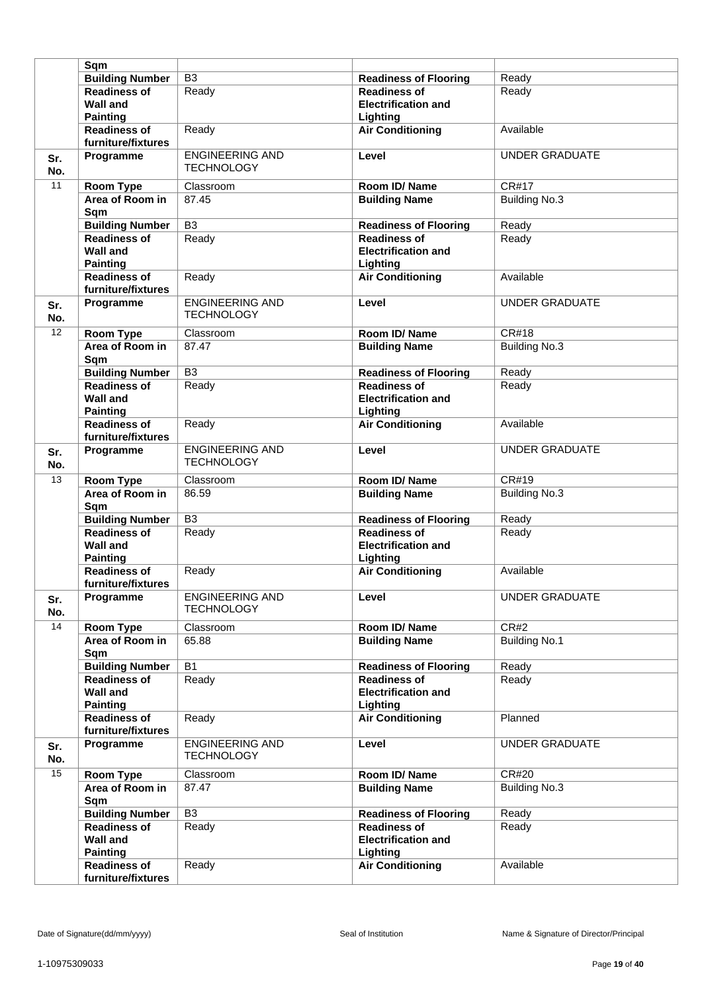|                 | Sqm                                       |                                             |                              |                       |
|-----------------|-------------------------------------------|---------------------------------------------|------------------------------|-----------------------|
|                 |                                           | B <sub>3</sub>                              |                              |                       |
|                 | <b>Building Number</b>                    |                                             | <b>Readiness of Flooring</b> | Ready                 |
|                 | <b>Readiness of</b>                       | Ready                                       | <b>Readiness of</b>          | Ready                 |
|                 | Wall and                                  |                                             | <b>Electrification and</b>   |                       |
|                 | <b>Painting</b>                           |                                             | Lighting                     |                       |
|                 | <b>Readiness of</b><br>furniture/fixtures | Ready                                       | <b>Air Conditioning</b>      | Available             |
| Sr.             | Programme                                 | <b>ENGINEERING AND</b>                      | Level                        | <b>UNDER GRADUATE</b> |
| No.             |                                           | <b>TECHNOLOGY</b>                           |                              |                       |
|                 |                                           |                                             |                              |                       |
| 11              | <b>Room Type</b>                          | Classroom                                   | Room ID/Name                 | CR#17                 |
|                 | Area of Room in<br>Sqm                    | 87.45                                       | <b>Building Name</b>         | <b>Building No.3</b>  |
|                 | <b>Building Number</b>                    | $\overline{B3}$                             | <b>Readiness of Flooring</b> | Ready                 |
|                 | <b>Readiness of</b>                       | Ready                                       | <b>Readiness of</b>          | Ready                 |
|                 | <b>Wall and</b>                           |                                             | <b>Electrification and</b>   |                       |
|                 |                                           |                                             |                              |                       |
|                 | <b>Painting</b>                           |                                             | Lighting                     |                       |
|                 | <b>Readiness of</b>                       | Ready                                       | <b>Air Conditioning</b>      | Available             |
|                 | furniture/fixtures                        |                                             |                              |                       |
| Sr.<br>No.      | Programme                                 | <b>ENGINEERING AND</b><br><b>TECHNOLOGY</b> | Level                        | <b>UNDER GRADUATE</b> |
| $\overline{12}$ | Room Type                                 | Classroom                                   | Room ID/Name                 | <b>CR#18</b>          |
|                 | Area of Room in                           | 87.47                                       | <b>Building Name</b>         | <b>Building No.3</b>  |
|                 | Sqm                                       |                                             |                              |                       |
|                 | <b>Building Number</b>                    | $\overline{B3}$                             | <b>Readiness of Flooring</b> | Ready                 |
|                 | <b>Readiness of</b>                       | Ready                                       | <b>Readiness of</b>          | Ready                 |
|                 |                                           |                                             |                              |                       |
|                 | <b>Wall and</b>                           |                                             | <b>Electrification and</b>   |                       |
|                 | <b>Painting</b>                           |                                             | Lighting                     |                       |
|                 | <b>Readiness of</b><br>furniture/fixtures | Ready                                       | <b>Air Conditioning</b>      | Available             |
| Sr.             | Programme                                 | <b>ENGINEERING AND</b>                      | Level                        | <b>UNDER GRADUATE</b> |
| No.             |                                           | <b>TECHNOLOGY</b>                           |                              |                       |
| 13              | <b>Room Type</b>                          | Classroom                                   | Room ID/Name                 | <b>CR#19</b>          |
|                 | Area of Room in                           | 86.59                                       | <b>Building Name</b>         | <b>Building No.3</b>  |
|                 | Sqm                                       |                                             |                              |                       |
|                 | <b>Building Number</b>                    | B <sub>3</sub>                              | <b>Readiness of Flooring</b> | Ready                 |
|                 | <b>Readiness of</b>                       | Ready                                       | <b>Readiness of</b>          | Ready                 |
|                 | <b>Wall and</b>                           |                                             | <b>Electrification and</b>   |                       |
|                 | <b>Painting</b>                           |                                             | Lighting                     |                       |
|                 | <b>Readiness of</b>                       |                                             |                              | Available             |
|                 |                                           | Ready                                       | <b>Air Conditioning</b>      |                       |
|                 | furniture/fixtures                        |                                             |                              |                       |
| Sr.<br>No.      | Programme                                 | <b>ENGINEERING AND</b><br><b>TECHNOLOGY</b> | Level                        | <b>UNDER GRADUATE</b> |
| 14              | Room Type                                 | Classroom                                   | Room ID/Name                 | CR#2                  |
|                 | Area of Room in                           | 65.88                                       | <b>Building Name</b>         | <b>Building No.1</b>  |
|                 | Sqm                                       |                                             |                              |                       |
|                 | <b>Building Number</b>                    | <b>B1</b>                                   | <b>Readiness of Flooring</b> | Ready                 |
|                 | <b>Readiness of</b>                       | Ready                                       | <b>Readiness of</b>          | Ready                 |
|                 | <b>Wall and</b>                           |                                             | <b>Electrification and</b>   |                       |
|                 |                                           |                                             |                              |                       |
|                 | <b>Painting</b>                           |                                             | Lighting                     |                       |
|                 | <b>Readiness of</b><br>furniture/fixtures | Ready                                       | <b>Air Conditioning</b>      | Planned               |
| Sr.             | Programme                                 | <b>ENGINEERING AND</b>                      | Level                        | <b>UNDER GRADUATE</b> |
|                 |                                           | <b>TECHNOLOGY</b>                           |                              |                       |
| No.             |                                           |                                             |                              |                       |
| 15              | Room Type                                 | Classroom                                   | Room ID/Name                 | CR#20                 |
|                 | Area of Room in                           | 87.47                                       | <b>Building Name</b>         | <b>Building No.3</b>  |
|                 | Sqm                                       |                                             |                              |                       |
|                 | <b>Building Number</b>                    | B <sub>3</sub>                              | <b>Readiness of Flooring</b> | Ready                 |
|                 | <b>Readiness of</b>                       | Ready                                       | <b>Readiness of</b>          | Ready                 |
|                 | <b>Wall and</b>                           |                                             | <b>Electrification and</b>   |                       |
|                 | <b>Painting</b>                           |                                             | Lighting                     |                       |
|                 | <b>Readiness of</b>                       | Ready                                       | <b>Air Conditioning</b>      | Available             |
|                 | furniture/fixtures                        |                                             |                              |                       |
|                 |                                           |                                             |                              |                       |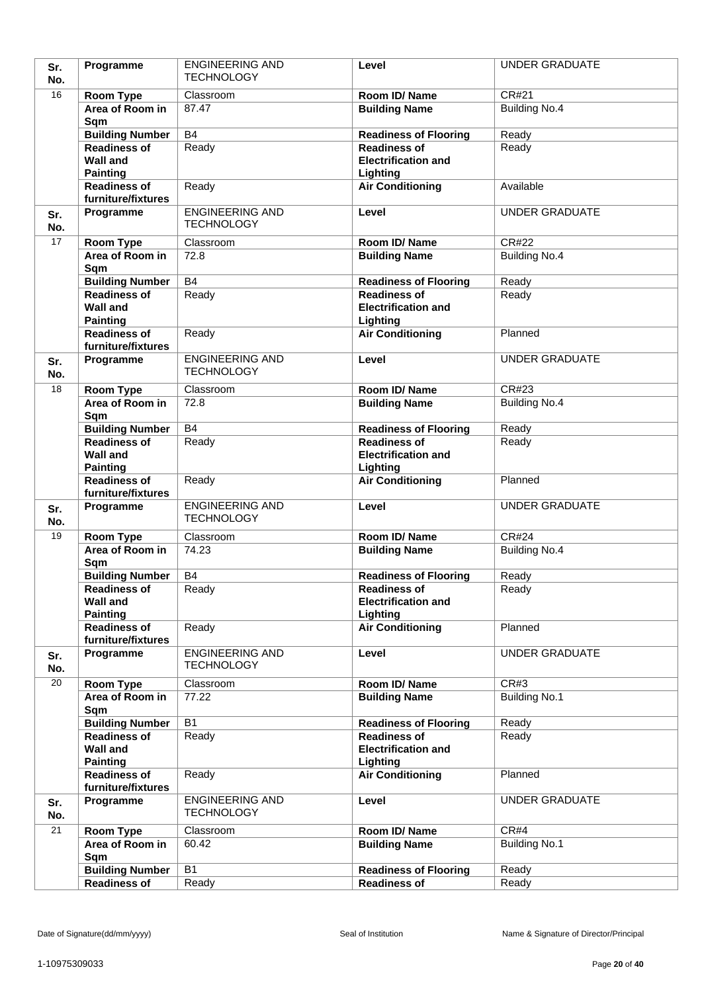| Sr.<br>No. | Programme                                     | <b>ENGINEERING AND</b><br><b>TECHNOLOGY</b> | Level                                               | <b>UNDER GRADUATE</b>         |
|------------|-----------------------------------------------|---------------------------------------------|-----------------------------------------------------|-------------------------------|
| 16         |                                               |                                             | Room ID/Name                                        | CR#21                         |
|            | Room Type<br>Area of Room in                  | Classroom<br>87.47                          | <b>Building Name</b>                                | <b>Building No.4</b>          |
|            | Sqm                                           |                                             |                                                     |                               |
|            | <b>Building Number</b>                        | B4                                          | <b>Readiness of Flooring</b>                        | Ready                         |
|            | <b>Readiness of</b>                           | Ready                                       | <b>Readiness of</b>                                 | Ready                         |
|            | <b>Wall and</b>                               |                                             | <b>Electrification and</b>                          |                               |
|            | <b>Painting</b>                               |                                             | Lighting                                            |                               |
|            | <b>Readiness of</b><br>furniture/fixtures     | Ready                                       | <b>Air Conditioning</b>                             | Available                     |
|            | Programme                                     | <b>ENGINEERING AND</b>                      | Level                                               | <b>UNDER GRADUATE</b>         |
| Sr.<br>No. |                                               | <b>TECHNOLOGY</b>                           |                                                     |                               |
| 17         | Room Type                                     | Classroom                                   | Room ID/Name                                        | <b>CR#22</b>                  |
|            | Area of Room in                               | 72.8                                        | <b>Building Name</b>                                | <b>Building No.4</b>          |
|            | Sqm                                           |                                             |                                                     |                               |
|            | <b>Building Number</b><br><b>Readiness of</b> | <b>B4</b>                                   | <b>Readiness of Flooring</b><br><b>Readiness of</b> | Ready                         |
|            | <b>Wall and</b>                               | Ready                                       | <b>Electrification and</b>                          | Ready                         |
|            | <b>Painting</b>                               |                                             | Lighting                                            |                               |
|            | <b>Readiness of</b>                           | Ready                                       | <b>Air Conditioning</b>                             | Planned                       |
|            | furniture/fixtures                            |                                             |                                                     |                               |
| Sr.        | Programme                                     | <b>ENGINEERING AND</b>                      | Level                                               | <b>UNDER GRADUATE</b>         |
| No.        |                                               | <b>TECHNOLOGY</b>                           |                                                     |                               |
| 18         | Room Type                                     | Classroom                                   | Room ID/ Name                                       | <b>CR#23</b>                  |
|            | Area of Room in<br>Sqm                        | 72.8                                        | <b>Building Name</b>                                | <b>Building No.4</b>          |
|            | <b>Building Number</b>                        | B4                                          | <b>Readiness of Flooring</b>                        | Ready                         |
|            | <b>Readiness of</b>                           | Ready                                       | <b>Readiness of</b>                                 | Ready                         |
|            | <b>Wall and</b>                               |                                             | <b>Electrification and</b>                          |                               |
|            | <b>Painting</b>                               |                                             | Lighting                                            |                               |
|            | <b>Readiness of</b><br>furniture/fixtures     | Ready                                       | <b>Air Conditioning</b>                             | Planned                       |
| Sr.        | Programme                                     | <b>ENGINEERING AND</b><br><b>TECHNOLOGY</b> | Level                                               | <b>UNDER GRADUATE</b>         |
| No.        |                                               |                                             |                                                     |                               |
| 19         | Room Type<br>Area of Room in                  | Classroom<br>74.23                          | Room ID/Name<br><b>Building Name</b>                | CR#24<br><b>Building No.4</b> |
|            | Sqm                                           |                                             |                                                     |                               |
|            | <b>Building Number</b>                        | <b>B4</b>                                   | <b>Readiness of Flooring</b>                        | Ready                         |
|            | <b>Readiness of</b>                           | Ready                                       | <b>Readiness of</b>                                 | Ready                         |
|            | <b>Wall and</b>                               |                                             | <b>Electrification and</b>                          |                               |
|            | <b>Painting</b>                               |                                             | Lighting                                            |                               |
|            | <b>Readiness of</b><br>furniture/fixtures     | Ready                                       | <b>Air Conditioning</b>                             | Planned                       |
| Sr.        | Programme                                     | <b>ENGINEERING AND</b>                      | Level                                               | <b>UNDER GRADUATE</b>         |
| No.        |                                               | <b>TECHNOLOGY</b>                           |                                                     |                               |
| 20         | Room Type                                     | Classroom                                   | Room ID/Name                                        | CR#3                          |
|            | Area of Room in                               | 77.22                                       | <b>Building Name</b>                                | <b>Building No.1</b>          |
|            | Sqm                                           |                                             |                                                     |                               |
|            | <b>Building Number</b>                        | <b>B1</b>                                   | <b>Readiness of Flooring</b>                        | Ready                         |
|            | <b>Readiness of</b>                           | Ready                                       | <b>Readiness of</b>                                 | Ready                         |
|            | <b>Wall and</b>                               |                                             | <b>Electrification and</b>                          |                               |
|            | <b>Painting</b><br><b>Readiness of</b>        | Ready                                       | Lighting<br><b>Air Conditioning</b>                 | Planned                       |
|            | furniture/fixtures                            |                                             |                                                     |                               |
| Sr.        | Programme                                     | <b>ENGINEERING AND</b>                      | Level                                               | <b>UNDER GRADUATE</b>         |
| No.        |                                               | <b>TECHNOLOGY</b>                           |                                                     |                               |
| 21         | Room Type                                     | Classroom                                   | Room ID/Name                                        | CR#4                          |
|            | Area of Room in<br>Sqm                        | 60.42                                       | <b>Building Name</b>                                | <b>Building No.1</b>          |
|            | <b>Building Number</b>                        | <b>B1</b>                                   | <b>Readiness of Flooring</b>                        | Ready                         |
|            | <b>Readiness of</b>                           | Ready                                       | <b>Readiness of</b>                                 | Ready                         |
|            |                                               |                                             |                                                     |                               |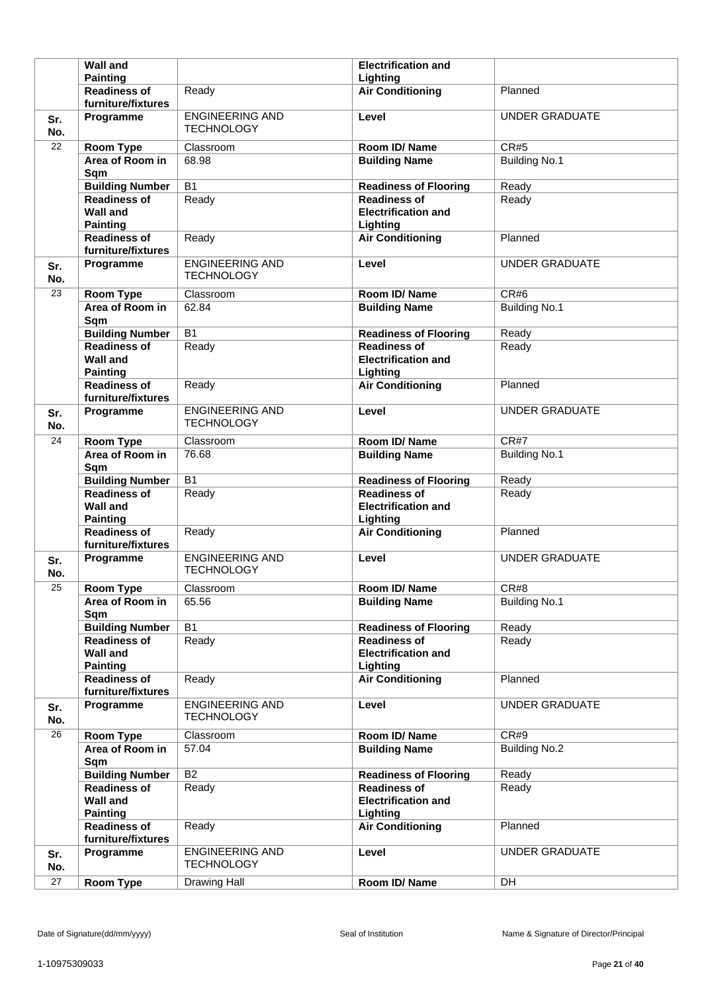|            | <b>Wall and</b>                                              |                                             | <b>Electrification and</b>                                    |                       |
|------------|--------------------------------------------------------------|---------------------------------------------|---------------------------------------------------------------|-----------------------|
|            | <b>Painting</b>                                              |                                             | Lighting                                                      |                       |
|            | <b>Readiness of</b><br>furniture/fixtures                    | Ready                                       | <b>Air Conditioning</b>                                       | Planned               |
| Sr.<br>No. | Programme                                                    | <b>ENGINEERING AND</b><br><b>TECHNOLOGY</b> | Level                                                         | <b>UNDER GRADUATE</b> |
| 22         | <b>Room Type</b>                                             | Classroom                                   | Room ID/Name                                                  | <b>CR#5</b>           |
|            | Area of Room in<br>Sqm                                       | 68.98                                       | <b>Building Name</b>                                          | <b>Building No.1</b>  |
|            | <b>Building Number</b>                                       | <b>B1</b>                                   | <b>Readiness of Flooring</b>                                  | Ready                 |
|            | <b>Readiness of</b><br><b>Wall and</b><br><b>Painting</b>    | Ready                                       | <b>Readiness of</b><br><b>Electrification and</b><br>Lighting | Ready                 |
|            | <b>Readiness of</b><br>furniture/fixtures                    | Ready                                       | <b>Air Conditioning</b>                                       | Planned               |
| Sr.<br>No. | Programme                                                    | <b>ENGINEERING AND</b><br><b>TECHNOLOGY</b> | Level                                                         | <b>UNDER GRADUATE</b> |
| 23         | <b>Room Type</b>                                             | Classroom                                   | Room ID/Name                                                  | CR#6                  |
|            | Area of Room in<br>Sqm                                       | 62.84                                       | <b>Building Name</b>                                          | <b>Building No.1</b>  |
|            | <b>Building Number</b>                                       | <b>B1</b>                                   | <b>Readiness of Flooring</b>                                  | Ready                 |
|            | <b>Readiness of</b><br><b>Wall and</b><br><b>Painting</b>    | Ready                                       | <b>Readiness of</b><br><b>Electrification and</b><br>Lighting | Ready                 |
|            | <b>Readiness of</b><br>furniture/fixtures                    | Ready                                       | <b>Air Conditioning</b>                                       | Planned               |
| Sr.<br>No. | Programme                                                    | <b>ENGINEERING AND</b><br><b>TECHNOLOGY</b> | Level                                                         | <b>UNDER GRADUATE</b> |
| 24         | Room Type                                                    | Classroom                                   | Room ID/Name                                                  | CR#7                  |
|            | Area of Room in<br>Sqm                                       | 76.68                                       | <b>Building Name</b>                                          | <b>Building No.1</b>  |
|            |                                                              |                                             |                                                               |                       |
|            | <b>Building Number</b>                                       | <b>B1</b>                                   | <b>Readiness of Flooring</b>                                  | Ready                 |
|            | <b>Readiness of</b><br><b>Wall and</b>                       | Ready                                       | <b>Readiness of</b><br><b>Electrification and</b>             | Ready                 |
|            | <b>Painting</b><br><b>Readiness of</b><br>furniture/fixtures | Ready                                       | Lighting<br><b>Air Conditioning</b>                           | Planned               |
| Sr.<br>No. | Programme                                                    | <b>ENGINEERING AND</b><br><b>TECHNOLOGY</b> | Level                                                         | <b>UNDER GRADUATE</b> |
| 25         | <b>Room Type</b>                                             | Classroom                                   | Room ID/Name                                                  | CR#8                  |
|            | Area of Room in<br>Sqm                                       | 65.56                                       | <b>Building Name</b>                                          | <b>Building No.1</b>  |
|            | <b>Building Number</b>                                       | $\overline{B1}$                             | <b>Readiness of Flooring</b>                                  | Ready                 |
|            | <b>Readiness of</b><br><b>Wall and</b><br><b>Painting</b>    | Ready                                       | <b>Readiness of</b><br><b>Electrification and</b><br>Lighting | Ready                 |
|            | <b>Readiness of</b><br>furniture/fixtures                    | Ready                                       | <b>Air Conditioning</b>                                       | Planned               |
| Sr.<br>No. | Programme                                                    | <b>ENGINEERING AND</b><br><b>TECHNOLOGY</b> | Level                                                         | <b>UNDER GRADUATE</b> |
| 26         | Room Type                                                    | Classroom                                   | Room ID/Name                                                  | CR#9                  |
|            | Area of Room in<br>Sqm                                       | 57.04                                       | <b>Building Name</b>                                          | <b>Building No.2</b>  |
|            | <b>Building Number</b>                                       | B2                                          | <b>Readiness of Flooring</b>                                  | Ready                 |
|            | <b>Readiness of</b><br><b>Wall and</b>                       | Ready                                       | <b>Readiness of</b><br><b>Electrification and</b>             | Ready                 |
|            | <b>Painting</b><br><b>Readiness of</b>                       | Ready                                       | Lighting<br><b>Air Conditioning</b>                           | Planned               |
| Sr.<br>No. | furniture/fixtures<br>Programme                              | <b>ENGINEERING AND</b><br><b>TECHNOLOGY</b> | Level                                                         | <b>UNDER GRADUATE</b> |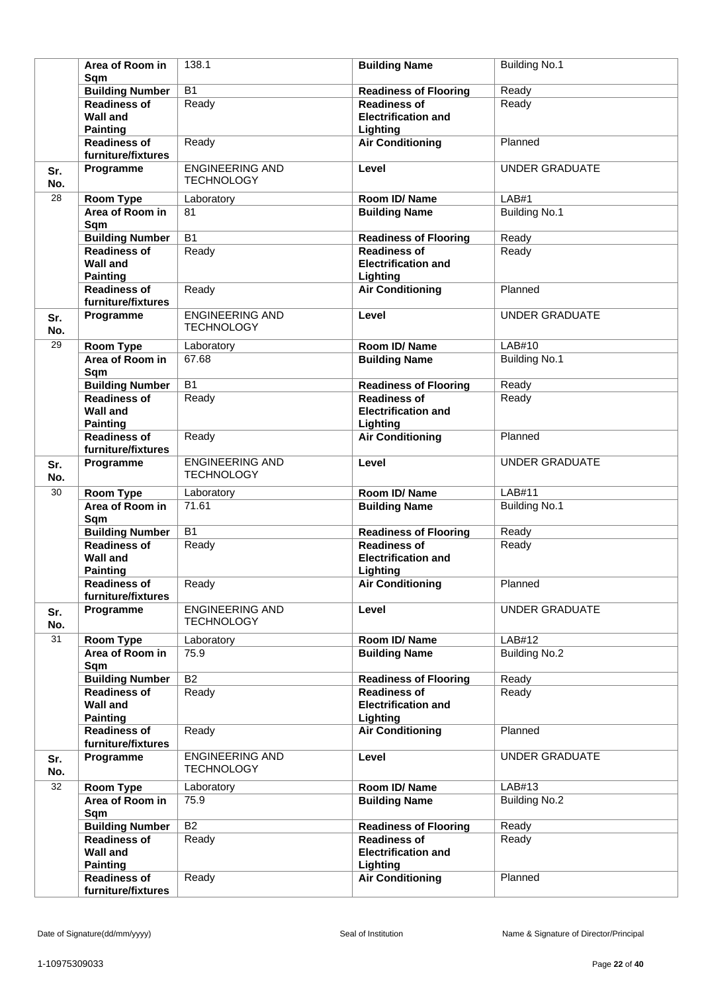|            | Area of Room in<br>Sqm                                    | 138.1                                       | <b>Building Name</b>                                          | <b>Building No.1</b>  |
|------------|-----------------------------------------------------------|---------------------------------------------|---------------------------------------------------------------|-----------------------|
|            | <b>Building Number</b>                                    | $\overline{B1}$                             | <b>Readiness of Flooring</b>                                  | Ready                 |
|            | <b>Readiness of</b><br><b>Wall and</b><br><b>Painting</b> | Ready                                       | <b>Readiness of</b><br><b>Electrification and</b><br>Lighting | Ready                 |
|            | <b>Readiness of</b><br>furniture/fixtures                 | Ready                                       | <b>Air Conditioning</b>                                       | Planned               |
| Sr.<br>No. | Programme                                                 | <b>ENGINEERING AND</b><br><b>TECHNOLOGY</b> | Level                                                         | <b>UNDER GRADUATE</b> |
| 28         | Room Type                                                 | Laboratory                                  | Room ID/Name                                                  | LAB#1                 |
|            | Area of Room in<br>Sqm                                    | 81                                          | <b>Building Name</b>                                          | <b>Building No.1</b>  |
|            | <b>Building Number</b>                                    | $\overline{B1}$                             | <b>Readiness of Flooring</b>                                  | Ready                 |
|            | Readiness of<br><b>Wall and</b><br><b>Painting</b>        | Ready                                       | <b>Readiness of</b><br><b>Electrification and</b><br>Lighting | Ready                 |
|            | <b>Readiness of</b><br>furniture/fixtures                 | Ready                                       | <b>Air Conditioning</b>                                       | Planned               |
| Sr.<br>No. | Programme                                                 | <b>ENGINEERING AND</b><br><b>TECHNOLOGY</b> | Level                                                         | <b>UNDER GRADUATE</b> |
| 29         | Room Type                                                 | Laboratory                                  | Room ID/Name                                                  | LAB#10                |
|            | Area of Room in<br>Sqm                                    | 67.68                                       | <b>Building Name</b>                                          | <b>Building No.1</b>  |
|            | <b>Building Number</b>                                    | $\overline{B1}$                             | <b>Readiness of Flooring</b>                                  | Ready                 |
|            | <b>Readiness of</b><br><b>Wall and</b><br><b>Painting</b> | Ready                                       | <b>Readiness of</b><br><b>Electrification and</b><br>Lighting | Ready                 |
|            | <b>Readiness of</b><br>furniture/fixtures                 | Ready                                       | <b>Air Conditioning</b>                                       | Planned               |
| Sr.<br>No. | Programme                                                 | <b>ENGINEERING AND</b><br><b>TECHNOLOGY</b> | Level                                                         | <b>UNDER GRADUATE</b> |
| 30         | <b>Room Type</b>                                          | Laboratory                                  | Room ID/Name                                                  | LAB#11                |
|            | Area of Room in<br>Sqm                                    | 71.61                                       | <b>Building Name</b>                                          | <b>Building No.1</b>  |
|            | <b>Building Number</b>                                    | <b>B1</b>                                   | <b>Readiness of Flooring</b>                                  | Ready                 |
|            | <b>Readiness of</b><br><b>Wall and</b><br><b>Painting</b> | Ready                                       | <b>Readiness of</b><br><b>Electrification and</b><br>Lighting | Ready                 |
|            | <b>Readiness of</b><br>furniture/fixtures                 | Ready                                       | <b>Air Conditioning</b>                                       | Planned               |
| Sr.<br>No. | Programme                                                 | <b>ENGINEERING AND</b><br><b>TECHNOLOGY</b> | Level                                                         | <b>UNDER GRADUATE</b> |
| 31         | Room Type                                                 | Laboratory                                  | Room ID/Name                                                  | LAB#12                |
|            | Area of Room in<br>Sqm                                    | $75.\overline{9}$                           | <b>Building Name</b>                                          | <b>Building No.2</b>  |
|            | <b>Building Number</b>                                    | B2                                          | <b>Readiness of Flooring</b>                                  | Ready                 |
|            | <b>Readiness of</b><br><b>Wall and</b><br><b>Painting</b> | Ready                                       | <b>Readiness of</b><br><b>Electrification and</b><br>Lighting | Ready                 |
|            | <b>Readiness of</b><br>furniture/fixtures                 | Ready                                       | <b>Air Conditioning</b>                                       | Planned               |
| Sr.<br>No. | Programme                                                 | <b>ENGINEERING AND</b><br><b>TECHNOLOGY</b> | Level                                                         | <b>UNDER GRADUATE</b> |
| 32         | Room Type                                                 | Laboratory                                  | Room ID/Name                                                  | LAB#13                |
|            | Area of Room in<br>Sqm                                    | 75.9                                        | <b>Building Name</b>                                          | <b>Building No.2</b>  |
|            | <b>Building Number</b>                                    | B2                                          | <b>Readiness of Flooring</b>                                  | Ready                 |
|            | <b>Readiness of</b><br><b>Wall and</b><br><b>Painting</b> | Ready                                       | <b>Readiness of</b><br><b>Electrification and</b><br>Lighting | Ready                 |
|            | <b>Readiness of</b><br>furniture/fixtures                 | Ready                                       | <b>Air Conditioning</b>                                       | Planned               |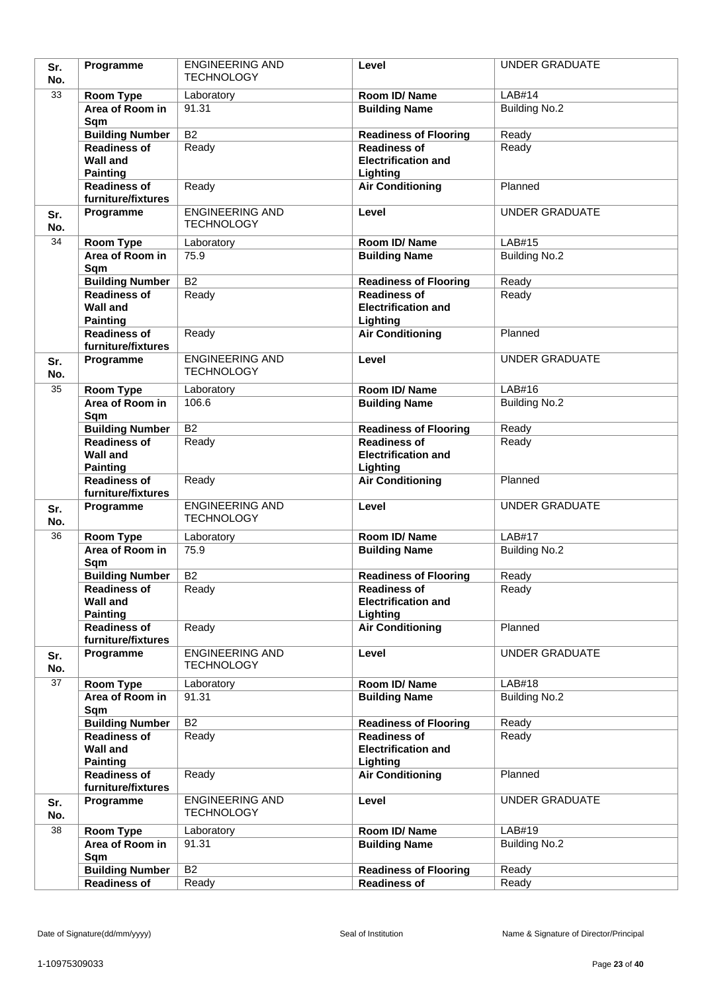| Sr.<br>No. | Programme                                     | <b>ENGINEERING AND</b><br><b>TECHNOLOGY</b> | Level                                               | <b>UNDER GRADUATE</b> |
|------------|-----------------------------------------------|---------------------------------------------|-----------------------------------------------------|-----------------------|
| 33         | Room Type                                     | Laboratory                                  | Room ID/Name                                        | LAB#14                |
|            | Area of Room in                               | 91.31                                       | <b>Building Name</b>                                | <b>Building No.2</b>  |
|            | Sqm                                           |                                             |                                                     |                       |
|            | <b>Building Number</b>                        | $\overline{B2}$                             | <b>Readiness of Flooring</b>                        | Ready                 |
|            | <b>Readiness of</b>                           | Ready                                       | <b>Readiness of</b>                                 | Ready                 |
|            | <b>Wall and</b>                               |                                             | <b>Electrification and</b>                          |                       |
|            | <b>Painting</b>                               |                                             | Lighting                                            |                       |
|            | <b>Readiness of</b><br>furniture/fixtures     | Ready                                       | <b>Air Conditioning</b>                             | Planned               |
| Sr.        | Programme                                     | <b>ENGINEERING AND</b>                      | Level                                               | <b>UNDER GRADUATE</b> |
| No.        |                                               | <b>TECHNOLOGY</b>                           |                                                     |                       |
| 34         | Room Type                                     | Laboratory                                  | Room ID/Name                                        | LAB#15                |
|            | Area of Room in                               | 75.9                                        | <b>Building Name</b>                                | <b>Building No.2</b>  |
|            | Sqm                                           |                                             |                                                     |                       |
|            | <b>Building Number</b>                        | $\overline{B2}$                             | <b>Readiness of Flooring</b>                        | Ready                 |
|            | <b>Readiness of</b>                           | Ready                                       | <b>Readiness of</b>                                 | Ready                 |
|            | <b>Wall and</b><br><b>Painting</b>            |                                             | <b>Electrification and</b><br>Lighting              |                       |
|            | <b>Readiness of</b>                           | Ready                                       | <b>Air Conditioning</b>                             | Planned               |
|            | furniture/fixtures                            |                                             |                                                     |                       |
| Sr.        | Programme                                     | <b>ENGINEERING AND</b>                      | Level                                               | <b>UNDER GRADUATE</b> |
| No.        |                                               | <b>TECHNOLOGY</b>                           |                                                     |                       |
| 35         | Room Type                                     | Laboratory                                  | Room ID/ Name                                       | LAB#16                |
|            | Area of Room in                               | 106.6                                       | <b>Building Name</b>                                | <b>Building No.2</b>  |
|            | Sqm                                           |                                             |                                                     |                       |
|            | <b>Building Number</b><br><b>Readiness of</b> | $\overline{B2}$<br>Ready                    | <b>Readiness of Flooring</b><br><b>Readiness of</b> | Ready                 |
|            | <b>Wall and</b>                               |                                             | <b>Electrification and</b>                          | Ready                 |
|            | <b>Painting</b>                               |                                             | Lighting                                            |                       |
|            | <b>Readiness of</b>                           | Ready                                       | <b>Air Conditioning</b>                             | Planned               |
|            | furniture/fixtures                            | <b>ENGINEERING AND</b>                      | Level                                               | <b>UNDER GRADUATE</b> |
| Sr.<br>No. | Programme                                     | <b>TECHNOLOGY</b>                           |                                                     |                       |
| 36         | Room Type                                     | Laboratory                                  | Room ID/Name                                        | <b>LAB#17</b>         |
|            | Area of Room in                               | 75.9                                        | <b>Building Name</b>                                | Building No.2         |
|            | Sqm                                           |                                             |                                                     |                       |
|            | <b>Building Number</b>                        | <b>B2</b>                                   | <b>Readiness of Flooring</b>                        | Ready                 |
|            | <b>Readiness of</b><br><b>Wall and</b>        | Ready                                       | <b>Readiness of</b><br><b>Electrification and</b>   | Ready                 |
|            | <b>Painting</b>                               |                                             | Lighting                                            |                       |
|            | <b>Readiness of</b>                           | Ready                                       | <b>Air Conditioning</b>                             | Planned               |
|            | furniture/fixtures                            |                                             |                                                     |                       |
| Sr.        | Programme                                     | <b>ENGINEERING AND</b>                      | Level                                               | <b>UNDER GRADUATE</b> |
| No.        |                                               | <b>TECHNOLOGY</b>                           |                                                     |                       |
| 37         | Room Type                                     | Laboratory                                  | Room ID/Name                                        | LAB#18                |
|            | Area of Room in<br>Sqm                        | 91.31                                       | <b>Building Name</b>                                | <b>Building No.2</b>  |
|            | <b>Building Number</b>                        | <b>B2</b>                                   | <b>Readiness of Flooring</b>                        | Ready                 |
|            | <b>Readiness of</b>                           | Ready                                       | <b>Readiness of</b>                                 | Ready                 |
|            | <b>Wall and</b>                               |                                             | <b>Electrification and</b>                          |                       |
|            | <b>Painting</b>                               |                                             | Lighting                                            |                       |
|            | <b>Readiness of</b><br>furniture/fixtures     | Ready                                       | <b>Air Conditioning</b>                             | Planned               |
| Sr.        | Programme                                     | <b>ENGINEERING AND</b>                      | Level                                               | <b>UNDER GRADUATE</b> |
| No.        |                                               | <b>TECHNOLOGY</b>                           |                                                     |                       |
| 38         | Room Type                                     | Laboratory                                  | Room ID/Name                                        | LAB#19                |
|            | Area of Room in                               | 91.31                                       | <b>Building Name</b>                                | <b>Building No.2</b>  |
|            | Sqm                                           |                                             |                                                     |                       |
|            | <b>Building Number</b>                        | <b>B2</b>                                   | <b>Readiness of Flooring</b>                        | Ready                 |
|            | <b>Readiness of</b>                           | Ready                                       | <b>Readiness of</b>                                 | Ready                 |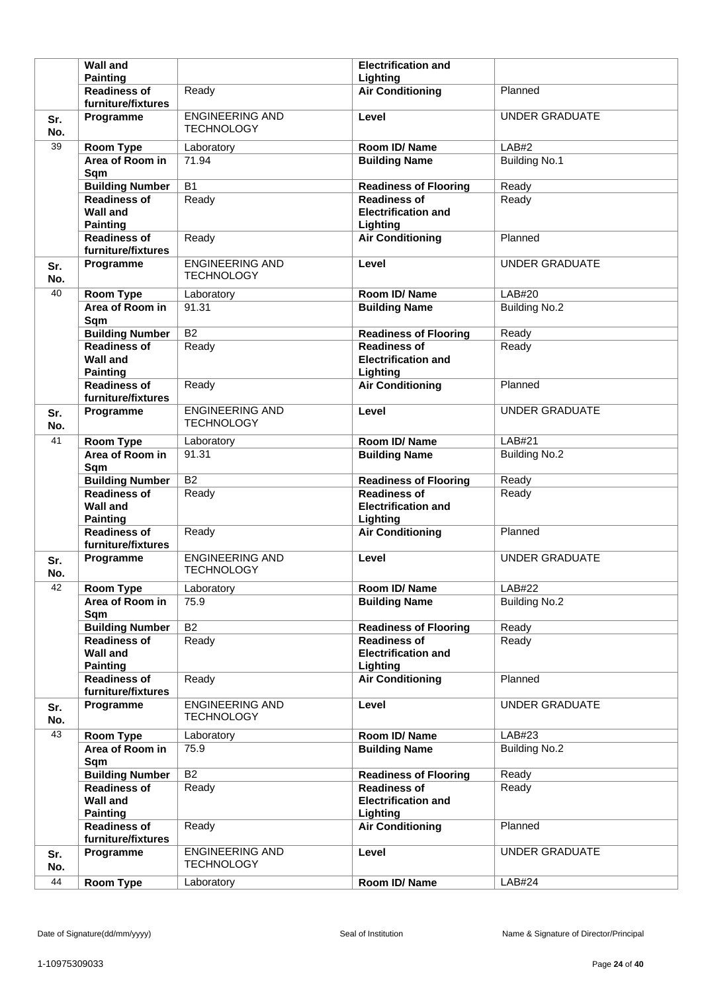|            | <b>Wall and</b>                                              |                                             | <b>Electrification and</b>                                    |                       |
|------------|--------------------------------------------------------------|---------------------------------------------|---------------------------------------------------------------|-----------------------|
|            | <b>Painting</b>                                              |                                             | Lighting                                                      |                       |
|            | <b>Readiness of</b><br>furniture/fixtures                    | Ready                                       | <b>Air Conditioning</b>                                       | Planned               |
| Sr.<br>No. | Programme                                                    | <b>ENGINEERING AND</b><br><b>TECHNOLOGY</b> | Level                                                         | <b>UNDER GRADUATE</b> |
| 39         | <b>Room Type</b>                                             | Laboratory                                  | Room ID/Name                                                  | LAB#2                 |
|            | Area of Room in<br>Sqm                                       | 71.94                                       | <b>Building Name</b>                                          | <b>Building No.1</b>  |
|            | <b>Building Number</b>                                       | <b>B1</b>                                   | <b>Readiness of Flooring</b>                                  | Ready                 |
|            | <b>Readiness of</b><br><b>Wall and</b><br><b>Painting</b>    | Ready                                       | <b>Readiness of</b><br><b>Electrification and</b><br>Lighting | Ready                 |
|            | <b>Readiness of</b><br>furniture/fixtures                    | Ready                                       | <b>Air Conditioning</b>                                       | Planned               |
| Sr.<br>No. | Programme                                                    | <b>ENGINEERING AND</b><br><b>TECHNOLOGY</b> | Level                                                         | <b>UNDER GRADUATE</b> |
| 40         | <b>Room Type</b>                                             | Laboratory                                  | Room ID/Name                                                  | LAB#20                |
|            | Area of Room in<br>Sqm                                       | 91.31                                       | <b>Building Name</b>                                          | <b>Building No.2</b>  |
|            | <b>Building Number</b>                                       | $\overline{B2}$                             | <b>Readiness of Flooring</b>                                  | Ready                 |
|            | <b>Readiness of</b><br><b>Wall and</b><br><b>Painting</b>    | Ready                                       | <b>Readiness of</b><br><b>Electrification and</b><br>Lighting | Ready                 |
|            | <b>Readiness of</b><br>furniture/fixtures                    | Ready                                       | <b>Air Conditioning</b>                                       | Planned               |
| Sr.<br>No. | Programme                                                    | <b>ENGINEERING AND</b><br><b>TECHNOLOGY</b> | Level                                                         | <b>UNDER GRADUATE</b> |
| 41         | Room Type                                                    | Laboratory                                  | Room ID/Name                                                  | <b>LAB#21</b>         |
|            | Area of Room in<br>Sqm                                       | 91.31                                       | <b>Building Name</b>                                          | <b>Building No.2</b>  |
|            |                                                              |                                             |                                                               |                       |
|            | <b>Building Number</b>                                       | $\overline{B2}$                             | <b>Readiness of Flooring</b>                                  | Ready                 |
|            | <b>Readiness of</b><br><b>Wall and</b><br><b>Painting</b>    | Ready                                       | <b>Readiness of</b><br><b>Electrification and</b><br>Lighting | Ready                 |
|            | <b>Readiness of</b><br>furniture/fixtures                    | Ready                                       | <b>Air Conditioning</b>                                       | Planned               |
| Sr.<br>No. | Programme                                                    | <b>ENGINEERING AND</b><br><b>TECHNOLOGY</b> | Level                                                         | <b>UNDER GRADUATE</b> |
| 42         | <b>Room Type</b>                                             | Laboratory                                  | Room ID/Name                                                  | LAB#22                |
|            | Area of Room in<br>Sqm                                       | 75.9                                        | <b>Building Name</b>                                          | <b>Building No.2</b>  |
|            | <b>Building Number</b>                                       | $\overline{B2}$                             | <b>Readiness of Flooring</b>                                  | Ready                 |
|            | <b>Readiness of</b><br><b>Wall and</b><br><b>Painting</b>    | Ready                                       | <b>Readiness of</b><br><b>Electrification and</b><br>Lighting | Ready                 |
|            | <b>Readiness of</b><br>furniture/fixtures                    | Ready                                       | <b>Air Conditioning</b>                                       | Planned               |
| Sr.<br>No. | Programme                                                    | <b>ENGINEERING AND</b><br><b>TECHNOLOGY</b> | Level                                                         | <b>UNDER GRADUATE</b> |
| 43         | <b>Room Type</b>                                             | Laboratory                                  | Room ID/Name                                                  | LAB#23                |
|            | Area of Room in<br>Sqm                                       | 75.9                                        | <b>Building Name</b>                                          | <b>Building No.2</b>  |
|            | <b>Building Number</b>                                       | B2                                          | <b>Readiness of Flooring</b>                                  | Ready                 |
|            | <b>Readiness of</b><br><b>Wall and</b>                       | Ready                                       | <b>Readiness of</b><br><b>Electrification and</b>             | Ready                 |
|            | <b>Painting</b><br><b>Readiness of</b><br>furniture/fixtures | Ready                                       | Lighting<br><b>Air Conditioning</b>                           | Planned               |
| Sr.<br>No. | Programme                                                    | <b>ENGINEERING AND</b><br><b>TECHNOLOGY</b> | Level                                                         | <b>UNDER GRADUATE</b> |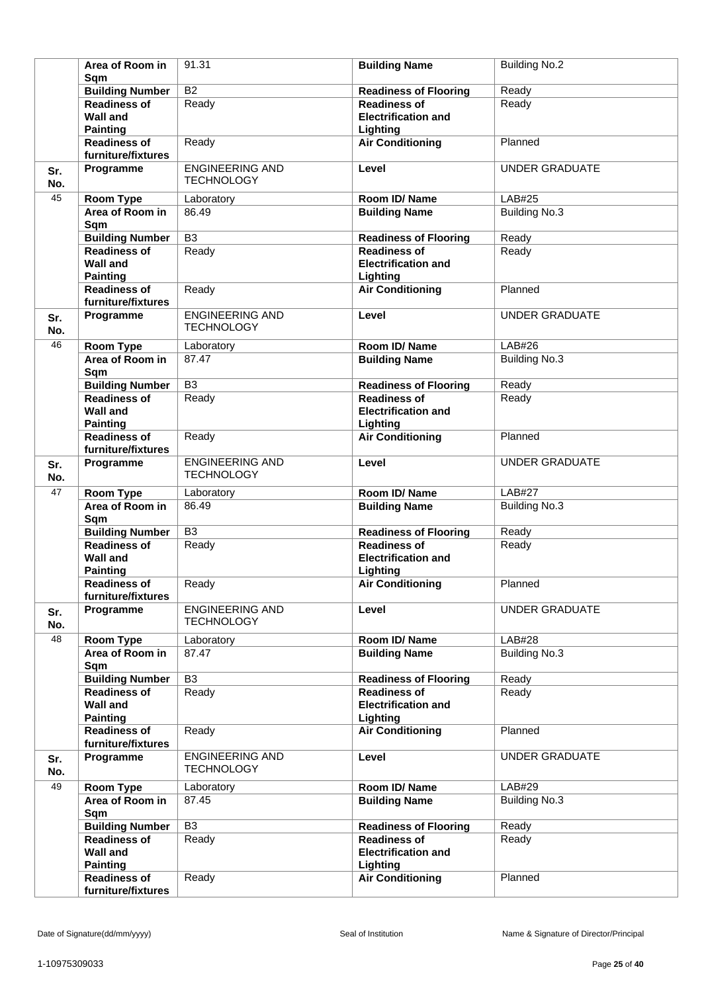|            | Area of Room in<br>Sqm                                    | 91.31                                       | <b>Building Name</b>                                          | <b>Building No.2</b>  |
|------------|-----------------------------------------------------------|---------------------------------------------|---------------------------------------------------------------|-----------------------|
|            | <b>Building Number</b>                                    | $\overline{B2}$                             | <b>Readiness of Flooring</b>                                  | Ready                 |
|            | <b>Readiness of</b><br><b>Wall and</b><br><b>Painting</b> | Ready                                       | <b>Readiness of</b><br><b>Electrification and</b><br>Lighting | Ready                 |
|            | <b>Readiness of</b><br>furniture/fixtures                 | Ready                                       | <b>Air Conditioning</b>                                       | Planned               |
| Sr.<br>No. | Programme                                                 | <b>ENGINEERING AND</b><br><b>TECHNOLOGY</b> | Level                                                         | <b>UNDER GRADUATE</b> |
| 45         | Room Type                                                 | Laboratory                                  | Room ID/Name                                                  | <b>LAB#25</b>         |
|            | Area of Room in<br>Sqm                                    | 86.49                                       | <b>Building Name</b>                                          | <b>Building No.3</b>  |
|            | <b>Building Number</b>                                    | $\overline{B3}$                             | <b>Readiness of Flooring</b>                                  | Ready                 |
|            | Readiness of<br><b>Wall and</b><br><b>Painting</b>        | Ready                                       | <b>Readiness of</b><br><b>Electrification and</b><br>Lighting | Ready                 |
|            | <b>Readiness of</b><br>furniture/fixtures                 | Ready                                       | <b>Air Conditioning</b>                                       | Planned               |
| Sr.<br>No. | Programme                                                 | <b>ENGINEERING AND</b><br><b>TECHNOLOGY</b> | Level                                                         | <b>UNDER GRADUATE</b> |
| 46         | Room Type                                                 | Laboratory                                  | Room ID/Name                                                  | LAB#26                |
|            | Area of Room in<br>Sqm                                    | 87.47                                       | <b>Building Name</b>                                          | <b>Building No.3</b>  |
|            | <b>Building Number</b>                                    | $\overline{B3}$                             | <b>Readiness of Flooring</b>                                  | Ready                 |
|            | <b>Readiness of</b><br><b>Wall and</b><br><b>Painting</b> | Ready                                       | <b>Readiness of</b><br><b>Electrification and</b><br>Lighting | Ready                 |
|            | <b>Readiness of</b><br>furniture/fixtures                 | Ready                                       | <b>Air Conditioning</b>                                       | Planned               |
| Sr.<br>No. | Programme                                                 | <b>ENGINEERING AND</b><br><b>TECHNOLOGY</b> | Level                                                         | <b>UNDER GRADUATE</b> |
| 47         | <b>Room Type</b>                                          | Laboratory                                  | Room ID/Name                                                  | <b>LAB#27</b>         |
|            | Area of Room in<br>Sqm                                    | 86.49                                       | <b>Building Name</b>                                          | <b>Building No.3</b>  |
|            | <b>Building Number</b>                                    | B <sub>3</sub>                              | <b>Readiness of Flooring</b>                                  | Ready                 |
|            | <b>Readiness of</b><br><b>Wall and</b><br><b>Painting</b> | Ready                                       | <b>Readiness of</b><br><b>Electrification and</b><br>Lighting | Ready                 |
|            | <b>Readiness of</b><br>furniture/fixtures                 | Ready                                       | <b>Air Conditioning</b>                                       | Planned               |
| Sr.<br>No. | Programme                                                 | <b>ENGINEERING AND</b><br><b>TECHNOLOGY</b> | Level                                                         | <b>UNDER GRADUATE</b> |
| 48         | Room Type                                                 | Laboratory                                  | Room ID/Name                                                  | LAB#28                |
|            | Area of Room in<br>Sqm                                    | 87.47                                       | <b>Building Name</b>                                          | <b>Building No.3</b>  |
|            | <b>Building Number</b>                                    | B <sub>3</sub>                              | <b>Readiness of Flooring</b>                                  | Ready                 |
|            | <b>Readiness of</b><br><b>Wall and</b><br><b>Painting</b> | Ready                                       | <b>Readiness of</b><br><b>Electrification and</b><br>Lighting | Ready                 |
|            | <b>Readiness of</b><br>furniture/fixtures                 | Ready                                       | <b>Air Conditioning</b>                                       | Planned               |
| Sr.<br>No. | Programme                                                 | <b>ENGINEERING AND</b><br><b>TECHNOLOGY</b> | Level                                                         | <b>UNDER GRADUATE</b> |
| 49         | Room Type                                                 | Laboratory                                  | Room ID/Name                                                  | LAB#29                |
|            | Area of Room in<br>Sqm                                    | 87.45                                       | <b>Building Name</b>                                          | <b>Building No.3</b>  |
|            | <b>Building Number</b>                                    | B <sub>3</sub>                              | <b>Readiness of Flooring</b>                                  | Ready                 |
|            | <b>Readiness of</b><br><b>Wall and</b><br><b>Painting</b> | Ready                                       | <b>Readiness of</b><br><b>Electrification and</b><br>Lighting | Ready                 |
|            | <b>Readiness of</b><br>furniture/fixtures                 | Ready                                       | <b>Air Conditioning</b>                                       | Planned               |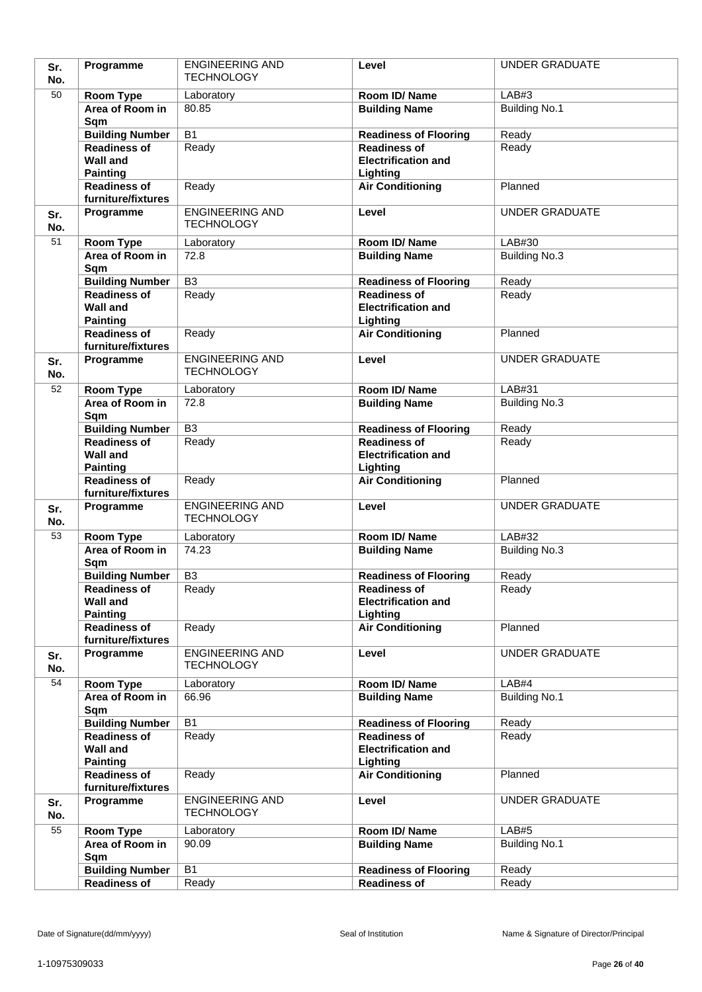| Sr.        | Programme                                                 | <b>ENGINEERING AND</b>                      | Level                                                         | <b>UNDER GRADUATE</b> |
|------------|-----------------------------------------------------------|---------------------------------------------|---------------------------------------------------------------|-----------------------|
| No.        |                                                           | <b>TECHNOLOGY</b>                           |                                                               |                       |
| 50         | Room Type                                                 | Laboratory                                  | Room ID/Name                                                  | LAB#3                 |
|            | Area of Room in                                           | 80.85                                       | <b>Building Name</b>                                          | <b>Building No.1</b>  |
|            | Sqm                                                       |                                             |                                                               |                       |
|            | <b>Building Number</b>                                    | $\overline{B1}$                             | <b>Readiness of Flooring</b>                                  | Ready                 |
|            | <b>Readiness of</b><br><b>Wall and</b>                    | Ready                                       | <b>Readiness of</b><br><b>Electrification and</b>             | Ready                 |
|            | <b>Painting</b>                                           |                                             | Lighting                                                      |                       |
|            | <b>Readiness of</b>                                       | Ready                                       | <b>Air Conditioning</b>                                       | Planned               |
|            | furniture/fixtures                                        |                                             |                                                               |                       |
| Sr.<br>No. | Programme                                                 | <b>ENGINEERING AND</b><br><b>TECHNOLOGY</b> | Level                                                         | <b>UNDER GRADUATE</b> |
| 51         | Room Type                                                 | Laboratory                                  | Room ID/Name                                                  | LAB#30                |
|            | Area of Room in                                           | 72.8                                        | <b>Building Name</b>                                          | <b>Building No.3</b>  |
|            | Sqm                                                       |                                             |                                                               |                       |
|            | <b>Building Number</b>                                    | $\overline{B3}$                             | <b>Readiness of Flooring</b>                                  | Ready                 |
|            | <b>Readiness of</b><br><b>Wall and</b>                    | Ready                                       | <b>Readiness of</b><br><b>Electrification and</b>             | Ready                 |
|            | <b>Painting</b><br><b>Readiness of</b>                    | Ready                                       | Lighting<br><b>Air Conditioning</b>                           | Planned               |
|            | furniture/fixtures                                        |                                             |                                                               |                       |
| Sr.<br>No. | Programme                                                 | <b>ENGINEERING AND</b><br><b>TECHNOLOGY</b> | Level                                                         | <b>UNDER GRADUATE</b> |
| 52         | Room Type                                                 | Laboratory                                  | Room ID/Name                                                  | LAB#31                |
|            | Area of Room in<br>Sqm                                    | 72.8                                        | <b>Building Name</b>                                          | <b>Building No.3</b>  |
|            | <b>Building Number</b>                                    | $\overline{B3}$                             | <b>Readiness of Flooring</b>                                  | Ready                 |
|            | <b>Readiness of</b><br><b>Wall and</b><br><b>Painting</b> | Ready                                       | <b>Readiness of</b><br><b>Electrification and</b>             | Ready                 |
|            | <b>Readiness of</b><br>furniture/fixtures                 | Ready                                       | Lighting<br><b>Air Conditioning</b>                           | Planned               |
| Sr.<br>No. | Programme                                                 | <b>ENGINEERING AND</b><br><b>TECHNOLOGY</b> | Level                                                         | <b>UNDER GRADUATE</b> |
| 53         | <b>Room Type</b>                                          | Laboratory                                  | Room ID/Name                                                  | LAB#32                |
|            | Area of Room in<br>Sqm                                    | 74.23                                       | <b>Building Name</b>                                          | Building No.3         |
|            | <b>Building Number</b>                                    | B <sub>3</sub>                              | <b>Readiness of Flooring</b>                                  | Ready                 |
|            | <b>Readiness of</b><br><b>Wall and</b>                    | Ready                                       | <b>Readiness of</b><br><b>Electrification and</b>             | Ready                 |
|            | <b>Painting</b><br>Readiness of                           | Ready                                       | Lighting<br><b>Air Conditioning</b>                           | Planned               |
|            | furniture/fixtures                                        |                                             |                                                               |                       |
| Sr.<br>No. | Programme                                                 | <b>ENGINEERING AND</b><br><b>TECHNOLOGY</b> | Level                                                         | <b>UNDER GRADUATE</b> |
| 54         | Room Type                                                 | Laboratory                                  | Room ID/Name                                                  | LAB#4                 |
|            | Area of Room in<br>Sqm                                    | 66.96                                       | <b>Building Name</b>                                          | <b>Building No.1</b>  |
|            | <b>Building Number</b>                                    | <b>B1</b>                                   | <b>Readiness of Flooring</b>                                  | Ready                 |
|            | <b>Readiness of</b><br><b>Wall and</b><br><b>Painting</b> | Ready                                       | <b>Readiness of</b><br><b>Electrification and</b><br>Lighting | Ready                 |
|            | <b>Readiness of</b><br>furniture/fixtures                 | Ready                                       | <b>Air Conditioning</b>                                       | Planned               |
| Sr.<br>No. | Programme                                                 | <b>ENGINEERING AND</b><br><b>TECHNOLOGY</b> | Level                                                         | <b>UNDER GRADUATE</b> |
| 55         | <b>Room Type</b>                                          | Laboratory                                  | Room ID/Name                                                  | LAB#5                 |
|            | Area of Room in<br>Sqm                                    | 90.09                                       | <b>Building Name</b>                                          | <b>Building No.1</b>  |
|            |                                                           |                                             |                                                               |                       |
|            | <b>Building Number</b><br><b>Readiness of</b>             | <b>B1</b><br>Ready                          | <b>Readiness of Flooring</b><br><b>Readiness of</b>           | Ready<br>Ready        |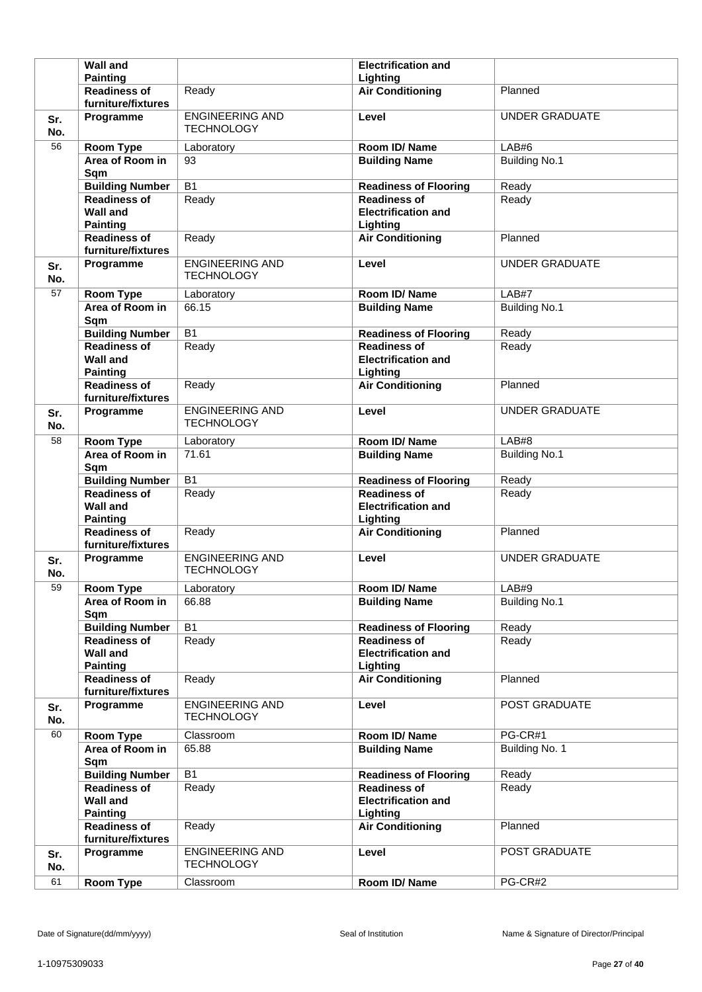|            | <b>Wall and</b>                                              |                                             | <b>Electrification and</b>                                    |                       |
|------------|--------------------------------------------------------------|---------------------------------------------|---------------------------------------------------------------|-----------------------|
|            | <b>Painting</b>                                              |                                             | Lighting                                                      |                       |
|            | <b>Readiness of</b><br>furniture/fixtures                    | Ready                                       | <b>Air Conditioning</b>                                       | Planned               |
| Sr.<br>No. | Programme                                                    | <b>ENGINEERING AND</b><br><b>TECHNOLOGY</b> | Level                                                         | <b>UNDER GRADUATE</b> |
| 56         | <b>Room Type</b>                                             | Laboratory                                  | Room ID/Name                                                  | LAB#6                 |
|            | Area of Room in<br>Sqm                                       | 93                                          | <b>Building Name</b>                                          | <b>Building No.1</b>  |
|            | <b>Building Number</b>                                       | <b>B1</b>                                   | <b>Readiness of Flooring</b>                                  | Ready                 |
|            | <b>Readiness of</b><br><b>Wall and</b><br><b>Painting</b>    | Ready                                       | <b>Readiness of</b><br><b>Electrification and</b><br>Lighting | Ready                 |
|            | <b>Readiness of</b><br>furniture/fixtures                    | Ready                                       | <b>Air Conditioning</b>                                       | Planned               |
| Sr.<br>No. | Programme                                                    | <b>ENGINEERING AND</b><br><b>TECHNOLOGY</b> | Level                                                         | <b>UNDER GRADUATE</b> |
| 57         | <b>Room Type</b>                                             | Laboratory                                  | Room ID/Name                                                  | LAB#7                 |
|            | Area of Room in<br>Sqm                                       | 66.15                                       | <b>Building Name</b>                                          | <b>Building No.1</b>  |
|            | <b>Building Number</b>                                       | <b>B1</b>                                   | <b>Readiness of Flooring</b>                                  | Ready                 |
|            | <b>Readiness of</b><br><b>Wall and</b><br><b>Painting</b>    | Ready                                       | <b>Readiness of</b><br><b>Electrification and</b><br>Lighting | Ready                 |
|            | <b>Readiness of</b><br>furniture/fixtures                    | Ready                                       | <b>Air Conditioning</b>                                       | Planned               |
| Sr.<br>No. | Programme                                                    | <b>ENGINEERING AND</b><br><b>TECHNOLOGY</b> | Level                                                         | <b>UNDER GRADUATE</b> |
| 58         | Room Type                                                    | Laboratory                                  | Room ID/Name                                                  | LAB#8                 |
|            | Area of Room in<br>Sqm                                       | 71.61                                       | <b>Building Name</b>                                          | <b>Building No.1</b>  |
|            |                                                              |                                             |                                                               |                       |
|            | <b>Building Number</b>                                       | B <sub>1</sub>                              | <b>Readiness of Flooring</b>                                  | Ready                 |
|            | <b>Readiness of</b><br><b>Wall and</b><br><b>Painting</b>    | Ready                                       | <b>Readiness of</b><br><b>Electrification and</b><br>Lighting | Ready                 |
|            | <b>Readiness of</b><br>furniture/fixtures                    | Ready                                       | <b>Air Conditioning</b>                                       | Planned               |
| Sr.<br>No. | Programme                                                    | <b>ENGINEERING AND</b><br><b>TECHNOLOGY</b> | Level                                                         | <b>UNDER GRADUATE</b> |
| 59         | <b>Room Type</b>                                             | Laboratory                                  | Room ID/Name                                                  | LAB#9                 |
|            | Area of Room in<br>Sqm                                       | 66.88                                       | <b>Building Name</b>                                          | <b>Building No.1</b>  |
|            | <b>Building Number</b>                                       | $\overline{B1}$                             | <b>Readiness of Flooring</b>                                  | Ready                 |
|            | <b>Readiness of</b><br><b>Wall and</b><br><b>Painting</b>    | Ready                                       | <b>Readiness of</b><br><b>Electrification and</b><br>Lighting | Ready                 |
|            | <b>Readiness of</b><br>furniture/fixtures                    | Ready                                       | <b>Air Conditioning</b>                                       | Planned               |
| Sr.<br>No. | Programme                                                    | <b>ENGINEERING AND</b><br><b>TECHNOLOGY</b> | Level                                                         | POST GRADUATE         |
| 60         | Room Type                                                    | Classroom                                   | Room ID/Name                                                  | PG-CR#1               |
|            | Area of Room in<br>Sqm                                       | 65.88                                       | <b>Building Name</b>                                          | Building No. 1        |
|            | <b>Building Number</b>                                       | $\overline{B1}$                             | <b>Readiness of Flooring</b>                                  | Ready                 |
|            | <b>Readiness of</b><br><b>Wall and</b>                       | Ready                                       | <b>Readiness of</b><br><b>Electrification and</b>             | Ready                 |
|            | <b>Painting</b><br><b>Readiness of</b><br>furniture/fixtures | Ready                                       | Lighting<br><b>Air Conditioning</b>                           | Planned               |
| Sr.<br>No. | Programme                                                    | <b>ENGINEERING AND</b><br><b>TECHNOLOGY</b> | Level                                                         | POST GRADUATE         |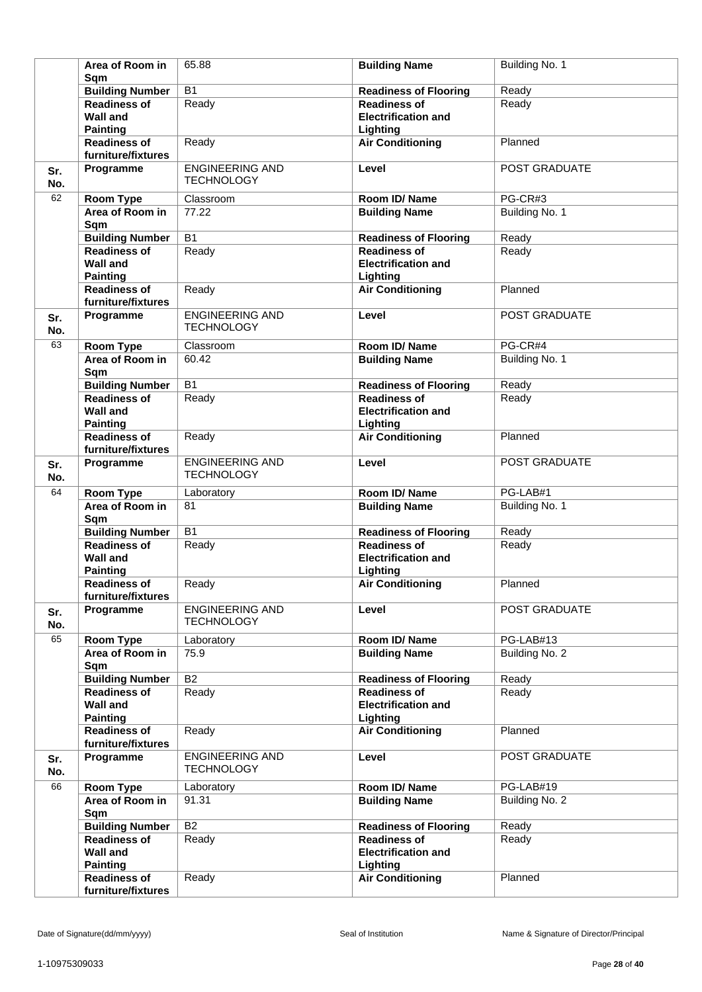|            | Area of Room in<br>Sqm                                       | 65.88                                       | <b>Building Name</b>                                          | Building No. 1 |
|------------|--------------------------------------------------------------|---------------------------------------------|---------------------------------------------------------------|----------------|
|            | <b>Building Number</b>                                       | $\overline{B1}$                             | <b>Readiness of Flooring</b>                                  | Ready          |
|            | <b>Readiness of</b><br><b>Wall and</b>                       | Ready                                       | <b>Readiness of</b><br><b>Electrification and</b>             | Ready          |
|            | <b>Painting</b><br><b>Readiness of</b><br>furniture/fixtures | Ready                                       | Lighting<br><b>Air Conditioning</b>                           | Planned        |
| Sr.<br>No. | Programme                                                    | <b>ENGINEERING AND</b><br><b>TECHNOLOGY</b> | Level                                                         | POST GRADUATE  |
| 62         | Room Type                                                    | Classroom                                   | Room ID/Name                                                  | PG-CR#3        |
|            | Area of Room in<br>Sqm                                       | 77.22                                       | <b>Building Name</b>                                          | Building No. 1 |
|            | <b>Building Number</b>                                       | $\overline{B1}$                             | <b>Readiness of Flooring</b>                                  | Ready          |
|            | <b>Readiness of</b><br><b>Wall and</b><br><b>Painting</b>    | Ready                                       | <b>Readiness of</b><br><b>Electrification and</b><br>Lighting | Ready          |
|            | <b>Readiness of</b><br>furniture/fixtures                    | Ready                                       | <b>Air Conditioning</b>                                       | Planned        |
| Sr.<br>No. | Programme                                                    | <b>ENGINEERING AND</b><br><b>TECHNOLOGY</b> | Level                                                         | POST GRADUATE  |
| 63         | <b>Room Type</b>                                             | Classroom                                   | Room ID/ Name                                                 | PG-CR#4        |
|            | Area of Room in<br>Sqm                                       | 60.42                                       | <b>Building Name</b>                                          | Building No. 1 |
|            | <b>Building Number</b>                                       | $\overline{B1}$                             | <b>Readiness of Flooring</b>                                  | Ready          |
|            | <b>Readiness of</b><br><b>Wall and</b><br><b>Painting</b>    | Ready                                       | <b>Readiness of</b><br><b>Electrification and</b><br>Lighting | Ready          |
|            | <b>Readiness of</b><br>furniture/fixtures                    | Ready                                       | <b>Air Conditioning</b>                                       | Planned        |
| Sr.<br>No. | Programme                                                    | <b>ENGINEERING AND</b><br><b>TECHNOLOGY</b> | Level                                                         | POST GRADUATE  |
| 64         | Room Type                                                    | Laboratory                                  | Room ID/Name                                                  | PG-LAB#1       |
|            | Area of Room in<br>Sqm                                       | 81                                          | <b>Building Name</b>                                          | Building No. 1 |
|            | <b>Building Number</b>                                       | <b>B1</b>                                   | <b>Readiness of Flooring</b>                                  | Ready          |
|            | <b>Readiness of</b><br><b>Wall and</b><br><b>Painting</b>    | Ready                                       | <b>Readiness of</b><br><b>Electrification and</b><br>Lighting | Ready          |
|            | <b>Readiness of</b><br>furniture/fixtures                    | Ready                                       | <b>Air Conditioning</b>                                       | Planned        |
| Sr.<br>No. | Programme                                                    | <b>ENGINEERING AND</b><br><b>TECHNOLOGY</b> | Level                                                         | POST GRADUATE  |
| 65         | Room Type                                                    | Laboratory                                  | Room ID/Name                                                  | PG-LAB#13      |
|            | Area of Room in<br>Sqm                                       | 75.9                                        | <b>Building Name</b>                                          | Building No. 2 |
|            | <b>Building Number</b>                                       | <b>B2</b>                                   | <b>Readiness of Flooring</b>                                  | Ready          |
|            | <b>Readiness of</b><br><b>Wall and</b><br><b>Painting</b>    | Ready                                       | <b>Readiness of</b><br><b>Electrification and</b><br>Lighting | Ready          |
|            | <b>Readiness of</b><br>furniture/fixtures                    | Ready                                       | <b>Air Conditioning</b>                                       | Planned        |
| Sr.<br>No. | Programme                                                    | <b>ENGINEERING AND</b><br><b>TECHNOLOGY</b> | Level                                                         | POST GRADUATE  |
| 66         | Room Type                                                    | Laboratory                                  | Room ID/Name                                                  | PG-LAB#19      |
|            | Area of Room in<br>Sqm                                       | 91.31                                       | <b>Building Name</b>                                          | Building No. 2 |
|            | <b>Building Number</b>                                       | <b>B2</b>                                   | <b>Readiness of Flooring</b>                                  | Ready          |
|            | <b>Readiness of</b><br><b>Wall and</b><br><b>Painting</b>    | Ready                                       | <b>Readiness of</b><br><b>Electrification and</b><br>Lighting | Ready          |
|            | <b>Readiness of</b><br>furniture/fixtures                    | Ready                                       | <b>Air Conditioning</b>                                       | Planned        |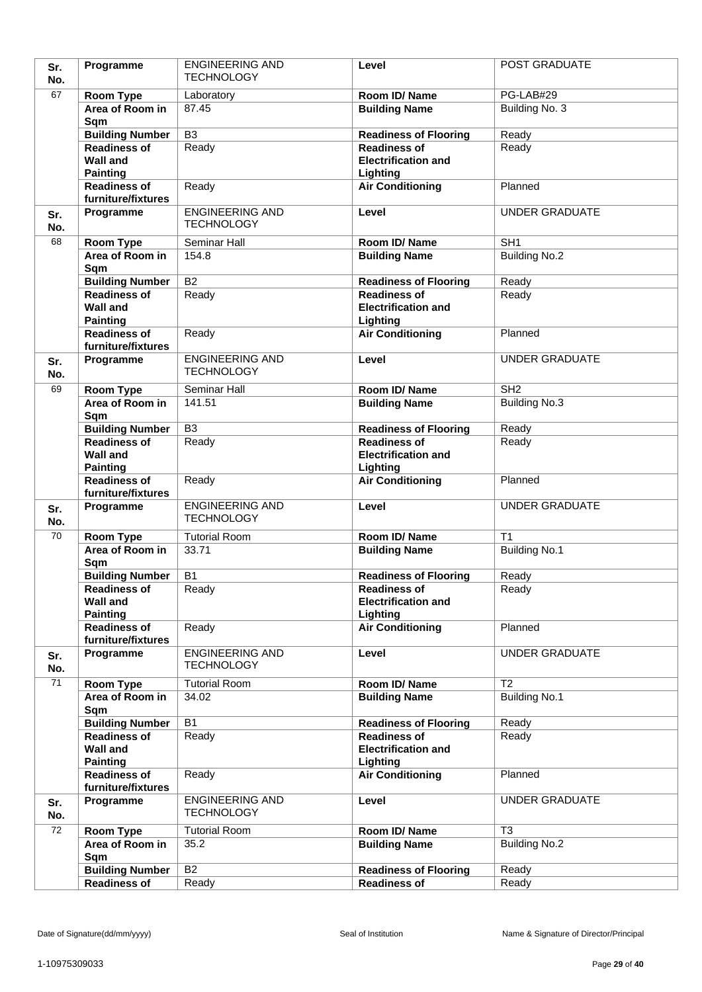| Sr.<br>No. | Programme                                     | <b>ENGINEERING AND</b><br><b>TECHNOLOGY</b> | Level                                             | POST GRADUATE         |
|------------|-----------------------------------------------|---------------------------------------------|---------------------------------------------------|-----------------------|
| 67         | Room Type                                     | Laboratory                                  | Room ID/Name                                      | PG-LAB#29             |
|            | Area of Room in                               | 87.45                                       | <b>Building Name</b>                              | Building No. 3        |
|            | Sqm                                           |                                             |                                                   |                       |
|            | <b>Building Number</b>                        | $\overline{B3}$                             | <b>Readiness of Flooring</b>                      | Ready                 |
|            | <b>Readiness of</b>                           | Ready                                       | <b>Readiness of</b>                               | Ready                 |
|            | <b>Wall and</b>                               |                                             | <b>Electrification and</b>                        |                       |
|            | <b>Painting</b><br><b>Readiness of</b>        | Ready                                       | Lighting<br><b>Air Conditioning</b>               | Planned               |
|            | furniture/fixtures                            |                                             |                                                   |                       |
| Sr.<br>No. | Programme                                     | <b>ENGINEERING AND</b><br><b>TECHNOLOGY</b> | Level                                             | <b>UNDER GRADUATE</b> |
| 68         | Room Type                                     | Seminar Hall                                | Room ID/Name                                      | SH <sub>1</sub>       |
|            | Area of Room in                               | 154.8                                       | <b>Building Name</b>                              | <b>Building No.2</b>  |
|            | Sqm                                           |                                             |                                                   |                       |
|            | <b>Building Number</b>                        | $\overline{B2}$                             | <b>Readiness of Flooring</b>                      | Ready                 |
|            | <b>Readiness of</b>                           | Ready                                       | <b>Readiness of</b>                               | Ready                 |
|            | <b>Wall and</b>                               |                                             | <b>Electrification and</b>                        |                       |
|            | <b>Painting</b><br><b>Readiness of</b>        |                                             | Lighting                                          |                       |
|            | furniture/fixtures                            | Ready                                       | <b>Air Conditioning</b>                           | Planned               |
| Sr.        | Programme                                     | <b>ENGINEERING AND</b>                      | Level                                             | <b>UNDER GRADUATE</b> |
| No.        |                                               | <b>TECHNOLOGY</b>                           |                                                   |                       |
| 69         | Room Type                                     | Seminar Hall                                | Room ID/ Name                                     | SH <sub>2</sub>       |
|            | Area of Room in                               | 141.51                                      | <b>Building Name</b>                              | <b>Building No.3</b>  |
|            | Sqm                                           |                                             |                                                   |                       |
|            | <b>Building Number</b>                        | $\overline{B3}$                             | <b>Readiness of Flooring</b>                      | Ready                 |
|            | <b>Readiness of</b>                           | Ready                                       | <b>Readiness of</b><br><b>Electrification and</b> | Ready                 |
|            | <b>Wall and</b><br><b>Painting</b>            |                                             | Lighting                                          |                       |
|            | <b>Readiness of</b><br>furniture/fixtures     | Ready                                       | <b>Air Conditioning</b>                           | Planned               |
| Sr.        | Programme                                     | <b>ENGINEERING AND</b>                      | Level                                             | <b>UNDER GRADUATE</b> |
| No.        |                                               | <b>TECHNOLOGY</b>                           |                                                   |                       |
| 70         | Room Type                                     | <b>Tutorial Room</b>                        | Room ID/Name                                      | T <sub>1</sub>        |
|            | Area of Room in                               | 33.71                                       | <b>Building Name</b>                              | <b>Building No.1</b>  |
|            | Sqm                                           |                                             |                                                   |                       |
|            | <b>Building Number</b><br><b>Readiness of</b> | <b>B1</b>                                   | <b>Readiness of Flooring</b>                      | Ready                 |
|            | <b>Wall and</b>                               | Ready                                       | <b>Readiness of</b><br><b>Electrification and</b> | Ready                 |
|            | <b>Painting</b>                               |                                             | Lighting                                          |                       |
|            | <b>Readiness of</b>                           | Ready                                       | <b>Air Conditioning</b>                           | Planned               |
|            | furniture/fixtures                            |                                             |                                                   |                       |
| Sr.        | Programme                                     | <b>ENGINEERING AND</b>                      | Level                                             | <b>UNDER GRADUATE</b> |
| No.        |                                               | <b>TECHNOLOGY</b>                           |                                                   |                       |
| 71         | Room Type                                     | <b>Tutorial Room</b><br>34.02               | Room ID/Name                                      | $\overline{12}$       |
|            | Area of Room in<br>Sqm                        |                                             | <b>Building Name</b>                              | <b>Building No.1</b>  |
|            | <b>Building Number</b>                        | <b>B1</b>                                   | <b>Readiness of Flooring</b>                      | Ready                 |
|            | <b>Readiness of</b>                           | Ready                                       | <b>Readiness of</b>                               | Ready                 |
|            | <b>Wall and</b>                               |                                             | <b>Electrification and</b>                        |                       |
|            | <b>Painting</b>                               |                                             | Lighting                                          |                       |
|            | <b>Readiness of</b><br>furniture/fixtures     | Ready                                       | <b>Air Conditioning</b>                           | Planned               |
| Sr.        | Programme                                     | <b>ENGINEERING AND</b><br><b>TECHNOLOGY</b> | Level                                             | <b>UNDER GRADUATE</b> |
| No.        |                                               |                                             |                                                   |                       |
| 72         | Room Type                                     | <b>Tutorial Room</b>                        | Room ID/Name                                      | T <sub>3</sub>        |
|            | Area of Room in<br>Sqm                        | 35.2                                        | <b>Building Name</b>                              | <b>Building No.2</b>  |
|            | <b>Building Number</b>                        | B <sub>2</sub>                              | <b>Readiness of Flooring</b>                      | Ready                 |
|            | <b>Readiness of</b>                           | Ready                                       | <b>Readiness of</b>                               | Ready                 |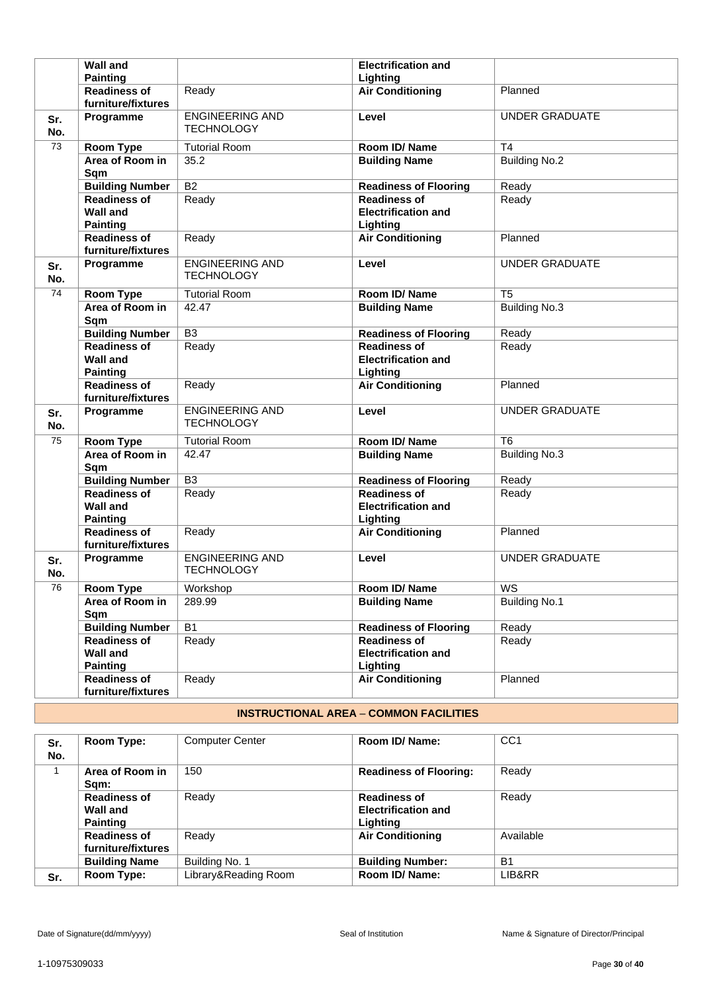|            | <b>Wall and</b><br><b>Painting</b>                        |                                             | <b>Electrification and</b><br>Lighting                        |                       |
|------------|-----------------------------------------------------------|---------------------------------------------|---------------------------------------------------------------|-----------------------|
|            | <b>Readiness of</b><br>furniture/fixtures                 | Ready                                       | <b>Air Conditioning</b>                                       | Planned               |
| Sr.<br>No. | Programme                                                 | <b>ENGINEERING AND</b><br><b>TECHNOLOGY</b> | Level                                                         | <b>UNDER GRADUATE</b> |
| 73         | Room Type                                                 | <b>Tutorial Room</b>                        | Room ID/Name                                                  | T <sub>4</sub>        |
|            | Area of Room in<br>Sqm                                    | 35.2                                        | <b>Building Name</b>                                          | <b>Building No.2</b>  |
|            | <b>Building Number</b>                                    | <b>B2</b>                                   | <b>Readiness of Flooring</b>                                  | Ready                 |
|            | <b>Readiness of</b><br><b>Wall and</b><br><b>Painting</b> | Ready                                       | <b>Readiness of</b><br><b>Electrification and</b><br>Lighting | Ready                 |
|            | <b>Readiness of</b><br>furniture/fixtures                 | Ready                                       | <b>Air Conditioning</b>                                       | Planned               |
| Sr.<br>No. | Programme                                                 | <b>ENGINEERING AND</b><br><b>TECHNOLOGY</b> | Level                                                         | <b>UNDER GRADUATE</b> |
| 74         | Room Type                                                 | <b>Tutorial Room</b>                        | Room ID/Name                                                  | T <sub>5</sub>        |
|            | Area of Room in<br>Sqm                                    | 42.47                                       | <b>Building Name</b>                                          | <b>Building No.3</b>  |
|            | <b>Building Number</b>                                    | B <sub>3</sub>                              | <b>Readiness of Flooring</b>                                  | Ready                 |
|            | <b>Readiness of</b><br><b>Wall and</b><br><b>Painting</b> | Ready                                       | <b>Readiness of</b><br><b>Electrification and</b><br>Lighting | Ready                 |
|            | <b>Readiness of</b><br>furniture/fixtures                 | Ready                                       | <b>Air Conditioning</b>                                       | Planned               |
| Sr.<br>No. | Programme                                                 | <b>ENGINEERING AND</b><br><b>TECHNOLOGY</b> | Level                                                         | <b>UNDER GRADUATE</b> |
| 75         | <b>Room Type</b>                                          | <b>Tutorial Room</b>                        | Room ID/Name                                                  | T <sub>6</sub>        |
|            | Area of Room in<br>Sqm                                    | 42.47                                       | <b>Building Name</b>                                          | <b>Building No.3</b>  |
|            | <b>Building Number</b>                                    | B <sub>3</sub>                              | <b>Readiness of Flooring</b>                                  | Ready                 |
|            | <b>Readiness of</b><br><b>Wall and</b><br><b>Painting</b> | Ready                                       | <b>Readiness of</b><br><b>Electrification and</b><br>Lighting | Ready                 |
|            | <b>Readiness of</b><br>furniture/fixtures                 | Ready                                       | <b>Air Conditioning</b>                                       | Planned               |
| Sr.<br>No. | Programme                                                 | <b>ENGINEERING AND</b><br><b>TECHNOLOGY</b> | Level                                                         | <b>UNDER GRADUATE</b> |
| 76         | Room Type                                                 | Workshop                                    | Room ID/Name                                                  | WS                    |
|            | Area of Room in<br>Sqm                                    | 289.99                                      | <b>Building Name</b>                                          | <b>Building No.1</b>  |
|            | <b>Building Number</b>                                    | $\overline{B1}$                             | <b>Readiness of Flooring</b>                                  | Ready                 |
|            | <b>Readiness of</b><br><b>Wall and</b><br><b>Painting</b> | Ready                                       | <b>Readiness of</b><br><b>Electrification and</b><br>Lighting | Ready                 |
|            | <b>Readiness of</b><br>furniture/fixtures                 | Ready                                       | <b>Air Conditioning</b>                                       | Planned               |

# **INSTRUCTIONAL AREA** – **COMMON FACILITIES**

| Sr.<br>No. | Room Type:                                         | <b>Computer Center</b> | Room ID/ Name:                                                | CC <sub>1</sub> |
|------------|----------------------------------------------------|------------------------|---------------------------------------------------------------|-----------------|
|            | Area of Room in<br>Sam:                            | 150                    | <b>Readiness of Flooring:</b>                                 | Ready           |
|            | <b>Readiness of</b><br>Wall and<br><b>Painting</b> | Ready                  | <b>Readiness of</b><br><b>Electrification and</b><br>Lighting | Ready           |
|            | <b>Readiness of</b><br>furniture/fixtures          | Ready                  | <b>Air Conditioning</b>                                       | Available       |
|            | <b>Building Name</b>                               | Building No. 1         | <b>Building Number:</b>                                       | B <sub>1</sub>  |
| Sr.        | Room Type:                                         | Library&Reading Room   | Room ID/ Name:                                                | LIB&RR          |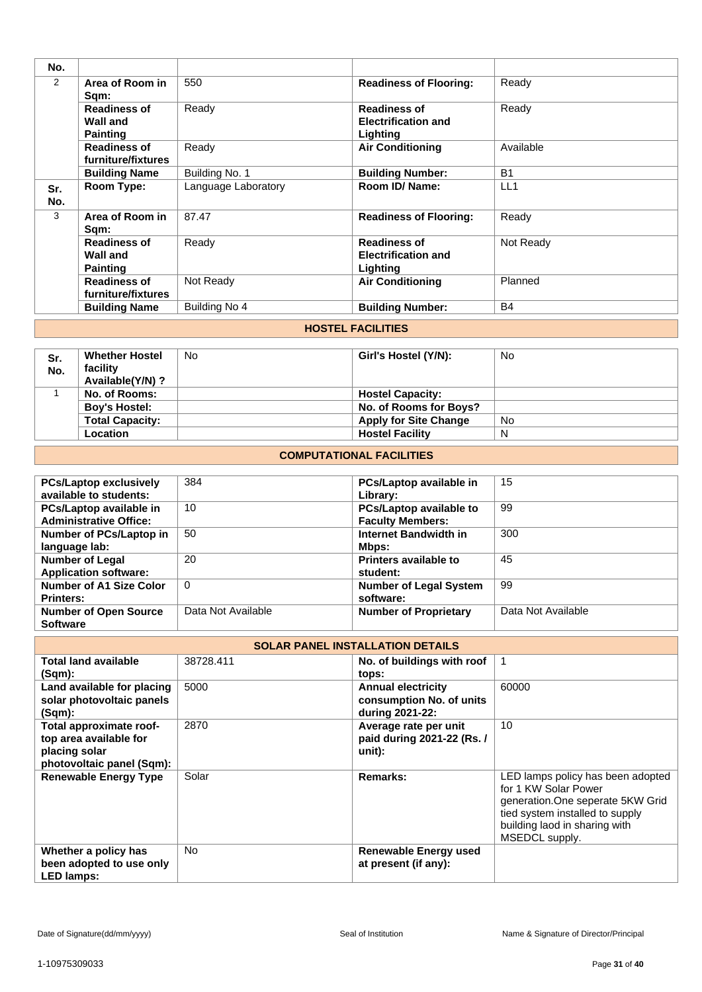| No.        |                                                           |                     |                                                               |           |
|------------|-----------------------------------------------------------|---------------------|---------------------------------------------------------------|-----------|
| 2          | Area of Room in<br>Sqm:                                   | 550                 | <b>Readiness of Flooring:</b>                                 | Ready     |
|            | <b>Readiness of</b><br><b>Wall and</b><br><b>Painting</b> | Ready               | <b>Readiness of</b><br><b>Electrification and</b><br>Lighting | Ready     |
|            | <b>Readiness of</b><br>furniture/fixtures                 | Ready               | <b>Air Conditioning</b>                                       | Available |
|            | <b>Building Name</b>                                      | Building No. 1      | <b>Building Number:</b>                                       | <b>B1</b> |
| Sr.<br>No. | Room Type:                                                | Language Laboratory | Room ID/ Name:                                                | LL1       |
| 3          | Area of Room in<br>Sqm:                                   | 87.47               | <b>Readiness of Flooring:</b>                                 | Ready     |
|            | <b>Readiness of</b><br><b>Wall and</b><br><b>Painting</b> | Ready               | <b>Readiness of</b><br><b>Electrification and</b><br>Lighting | Not Ready |
|            | <b>Readiness of</b><br>furniture/fixtures                 | Not Ready           | <b>Air Conditioning</b>                                       | Planned   |
|            | <b>Building Name</b>                                      | Building No 4       | <b>Building Number:</b>                                       | <b>B4</b> |

### **HOSTEL FACILITIES**

| Sr.<br>No. | <b>Whether Hostel</b><br>facility<br>Available(Y/N)? | No | Girl's Hostel (Y/N):         | No |
|------------|------------------------------------------------------|----|------------------------------|----|
|            | No. of Rooms:                                        |    | <b>Hostel Capacity:</b>      |    |
|            | <b>Boy's Hostel:</b>                                 |    | No. of Rooms for Boys?       |    |
|            | <b>Total Capacity:</b>                               |    | <b>Apply for Site Change</b> | No |
|            | <b>Location</b>                                      |    | <b>Hostel Facility</b>       | N  |

### **COMPUTATIONAL FACILITIES**

| <b>PCs/Laptop exclusively</b><br>available to students:  | 384                | PCs/Laptop available in<br>Library:                | 15                 |
|----------------------------------------------------------|--------------------|----------------------------------------------------|--------------------|
| PCs/Laptop available in<br><b>Administrative Office:</b> | 10                 | PCs/Laptop available to<br><b>Faculty Members:</b> | -99                |
| Number of PCs/Laptop in<br>language lab:                 | 50                 | Internet Bandwidth in<br>Mbps:                     | 300                |
| <b>Number of Legal</b><br><b>Application software:</b>   | 20                 | Printers available to<br>student:                  | 45                 |
| <b>Number of A1 Size Color</b><br><b>Printers:</b>       | $\Omega$           | <b>Number of Legal System</b><br>software:         | 99                 |
| <b>Number of Open Source</b><br><b>Software</b>          | Data Not Available | <b>Number of Proprietary</b>                       | Data Not Available |

|                                                                                                 | <b>SOLAR PANEL INSTALLATION DETAILS</b> |                                                                          |                                                                                                                                                                                      |  |  |
|-------------------------------------------------------------------------------------------------|-----------------------------------------|--------------------------------------------------------------------------|--------------------------------------------------------------------------------------------------------------------------------------------------------------------------------------|--|--|
| <b>Total land available</b><br>$(Sqm)$ :                                                        | 38728.411                               | No. of buildings with roof<br>tops:                                      | 1                                                                                                                                                                                    |  |  |
| Land available for placing<br>solar photovoltaic panels<br>(Sqm):                               | 5000                                    | <b>Annual electricity</b><br>consumption No. of units<br>during 2021-22: | 60000                                                                                                                                                                                |  |  |
| Total approximate roof-<br>top area available for<br>placing solar<br>photovoltaic panel (Sqm): | 2870                                    | Average rate per unit<br>paid during 2021-22 (Rs. /<br>unit):            | 10                                                                                                                                                                                   |  |  |
| <b>Renewable Energy Type</b>                                                                    | Solar                                   | Remarks:                                                                 | LED lamps policy has been adopted<br>for 1 KW Solar Power<br>generation. One seperate 5KW Grid<br>tied system installed to supply<br>building laod in sharing with<br>MSEDCL supply. |  |  |
| Whether a policy has<br>been adopted to use only<br><b>LED lamps:</b>                           | <b>No</b>                               | <b>Renewable Energy used</b><br>at present (if any):                     |                                                                                                                                                                                      |  |  |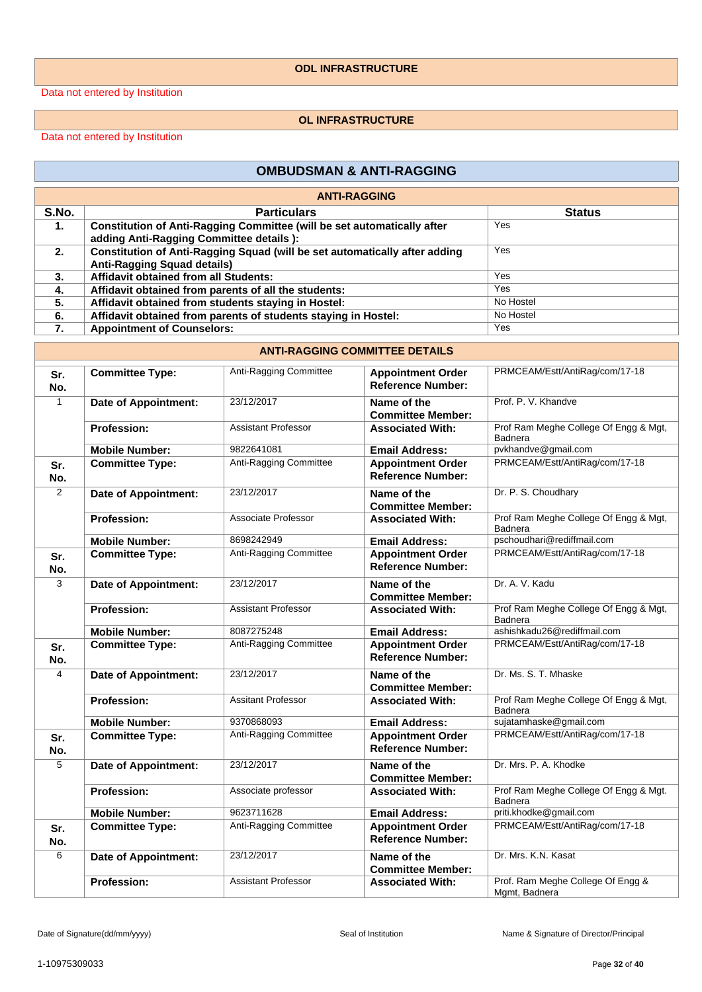#### **ODL INFRASTRUCTURE**

Data not entered by Institution

#### **OL INFRASTRUCTURE**

Data not entered by Institution

#### **OMBUDSMAN & ANTI-RAGGING**

|       | <b>ANTI-RAGGING</b>                                                        |               |  |  |  |
|-------|----------------------------------------------------------------------------|---------------|--|--|--|
| S.No. | <b>Particulars</b>                                                         | <b>Status</b> |  |  |  |
| 1.    | Constitution of Anti-Ragging Committee (will be set automatically after    | Yes           |  |  |  |
|       | adding Anti-Ragging Committee details ):                                   |               |  |  |  |
| 2.    | Constitution of Anti-Ragging Squad (will be set automatically after adding | Yes           |  |  |  |
|       | <b>Anti-Ragging Squad details)</b>                                         |               |  |  |  |
| 3.    | <b>Affidavit obtained from all Students:</b>                               | Yes           |  |  |  |
| 4.    | Affidavit obtained from parents of all the students:                       | Yes           |  |  |  |
| 5.    | Affidavit obtained from students staying in Hostel:                        | No Hostel     |  |  |  |
| 6.    | Affidavit obtained from parents of students staying in Hostel:             | No Hostel     |  |  |  |
| 7.    | <b>Appointment of Counselors:</b>                                          | Yes           |  |  |  |

#### **ANTI-RAGGING COMMITTEE DETAILS Sr. No. Committee Type:** Anti-Ragging Committee **Appointment Order Reference Number:** PRMCEAM/Estt/AntiRag/com/17-18 1 **Date of Appointment:** 23/12/2017 **Name of the Committee Member:** Prof. P. V. Khandve **Profession:** Assistant Professor **Associated With:** Prof Ram Meghe College Of Engg & Mgt, Badnera **Mobile Number:** 9822641081 **Email Address:** pvkhandve@gmail.com **Sr. No. Committee Type:** Anti-Ragging Committee **Appointment Order Reference Number:** PRMCEAM/Estt/AntiRag/com/17-18 2 **Date of Appointment:** 23/12/2017 **Name of the Committee Member:** Dr. P. S. Choudhary **Profession:** Associate Professor **Associated With:** Prof Ram Meghe College Of Engg & Mgt, Badnera **Mobile Number:** 8698242949 **Email Address:** pschoudhari@rediffmail.com **Sr. No. Committee Type:** Anti-Ragging Committee | Appointment Order **Reference Number:** PRMCEAM/Estt/AntiRag/com/17-18 3 **Date of Appointment:** 23/12/2017 **Name of the Committee Member:** Dr. A. V. Kadu **Profession:** Assistant Professor **Associated With:** Prof Ram Meghe College Of Engg & Mgt, Badnera **Mobile Number:** 8087275248 **Email Address:** ashishkadu26@rediffmail.com **Sr. No. Committee Type:** Anti-Ragging Committee **Appointment Order Reference Number:** PRMCEAM/Estt/AntiRag/com/17-18 4 **Date of Appointment:** 23/12/2017 **Name of the Committee Member:** Dr. Ms. S. T. Mhaske **Profession:** Assitant Professor **Associated With:** Prof Ram Meghe College Of Engg & Mgt, Badnera **Mobile Number:** 9370868093 **Email Address:** sujatamhaske@gmail.com<br> **Committee Type:** Anti-Ragging Committee **Appointment Order** PRMCEAM/Estt/AntiRag/committee **Sr. No. Committee Type:** Anti-Ragging Committee | Appointment Order **Reference Number:** PRMCEAM/Estt/AntiRag/com/17-18 5 **Date of Appointment:** 23/12/2017 **Name of the Committee Member:** Dr. Mrs. P. A. Khodke **Profession:** Associate professor **Associated With:** Prof Ram Meghe College Of Engg & Mgt. Badnera **Mobile Number:** 9623711628 **Email Address:** priti.khodke@gmail.com **Sr. No. Committee Type:** Anti-Ragging Committee **Appointment Order Reference Number:** PRMCEAM/Estt/AntiRag/com/17-18 6 **Date of Appointment:** 23/12/2017 **Name of the Committee Member:** Dr. Mrs. K.N. Kasat **Profession:** Assistant Professor **Associated With:** Prof. Ram Meghe College Of Engg & Mgmt, Badnera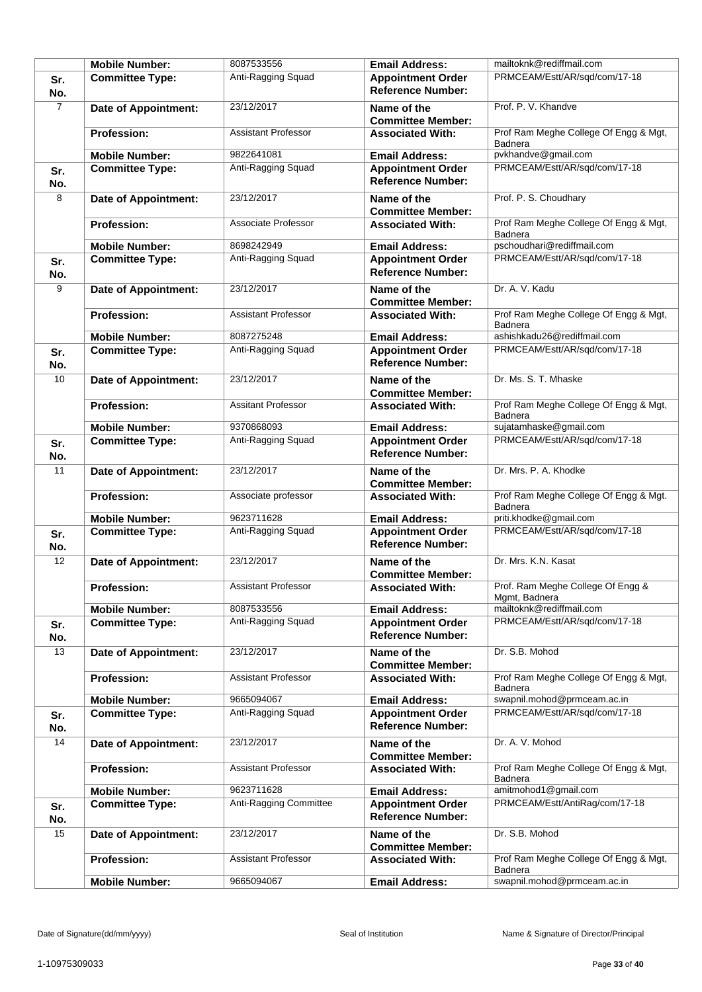|                |                                                 |                                  |                                                      | mailtoknk@rediffmail.com                                |
|----------------|-------------------------------------------------|----------------------------------|------------------------------------------------------|---------------------------------------------------------|
|                | <b>Mobile Number:</b>                           | 8087533556                       | <b>Email Address:</b>                                |                                                         |
| Sr.<br>No.     | <b>Committee Type:</b>                          | Anti-Ragging Squad               | <b>Appointment Order</b><br><b>Reference Number:</b> | PRMCEAM/Estt/AR/sqd/com/17-18                           |
| $\overline{7}$ | <b>Date of Appointment:</b>                     | 23/12/2017                       | Name of the<br><b>Committee Member:</b>              | Prof. P. V. Khandve                                     |
|                | <b>Profession:</b>                              | <b>Assistant Professor</b>       | <b>Associated With:</b>                              | Prof Ram Meghe College Of Engg & Mgt,<br>Badnera        |
|                | <b>Mobile Number:</b>                           | 9822641081                       | <b>Email Address:</b>                                | pvkhandve@gmail.com                                     |
| Sr.<br>No.     | <b>Committee Type:</b>                          | Anti-Ragging Squad               | <b>Appointment Order</b><br><b>Reference Number:</b> | PRMCEAM/Estt/AR/sqd/com/17-18                           |
| 8              | <b>Date of Appointment:</b>                     | 23/12/2017                       | Name of the<br><b>Committee Member:</b>              | Prof. P. S. Choudhary                                   |
|                | <b>Profession:</b>                              | Associate Professor              | <b>Associated With:</b>                              | Prof Ram Meghe College Of Engg & Mgt,<br><b>Badnera</b> |
|                | <b>Mobile Number:</b>                           | 8698242949                       | <b>Email Address:</b>                                | pschoudhari@rediffmail.com                              |
| Sr.<br>No.     | <b>Committee Type:</b>                          | Anti-Ragging Squad               | <b>Appointment Order</b><br><b>Reference Number:</b> | PRMCEAM/Estt/AR/sqd/com/17-18                           |
| 9              | <b>Date of Appointment:</b>                     | 23/12/2017                       | Name of the<br><b>Committee Member:</b>              | Dr. A. V. Kadu                                          |
|                | <b>Profession:</b>                              | <b>Assistant Professor</b>       | <b>Associated With:</b>                              | Prof Ram Meghe College Of Engg & Mgt,<br>Badnera        |
|                | <b>Mobile Number:</b>                           | 8087275248                       | <b>Email Address:</b>                                | ashishkadu26@rediffmail.com                             |
| Sr.<br>No.     | <b>Committee Type:</b>                          | Anti-Ragging Squad               | <b>Appointment Order</b><br><b>Reference Number:</b> | PRMCEAM/Estt/AR/sqd/com/17-18                           |
| 10             | Date of Appointment:                            | 23/12/2017                       | Name of the<br><b>Committee Member:</b>              | Dr. Ms. S. T. Mhaske                                    |
|                | <b>Profession:</b>                              | <b>Assitant Professor</b>        | <b>Associated With:</b>                              | Prof Ram Meghe College Of Engg & Mgt,<br>Badnera        |
| Sr.            | <b>Mobile Number:</b><br><b>Committee Type:</b> | 9370868093<br>Anti-Ragging Squad | <b>Email Address:</b><br><b>Appointment Order</b>    | sujatamhaske@gmail.com<br>PRMCEAM/Estt/AR/sqd/com/17-18 |
| No.            |                                                 |                                  | <b>Reference Number:</b>                             |                                                         |
| 11             | <b>Date of Appointment:</b>                     | 23/12/2017                       | Name of the<br><b>Committee Member:</b>              | Dr. Mrs. P. A. Khodke                                   |
|                | <b>Profession:</b>                              | Associate professor              | <b>Associated With:</b>                              | Prof Ram Meghe College Of Engg & Mgt.<br><b>Badnera</b> |
|                | <b>Mobile Number:</b>                           | 9623711628                       | <b>Email Address:</b>                                | priti.khodke@gmail.com                                  |
| Sr.<br>No.     | <b>Committee Type:</b>                          | Anti-Ragging Squad               | <b>Appointment Order</b><br><b>Reference Number:</b> | PRMCEAM/Estt/AR/sqd/com/17-18                           |
| 12             | <b>Date of Appointment:</b>                     | 23/12/2017                       | Name of the<br><b>Committee Member:</b>              | Dr. Mrs. K.N. Kasat                                     |
|                | <b>Profession:</b>                              | Assistant Professor              | <b>Associated With:</b>                              | Prof. Ram Meghe College Of Engg &<br>Mgmt, Badnera      |
|                | <b>Mobile Number:</b>                           | 8087533556                       | <b>Email Address:</b>                                | mailtoknk@rediffmail.com                                |
| Sr.<br>No.     | <b>Committee Type:</b>                          | Anti-Ragging Squad               | <b>Appointment Order</b><br><b>Reference Number:</b> | PRMCEAM/Estt/AR/sqd/com/17-18                           |
| 13             | <b>Date of Appointment:</b>                     | 23/12/2017                       | Name of the<br><b>Committee Member:</b>              | Dr. S.B. Mohod                                          |
|                | <b>Profession:</b>                              | <b>Assistant Professor</b>       | <b>Associated With:</b>                              | Prof Ram Meghe College Of Engg & Mgt,<br>Badnera        |
|                | <b>Mobile Number:</b>                           | 9665094067                       | <b>Email Address:</b>                                | swapnil.mohod@prmceam.ac.in                             |
| Sr.<br>No.     | <b>Committee Type:</b>                          | Anti-Ragging Squad               | <b>Appointment Order</b><br><b>Reference Number:</b> | PRMCEAM/Estt/AR/sqd/com/17-18                           |
| 14             | Date of Appointment:                            | 23/12/2017                       | Name of the<br><b>Committee Member:</b>              | Dr. A. V. Mohod                                         |
|                | <b>Profession:</b>                              | <b>Assistant Professor</b>       | <b>Associated With:</b>                              | Prof Ram Meghe College Of Engg & Mgt,<br>Badnera        |
|                | <b>Mobile Number:</b>                           | 9623711628                       | <b>Email Address:</b>                                | amitmohod1@gmail.com                                    |
| Sr.<br>No.     | <b>Committee Type:</b>                          | Anti-Ragging Committee           | <b>Appointment Order</b><br><b>Reference Number:</b> | PRMCEAM/Estt/AntiRag/com/17-18                          |
| 15             | Date of Appointment:                            | 23/12/2017                       | Name of the<br><b>Committee Member:</b>              | Dr. S.B. Mohod                                          |
|                | <b>Profession:</b>                              | <b>Assistant Professor</b>       | <b>Associated With:</b>                              | Prof Ram Meghe College Of Engg & Mgt,<br>Badnera        |
|                | <b>Mobile Number:</b>                           | 9665094067                       | <b>Email Address:</b>                                | swapnil.mohod@prmceam.ac.in                             |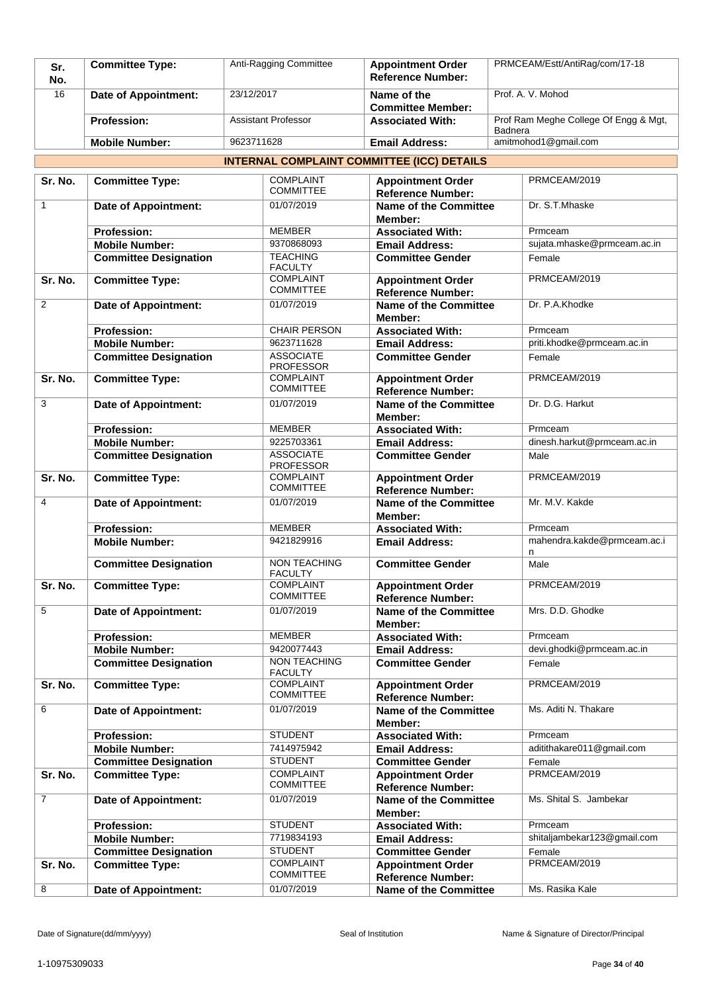| Sr.<br>No. | <b>Committee Type:</b> | Anti-Ragging Committee     | <b>Appointment Order</b><br><b>Reference Number:</b> | PRMCEAM/Estt/AntiRag/com/17-18                   |
|------------|------------------------|----------------------------|------------------------------------------------------|--------------------------------------------------|
| 16         | Date of Appointment:   | 23/12/2017                 | Name of the<br><b>Committee Member:</b>              | Prof. A. V. Mohod                                |
|            | <b>Profession:</b>     | <b>Assistant Professor</b> | <b>Associated With:</b>                              | Prof Ram Meghe College Of Engg & Mgt,<br>Badnera |
|            | <b>Mobile Number:</b>  | 9623711628                 | <b>Email Address:</b>                                | amitmohod1@gmail.com                             |

### **INTERNAL COMPLAINT COMMITTEE (ICC) DETAILS**

| Sr. No.        | <b>Committee Type:</b>       | <b>COMPLAINT</b><br><b>COMMITTEE</b>  | <b>Appointment Order</b>                                 | PRMCEAM/2019                     |
|----------------|------------------------------|---------------------------------------|----------------------------------------------------------|----------------------------------|
| $\mathbf{1}$   | <b>Date of Appointment:</b>  | 01/07/2019                            | <b>Reference Number:</b><br><b>Name of the Committee</b> | Dr. S.T.Mhaske                   |
|                |                              |                                       | Member:                                                  |                                  |
|                | <b>Profession:</b>           | <b>MEMBER</b>                         | <b>Associated With:</b>                                  | Prmceam                          |
|                | <b>Mobile Number:</b>        | 9370868093                            | <b>Email Address:</b>                                    | sujata.mhaske@prmceam.ac.in      |
|                | <b>Committee Designation</b> | <b>TEACHING</b><br><b>FACULTY</b>     | <b>Committee Gender</b>                                  | Female                           |
| Sr. No.        | <b>Committee Type:</b>       | <b>COMPLAINT</b><br><b>COMMITTEE</b>  | <b>Appointment Order</b><br><b>Reference Number:</b>     | PRMCEAM/2019                     |
| $\overline{2}$ | <b>Date of Appointment:</b>  | 01/07/2019                            | Name of the Committee<br>Member:                         | Dr. P.A.Khodke                   |
|                | <b>Profession:</b>           | <b>CHAIR PERSON</b>                   | <b>Associated With:</b>                                  | Prmceam                          |
|                | <b>Mobile Number:</b>        | 9623711628                            | <b>Email Address:</b>                                    | priti.khodke@prmceam.ac.in       |
|                | <b>Committee Designation</b> | <b>ASSOCIATE</b><br><b>PROFESSOR</b>  | <b>Committee Gender</b>                                  | Female                           |
| Sr. No.        | <b>Committee Type:</b>       | <b>COMPLAINT</b><br><b>COMMITTEE</b>  | <b>Appointment Order</b><br><b>Reference Number:</b>     | PRMCEAM/2019                     |
| 3              | <b>Date of Appointment:</b>  | 01/07/2019                            | Name of the Committee<br>Member:                         | Dr. D.G. Harkut                  |
|                | <b>Profession:</b>           | <b>MEMBER</b>                         | <b>Associated With:</b>                                  | Prmceam                          |
|                | <b>Mobile Number:</b>        | 9225703361                            | <b>Email Address:</b>                                    | dinesh.harkut@prmceam.ac.in      |
|                | <b>Committee Designation</b> | <b>ASSOCIATE</b><br><b>PROFESSOR</b>  | <b>Committee Gender</b>                                  | Male                             |
| Sr. No.        | <b>Committee Type:</b>       | <b>COMPLAINT</b><br><b>COMMITTEE</b>  | <b>Appointment Order</b><br><b>Reference Number:</b>     | PRMCEAM/2019                     |
| 4              | <b>Date of Appointment:</b>  | 01/07/2019                            | <b>Name of the Committee</b><br>Member:                  | Mr. M.V. Kakde                   |
|                | <b>Profession:</b>           | <b>MEMBER</b>                         | <b>Associated With:</b>                                  | Prmceam                          |
|                | <b>Mobile Number:</b>        | 9421829916                            | <b>Email Address:</b>                                    | mahendra.kakde@prmceam.ac.i<br>n |
|                | <b>Committee Designation</b> | <b>NON TEACHING</b><br><b>FACULTY</b> | <b>Committee Gender</b>                                  | Male                             |
| Sr. No.        | <b>Committee Type:</b>       | <b>COMPLAINT</b><br><b>COMMITTEE</b>  | <b>Appointment Order</b><br><b>Reference Number:</b>     | PRMCEAM/2019                     |
| 5              | Date of Appointment:         | 01/07/2019                            | <b>Name of the Committee</b><br>Member:                  | Mrs. D.D. Ghodke                 |
|                | <b>Profession:</b>           | <b>MEMBER</b>                         | <b>Associated With:</b>                                  | Prmceam                          |
|                | <b>Mobile Number:</b>        | 9420077443                            | <b>Email Address:</b>                                    | devi.ghodki@prmceam.ac.in        |
|                | <b>Committee Designation</b> | <b>NON TEACHING</b><br><b>FACULTY</b> | <b>Committee Gender</b>                                  | Female                           |
| Sr. No.        | <b>Committee Type:</b>       | <b>COMPLAINT</b><br><b>COMMITTEE</b>  | <b>Appointment Order</b><br><b>Reference Number:</b>     | PRMCEAM/2019                     |
| 6              | <b>Date of Appointment:</b>  | 01/07/2019                            | <b>Name of the Committee</b><br>Member:                  | Ms. Aditi N. Thakare             |
|                | <b>Profession:</b>           | <b>STUDENT</b>                        | <b>Associated With:</b>                                  | Prmceam                          |
|                | <b>Mobile Number:</b>        | 7414975942                            | <b>Email Address:</b>                                    | aditithakare011@gmail.com        |
|                | <b>Committee Designation</b> | <b>STUDENT</b>                        | <b>Committee Gender</b>                                  | Female                           |
| Sr. No.        | <b>Committee Type:</b>       | <b>COMPLAINT</b>                      | <b>Appointment Order</b>                                 | PRMCEAM/2019                     |
|                |                              | <b>COMMITTEE</b>                      | <b>Reference Number:</b>                                 |                                  |
| $\overline{7}$ | Date of Appointment:         | 01/07/2019                            | <b>Name of the Committee</b><br>Member:                  | Ms. Shital S. Jambekar           |
|                | <b>Profession:</b>           | <b>STUDENT</b>                        | <b>Associated With:</b>                                  | Prmceam                          |
|                | <b>Mobile Number:</b>        | 7719834193                            | <b>Email Address:</b>                                    | shitaljambekar123@gmail.com      |
|                | <b>Committee Designation</b> | <b>STUDENT</b>                        | <b>Committee Gender</b>                                  | Female                           |
| Sr. No.        | <b>Committee Type:</b>       | <b>COMPLAINT</b><br><b>COMMITTEE</b>  | <b>Appointment Order</b><br><b>Reference Number:</b>     | PRMCEAM/2019                     |
| 8              | <b>Date of Appointment:</b>  | 01/07/2019                            | <b>Name of the Committee</b>                             | Ms. Rasika Kale                  |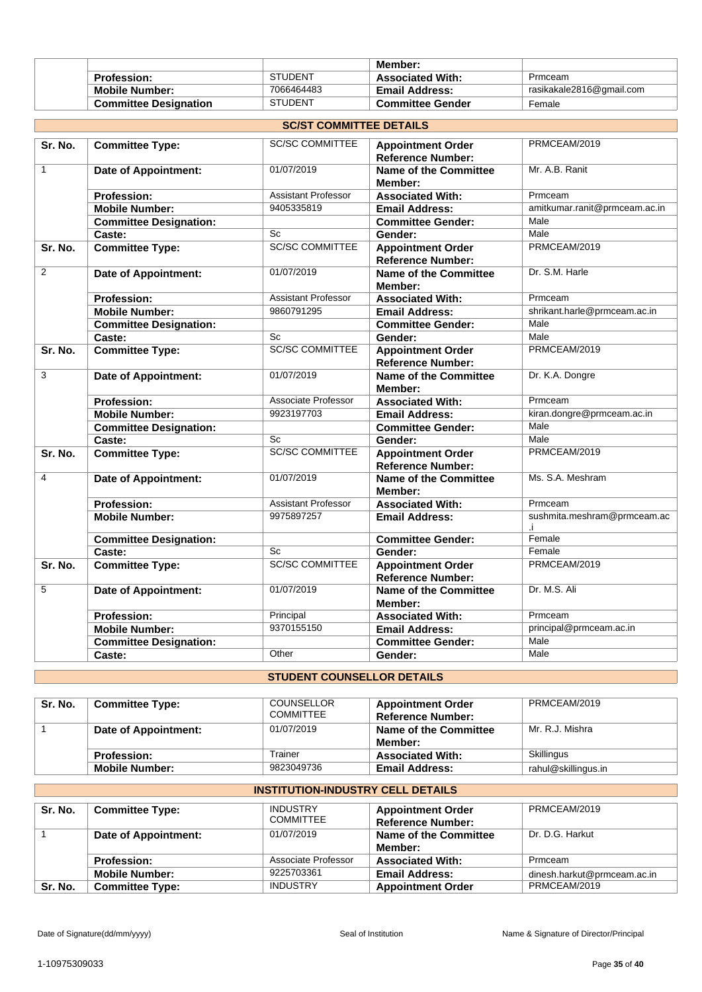|                              |                | Member:                 |                          |
|------------------------------|----------------|-------------------------|--------------------------|
| <b>Profession:</b>           | <b>STUDENT</b> | <b>Associated With:</b> | Prmceam                  |
| <b>Mobile Number:</b>        | 7066464483     | <b>Email Address:</b>   | rasikakale2816@gmail.com |
| <b>Committee Designation</b> | <b>STUDENT</b> | <b>Committee Gender</b> | Female                   |

|              | <b>SC/ST COMMITTEE DETAILS</b> |                            |                                                      |                                   |  |
|--------------|--------------------------------|----------------------------|------------------------------------------------------|-----------------------------------|--|
| Sr. No.      | <b>Committee Type:</b>         | <b>SC/SC COMMITTEE</b>     | <b>Appointment Order</b><br><b>Reference Number:</b> | PRMCEAM/2019                      |  |
| $\mathbf{1}$ | <b>Date of Appointment:</b>    | 01/07/2019                 | <b>Name of the Committee</b><br>Member:              | Mr. A.B. Ranit                    |  |
|              | <b>Profession:</b>             | Assistant Professor        | <b>Associated With:</b>                              | Prmceam                           |  |
|              | <b>Mobile Number:</b>          | 9405335819                 | <b>Email Address:</b>                                | amitkumar.ranit@prmceam.ac.in     |  |
|              | <b>Committee Designation:</b>  |                            | <b>Committee Gender:</b>                             | Male                              |  |
|              | Caste:                         | Sc                         | Gender:                                              | Male                              |  |
| Sr. No.      | <b>Committee Type:</b>         | <b>SC/SC COMMITTEE</b>     | <b>Appointment Order</b><br><b>Reference Number:</b> | PRMCEAM/2019                      |  |
| 2            | Date of Appointment:           | 01/07/2019                 | <b>Name of the Committee</b><br>Member:              | Dr. S.M. Harle                    |  |
|              | <b>Profession:</b>             | <b>Assistant Professor</b> | <b>Associated With:</b>                              | Prmceam                           |  |
|              | <b>Mobile Number:</b>          | 9860791295                 | <b>Email Address:</b>                                | shrikant.harle@prmceam.ac.in      |  |
|              | <b>Committee Designation:</b>  |                            | <b>Committee Gender:</b>                             | Male                              |  |
|              | Caste:                         | Sc                         | Gender:                                              | Male                              |  |
| Sr. No.      | <b>Committee Type:</b>         | <b>SC/SC COMMITTEE</b>     | <b>Appointment Order</b><br><b>Reference Number:</b> | PRMCEAM/2019                      |  |
| 3            | <b>Date of Appointment:</b>    | 01/07/2019                 | <b>Name of the Committee</b><br>Member:              | Dr. K.A. Dongre                   |  |
|              | <b>Profession:</b>             | Associate Professor        | <b>Associated With:</b>                              | Prmceam                           |  |
|              | <b>Mobile Number:</b>          | 9923197703                 | <b>Email Address:</b>                                | kiran.dongre@prmceam.ac.in        |  |
|              | <b>Committee Designation:</b>  |                            | <b>Committee Gender:</b>                             | Male                              |  |
|              | Caste:                         | Sc                         | Gender:                                              | Male                              |  |
| Sr. No.      | <b>Committee Type:</b>         | <b>SC/SC COMMITTEE</b>     | <b>Appointment Order</b><br><b>Reference Number:</b> | PRMCEAM/2019                      |  |
| 4            | <b>Date of Appointment:</b>    | 01/07/2019                 | <b>Name of the Committee</b><br>Member:              | Ms. S.A. Meshram                  |  |
|              | <b>Profession:</b>             | <b>Assistant Professor</b> | <b>Associated With:</b>                              | Prmceam                           |  |
|              | <b>Mobile Number:</b>          | 9975897257                 | <b>Email Address:</b>                                | sushmita.meshram@prmceam.ac<br>Ĵ. |  |
|              | <b>Committee Designation:</b>  |                            | <b>Committee Gender:</b>                             | Female                            |  |
|              | Caste:                         | Sc                         | Gender:                                              | Female                            |  |
| Sr. No.      | <b>Committee Type:</b>         | <b>SC/SC COMMITTEE</b>     | <b>Appointment Order</b><br><b>Reference Number:</b> | PRMCEAM/2019                      |  |
| 5            | <b>Date of Appointment:</b>    | 01/07/2019                 | Name of the Committee<br>Member:                     | Dr. M.S. Ali                      |  |
|              | <b>Profession:</b>             | Principal                  | <b>Associated With:</b>                              | Prmceam                           |  |
|              | <b>Mobile Number:</b>          | 9370155150                 | <b>Email Address:</b>                                | principal@prmceam.ac.in           |  |
|              | <b>Committee Designation:</b>  |                            | <b>Committee Gender:</b>                             | Male                              |  |
|              | Caste:                         | Other                      | Gender:                                              | Male                              |  |

# **STUDENT COUNSELLOR DETAILS**

| Sr. No. | <b>Committee Type:</b> | <b>COUNSELLOR</b><br><b>COMMITTEE</b> | <b>Appointment Order</b><br><b>Reference Number:</b> | PRMCEAM/2019        |
|---------|------------------------|---------------------------------------|------------------------------------------------------|---------------------|
|         | Date of Appointment:   | 01/07/2019                            | Name of the Committee<br>Member:                     | Mr. R.J. Mishra     |
|         | <b>Profession:</b>     | Trainer                               | <b>Associated With:</b>                              | Skillingus          |
|         | <b>Mobile Number:</b>  | 9823049736                            | <b>Email Address:</b>                                | rahul@skillingus.in |

#### **INSTITUTION-INDUSTRY CELL DETAILS Sr. No. Committee Type:** INDUSTRY COMMITTEE **Appointment Order Reference Number:** PRMCEAM/2019 1 **Date of Appointment:** 01/07/2019 **Name of the Committee Member:** Dr. D.G. Harkut **Profession:** Associate Professor **Associated With:** Prmceam<br> **Mobile Number:** 9225703361 **Email Address:** dinesh.ha **Mobile 19225703361 Email Address:** dinesh.harkut@prmceam.ac.in<br>INDUSTRY Appointment Order PRMCEAM/2019 **Sr. No. | Committee Type:** INDUSTRY **Appointment Order**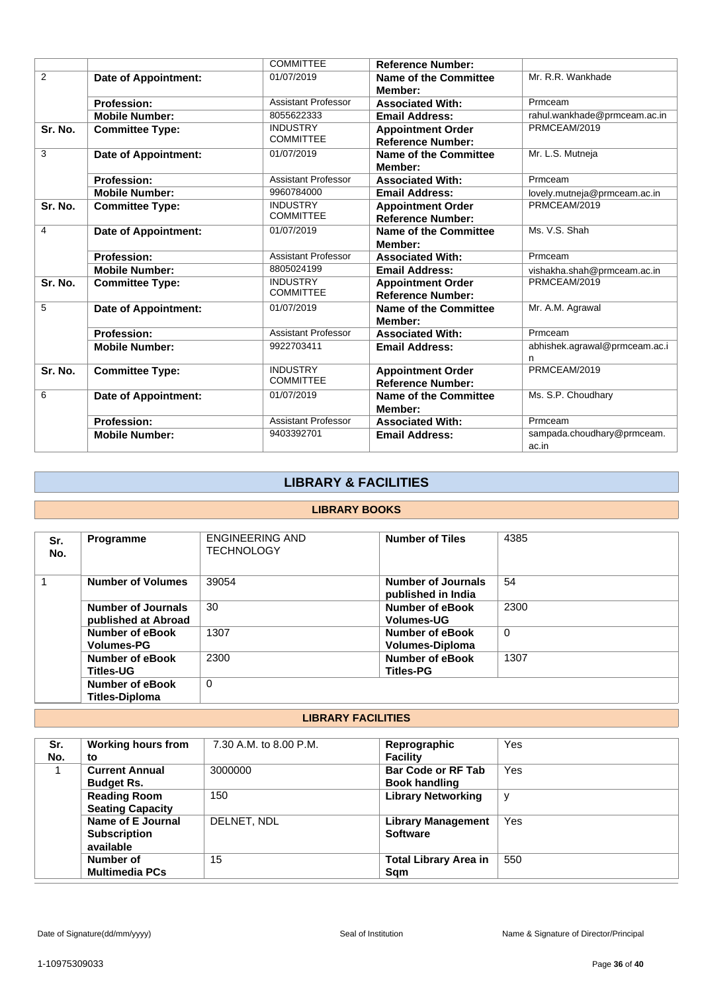|         |                             | <b>COMMITTEE</b>                    | <b>Reference Number:</b>                             |                                     |
|---------|-----------------------------|-------------------------------------|------------------------------------------------------|-------------------------------------|
| 2       | <b>Date of Appointment:</b> | 01/07/2019                          | Name of the Committee<br>Member:                     | Mr. R.R. Wankhade                   |
|         | <b>Profession:</b>          | <b>Assistant Professor</b>          | <b>Associated With:</b>                              | Prmceam                             |
|         | <b>Mobile Number:</b>       | 8055622333                          | <b>Email Address:</b>                                | rahul.wankhade@prmceam.ac.in        |
| Sr. No. | <b>Committee Type:</b>      | <b>INDUSTRY</b><br><b>COMMITTEE</b> | <b>Appointment Order</b><br><b>Reference Number:</b> | PRMCEAM/2019                        |
| 3       | Date of Appointment:        | 01/07/2019                          | Name of the Committee<br>Member:                     | Mr. L.S. Mutneja                    |
|         | <b>Profession:</b>          | <b>Assistant Professor</b>          | <b>Associated With:</b>                              | Prmceam                             |
|         | <b>Mobile Number:</b>       | 9960784000                          | <b>Email Address:</b>                                | lovely.mutneja@prmceam.ac.in        |
| Sr. No. | <b>Committee Type:</b>      | <b>INDUSTRY</b><br><b>COMMITTEE</b> | <b>Appointment Order</b><br><b>Reference Number:</b> | PRMCEAM/2019                        |
| 4       | <b>Date of Appointment:</b> | 01/07/2019                          | Name of the Committee<br>Member:                     | Ms. V.S. Shah                       |
|         | <b>Profession:</b>          | <b>Assistant Professor</b>          | <b>Associated With:</b>                              | Prmceam                             |
|         | <b>Mobile Number:</b>       | 8805024199                          | <b>Email Address:</b>                                | vishakha.shah@prmceam.ac.in         |
| Sr. No. | <b>Committee Type:</b>      | <b>INDUSTRY</b><br><b>COMMITTEE</b> | <b>Appointment Order</b><br><b>Reference Number:</b> | PRMCEAM/2019                        |
| 5       | <b>Date of Appointment:</b> | 01/07/2019                          | Name of the Committee<br>Member:                     | Mr. A.M. Agrawal                    |
|         | <b>Profession:</b>          | Assistant Professor                 | <b>Associated With:</b>                              | Prmceam                             |
|         | <b>Mobile Number:</b>       | 9922703411                          | <b>Email Address:</b>                                | abhishek.agrawal@prmceam.ac.i<br>n  |
| Sr. No. | <b>Committee Type:</b>      | <b>INDUSTRY</b><br><b>COMMITTEE</b> | <b>Appointment Order</b><br><b>Reference Number:</b> | PRMCEAM/2019                        |
| 6       | Date of Appointment:        | 01/07/2019                          | <b>Name of the Committee</b><br>Member:              | Ms. S.P. Choudhary                  |
|         | <b>Profession:</b>          | <b>Assistant Professor</b>          | <b>Associated With:</b>                              | Prmceam                             |
|         | <b>Mobile Number:</b>       | 9403392701                          | <b>Email Address:</b>                                | sampada.choudhary@prmceam.<br>ac.in |

# **LIBRARY & FACILITIES**

### **LIBRARY BOOKS**

| Sr.<br>No. | <b>Programme</b>                          | <b>ENGINEERING AND</b><br><b>TECHNOLOGY</b> | <b>Number of Tiles</b>                     | 4385     |  |  |
|------------|-------------------------------------------|---------------------------------------------|--------------------------------------------|----------|--|--|
|            | <b>Number of Volumes</b>                  | 39054                                       | Number of Journals<br>published in India   | 54       |  |  |
|            | Number of Journals<br>published at Abroad | 30                                          | Number of eBook<br><b>Volumes-UG</b>       | 2300     |  |  |
|            | Number of eBook<br><b>Volumes-PG</b>      | 1307                                        | Number of eBook<br>Volumes-Diploma         | $\Omega$ |  |  |
|            | Number of eBook<br><b>Titles-UG</b>       | 2300                                        | <b>Number of eBook</b><br><b>Titles-PG</b> | 1307     |  |  |
|            | Number of eBook<br><b>Titles-Diploma</b>  | $\Omega$                                    |                                            |          |  |  |
|            |                                           |                                             |                                            |          |  |  |

### **LIBRARY FACILITIES**

| Sr.<br>No. | <b>Working hours from</b><br>to                       | 7.30 A.M. to 8.00 P.M. | Reprographic<br><b>Facility</b>                   | Yes |
|------------|-------------------------------------------------------|------------------------|---------------------------------------------------|-----|
|            | <b>Current Annual</b><br><b>Budget Rs.</b>            | 3000000                | <b>Bar Code or RF Tab</b><br><b>Book handling</b> | Yes |
|            | <b>Reading Room</b><br><b>Seating Capacity</b>        | 150                    | <b>Library Networking</b>                         | v   |
|            | Name of E Journal<br><b>Subscription</b><br>available | DELNET. NDL            | <b>Library Management</b><br><b>Software</b>      | Yes |
|            | Number of<br><b>Multimedia PCs</b>                    | 15                     | <b>Total Library Area in</b><br>Sqm               | 550 |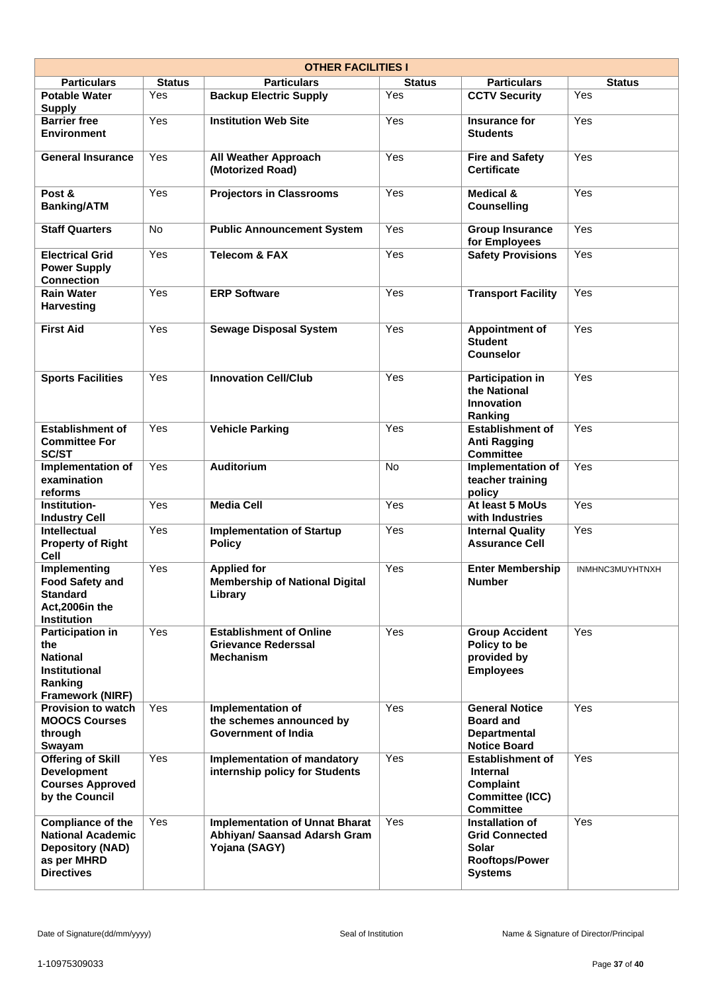|                                                                                                                 |               | <b>OTHER FACILITIES I</b>                                                              |               |                                                                                                       |                 |
|-----------------------------------------------------------------------------------------------------------------|---------------|----------------------------------------------------------------------------------------|---------------|-------------------------------------------------------------------------------------------------------|-----------------|
| <b>Particulars</b>                                                                                              | <b>Status</b> | <b>Particulars</b>                                                                     | <b>Status</b> | <b>Particulars</b>                                                                                    | <b>Status</b>   |
| <b>Potable Water</b><br><b>Supply</b>                                                                           | Yes           | <b>Backup Electric Supply</b>                                                          | Yes           | <b>CCTV Security</b>                                                                                  | Yes             |
| <b>Barrier free</b><br><b>Environment</b>                                                                       | Yes           | <b>Institution Web Site</b>                                                            | Yes           | <b>Insurance for</b><br><b>Students</b>                                                               | Yes             |
| <b>General Insurance</b>                                                                                        | Yes           | <b>All Weather Approach</b><br>(Motorized Road)                                        | Yes           | <b>Fire and Safety</b><br><b>Certificate</b>                                                          | Yes             |
| Post &<br><b>Banking/ATM</b>                                                                                    | Yes           | <b>Projectors in Classrooms</b>                                                        | Yes           | <b>Medical &amp;</b><br><b>Counselling</b>                                                            | Yes             |
| <b>Staff Quarters</b>                                                                                           | No            | <b>Public Announcement System</b>                                                      | Yes           | <b>Group Insurance</b><br>for Employees                                                               | Yes             |
| <b>Electrical Grid</b><br><b>Power Supply</b><br><b>Connection</b>                                              | Yes           | <b>Telecom &amp; FAX</b>                                                               | Yes           | <b>Safety Provisions</b>                                                                              | Yes             |
| <b>Rain Water</b><br><b>Harvesting</b>                                                                          | Yes           | <b>ERP Software</b>                                                                    | Yes           | <b>Transport Facility</b>                                                                             | Yes             |
| <b>First Aid</b>                                                                                                | Yes           | <b>Sewage Disposal System</b>                                                          | Yes           | <b>Appointment of</b><br><b>Student</b><br><b>Counselor</b>                                           | Yes             |
| <b>Sports Facilities</b>                                                                                        | Yes           | <b>Innovation Cell/Club</b>                                                            | Yes           | <b>Participation in</b><br>the National<br><b>Innovation</b><br>Ranking                               | Yes             |
| <b>Establishment of</b><br><b>Committee For</b><br><b>SC/ST</b>                                                 | Yes           | <b>Vehicle Parking</b>                                                                 | Yes           | <b>Establishment of</b><br><b>Anti Ragging</b><br><b>Committee</b>                                    | Yes             |
| Implementation of<br>examination<br>reforms                                                                     | Yes           | <b>Auditorium</b>                                                                      | No.           | Implementation of<br>teacher training<br>policy                                                       | Yes             |
| <b>Institution-</b><br><b>Industry Cell</b>                                                                     | Yes           | <b>Media Cell</b>                                                                      | Yes           | At least 5 MoUs<br>with Industries                                                                    | Yes             |
| Intellectual<br><b>Property of Right</b><br><b>Cell</b>                                                         | Yes           | <b>Implementation of Startup</b><br><b>Policy</b>                                      | Yes           | <b>Internal Quality</b><br><b>Assurance Cell</b>                                                      | Yes             |
| Implementing<br><b>Food Safety and</b><br><b>Standard</b><br>Act, 2006in the<br><b>Institution</b>              | Yes           | <b>Applied for</b><br><b>Membership of National Digital</b><br>Library                 | Yes           | <b>Enter Membership</b><br><b>Number</b>                                                              | INMHNC3MUYHTNXH |
| <b>Participation in</b><br>the<br><b>National</b><br><b>Institutional</b><br>Ranking<br><b>Framework (NIRF)</b> | <b>Yes</b>    | <b>Establishment of Online</b><br><b>Grievance Rederssal</b><br><b>Mechanism</b>       | Yes           | <b>Group Accident</b><br>Policy to be<br>provided by<br><b>Employees</b>                              | Yes             |
| <b>Provision to watch</b><br><b>MOOCS Courses</b><br>through<br>Swayam                                          | Yes           | Implementation of<br>the schemes announced by<br><b>Government of India</b>            | Yes           | <b>General Notice</b><br><b>Board and</b><br><b>Departmental</b><br><b>Notice Board</b>               | Yes             |
| <b>Offering of Skill</b><br><b>Development</b><br><b>Courses Approved</b><br>by the Council                     | Yes           | Implementation of mandatory<br>internship policy for Students                          | Yes           | <b>Establishment of</b><br><b>Internal</b><br><b>Complaint</b><br>Committee (ICC)<br><b>Committee</b> | Yes             |
| Compliance of the<br><b>National Academic</b><br><b>Depository (NAD)</b><br>as per MHRD<br><b>Directives</b>    | Yes           | <b>Implementation of Unnat Bharat</b><br>Abhiyan/ Saansad Adarsh Gram<br>Yojana (SAGY) | Yes           | Installation of<br><b>Grid Connected</b><br><b>Solar</b><br>Rooftops/Power<br><b>Systems</b>          | Yes             |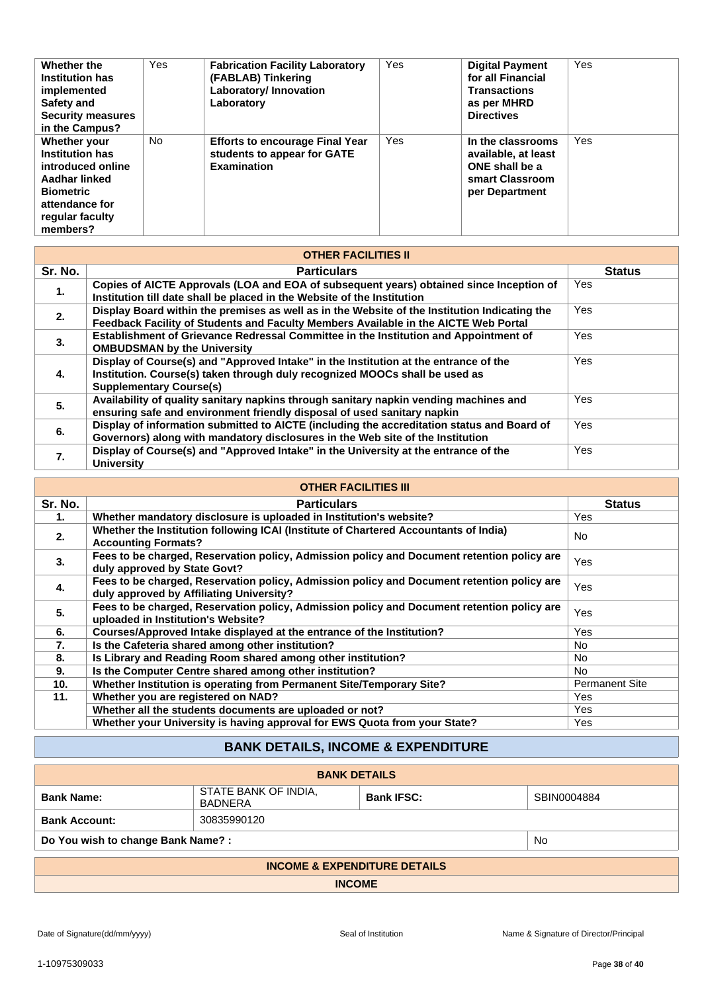| Whether the              | Yes | <b>Fabrication Facility Laboratory</b> | Yes | <b>Digital Payment</b> | <b>Yes</b> |
|--------------------------|-----|----------------------------------------|-----|------------------------|------------|
| <b>Institution has</b>   |     | (FABLAB) Tinkering                     |     | for all Financial      |            |
| implemented              |     | Laboratory/ Innovation                 |     | <b>Transactions</b>    |            |
| Safety and               |     | Laboratory                             |     | as per MHRD            |            |
| <b>Security measures</b> |     |                                        |     | <b>Directives</b>      |            |
| in the Campus?           |     |                                        |     |                        |            |
| Whether your             | No. | <b>Efforts to encourage Final Year</b> | Yes | In the classrooms      | <b>Yes</b> |
| <b>Institution has</b>   |     | students to appear for GATE            |     | available, at least    |            |
| introduced online        |     | <b>Examination</b>                     |     | ONE shall be a         |            |
| Aadhar linked            |     |                                        |     | smart Classroom        |            |
| <b>Biometric</b>         |     |                                        |     | per Department         |            |
| attendance for           |     |                                        |     |                        |            |
| regular faculty          |     |                                        |     |                        |            |
| members?                 |     |                                        |     |                        |            |

|         | <b>OTHER FACILITIES II</b>                                                                                                                                                                            |               |
|---------|-------------------------------------------------------------------------------------------------------------------------------------------------------------------------------------------------------|---------------|
| Sr. No. | <b>Particulars</b>                                                                                                                                                                                    | <b>Status</b> |
| 1.      | Copies of AICTE Approvals (LOA and EOA of subsequent years) obtained since Inception of<br>Institution till date shall be placed in the Website of the Institution                                    | Yes           |
| 2.      | Display Board within the premises as well as in the Website of the Institution Indicating the<br>Feedback Facility of Students and Faculty Members Available in the AICTE Web Portal                  | Yes           |
| 3.      | Establishment of Grievance Redressal Committee in the Institution and Appointment of<br><b>OMBUDSMAN by the University</b>                                                                            | Yes           |
| 4.      | Display of Course(s) and "Approved Intake" in the Institution at the entrance of the<br>Institution. Course(s) taken through duly recognized MOOCs shall be used as<br><b>Supplementary Course(s)</b> | Yes           |
| 5.      | Availability of quality sanitary napkins through sanitary napkin vending machines and<br>ensuring safe and environment friendly disposal of used sanitary napkin                                      | <b>Yes</b>    |
| 6.      | Display of information submitted to AICTE (including the accreditation status and Board of<br>Governors) along with mandatory disclosures in the Web site of the Institution                          | Yes           |
| 7.      | Display of Course(s) and "Approved Intake" in the University at the entrance of the<br><b>University</b>                                                                                              | Yes           |

### **OTHER FACILITIES III**

|                 | . <del>.</del>                                                                                                                         |                       |
|-----------------|----------------------------------------------------------------------------------------------------------------------------------------|-----------------------|
| Sr. No.         | <b>Particulars</b>                                                                                                                     | <b>Status</b>         |
| 1.              | Whether mandatory disclosure is uploaded in Institution's website?                                                                     | Yes.                  |
| 2.              | Whether the Institution following ICAI (Institute of Chartered Accountants of India)<br><b>Accounting Formats?</b>                     | No.                   |
| 3.              | Fees to be charged, Reservation policy, Admission policy and Document retention policy are<br>duly approved by State Govt?             | Yes                   |
| 4.              | Fees to be charged, Reservation policy, Admission policy and Document retention policy are<br>duly approved by Affiliating University? | Yes                   |
| 5.              | Fees to be charged, Reservation policy, Admission policy and Document retention policy are<br>uploaded in Institution's Website?       | Yes                   |
| 6.              | Courses/Approved Intake displayed at the entrance of the Institution?                                                                  | Yes                   |
| 7.              | Is the Cafeteria shared among other institution?                                                                                       | No.                   |
| 8.              | Is Library and Reading Room shared among other institution?                                                                            | No.                   |
| 9.              | Is the Computer Centre shared among other institution?                                                                                 | No.                   |
| 10 <sub>1</sub> | Whether Institution is operating from Permanent Site/Temporary Site?                                                                   | <b>Permanent Site</b> |
| 11.             | Whether you are registered on NAD?                                                                                                     | Yes.                  |
|                 | Whether all the students documents are uploaded or not?                                                                                | Yes.                  |
|                 | Whether your University is having approval for EWS Quota from your State?                                                              | Yes                   |

# **BANK DETAILS, INCOME & EXPENDITURE**

|                                   |                                 | <b>BANK DETAILS</b>            |             |
|-----------------------------------|---------------------------------|--------------------------------|-------------|
| <b>Bank Name:</b>                 | STATE BANK OF INDIA,<br>BADNERA | <b>Bank IFSC:</b>              | SBIN0004884 |
| <b>Bank Account:</b>              | 30835990120                     |                                |             |
| Do You wish to change Bank Name?: |                                 |                                | No          |
|                                   |                                 | BLOOME & EVBELIGITUDE BETAIL O |             |

#### **INCOME & EXPENDITURE DETAILS**

**INCOME**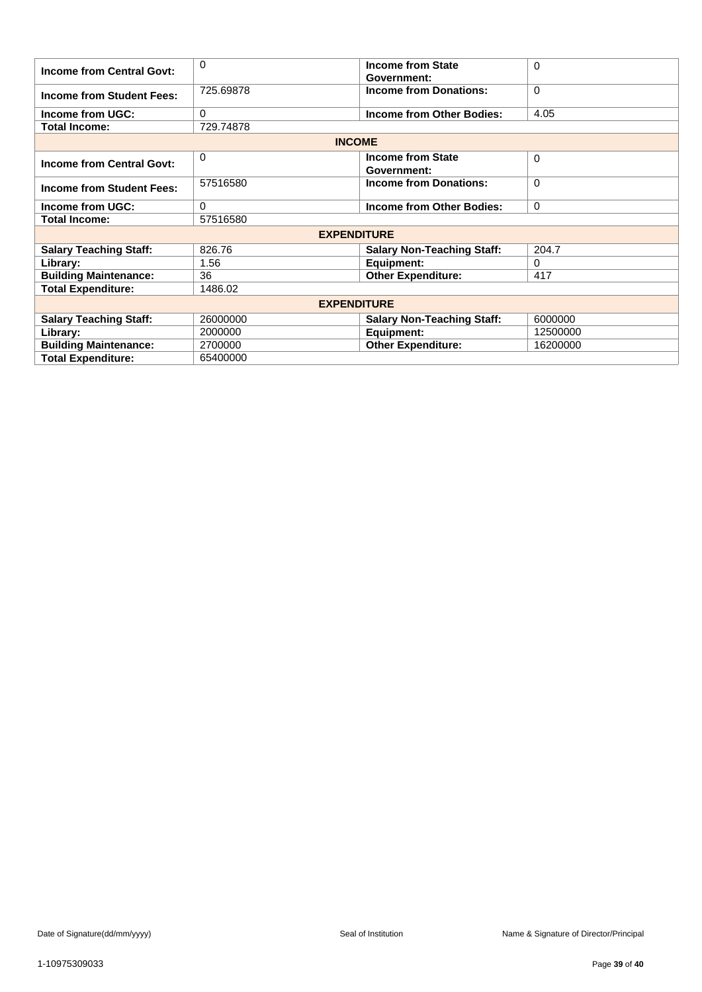| <b>Income from Central Govt:</b> | $\Omega$           | <b>Income from State</b><br>Government: | $\Omega$ |
|----------------------------------|--------------------|-----------------------------------------|----------|
| <b>Income from Student Fees:</b> | 725.69878          | <b>Income from Donations:</b>           | $\Omega$ |
| <b>Income from UGC:</b>          | 0                  | Income from Other Bodies:               | 4.05     |
| <b>Total Income:</b>             | 729.74878          |                                         |          |
|                                  | <b>INCOME</b>      |                                         |          |
| <b>Income from Central Govt:</b> | 0                  | <b>Income from State</b><br>Government: | $\Omega$ |
| <b>Income from Student Fees:</b> | 57516580           | <b>Income from Donations:</b>           | $\Omega$ |
| Income from UGC:                 | $\Omega$           | <b>Income from Other Bodies:</b>        | $\Omega$ |
| <b>Total Income:</b>             | 57516580           |                                         |          |
|                                  | <b>EXPENDITURE</b> |                                         |          |
| <b>Salary Teaching Staff:</b>    | 826.76             | <b>Salary Non-Teaching Staff:</b>       | 204.7    |
| Library:                         | 1.56               | Equipment:                              | $\Omega$ |
| <b>Building Maintenance:</b>     | 36                 | <b>Other Expenditure:</b>               | 417      |
| <b>Total Expenditure:</b>        | 1486.02            |                                         |          |
|                                  | <b>EXPENDITURE</b> |                                         |          |
| <b>Salary Teaching Staff:</b>    | 26000000           | <b>Salary Non-Teaching Staff:</b>       | 6000000  |
| Library:                         | 2000000            | Equipment:                              | 12500000 |
| <b>Building Maintenance:</b>     | 2700000            | <b>Other Expenditure:</b>               | 16200000 |
| <b>Total Expenditure:</b>        | 65400000           |                                         |          |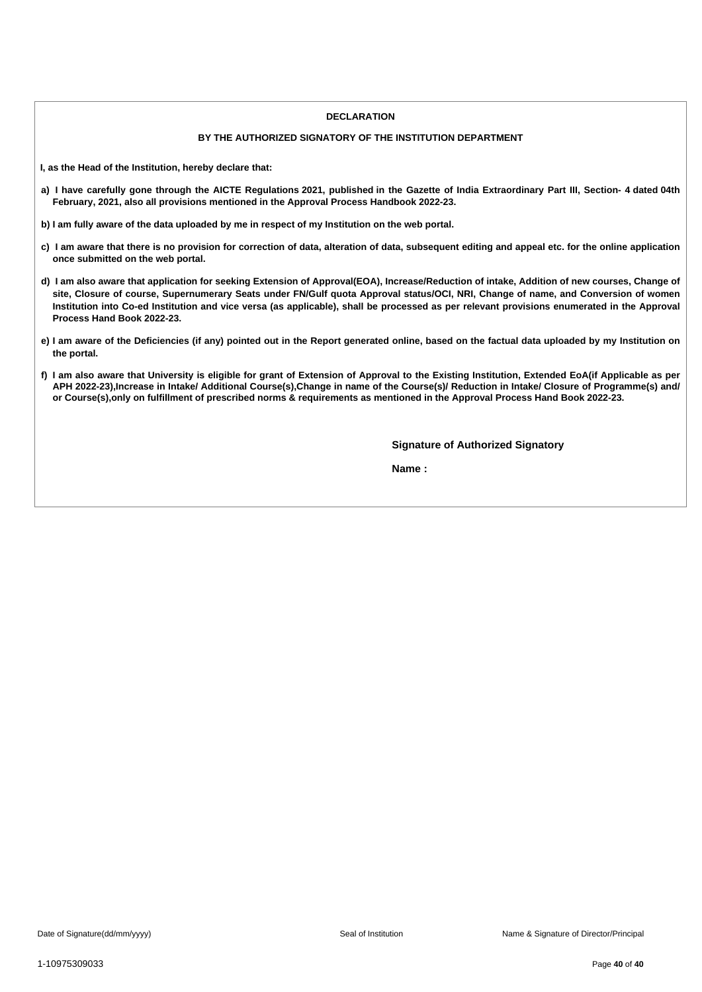#### **DECLARATION**

### **BY THE AUTHORIZED SIGNATORY OF THE INSTITUTION DEPARTMENT**

**I, as the Head of the Institution, hereby declare that:**

- a) I have carefully gone through the AICTE Regulations 2021, published in the Gazette of India Extraordinary Part III, Section- 4 dated 04th **February, 2021, also all provisions mentioned in the Approval Process Handbook 2022-23.**
- b) I am fully aware of the data uploaded by me in respect of my Institution on the web portal.
- c) I am aware that there is no provision for correction of data, alteration of data, subsequent editing and appeal etc. for the online application **once submitted on the web portal.**
- d) I am also aware that application for seeking Extension of Approval(EOA), Increase/Reduction of intake, Addition of new courses, Change of site, Closure of course, Supernumerary Seats under FN/Gulf quota Approval status/OCI, NRI, Change of name, and Conversion of women Institution into Co-ed Institution and vice versa (as applicable), shall be processed as per relevant provisions enumerated in the Approval **Process Hand Book 2022-23.**
- e) I am aware of the Deficiencies (if any) pointed out in the Report generated online, based on the factual data uploaded by my Institution on **the portal.**
- f) I am also aware that University is eligible for grant of Extension of Approval to the Existing Institution, Extended EoA(if Applicable as per APH 2022-23), Increase in Intake/ Additional Course(s), Change in name of the Course(s)/ Reduction in Intake/ Closure of Programme(s) and/ or Course(s), only on fulfillment of prescribed norms & requirements as mentioned in the Approval Process Hand Book 2022-23.

**Signature of Authorized Signatory**

**Name :**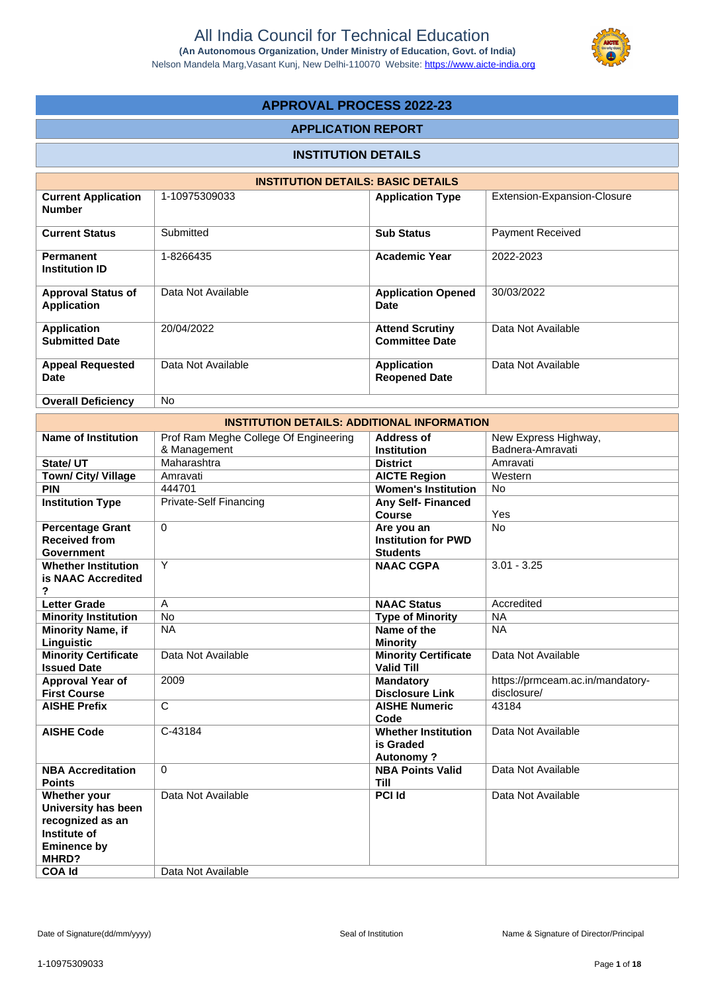

# **APPROVAL PROCESS 2022-23**

### **APPLICATION REPORT**

# **INSTITUTION DETAILS**

|                                                 | <b>INSTITUTION DETAILS: BASIC DETAILS</b> |                                                 |                             |
|-------------------------------------------------|-------------------------------------------|-------------------------------------------------|-----------------------------|
| <b>Current Application</b><br><b>Number</b>     | 1-10975309033                             | <b>Application Type</b>                         | Extension-Expansion-Closure |
| <b>Current Status</b>                           | Submitted                                 | <b>Sub Status</b>                               | <b>Payment Received</b>     |
| <b>Permanent</b><br><b>Institution ID</b>       | 1-8266435                                 | <b>Academic Year</b>                            | 2022-2023                   |
| <b>Approval Status of</b><br><b>Application</b> | Data Not Available                        | <b>Application Opened</b><br>Date               | 30/03/2022                  |
| <b>Application</b><br><b>Submitted Date</b>     | 20/04/2022                                | <b>Attend Scrutiny</b><br><b>Committee Date</b> | Data Not Available          |
| <b>Appeal Requested</b><br><b>Date</b>          | Data Not Available                        | <b>Application</b><br><b>Reopened Date</b>      | Data Not Available          |
| <b>Overall Deficiency</b>                       | No.                                       |                                                 |                             |

|                                                   | <b>INSTITUTION DETAILS: ADDITIONAL INFORMATION</b> |                                                  |                                  |
|---------------------------------------------------|----------------------------------------------------|--------------------------------------------------|----------------------------------|
| <b>Name of Institution</b>                        | Prof Ram Meghe College Of Engineering              | <b>Address of</b>                                | New Express Highway,             |
|                                                   | & Management                                       | <b>Institution</b>                               | Badnera-Amravati                 |
| State/ UT                                         | Maharashtra                                        | <b>District</b>                                  | Amravati                         |
| Town/ City/ Village                               | Amravati                                           | <b>AICTE Region</b>                              | Western                          |
| <b>PIN</b>                                        | 444701                                             | <b>Women's Institution</b>                       | <b>No</b>                        |
| <b>Institution Type</b>                           | <b>Private-Self Financing</b>                      | Any Self-Financed                                |                                  |
|                                                   |                                                    | Course                                           | Yes                              |
| <b>Percentage Grant</b>                           | $\Omega$                                           | Are you an                                       | <b>No</b>                        |
| <b>Received from</b>                              |                                                    | <b>Institution for PWD</b>                       |                                  |
| <b>Government</b>                                 |                                                    | <b>Students</b>                                  |                                  |
| <b>Whether Institution</b>                        | Y                                                  | <b>NAAC CGPA</b>                                 | $3.01 - 3.25$                    |
| is NAAC Accredited                                |                                                    |                                                  |                                  |
| ?                                                 |                                                    |                                                  |                                  |
| <b>Letter Grade</b>                               | $\overline{A}$                                     | <b>NAAC Status</b>                               | Accredited                       |
| <b>Minority Institution</b>                       | <b>No</b>                                          | <b>Type of Minority</b>                          | <b>NA</b>                        |
| <b>Minority Name, if</b>                          | <b>NA</b>                                          | Name of the                                      | <b>NA</b>                        |
| Linguistic                                        |                                                    | <b>Minority</b>                                  |                                  |
| <b>Minority Certificate</b><br><b>Issued Date</b> | Data Not Available                                 | <b>Minority Certificate</b><br><b>Valid Till</b> | Data Not Available               |
| Approval Year of                                  | 2009                                               | <b>Mandatory</b>                                 | https://prmceam.ac.in/mandatory- |
| <b>First Course</b>                               |                                                    | <b>Disclosure Link</b>                           | disclosure/                      |
| <b>AISHE Prefix</b>                               | $\mathsf{C}$                                       | <b>AISHE Numeric</b>                             | 43184                            |
|                                                   |                                                    | Code                                             |                                  |
| <b>AISHE Code</b>                                 | C-43184                                            | <b>Whether Institution</b>                       | Data Not Available               |
|                                                   |                                                    | is Graded                                        |                                  |
|                                                   |                                                    | <b>Autonomy?</b>                                 |                                  |
| <b>NBA Accreditation</b>                          | $\Omega$                                           | <b>NBA Points Valid</b>                          | Data Not Available               |
| <b>Points</b>                                     |                                                    | <b>Till</b>                                      |                                  |
| Whether your                                      | Data Not Available                                 | <b>PCI Id</b>                                    | Data Not Available               |
| University has been                               |                                                    |                                                  |                                  |
| recognized as an                                  |                                                    |                                                  |                                  |
| Institute of                                      |                                                    |                                                  |                                  |
| <b>Eminence by</b>                                |                                                    |                                                  |                                  |
| MHRD?                                             |                                                    |                                                  |                                  |
| <b>COA Id</b>                                     | Data Not Available                                 |                                                  |                                  |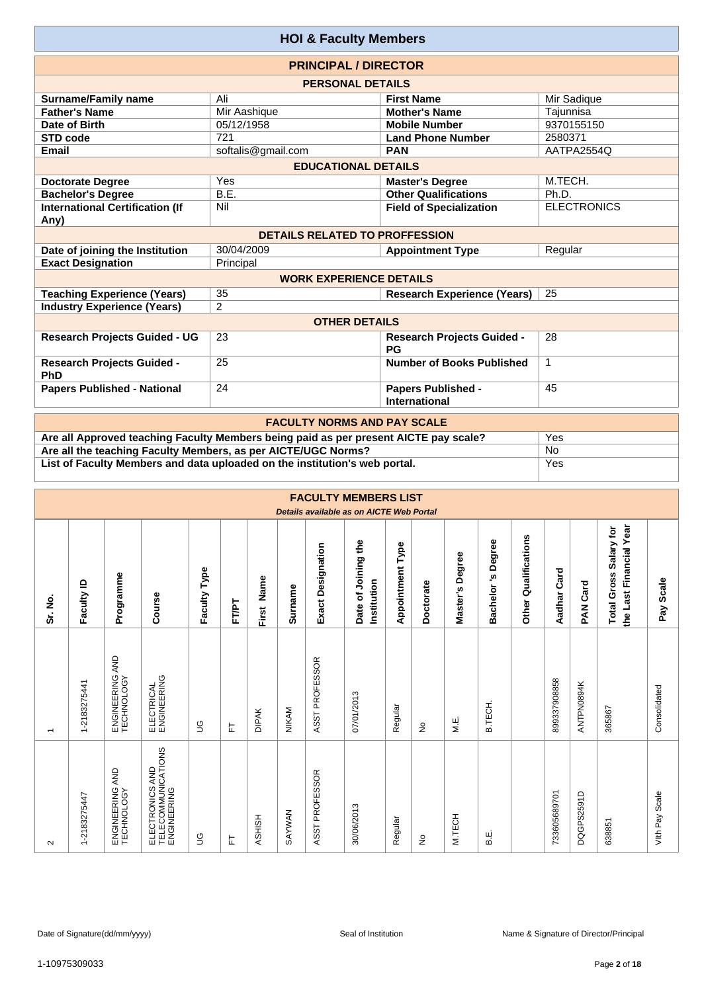|                                                | <b>HOI &amp; Faculty Members</b>      |                                                   |                    |
|------------------------------------------------|---------------------------------------|---------------------------------------------------|--------------------|
|                                                | <b>PRINCIPAL / DIRECTOR</b>           |                                                   |                    |
|                                                | <b>PERSONAL DETAILS</b>               |                                                   |                    |
| <b>Surname/Family name</b>                     | Ali                                   | <b>First Name</b>                                 | Mir Sadique        |
| <b>Father's Name</b>                           | Mir Aashique                          | <b>Mother's Name</b>                              | Tajunnisa          |
| Date of Birth                                  | 05/12/1958                            | <b>Mobile Number</b>                              | 9370155150         |
| <b>STD code</b>                                | 721                                   | <b>Land Phone Number</b>                          | 2580371            |
| <b>Email</b>                                   | softalis@gmail.com                    | <b>PAN</b>                                        | AATPA2554Q         |
|                                                | <b>EDUCATIONAL DETAILS</b>            |                                                   |                    |
| <b>Doctorate Degree</b>                        | Yes                                   | <b>Master's Degree</b>                            | M.TECH.            |
| <b>Bachelor's Degree</b>                       | B.E.                                  | <b>Other Qualifications</b>                       | Ph.D.              |
| <b>International Certification (If</b><br>Any) | Nil                                   | <b>Field of Specialization</b>                    | <b>ELECTRONICS</b> |
|                                                | <b>DETAILS RELATED TO PROFFESSION</b> |                                                   |                    |
| Date of joining the Institution                | 30/04/2009                            | <b>Appointment Type</b>                           | Regular            |
| <b>Exact Designation</b>                       | Principal                             |                                                   |                    |
|                                                | <b>WORK EXPERIENCE DETAILS</b>        |                                                   |                    |
| <b>Teaching Experience (Years)</b>             | 35                                    | <b>Research Experience (Years)</b>                | 25                 |
| <b>Industry Experience (Years)</b>             | 2                                     |                                                   |                    |
|                                                | <b>OTHER DETAILS</b>                  |                                                   |                    |
| <b>Research Projects Guided - UG</b>           | 23                                    | <b>Research Projects Guided -</b><br><b>PG</b>    | 28                 |
| <b>Research Projects Guided -</b><br>PhD       | 25                                    | Number of Books Published                         | $\mathbf 1$        |
| <b>Papers Published - National</b>             | 24                                    | <b>Papers Published -</b><br><b>International</b> | 45                 |
|                                                | <b>EACHLITY NODMS AND DAY SCALE</b>   |                                                   |                    |

| <b>FACULTY NORMS AND PAY SCALE</b>                                                   |     |
|--------------------------------------------------------------------------------------|-----|
| Are all Approved teaching Faculty Members being paid as per present AICTE pay scale? | Yes |
| Are all the teaching Faculty Members, as per AICTE/UGC Norms?                        | No  |
| List of Faculty Members and data uploaded on the institution's web portal.           | Yes |

|                          |                  |                                    |                                                      |              |       |               |         |                          | <b>FACULTY MEMBERS LIST</b><br>Details available as on AICTE Web Portal |                         |               |                    |                          |                         |                |                   |                                                   |                |
|--------------------------|------------------|------------------------------------|------------------------------------------------------|--------------|-------|---------------|---------|--------------------------|-------------------------------------------------------------------------|-------------------------|---------------|--------------------|--------------------------|-------------------------|----------------|-------------------|---------------------------------------------------|----------------|
| Sr. No.                  | Faculty ID       | Programme                          | Course                                               | Faculty Type | FT/PT | Name<br>First | Surname | <b>Exact Designation</b> | Date of Joining the<br>Institution                                      | <b>Appointment Type</b> | Doctorate     | Degree<br>Master's | Degree<br>'n<br>Bachelor | Qualifications<br>Other | Card<br>Aadhar | Card<br><b>NA</b> | the Last Financial Year<br>Total Gross Salary for | Scale<br>Pay   |
| $\overline{\phantom{0}}$ | 1-2183275441     | AND<br>ENGINEERING A<br>TECHNOLOGY | ELECTRICAL<br>ENGINEERING                            | 9            | ᄂ     | <b>DIPAK</b>  | NIKAM   | ASST PROFESSOR           | 07/01/2013                                                              | Regular                 | ş             | M.E.               | <b>B.TECH</b>            |                         | 899337908858   | ANTPN0894K        | 365867                                            | Consolidated   |
| $\sim$                   | -2183275447<br>÷ | AND<br>ENGINEERING                 | ELECTRONICS AND<br>TELECOMMUNICATIONS<br>ENGINEERING | ပ္ခ          | 뉸     | <b>ASHISH</b> | SAYWAN  | <b>PROFESSOR</b><br>ASST | 30/06/2013                                                              | Regular                 | $\frac{1}{2}$ | M.TECH             | В.Е                      |                         | 733605689701   | DQGPS2591D        | 638851                                            | Vith Pay Scale |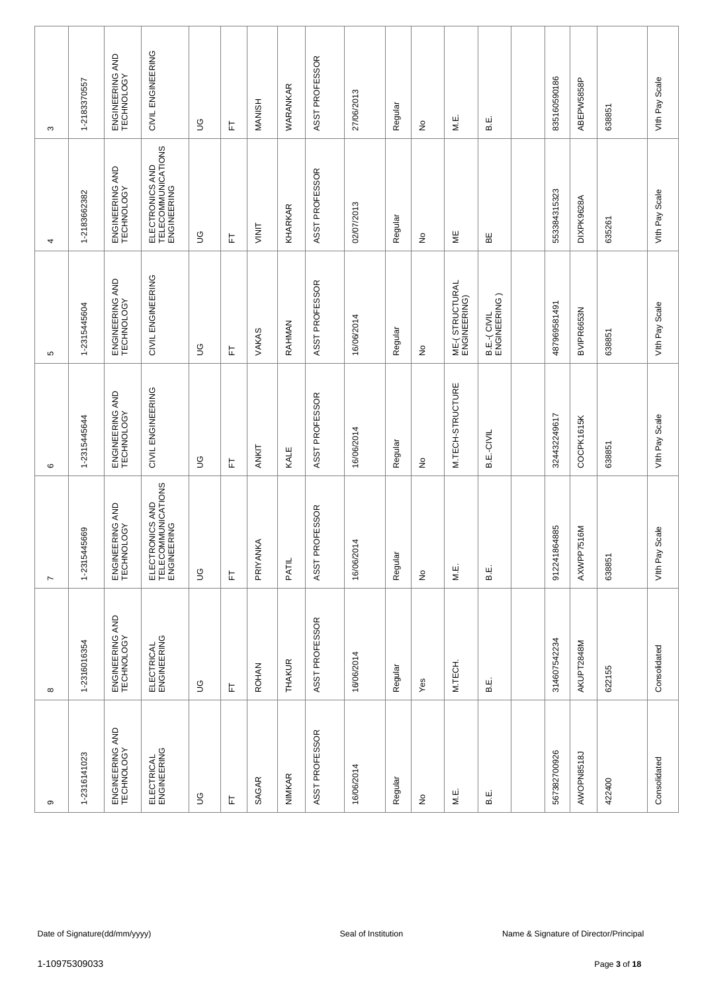| σ                               | $\infty$                      | $\overline{ }$                                       | $\circ$                       | Ю                              | 4                                                    | S                             |
|---------------------------------|-------------------------------|------------------------------------------------------|-------------------------------|--------------------------------|------------------------------------------------------|-------------------------------|
| 1-2316141023                    | 1-2316016354                  | 1-2315445669                                         | 1-2315445644                  | 1-2315445604                   | 1-2183662382                                         | 1-2183370557                  |
| ENGINEERING AND<br>TECHNOLOGY   | ENGINEERING AND<br>TECHNOLOGY | ENGINEERING AND<br>TECHNOLOGY                        | ENGINEERING AND<br>TECHNOLOGY | ENGINEERING AND<br>TECHNOLOGY  | ENGINEERING AND<br>TECHNOLOGY                        | ENGINEERING AND<br>TECHNOLOGY |
| ELECTRICAL<br>ENGINEERING       | ELECTRICAL<br>ENGINEERING     | ELECTRONICS AND<br>TELECOMMUNICATIONS<br>ENGINEERING | CIVIL ENGINEERING             | CIVIL ENGINEERING              | ELECTRONICS AND<br>TELECOMMUNICATIONS<br>ENGINEERING | CIVIL ENGINEERING             |
| $\mathbb S$                     | $\mathbb S$                   | $\mathbb S$                                          | $\mathbb S$                   | 9D                             | $\mathbb S$                                          | S                             |
| ᄂ                               | ᄂ                             | 뉸                                                    | 匸                             | ᄂ                              | 는                                                    | ᄂ                             |
| SAGAR                           | <b>ROHAN</b>                  | PRIYANKA                                             | ANKIT                         | VAKAS                          | VINIT                                                | <b>MANISH</b>                 |
| <b>NIMKAR</b>                   | THAKUR                        | PATIL                                                | KALE                          | RAHMAN                         | KHARKAR                                              | WARANKAR                      |
| ASST PROFESSOR                  | ASST PROFESSOR                | ASST PROFESSOR                                       | ASST PROFESSOR                | ASST PROFESSOR                 | ASST PROFESSOR                                       | ASST PROFESSOR                |
| 16/06/2014                      | 16/06/2014                    | 16/06/2014                                           | 16/06/2014                    | 16/06/2014                     | 02/07/2013                                           | 27/06/2013                    |
| Regular                         | Regular                       | Regular                                              | Regular                       | Regular                        | Regular                                              | Regular                       |
| $\frac{\mathsf{O}}{\mathsf{E}}$ | Yes                           | $\stackrel{\circ}{\simeq}$                           | ş                             | ş                              | ş                                                    | ş                             |
| M.E.                            | M.TECH.                       | M.E.                                                 | M.TECH-STRUCTURE              | ME-(STRUCTURAL<br>ENGINEERING) | ΨË                                                   | МË.                           |
| ш<br>മ                          | ші<br>ഥ                       | Е.<br>В                                              | B.E.-CIVIL                    | B.E.-(CIVIL<br>ENGINEERING)    | ΒE                                                   | В.                            |
|                                 |                               |                                                      |                               |                                |                                                      |                               |
| 567382700926                    | 314607542234                  | 912241864885                                         | 324432249617                  | 487969581491                   | 553384315323                                         | 835160590186                  |
| AWOPN8518J                      | AKUPT2848M                    | 7516M<br>AXWPP7                                      | COCPK1615K                    | BVIPR6653N                     | DIXPK9628A                                           | ABEPW5858P                    |
| 422400                          | 622155                        | 638851                                               | 638851                        | 638851                         | 635261                                               | 638851                        |
| Consolidated                    | Consolidated                  | Scale<br>Vith Pay                                    | Vith Pay Scale                | Vith Pay Scale                 | Vith Pay Scale                                       | Vith Pay Scale                |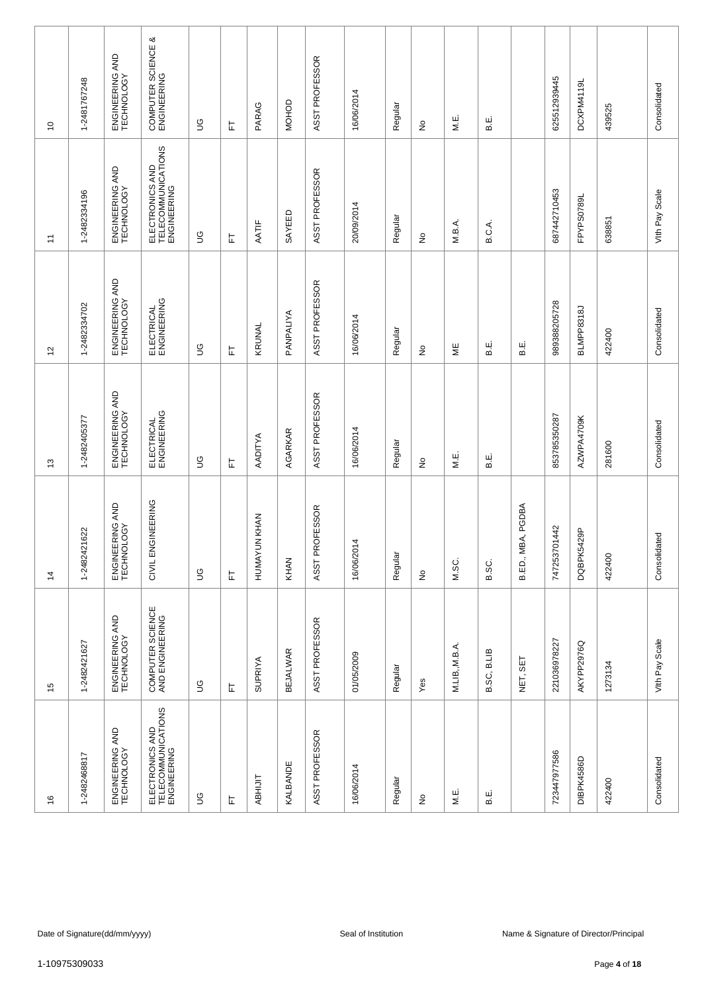| $\frac{6}{5}$                                        | $\frac{1}{2}$                       | $\frac{4}{3}$                 | $\frac{3}{2}$                 | 57                            | $\tilde{t}$                                          | $\overline{0}$                    |
|------------------------------------------------------|-------------------------------------|-------------------------------|-------------------------------|-------------------------------|------------------------------------------------------|-----------------------------------|
| 1-2482468817                                         | 1-2482421627                        | 1-2482421622                  | 1-2482405377                  | 1-2482334702                  | 1-2482334196                                         | 1-2481767248                      |
| ENGINEERING AND<br>TECHNOLOGY                        | ENGINEERING AND<br>TECHNOLOGY       | ENGINEERING AND<br>TECHNOLOGY | ENGINEERING AND<br>TECHNOLOGY | ENGINEERING AND<br>TECHNOLOGY | ENGINEERING AND<br>TECHNOLOGY                        | ENGINEERING AND<br>TECHNOLOGY     |
| ELECTRONICS AND<br>TELECOMMUNICATIONS<br>ENGINEERING | COMPUTER SCIENCE<br>AND ENGINEERING | CIVIL ENGINEERING             | ELECTRICAL<br>ENGINEERING     | ELECTRICAL<br>ENGINEERING     | ELECTRONICS AND<br>TELECOMMUNICATIONS<br>ENGINEERING | COMPUTER SCIENCE &<br>ENGINEERING |
| $\mathbb S$                                          | $\mathbb S$                         | 9D                            | $\mathfrak{S}$                | 9D                            | 9D                                                   | $\mathbb S$                       |
| 눈                                                    | 눈                                   | 匸                             | 匸                             | 匸                             | 는                                                    | 匸                                 |
| <b>ABHIJIT</b>                                       | <b>SUPRIYA</b>                      | HUMAYUN KHAN                  | AADITYA                       | KRUNAL                        | AATIF                                                | PARAG                             |
| KALBANDE                                             | <b>BEJALWAR</b>                     | KHAN                          | AGARKAR                       | PANPALIYA                     | SAYEED                                               | <b>MOHOD</b>                      |
| ASST PROFESSOR                                       | ASST PROFESSOR                      | ASST PROFESSOR                | ASST PROFESSOR                | ASST PROFESSOR                | ASST PROFESSOR                                       | ASST PROFESSOR                    |
| 16/06/2014                                           | 01/05/2009                          | 16/06/2014                    | 16/06/2014                    | 16/06/2014                    | 20/09/2014                                           | 16/06/2014                        |
| Regular                                              | Regular                             | Regular                       | Regular                       | Regular                       | Regular                                              | Regular                           |
| ş                                                    | Yes                                 | $\stackrel{\circ}{\simeq}$    | $\hat{z}$                     | $\stackrel{\circ}{\simeq}$    | $\stackrel{\circ}{\simeq}$                           | ş                                 |
| M.E.                                                 | M.LIB,, M.B.A.                      | M.SC.                         | M.E.                          | ξ                             | M.B.A.                                               | МË.                               |
| ш<br>ഥ                                               | B.LIB<br>B.SC,                      | B.SC.                         | نيا<br>ه                      | نه<br>ه                       | B.C.A.                                               | щ.<br>В.                          |
|                                                      | NET, SET                            | B.ED., MBA, PGDBA             |                               | نه<br>ه                       |                                                      |                                   |
| 723447977586                                         | 221036978227                        | 01442<br>7472537              | 853785350287                  | 989388205728                  | 687442710453                                         | 625512939445                      |
| DIBPK4586D                                           | AKYPP2976Q                          | DQBPK5429P                    | AZWPA4709K                    | BLMPP8318J                    | FPYPS0789L                                           | DCXPM4119                         |
| 422400                                               | 1273134                             | 422400                        | 281600                        | 422400                        | 638851                                               | 439525                            |
| Consolidated                                         | Vith Pay Scale                      | Consolidated                  | Consolidated                  | Consolidated                  | Vith Pay Scale                                       | Consolidated                      |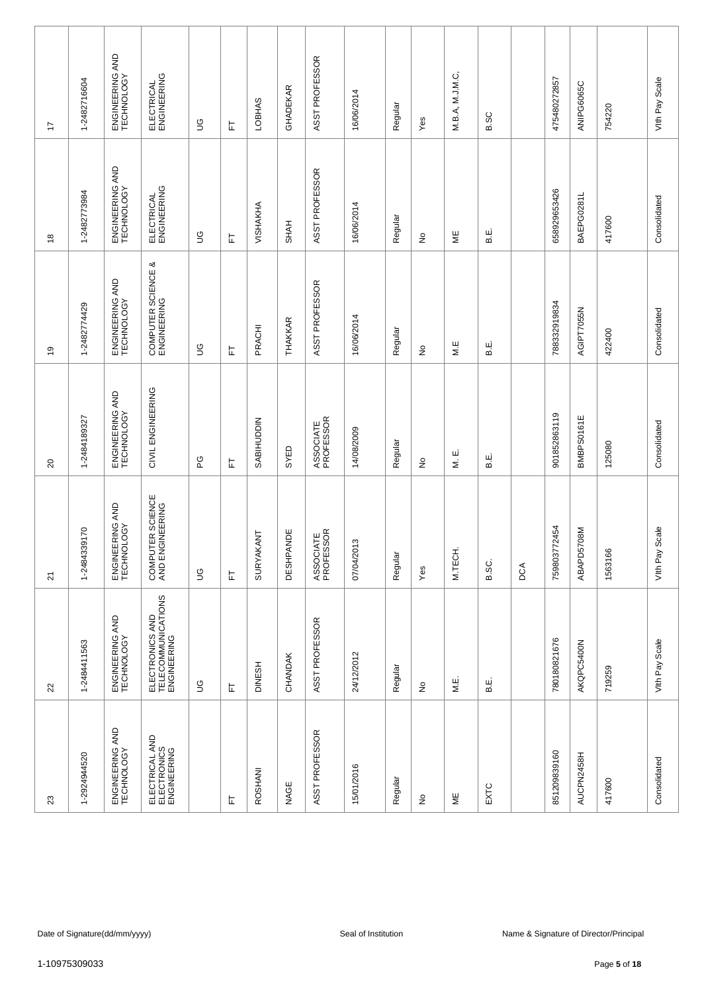| 23                                           | 22                                                   | 21                                  | $\Omega$                      | é,                                | $\overset{\circ}{\phantom{a}}$ | 17                            |
|----------------------------------------------|------------------------------------------------------|-------------------------------------|-------------------------------|-----------------------------------|--------------------------------|-------------------------------|
| 1-2924944520                                 | 1-2484411563                                         | 1-2484339170                        | 1-2484189327                  | 1-2482774429                      | 1-2482773984                   | 1-2482716604                  |
| ENGINEERING AND<br>TECHNOLOGY                | ENGINEERING AND<br>TECHNOLOGY                        | ENGINEERING AND<br>TECHNOLOGY       | ENGINEERING AND<br>TECHNOLOGY | ENGINEERING AND<br>TECHNOLOGY     | ENGINEERING AND<br>TECHNOLOGY  | ENGINEERING AND<br>TECHNOLOGY |
| ELECTRICAL AND<br>ELECTRONICS<br>ENGINEERING | ELECTRONICS AND<br>TELECOMMUNICATIONS<br>ENGINEERING | COMPUTER SCIENCE<br>AND ENGINEERING | CIVIL ENGINEERING             | COMPUTER SCIENCE &<br>ENGINEERING | ELECTRICAL<br>ENGINEERING      | ELECTRICAL<br>ENGINEERING     |
|                                              | S                                                    | 9D                                  | ဥ                             | 9D                                | 9D                             | S                             |
| 匸                                            | 匸                                                    | 岀                                   | 匸                             | 匸                                 | 匸                              | 匸                             |
| ROSHANI                                      | <b>DINESH</b>                                        | SURYAKANT                           | SABIHUDDIN                    | PRACHI                            | VISHAKHA                       | <b>LOBHAS</b>                 |
| NAGE                                         | CHANDAK                                              | <b>DESHPANDE</b>                    | SYED                          | THAKKAR                           | <b>SHAH</b>                    | GHADEKAR                      |
| ASST PROFESSOR                               | ASST PROFESSOR                                       | ASSOCIATE<br>PROFESSOR              | ASSOCIATE<br>PROFESSOR        | ASST PROFESSOR                    | ASST PROFESSOR                 | ASST PROFESSOR                |
| 15/01/2016                                   | 24/12/2012                                           | 07/04/2013                          | 14/08/2009                    | 16/06/2014                        | 16/06/2014                     | 16/06/2014                    |
| Regular                                      | Regular                                              | Regular                             | Regular                       | Regular                           | Regular                        | Regular                       |
| £                                            | ş                                                    | Yes                                 | $\frac{\circ}{2}$             | ş                                 | ş                              | Yes                           |
| ₩                                            | МË.                                                  | M.TECH                              | ші<br>М.                      | M.E                               | ΨË                             | M.B.A, M.J.M.C,               |
| EXTC                                         | ші<br>ഥ                                              | <b>B.SC.</b>                        | щ.<br>В.                      | نه<br>ه                           | щ.<br>В.                       | B.SC                          |
|                                              |                                                      | DCA                                 |                               |                                   |                                |                               |
| 851209839160                                 | 780180821676                                         | 72454<br>7598037                    | 901852863119                  | 788332919834                      | 658929653426                   | 475480272857                  |
| AUCPN2458H                                   | AKQPC5400N                                           | ABAPD5708M                          | BMBPS0161E                    | AGIPT7055N                        | BAEPG0281L                     | ANIPG6065C                    |
| 417600                                       | 719259                                               | 1563166                             | 125080                        | 422400                            | 417600                         | 754220                        |
| Consolidated                                 | Vith Pay Scale                                       | Scale<br>Vith Pay                   | Consolidated                  | Consolidated                      | Consolidated                   | Vith Pay Scale                |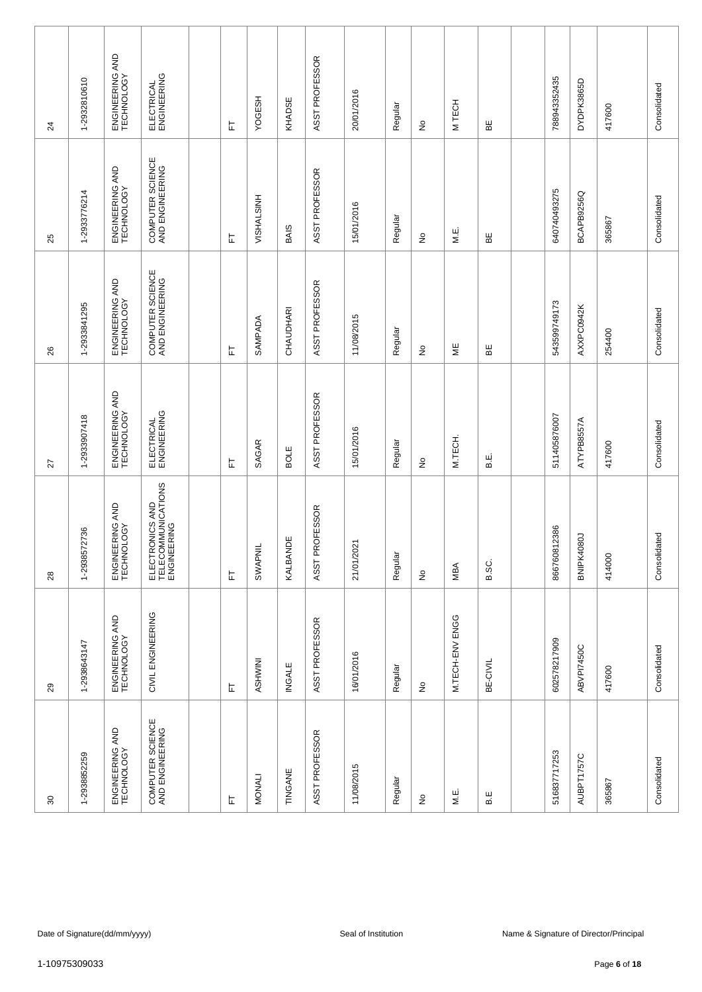| 80                                  | 29                            | 28                                                   | 27                            | 26                                  | 25                                  | $\overline{24}$               |
|-------------------------------------|-------------------------------|------------------------------------------------------|-------------------------------|-------------------------------------|-------------------------------------|-------------------------------|
| 1-2938852259                        | 1-2938643147                  | 72736<br>1-293857                                    | 1-2933907418                  | 1-2933841295                        | 1-2933776214                        | 1-2932810610                  |
| ENGINEERING AND<br>TECHNOLOGY       | ENGINEERING AND<br>TECHNOLOGY | ENGINEERING AND<br>TECHNOLOGY                        | ENGINEERING AND<br>TECHNOLOGY | ENGINEERING AND<br>TECHNOLOGY       | ENGINEERING AND<br>TECHNOLOGY       | ENGINEERING AND<br>TECHNOLOGY |
| COMPUTER SCIENCE<br>AND ENGINEERING | CIVIL ENGINEERING             | ELECTRONICS AND<br>TELECOMMUNICATIONS<br>ENGINEERING | ELECTRICAL<br>ENGINEERING     | COMPUTER SCIENCE<br>AND ENGINEERING | COMPUTER SCIENCE<br>AND ENGINEERING | ELECTRICAL<br>ENGINEERING     |
|                                     |                               |                                                      |                               |                                     |                                     |                               |
| 匸                                   | 上                             | 岀                                                    | 匸                             | 匸                                   | 눈                                   | 匸                             |
| MONALI                              | ASHWINI                       | SWAPNIL                                              | SAGAR                         | SAMPADA                             | VISHALSINH                          | <b>YOGESH</b>                 |
| TINGANE                             | <b>INGALE</b>                 | KALBANDE                                             | BOLE                          | CHAUDHARI                           | <b>BAIS</b>                         | KHADSE                        |
| ASST PROFESSOR                      | ASST PROFESSOR                | ASST PROFESSOR                                       | ASST PROFESSOR                | ASST PROFESSOR                      | ASST PROFESSOR                      | ASST PROFESSOR                |
| 11/08/2015                          | 16/01/2016                    | 21/01/2021                                           | 15/01/2016                    | 11/08/2015                          | 15/01/2016                          | 20/01/2016                    |
| Regular                             | Regular                       | Regular                                              | Regular                       | Regular                             | Regular                             | Regular                       |
| £                                   | £                             | ş                                                    | $\tilde{z}$                   | $\stackrel{\mathtt{o}}{z}$          | ş                                   | ş                             |
| M.E.                                | M.TECH-ENV ENGG               | MBA                                                  | M.TECH.                       | ΨË                                  | M.E.                                | M TECH                        |
| B.E                                 | BE-CIVIL                      | B.SC.                                                | н.<br>В                       | 띪                                   | ΒË                                  | ₩                             |
|                                     |                               |                                                      |                               |                                     |                                     |                               |
| 516837717253                        | 602578217909                  | 866760812386                                         | 511405876007                  | 543599749173                        | 640740493275                        | 788943352435                  |
| AUBPT1757C                          | ABVPI7450C                    | BNIPK4080J                                           | ATYPB8557A                    | AXXPC0942K                          | BCAPB9256Q                          | DYDPK3865D                    |
| 365867                              | 417600                        | 414000                                               | 417600                        | 254400                              | 365867                              | 417600                        |
| Consolidated                        | Consolidated                  | Consolidated                                         | Consolidated                  | Consolidated                        | Consolidated                        | Consolidated                  |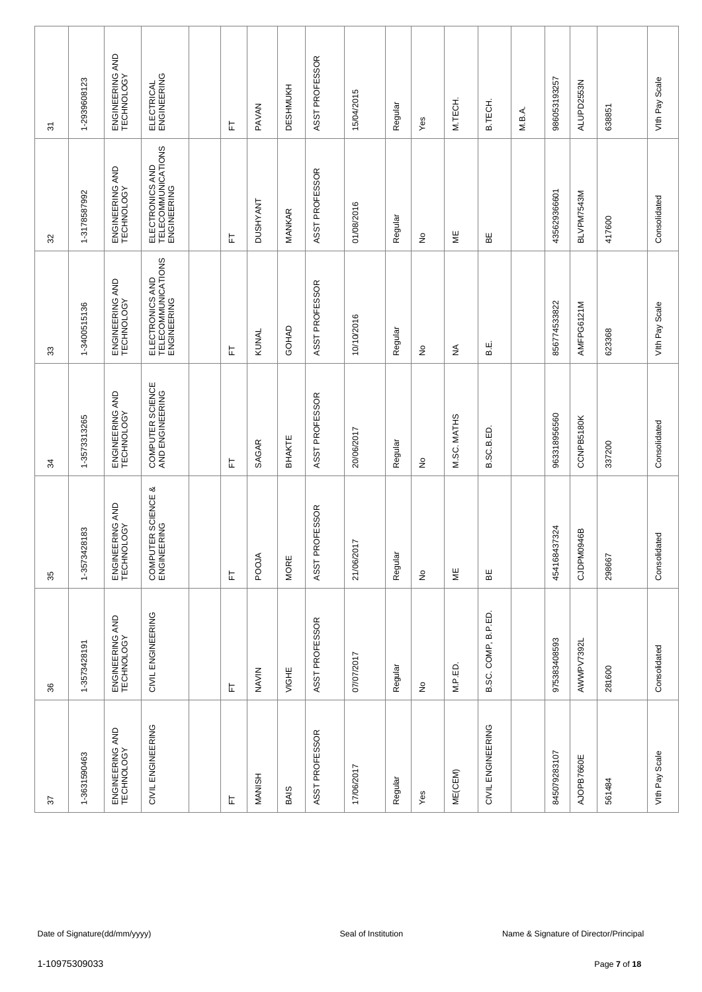| 57                            | 36                            | 35                                | 34                                  | 33                                                   | 32                                                   | 5                             |
|-------------------------------|-------------------------------|-----------------------------------|-------------------------------------|------------------------------------------------------|------------------------------------------------------|-------------------------------|
| 1-3631590463                  | 1-3573428191                  | 28183<br>1-357342                 | 1-3573313265                        | 1-3400515136                                         | 1-3178587992                                         | 1-2939608123                  |
| ENGINEERING AND<br>TECHNOLOGY | ENGINEERING AND<br>TECHNOLOGY | ENGINEERING AND<br>TECHNOLOGY     | ENGINEERING AND<br>TECHNOLOGY       | ENGINEERING AND<br>TECHNOLOGY                        | ENGINEERING AND<br>TECHNOLOGY                        | ENGINEERING AND<br>TECHNOLOGY |
| CIVIL ENGINEERING             | CIVIL ENGINEERING             | COMPUTER SCIENCE &<br>ENGINEERING | COMPUTER SCIENCE<br>AND ENGINEERING | ELECTRONICS AND<br>TELECOMMUNICATIONS<br>ENGINEERING | ELECTRONICS AND<br>TELECOMMUNICATIONS<br>ENGINEERING | ELECTRICAL<br>ENGINEERING     |
|                               |                               |                                   |                                     |                                                      |                                                      |                               |
| 上                             | 上                             | 岀                                 | 匸                                   | ᄂ                                                    | 됴                                                    | 匸                             |
| <b>MANISH</b>                 | NAVIN                         | POOJA                             | SAGAR                               | KUNAL                                                | <b>DUSHYANT</b>                                      | <b>PAVAN</b>                  |
| <b>BAIS</b>                   | VIGHE                         | MORE                              | BHAKTE                              | GOHAD                                                | MANKAR                                               | DESHMUKH                      |
| ASST PROFESSOR                | ASST PROFESSOR                | ASST PROFESSOR                    | ASST PROFESSOR                      | ASST PROFESSOR                                       | ASST PROFESSOR                                       | ASST PROFESSOR                |
| 17/06/2017                    | 07/07/2017                    | 21/06/2017                        | 20/06/2017                          | 10/10/2016                                           | 01/08/2016                                           | 15/04/2015                    |
| Regular                       | Regular                       | Regular                           | Regular                             | Regular                                              | Regular                                              | Regular                       |
| Yes                           | $\frac{\circ}{\sim}$          | $\stackrel{\mathtt{o}}{z}$        | ş                                   | $\stackrel{\mathtt{o}}{z}$                           | ş                                                    | Yes                           |
| ME(CEM)                       | M.P.ED.                       | ΨË                                | M.SC. MATHS                         | $\lessgtr$                                           | ΨË                                                   | M.TECH.                       |
| CIVIL ENGINEERING             | B.SC. COMP, B.P.ED.           | ЪË                                | B.SC.B.ED                           | Е.<br>В                                              | ΒE                                                   | <b>B.TECH</b>                 |
|                               |                               |                                   |                                     |                                                      |                                                      | M.B.A.                        |
| 845079283107                  | 975383408593                  | 454168437324                      | 963318956560                        | 856774533822                                         | 435629366601                                         | 986053193257                  |
| AJOPB7660E                    | AWWPV7392L                    | CJDPM0946B                        | CCNPB5180K                          | AMFPG6121M                                           | BLVPM7543M                                           | ALUPD2553N                    |
| 561484                        | 281600                        | 298667                            | 337200                              | 623368                                               | 417600                                               | 638851                        |
| Vith Pay Scale                | Consolidated                  | Consolidated                      | Consolidated                        | Vith Pay Scale                                       | Consolidated                                         | Vith Pay Scale                |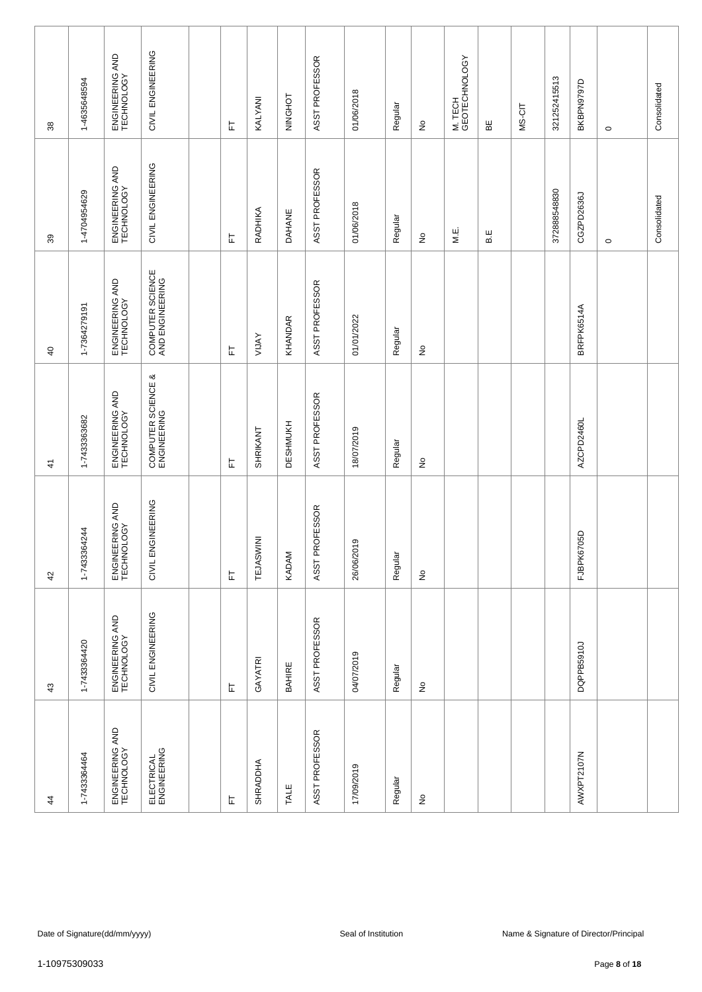| 4                             | 43                            | 42                            | $\frac{4}{7}$                     | $\overline{a}$                      | 39                            | 38                              |
|-------------------------------|-------------------------------|-------------------------------|-----------------------------------|-------------------------------------|-------------------------------|---------------------------------|
| 1-7433364464                  | 1-7433364420                  | 1-7433364244                  | 1-7433363682                      | 1-7364279191                        | 1-4704954629                  | 1-4635648594                    |
| ENGINEERING AND<br>TECHNOLOGY | ENGINEERING AND<br>TECHNOLOGY | ENGINEERING AND<br>TECHNOLOGY | ENGINEERING AND<br>TECHNOLOGY     | ENGINEERING AND<br>TECHNOLOGY       | ENGINEERING AND<br>TECHNOLOGY | ENGINEERING AND<br>TECHNOLOGY   |
| ELECTRICAL<br>ENGINEERING     | CIVIL ENGINEERING             | CIVIL ENGINEERING             | COMPUTER SCIENCE &<br>ENGINEERING | COMPUTER SCIENCE<br>AND ENGINEERING | CIVIL ENGINEERING             | CIVIL ENGINEERING               |
|                               |                               |                               |                                   |                                     |                               |                                 |
| 匸                             | 匸                             | 됴                             | 匸                                 | 匸                                   | 匸                             | 匸                               |
| SHRADDHA                      | GAYATRI                       | TEJASWINI                     | SHRIKANT                          | <b>AVTIA</b>                        | RADHIKA                       | KALYANI                         |
| TALE                          | BAHIRE                        | KADAM                         | <b>DESHMUKH</b>                   | KHANDAR                             | <b>DAHANE</b>                 | NINGHOT                         |
| ASST PROFESSOR                | ASST PROFESSOR                | ASST PROFESSOR                | ASST PROFESSOR                    | ASST PROFESSOR                      | ASST PROFESSOR                | ASST PROFESSOR                  |
| 17/09/2019                    | 04/07/2019                    | 26/06/2019                    | 18/07/2019                        | 01/01/2022                          | 01/06/2018                    | 01/06/2018                      |
| Regular                       | Regular                       | Regular                       | Regular                           | Regular                             | Regular                       | Regular                         |
| $\hat{\mathsf{z}}$            | $\stackrel{\circ}{\succeq}$   | $\stackrel{\mathtt{o}}{z}$    | $\stackrel{\circ}{\succeq}$       | $\stackrel{\mathtt{o}}{z}$          | $\stackrel{\mathtt{o}}{z}$    | $\frac{\mathsf{O}}{\mathsf{E}}$ |
|                               |                               |                               |                                   |                                     | M.E.                          | M. TECH<br>GEOTECHNOLOGY        |
|                               |                               |                               |                                   |                                     | B.E                           | 띪                               |
|                               |                               |                               |                                   |                                     |                               | MS-CIT                          |
|                               |                               |                               |                                   |                                     | 372888548830                  | 321252415513                    |
| AWXPT2107N                    | DQPPB5910J                    | FJBPK6705D                    | AZCPD2460L                        | BRFPK6514A                          | CGZPD2636J                    | BKBPN9797D                      |
|                               |                               |                               |                                   |                                     | $\circ$                       | $\circ$                         |
|                               |                               |                               |                                   |                                     | Consolidated                  | Consolidated                    |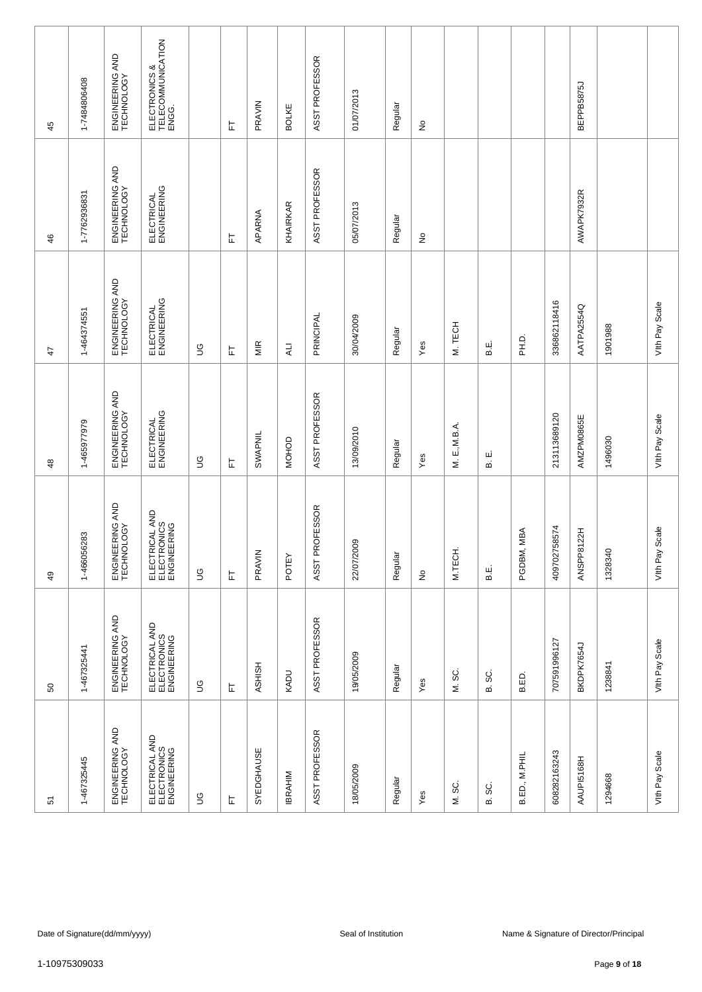| 45              | 1-7484806408  | ENGINEERING AND<br>TECHNOLOGY | ELECTRONICS &<br>TELECOMMUNICATION<br>ENGG.  |             | 匸 | PRAVIN        | <b>BOLKE</b>   | ASST PROFESSOR | 01/07/2013          | Regular | $\frac{\circ}{\sim}$       |                |           |               |                  | BEPPB5875J |                                        |                   |
|-----------------|---------------|-------------------------------|----------------------------------------------|-------------|---|---------------|----------------|----------------|---------------------|---------|----------------------------|----------------|-----------|---------------|------------------|------------|----------------------------------------|-------------------|
| 46              | 1-7762936831  | ENGINEERING AND<br>TECHNOLOGY | ELECTRICAL<br>ENGINEERING                    |             | 匸 | APARNA        | KHAIRKAR       | ASST PROFESSOR | 05/07/2013          | Regular | ş                          |                |           |               |                  | AWAPK7932R |                                        |                   |
| $\ddot{4}$      | 1-464374551   | ENGINEERING AND<br>TECHNOLOGY | ELECTRICAL<br>ENGINEERING                    | 9D          | 匸 | MIR           | $\overline{A}$ | PRINCIPAL      | 30/04/2009          | Regular | Yes                        | M. TECH        | نه<br>ه   | $\frac{1}{2}$ | 336862118416     | AATPA2554Q | 1901988                                | Vith Pay Scale    |
| $\frac{8}{3}$   | 1-465977979   | ENGINEERING AND<br>TECHNOLOGY | ELECTRICAL<br>ENGINEERING                    | S           | 匸 | SWAPNIL       | <b>MOHOD</b>   | ASST PROFESSOR | 13/09/2010          | Regular | Yes                        | E, M.B.A.<br>Ξ | ші<br>ക്  |               | 213113689120     | AMZPM0865E | 1496030                                | Vith Pay Scale    |
| $\overline{49}$ | 1-466056283   | ENGINEERING AND<br>TECHNOLOGY | ELECTRICAL AND<br>ELECTRONICS<br>ELECTRONICS | 9D          | 岀 | PRAVIN        | <b>POTEY</b>   | ASST PROFESSOR | 22/07/2009          | Regular | $\stackrel{\mathtt{o}}{z}$ | M.TECH         | Е.<br>В   | MBA<br>PGDBM, | 58574<br>4097027 | ANSPP8122H | 1328340                                | Scale<br>Vith Pay |
| SO              | 1-467325441   | ENGINEERING AND<br>TECHNOLOGY | ELECTRICAL AND<br>ELECTRONICS<br>ENGINEERING | $\mathbb S$ | 匸 | <b>ASHISH</b> | KADU           | ASST PROFESSOR | 19/05/2009          | Regular | Yes                        | M. SC.         | ပ္တ<br>ക് | B.ED.         | 707591996127     | BKDPK7654J | 1238841                                | Vith Pay Scale    |
| 5               | 1-467325445   | ENGINEERING AND<br>TECHNOLOGY | ELECTRICAL AND<br>ELECTRONICS<br>ENGINEERING | S           | 匸 | SYEDGHAUSE    | <b>IBRAHIM</b> | ASST PROFESSOR | 18/05/2009          | Regular | Yes                        | SC.<br>Σ       | SC.<br>ഥാ | B.ED., M.PHIL | 608282163243     | AAUPI5168H | 1294668                                | Vith Pay Scale    |
|                 |               |                               |                                              |             |   |               |                |                |                     |         |                            |                |           |               |                  |            |                                        |                   |
|                 |               | Date of Signature(dd/mm/yyyy) |                                              |             |   |               |                |                | Seal of Institution |         |                            |                |           |               |                  |            | Name & Signature of Director/Principal |                   |
|                 | 1-10975309033 |                               |                                              |             |   |               |                |                |                     |         |                            |                |           |               |                  |            | Page 9 of 18                           |                   |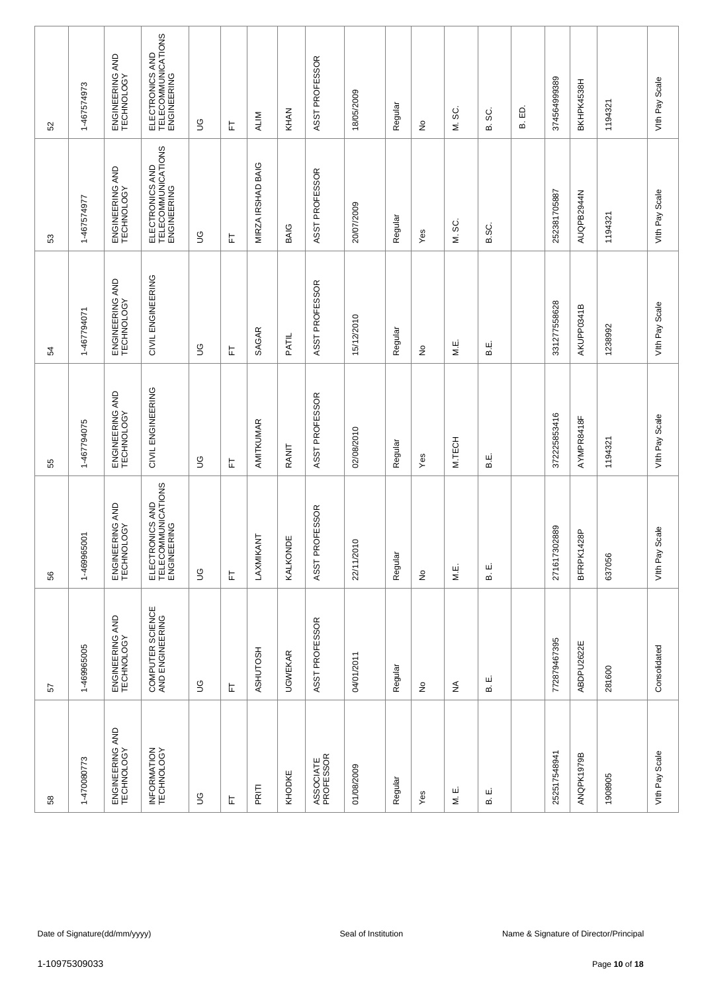| 52 | 1-467574973   | ENGINEERING AND<br>TECHNOLOGY | ELECTRONICS AND<br>TELECOMMUNICATIONS<br>ENGINEERING | S           | ᄂ | <b>ALIM</b>       | KHAN           | ASST PROFESSOR         | 18/05/2009          | Regular | $\frac{\circ}{\sim}$       | SC.<br>Σ    | SC.<br>മ | <u>ය</u><br>ഥ | 374564999389 | BKHPK4538H     | 1194321                                | Vith Pay Scale    |
|----|---------------|-------------------------------|------------------------------------------------------|-------------|---|-------------------|----------------|------------------------|---------------------|---------|----------------------------|-------------|----------|---------------|--------------|----------------|----------------------------------------|-------------------|
| 53 | 1-467574977   | ENGINEERING AND<br>TECHNOLOGY | ELECTRONICS AND<br>TELECOMMUNICATIONS<br>ENGINEERING | 9D          | 는 | MIRZA IRSHAD BAIG | BAIG           | ASST PROFESSOR         | 20/07/2009          | Regular | Yes                        | M. SC.      | B.SC.    |               | 252381705887 | AUQPB2944N     | 1194321                                | Vith Pay Scale    |
| 54 | 1-467794071   | ENGINEERING AND<br>TECHNOLOGY | CIVIL ENGINEERING                                    | 9D          | ᄂ | SAGAR             | PATIL          | ASST PROFESSOR         | 15/12/2010          | Regular | ş                          | M.E.        | نه<br>ه  |               | 331277558628 | AKUPP0341B     | 1238992                                | Vith Pay Scale    |
| 55 | 1-467794075   | ENGINEERING AND<br>TECHNOLOGY | CIVIL ENGINEERING                                    | S           | 匸 | AMITKUMAR         | RANIT          | ASST PROFESSOR         | 02/08/2010          | Regular | Yes                        | M.TECH      | نه<br>ه  |               | 372225853416 | AYMPR8418F     | 1194321                                | Vith Pay Scale    |
| 56 | 1-469965001   | ENGINEERING AND<br>TECHNOLOGY | ELECTRONICS AND<br>TELECOMMUNICATIONS<br>ENGINEERING | $\mathbb S$ | 岀 | LAXMIKANT         | ĔΘ<br>KALKON   | ASST PROFESSOR         | 22/11/2010          | Regular | $\stackrel{\mathtt{o}}{z}$ | M.E.        | щ<br>ഥ   |               | 271617302889 | 428P<br>BFRPK1 | 637056                                 | Scale<br>Vith Pay |
| 57 | 1-469965005   | ENGINEERING AND<br>TECHNOLOGY | COMPUTER SCIENCE<br>AND ENGINEERING                  | $\mathbb S$ | 上 | ASHUTOSH          | <b>UGWEKAR</b> | ASST PROFESSOR         | 04/01/2011          | Regular | $\frac{\circ}{\sim}$       | $\lessgtr$  | ய<br>ഥ   |               | 772879467395 | ABDPU2622E     | 281600                                 | Consolidated      |
| 58 | 1-470080773   | ENGINEERING AND<br>TECHNOLOGY | INFORMATION<br>TECHNOLOGY                            | $\mathbb S$ | 匸 | PRITI             | KHODKE         | ASSOCIATE<br>PROFESSOR | 01/08/2009          | Regular | Yes                        | ш<br>$\leq$ | ш<br>ഥാ  |               | 252517548941 | ANQPK1979B     | 1908905                                | Vith Pay Scale    |
|    |               |                               |                                                      |             |   |                   |                |                        |                     |         |                            |             |          |               |              |                |                                        |                   |
|    |               | Date of Signature(dd/mm/yyyy) |                                                      |             |   |                   |                |                        | Seal of Institution |         |                            |             |          |               |              |                | Name & Signature of Director/Principal |                   |
|    | 1-10975309033 |                               |                                                      |             |   |                   |                |                        |                     |         |                            |             |          |               |              |                | Page 10 of 18                          |                   |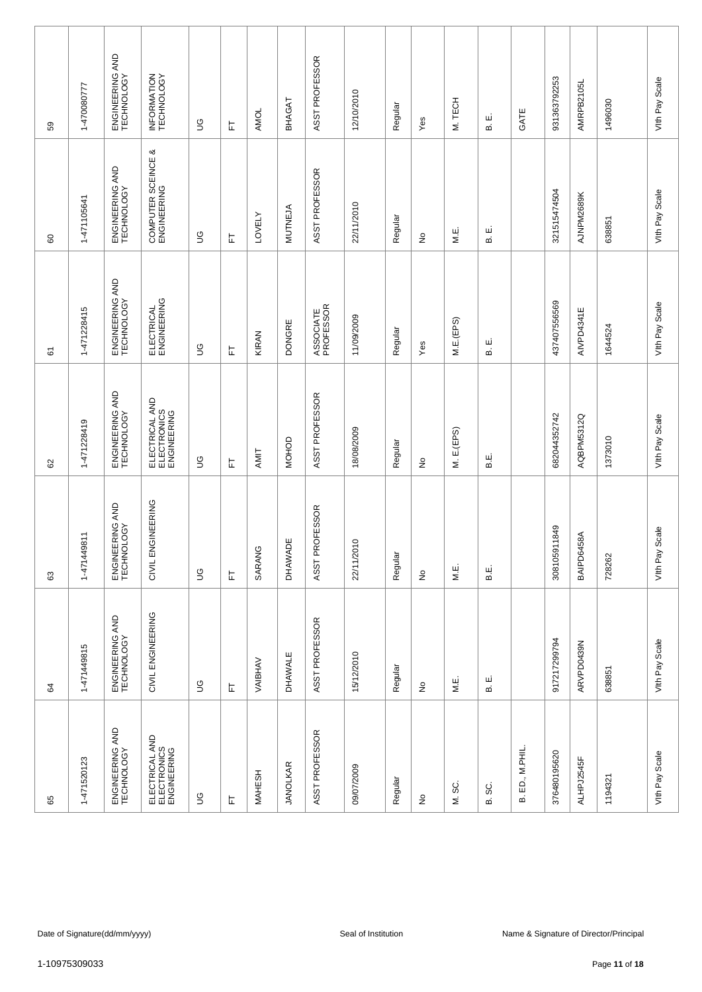| 59            | 1-470080777   | ENGINEERING AND<br>TECHNOLOGY | INFORMATION<br>TECHNOLOGY                    | $\mathfrak{S}$ | ᄂ | AMOL          | BHAGAT          | ASST PROFESSOR         | 12/10/2010          | Regular | Yes                        | M. TECH       | ші<br>ക്  | GATE            | 931363792253 | AMRPB2105L | 1496030                                                 | Vith Pay Scale    |
|---------------|---------------|-------------------------------|----------------------------------------------|----------------|---|---------------|-----------------|------------------------|---------------------|---------|----------------------------|---------------|-----------|-----------------|--------------|------------|---------------------------------------------------------|-------------------|
| 60            | 1-471105641   | ENGINEERING AND<br>TECHNOLOGY | COMPUTER SCEINCE &<br>ENGINEERING            | 9D             | 匸 | <b>LOVELY</b> | <b>MUTNEJA</b>  | ASST PROFESSOR         | 22/11/2010          | Regular | $\stackrel{\mathtt{o}}{z}$ | M.E.          | نا<br>ه   |                 | 321515474504 | AJNPM2689K | 638851                                                  | Vith Pay Scale    |
| 61            | 1-471228415   | ENGINEERING AND<br>TECHNOLOGY | ELECTRICAL<br>ENGINEERING                    | 9D             | 匸 | KIRAN         | <b>DONGRE</b>   | ASSOCIATE<br>PROFESSOR | 11/09/2009          | Regular | Yes                        | M.E.(EPS)     | ші<br>മ   |                 | 437407556569 | AIVPD4341E | 1644524                                                 | Vith Pay Scale    |
| 8             | 1-471228419   | ENGINEERING AND<br>TECHNOLOGY | ELECTRICAL AND<br>ELECTRONICS<br>ENGINEERING | S              | 匸 | AMIT          | <b>MOHOD</b>    | ASST PROFESSOR         | 18/08/2009          | Regular | ş                          | M. E.(EPS)    | نه<br>ه   |                 | 682044352742 | AQBPM5312Q | 1373010                                                 | Vith Pay Scale    |
| $\mathbb{G}3$ | 1-471449811   | ENGINEERING AND<br>TECHNOLOGY | CIVIL ENGINEERING                            | $\mathbb S$    | 눈 | SARANG        | <b>DHAWADE</b>  | ASST PROFESSOR         | 22/11/2010          | Regular | $\stackrel{\mathtt{o}}{z}$ | МË.           | نه<br>ه   |                 | 308105911849 | BAIPD6458A | 728262                                                  | Scale<br>Vith Pay |
| 64            | 1-471449815   | ENGINEERING AND<br>TECHNOLOGY | CIVIL ENGINEERING                            | $\mathbb S$    | 匸 | VAIBHAV       | DHAWALE         | ASST PROFESSOR         | 15/12/2010          | Regular | $\frac{\circ}{\sim}$       | M.E.          | ші<br>ഥാ  |                 | 917217299794 | ARVPD0439N | 638851                                                  | Vith Pay Scale    |
| 65            | 1-471520123   | ENGINEERING AND<br>TECHNOLOGY | ELECTRICAL AND<br>ELECTRONICS<br>ENGINEERING | S              | 匸 | <b>MAHESH</b> | <b>JANOLKAR</b> | ASST PROFESSOR         | 09/07/2009          | Regular | $\frac{\circ}{\sim}$       | SC.<br>$\leq$ | SC.<br>ക് | B. ED., M.PHIL. | 376480195620 | ALHPJ2545F | 1194321                                                 | Vith Pay Scale    |
|               |               |                               |                                              |                |   |               |                 |                        |                     |         |                            |               |           |                 |              |            |                                                         |                   |
|               | 1-10975309033 | Date of Signature(dd/mm/yyyy) |                                              |                |   |               |                 |                        | Seal of Institution |         |                            |               |           |                 |              |            | Name & Signature of Director/Principal<br>Page 11 of 18 |                   |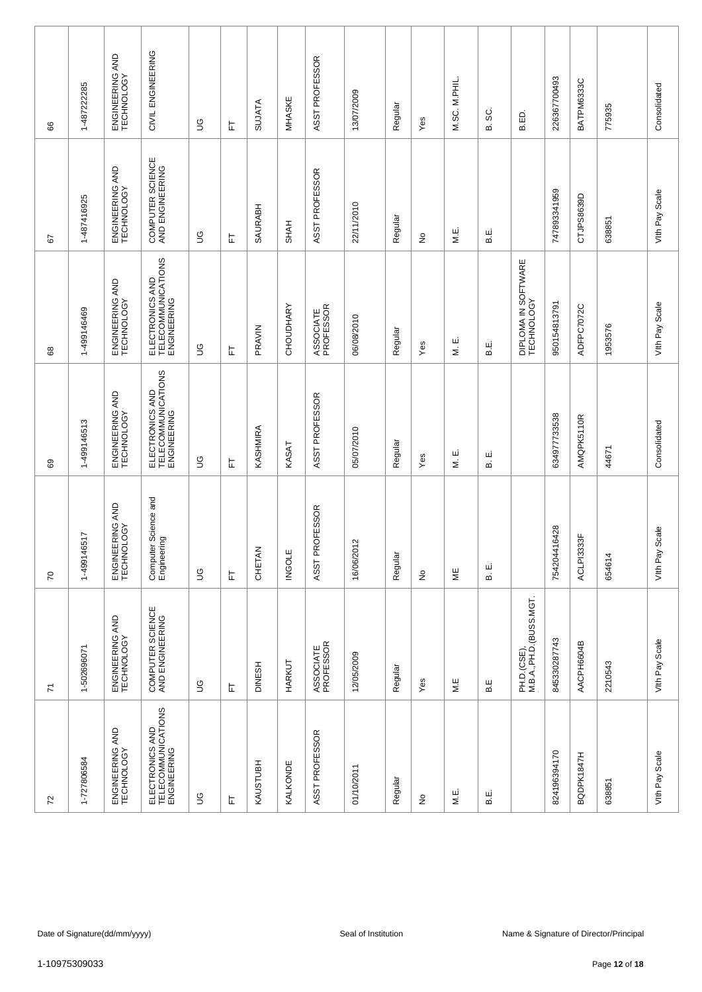| 8                        | 1-487222285     | ENGINEERING AND<br>TECHNOLOGY | CIVIL ENGINEERING                                    | S           | ᄂ | <b>SUJATA</b> | MHASKE        | ASST PROFESSOR         | 13/07/2009          | Regular | Yes                        | M.SC. M.PHIL. | ပ္တ<br>മ | B.ED.                                 | 226367700493 | BATPM6333C | 775935                                 | Consolidated      |
|--------------------------|-----------------|-------------------------------|------------------------------------------------------|-------------|---|---------------|---------------|------------------------|---------------------|---------|----------------------------|---------------|----------|---------------------------------------|--------------|------------|----------------------------------------|-------------------|
| 57                       | 1-487416925     | ENGINEERING AND<br>TECHNOLOGY | COMPUTER SCIENCE<br>AND ENGINEERING                  | 9D          | 는 | SAURABH       | <b>SHAH</b>   | ASST PROFESSOR         | 22/11/2010          | Regular | ş                          | M.E.          | щi<br>മ  |                                       | 747893341959 | CTJPS8639D | 638851                                 | Vith Pay Scale    |
| 89                       | 1-499146469     | ENGINEERING AND<br>TECHNOLOGY | ELECTRONICS AND<br>TELECOMMUNICATIONS<br>ENGINEERING | 9D          | ᄂ | PRAVIN        | CHOUDHARY     | ASSOCIATE<br>PROFESSOR | 06/08/2010          | Regular | Yes                        | ш<br>Ξ        | نه<br>ه  | DIPLOMA IN SOFTWARE<br>TECHNOLOGY     | 950154813791 | ADFPC7072C | 1953576                                | Vith Pay Scale    |
| 89                       | 1-499146513     | ENGINEERING AND<br>TECHNOLOGY | ELECTRONICS AND<br>TELECOMMUNICATIONS<br>ENGINEERING | S           | 匸 | KASHMIRA      | KASAT         | ASST PROFESSOR         | 05/07/2010          | Regular | Yes                        | ші<br>Σ       | ші<br>ഥാ |                                       | 634977733538 | AMQPK5110R | 44671                                  | Consolidated      |
| $\overline{C}$           | 517<br>1-499146 | ENGINEERING AND<br>TECHNOLOGY | Computer Science and<br>Engineering                  | $\mathbb S$ | 岀 | CHETAN        | <b>INGOLE</b> | ASST PROFESSOR         | 16/06/2012          | Regular | $\stackrel{\mathtt{o}}{z}$ | ΨË            | щ<br>ഥ   |                                       | 754204416428 | ACLPI3333F | 654614                                 | Scale<br>Vith Pay |
| $\overline{\mathcal{L}}$ | 1-502696071     | ENGINEERING AND<br>TECHNOLOGY | COMPUTER SCIENCE<br>AND ENGINEERING                  | S           | 上 | <b>DINESH</b> | HARKUT        | ASSOCIATE<br>PROFESSOR | 12/05/2009          | Regular | Yes                        | M.E           | B.E      | PH.D.(CSE),<br>M.B.A.,PH.D.(BUSS.MGT. | 845330287743 | AACPH6604B | 2210543                                | Vith Pay Scale    |
| $72\,$                   | 1-727806584     | ENGINEERING AND<br>TECHNOLOGY | ELECTRONICS AND<br>TELECOMMUNICATIONS<br>ENGINEERING | S           | 匸 | KAUSTUBH      | KALKONDE      | ASST PROFESSOR         | 01/10/2011          | Regular | $\frac{\circ}{\sim}$       | M.E.          | щ<br>മ   |                                       | 824196394170 | BQDPK1847H | 638851                                 | Vith Pay Scale    |
|                          |                 |                               |                                                      |             |   |               |               |                        |                     |         |                            |               |          |                                       |              |            |                                        |                   |
|                          |                 | Date of Signature(dd/mm/yyyy) |                                                      |             |   |               |               |                        | Seal of Institution |         |                            |               |          |                                       |              |            | Name & Signature of Director/Principal |                   |
|                          | 1-10975309033   |                               |                                                      |             |   |               |               |                        |                     |         |                            |               |          |                                       |              |            | Page 12 of 18                          |                   |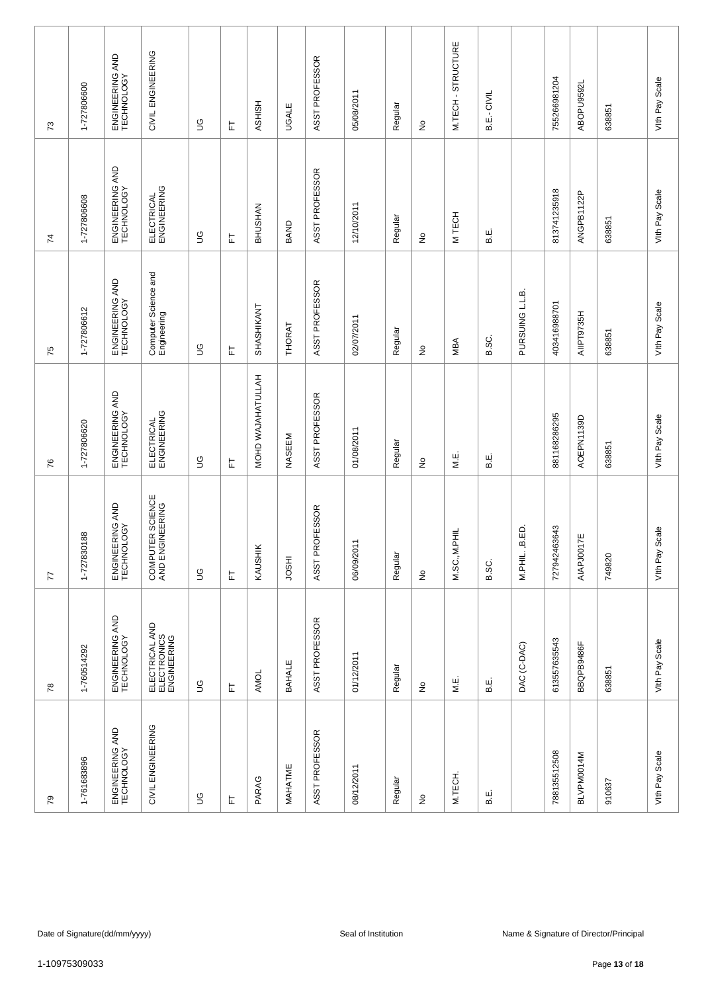| $\mathcal{L}$  | 1-727806600   | ENGINEERING AND<br>TECHNOLOGY | CIVIL ENGINEERING                            | S              | 匸 | <b>ASHISH</b>     | <b>UGALE</b> | ASST PROFESSOR | 05/08/2011          | Regular | $\frac{\circ}{\sim}$            | M.TECH-STRUCTURE  | B.E.- CIVIL |                  | 755266981204 | ABOPU9592L | 638851                                 | Vith Pay Scale    |
|----------------|---------------|-------------------------------|----------------------------------------------|----------------|---|-------------------|--------------|----------------|---------------------|---------|---------------------------------|-------------------|-------------|------------------|--------------|------------|----------------------------------------|-------------------|
| $\overline{7}$ | 1-727806608   | ENGINEERING AND<br>TECHNOLOGY | ELECTRICAL<br>ENGINEERING                    | 9D             | 匸 | BHUSHAN           | BAND         | ASST PROFESSOR | 12/10/2011          | Regular | $\stackrel{\mathtt{o}}{z}$      | M TECH            | щ.<br>В.    |                  | 813741235918 | ANGPB1122P | 638851                                 | Vith Pay Scale    |
| 75             | 1-727806612   | ENGINEERING AND<br>TECHNOLOGY | Computer Science and<br>Engineering          | 9D             | 匸 | SHASHIKANT        | THORAT       | ASST PROFESSOR | 02/07/2011          | Regular | ş                               | MBA               | B.SC.       | PURSUING L.L.B.  | 403416988701 | AIIPT9735H | 638851                                 | Vith Pay Scale    |
| 76             | 1-727806620   | ENGINEERING AND<br>TECHNOLOGY | ELECTRICAL<br>ENGINEERING                    | $\mathfrak{S}$ | 匸 | MOHD WAJAHATULLAH | NASEEM       | ASST PROFESSOR | 01/08/2011          | Regular | $\frac{\mathsf{O}}{\mathsf{D}}$ | M.E.              | щ.<br>В.    |                  | 881168286295 | AOEPN1139D | 638851                                 | Vith Pay Scale    |
| 77             | 1-727830188   | ENGINEERING AND<br>TECHNOLOGY | COMPUTER SCIENCE<br>AND ENGINEERING          | $\mathbb S$    | 上 | KAUSHIK           | <b>HSOL</b>  | ASST PROFESSOR | 06/09/2011          | Regular | $\stackrel{\mathtt{o}}{z}$      | 昆<br>三<br>M.SC.,M | B.SC.       | B.ED.<br>M.PHIL. | 727942463643 | AIAPJ0017E | 749820                                 | Scale<br>Vith Pay |
| $78$           | 1-760514292   | ENGINEERING AND<br>TECHNOLOGY | ELECTRICAL AND<br>ELECTRONICS<br>ENGINEERING | $\mathbb S$    | 上 | AMOL              | BAHALE       | ASST PROFESSOR | 01/12/2011          | Regular | $\frac{\circ}{\sim}$            | M.E.              | த்          | DAC (C-DAC)      | 613557635543 | BBQPB9486F | 638851                                 | Vith Pay Scale    |
| 54             | 1-761683896   | ENGINEERING AND<br>TECHNOLOGY | CIVIL ENGINEERING                            | $\mathbb S$    | 匸 | PARAG             | MAHATME      | ASST PROFESSOR | 08/12/2011          | Regular | $\frac{\circ}{\sim}$            | M.TECH.           | ш<br>മ      |                  | 788135512508 | BLVPM0014M | 910637                                 | Vith Pay Scale    |
|                |               |                               |                                              |                |   |                   |              |                |                     |         |                                 |                   |             |                  |              |            |                                        |                   |
|                |               | Date of Signature(dd/mm/yyyy) |                                              |                |   |                   |              |                | Seal of Institution |         |                                 |                   |             |                  |              |            | Name & Signature of Director/Principal |                   |
|                | 1-10975309033 |                               |                                              |                |   |                   |              |                |                     |         |                                 |                   |             |                  |              |            | Page 13 of 18                          |                   |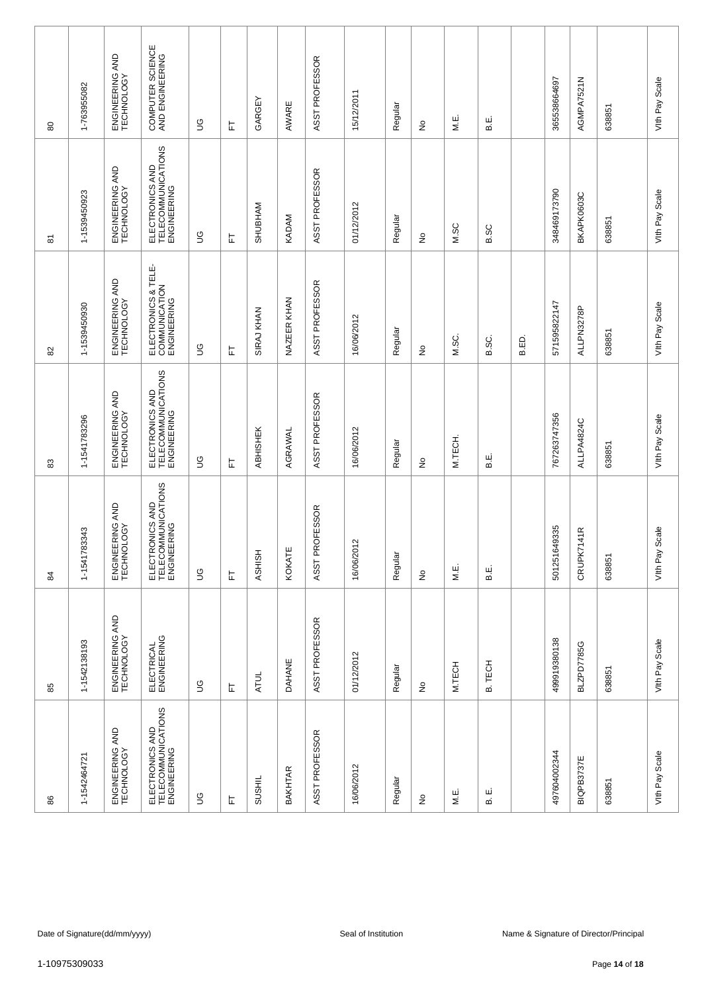| 80 | 1-763955082   | ENGINEERING AND<br>TECHNOLOGY | COMPUTER SCIENCE<br>AND ENGINEERING                  | S            | ᄂ | GARGEY        | AWARE          | ASST PROFESSOR | 15/12/2011                | Regular | ş                          | М.Е.    | н.<br>В.         |       | 365538664697 | AGMPA7521N        | 638851                                 | Vith Pay Scale    |
|----|---------------|-------------------------------|------------------------------------------------------|--------------|---|---------------|----------------|----------------|---------------------------|---------|----------------------------|---------|------------------|-------|--------------|-------------------|----------------------------------------|-------------------|
| 5  | 1-1539450923  | ENGINEERING AND<br>TECHNOLOGY | ELECTRONICS AND<br>TELECOMMUNICATIONS<br>ENGINEERING | 9D           | 는 | SHUBHAM       | KADAM          | ASST PROFESSOR | 01/12/2012                | Regular | ş                          | M.SC    | B.SC             |       | 348469173790 | BKAPK0603C        | 638851                                 | Vith Pay Scale    |
| 82 | 1-1539450930  | ENGINEERING AND<br>TECHNOLOGY | ELECTRONICS & TELE-<br>COMMUNICATION<br>ENGINEERING  | 9D           | ᄂ | SIRAJ KHAN    | NAZEER KHAN    | ASST PROFESSOR | 16/06/2012                | Regular | $\stackrel{\mathtt{o}}{z}$ | M.SC.   | B.SC.            | B.ED. | 571595822147 | ALLPN3278P        | 638851                                 | Vith Pay Scale    |
| 33 | 1-1541783296  | ENGINEERING AND<br>TECHNOLOGY | ELECTRONICS AND<br>TELECOMMUNICATIONS<br>ENGINEERING | S            | 匸 | ABHISHEK      | AGRAWAL        | ASST PROFESSOR | 16/06/2012                | Regular | ş                          | M.TECH. | نه<br>ه          |       | 767263747356 | ALLPA4824C        | 638851                                 | Vith Pay Scale    |
| 84 | 1-1541783343  | ENGINEERING AND<br>TECHNOLOGY | ELECTRONICS AND<br>TELECOMMUNICATIONS<br>ENGINEERING | $\mathbb{S}$ | 岀 | <b>ASHISH</b> | KOKATE         | ASST PROFESSOR | $\frac{2}{3}$<br>16/06/20 | Regular | $\stackrel{\mathtt{o}}{z}$ | M.E.    | ші<br>മ          |       | 501251649335 | CRUPK7141R        | 638851                                 | Scale<br>Vith Pay |
| 85 | 1-1542138193  | ENGINEERING AND<br>TECHNOLOGY | ELECTRICAL<br>ENGINEERING                            | $\mathbb S$  | 匸 | <b>ATUL</b>   | DAHANE         | ASST PROFESSOR | 01/12/2012                | Regular | $\frac{\circ}{\sim}$       | M.TECH  | <b>TECH</b><br>മ |       | 499919380138 | <b>BLZPD7785G</b> | 638851                                 | Vith Pay Scale    |
| 86 | 1-1542464721  | ENGINEERING AND<br>TECHNOLOGY | ELECTRONICS AND<br>TELECOMMUNICATIONS<br>ENGINEERING | S            | 匸 | <b>SUSHIL</b> | <b>BAKHTAR</b> | ASST PROFESSOR | 16/06/2012                | Regular | ş                          | M.E.    | ш<br>ഥാ          |       | 497604002344 | BIQPB3737E        | 638851                                 | Vith Pay Scale    |
|    |               |                               |                                                      |              |   |               |                |                |                           |         |                            |         |                  |       |              |                   |                                        |                   |
|    |               | Date of Signature(dd/mm/yyyy) |                                                      |              |   |               |                |                | Seal of Institution       |         |                            |         |                  |       |              |                   | Name & Signature of Director/Principal |                   |
|    | 1-10975309033 |                               |                                                      |              |   |               |                |                |                           |         |                            |         |                  |       |              |                   | Page 14 of 18                          |                   |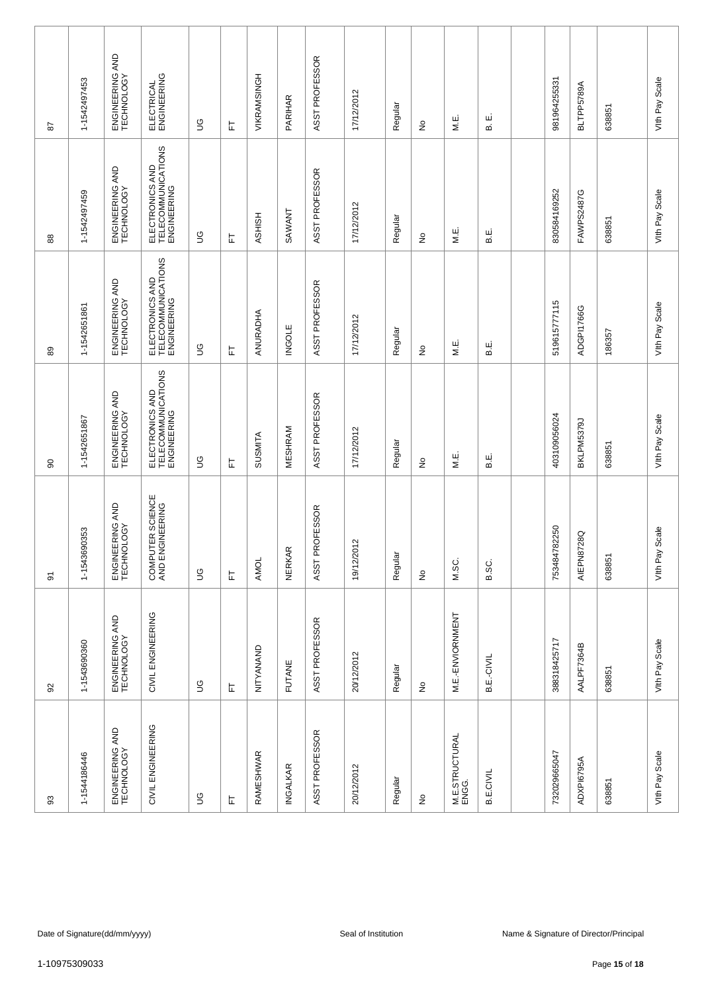| 52   | 1-1542497453  | ENGINEERING AND<br>TECHNOLOGY | ELECTRICAL<br>ENGINEERING                            | S           | ᄂ | VIKRAMSINGH    | PARIHAR       | ASST PROFESSOR | 17/12/2012                 | Regular | ş                          | М.Е.                    | ші<br>ഥാ         | 981964255331 | BLTPP5789A | 638851                                 | Vith Pay Scale    |
|------|---------------|-------------------------------|------------------------------------------------------|-------------|---|----------------|---------------|----------------|----------------------------|---------|----------------------------|-------------------------|------------------|--------------|------------|----------------------------------------|-------------------|
| 88   | 1-1542497459  | ENGINEERING AND<br>TECHNOLOGY | ELECTRONICS AND<br>TELECOMMUNICATIONS<br>ENGINEERING | 9D          | 는 | <b>ASHISH</b>  | SAWANT        | ASST PROFESSOR | 17/12/2012                 | Regular | ş                          | M.E.                    | نه<br>ه          | 830584169252 | FAWPS2487G | 638851                                 | Vith Pay Scale    |
| 89   | 1-1542651861  | ENGINEERING AND<br>TECHNOLOGY | ELECTRONICS AND<br>TELECOMMUNICATIONS<br>ENGINEERING | 9D          | ᄂ | ANURADHA       | <b>INGOLE</b> | ASST PROFESSOR | 17/12/2012                 | Regular | $\stackrel{\mathtt{o}}{z}$ | М.Е.                    | نه<br>ه          | 519615777115 | ADGPI1766G | 186357                                 | Vith Pay Scale    |
| 8    | 1-1542651867  | ENGINEERING AND<br>TECHNOLOGY | ELECTRONICS AND<br>TELECOMMUNICATIONS<br>ENGINEERING | S           | ᄂ | <b>SUSMITA</b> | MESHRAM       | ASST PROFESSOR | 17/12/2012                 | Regular | ş                          | M.E.                    | щ.<br>В.         | 403109056024 | BKLPM5379J | 638851                                 | Vith Pay Scale    |
| 5    | 1-1543690353  | ENGINEERING AND<br>TECHNOLOGY | COMPUTER SCIENCE<br>AND ENGINEERING                  | $\mathbb S$ | L | <b>AMOL</b>    | <b>NERKAR</b> | ASST PROFESSOR | $\overline{2}$<br>19/12/20 | Regular | $\stackrel{\mathtt{o}}{z}$ | M.SC.                   | B.SC.            | 753484782250 | AIEPN8728Q | 638851                                 | Scale<br>Vith Pay |
| $92$ | 1-1543690360  | ENGINEERING AND<br>TECHNOLOGY | CIVIL ENGINEERING                                    | $\mathbb S$ | 上 | NITYANAND      | <b>FUTANE</b> | ASST PROFESSOR | 20/12/2012                 | Regular | $\frac{\circ}{\sim}$       | M.E.-ENVIORNMENT        | B.E.-CIVIL       | 388318425717 | AALPF7364B | 638851                                 | Vith Pay Scale    |
| 93   | 1-1544186446  | ENGINEERING AND<br>TECHNOLOGY | CIVIL ENGINEERING                                    | $\mathbb S$ | 上 | RAMESHWAR      | INGALKAR      | ASST PROFESSOR | 20/12/2012                 | Regular | $\frac{\circ}{\sim}$       | M.E.STRUCTURAL<br>ENGG. | <b>B.E.CIVIL</b> | 732029665047 | ADXPI6795A | 638851                                 | Vith Pay Scale    |
|      |               |                               |                                                      |             |   |                |               |                |                            |         |                            |                         |                  |              |            |                                        |                   |
|      |               | Date of Signature(dd/mm/yyyy) |                                                      |             |   |                |               |                | Seal of Institution        |         |                            |                         |                  |              |            | Name & Signature of Director/Principal |                   |
|      | 1-10975309033 |                               |                                                      |             |   |                |               |                |                            |         |                            |                         |                  |              |            | Page 15 of 18                          |                   |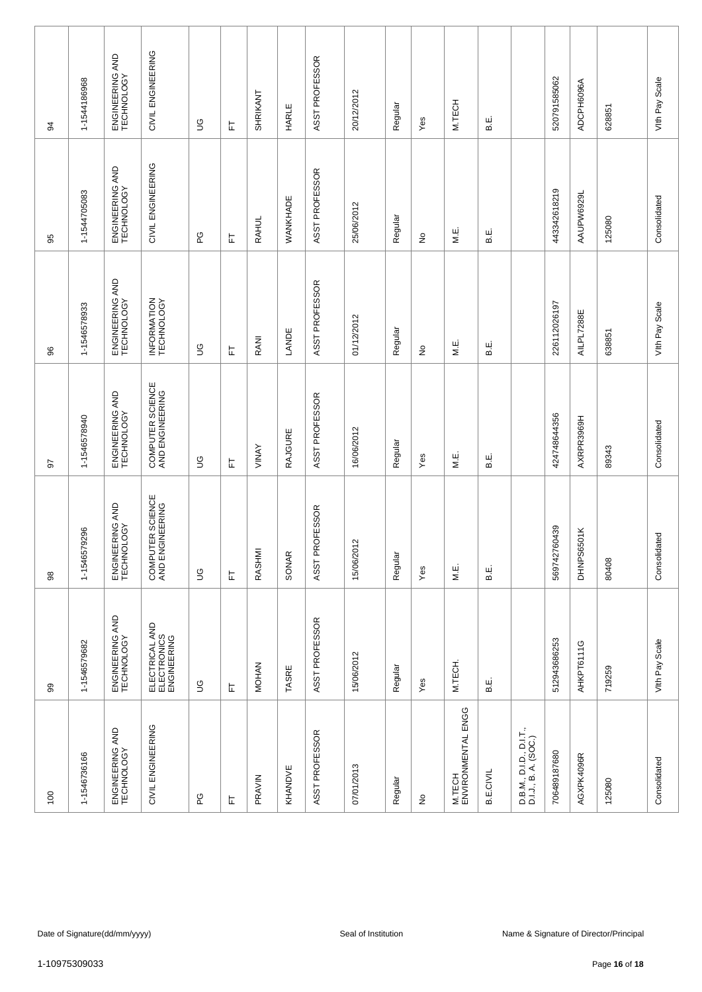| 34              | 1-1544186968                                                                                   | ENGINEERING AND<br>TECHNOLOGY | CIVIL ENGINEERING                            | S              | 匸 | SHRIKANT     | HARLE          | ASST PROFESSOR | 20/12/2012 | Regular | Yes                        | M.TECH                       | نه<br>ه          |                                                 | 520791585062     | ADCPH6096A | 628851 | Vith Pay Scale |
|-----------------|------------------------------------------------------------------------------------------------|-------------------------------|----------------------------------------------|----------------|---|--------------|----------------|----------------|------------|---------|----------------------------|------------------------------|------------------|-------------------------------------------------|------------------|------------|--------|----------------|
| 95              | 1-1544705083                                                                                   | ENGINEERING AND<br>TECHNOLOGY | CIVIL ENGINEERING                            | 6G             | 匸 | <b>RAHUL</b> | WANKHADE       | ASST PROFESSOR | 25/06/2012 | Regular | ş                          | M.E.                         | щ.<br>В.         |                                                 | 443342618219     | AAUPW6929L | 125080 | Consolidated   |
| 96              | 1-1546578933                                                                                   | ENGINEERING AND<br>TECHNOLOGY | INFORMATION<br>TECHNOLOGY                    | 9D             | 匸 | RANI         | LANDE          | ASST PROFESSOR | 01/12/2012 | Regular | $\stackrel{\mathtt{o}}{z}$ | M.E.                         | نا<br>ھ          |                                                 | 226112026197     | AILPL7288E | 638851 | Vith Pay Scale |
| 5               | 1-1546578940                                                                                   | ENGINEERING AND<br>TECHNOLOGY | COMPUTER SCIENCE<br>AND ENGINEERING          | $\mathfrak{S}$ | 匸 | VINAY        | <b>RAJGURE</b> | ASST PROFESSOR | 16/06/2012 | Regular | Yes                        | M.E.                         | نه<br>ه          |                                                 | 424748644356     | AXRPR3969H | 89343  | Consolidated   |
| 98              | 79296<br>1-154657                                                                              | ENGINEERING AND<br>TECHNOLOGY | COMPUTER SCIENCE<br>AND ENGINEERING          | $\mathcal{S}$  | 岀 | RASHMI       | SONAR          | ASST PROFESSOR | 15/06/2012 | Regular | Yes                        | М.Е.                         | ші<br>മ          |                                                 | 60439<br>5697427 | DHNPS6501K | 80408  | Consolidated   |
| 99              | 1-1546579682                                                                                   | ENGINEERING AND<br>TECHNOLOGY | ELECTRICAL AND<br>ELECTRONICS<br>ENGINEERING | $\mathbb S$    | 上 | <b>MOHAN</b> | TASRE          | ASST PROFESSOR | 15/06/2012 | Regular | Yes                        | M.TECH.                      | ட்<br>ம          |                                                 | 512943686253     | AHKPT6111G | 719259 | Vith Pay Scale |
| $\overline{0}0$ | 1-1546736166                                                                                   | ENGINEERING AND<br>TECHNOLOGY | CIVIL ENGINEERING                            | ပ္စ            | 匸 | PRAVIN       | KHANDVE        | ASST PROFESSOR | 07/01/2013 | Regular | $\frac{\circ}{\sim}$       | M.TECH<br>ENVIRONMENTAL ENGG | <b>B.E.CIVIL</b> | D.B.M., D.I.D., D.I.T.,<br>D.I.J., B. A. (SOC.) | 706489187680     | AGXPK4096R | 125080 | Consolidated   |
|                 |                                                                                                |                               |                                              |                |   |              |                |                |            |         |                            |                              |                  |                                                 |                  |            |        |                |
|                 | Name & Signature of Director/Principal<br>Date of Signature(dd/mm/yyyy)<br>Seal of Institution |                               |                                              |                |   |              |                |                |            |         |                            |                              |                  |                                                 |                  |            |        |                |
|                 | 1-10975309033<br>Page 16 of 18                                                                 |                               |                                              |                |   |              |                |                |            |         |                            |                              |                  |                                                 |                  |            |        |                |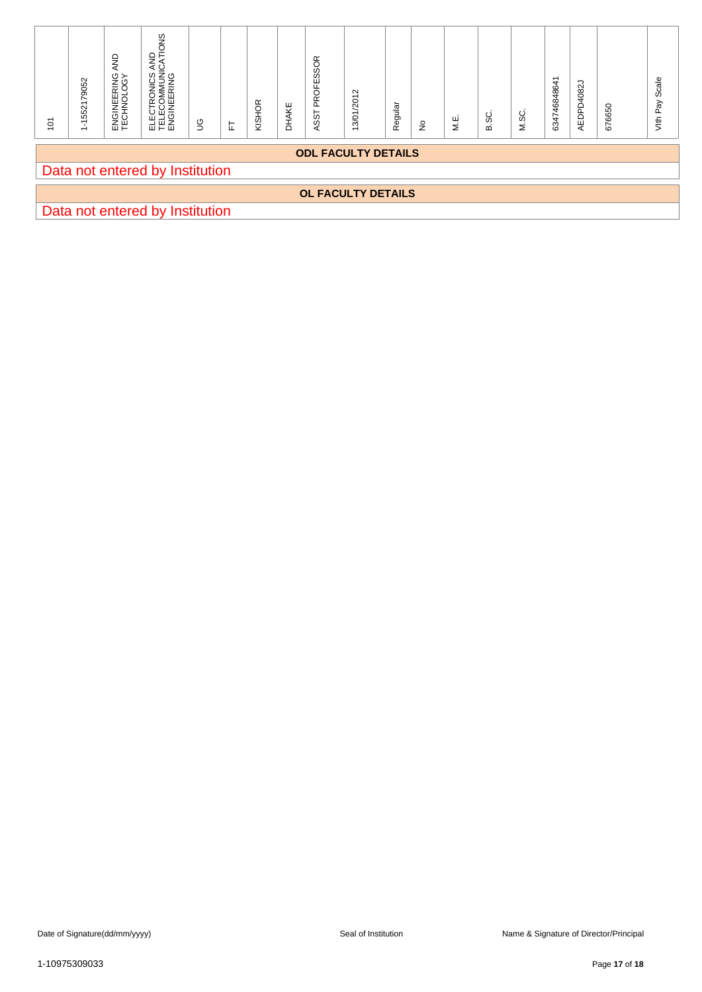| $\overline{10}$ | 1-1552179052                                                                                   | ENGINEERING AND<br>TECHNOLOGY | ELECTRONICS AND<br>TELECOMMUNICATIONS<br>ENGINEERING | $\mathbb S$ | $\overleftarrow{\text{L}}$ | KISHOR | DHAKE | ASST PROFESSOR | 13/01/2012 | Regular | $\hat{\mathsf{z}}$ | ΜË. | B.SC. | M.SC. | 634746848641 | AEDPD4082J | 676650 | Vith Pay Scale |
|-----------------|------------------------------------------------------------------------------------------------|-------------------------------|------------------------------------------------------|-------------|----------------------------|--------|-------|----------------|------------|---------|--------------------|-----|-------|-------|--------------|------------|--------|----------------|
|                 | <b>ODL FACULTY DETAILS</b><br>Data not entered by Institution                                  |                               |                                                      |             |                            |        |       |                |            |         |                    |     |       |       |              |            |        |                |
|                 | OL FACULTY DETAILS<br>Data not entered by Institution                                          |                               |                                                      |             |                            |        |       |                |            |         |                    |     |       |       |              |            |        |                |
|                 |                                                                                                |                               |                                                      |             |                            |        |       |                |            |         |                    |     |       |       |              |            |        |                |
|                 |                                                                                                |                               |                                                      |             |                            |        |       |                |            |         |                    |     |       |       |              |            |        |                |
|                 |                                                                                                |                               |                                                      |             |                            |        |       |                |            |         |                    |     |       |       |              |            |        |                |
|                 |                                                                                                |                               |                                                      |             |                            |        |       |                |            |         |                    |     |       |       |              |            |        |                |
|                 |                                                                                                |                               |                                                      |             |                            |        |       |                |            |         |                    |     |       |       |              |            |        |                |
|                 |                                                                                                |                               |                                                      |             |                            |        |       |                |            |         |                    |     |       |       |              |            |        |                |
|                 |                                                                                                |                               |                                                      |             |                            |        |       |                |            |         |                    |     |       |       |              |            |        |                |
|                 |                                                                                                |                               |                                                      |             |                            |        |       |                |            |         |                    |     |       |       |              |            |        |                |
|                 |                                                                                                |                               |                                                      |             |                            |        |       |                |            |         |                    |     |       |       |              |            |        |                |
|                 |                                                                                                |                               |                                                      |             |                            |        |       |                |            |         |                    |     |       |       |              |            |        |                |
|                 |                                                                                                |                               |                                                      |             |                            |        |       |                |            |         |                    |     |       |       |              |            |        |                |
|                 |                                                                                                |                               |                                                      |             |                            |        |       |                |            |         |                    |     |       |       |              |            |        |                |
|                 |                                                                                                |                               |                                                      |             |                            |        |       |                |            |         |                    |     |       |       |              |            |        |                |
|                 |                                                                                                |                               |                                                      |             |                            |        |       |                |            |         |                    |     |       |       |              |            |        |                |
|                 |                                                                                                |                               |                                                      |             |                            |        |       |                |            |         |                    |     |       |       |              |            |        |                |
|                 |                                                                                                |                               |                                                      |             |                            |        |       |                |            |         |                    |     |       |       |              |            |        |                |
|                 |                                                                                                |                               |                                                      |             |                            |        |       |                |            |         |                    |     |       |       |              |            |        |                |
|                 |                                                                                                |                               |                                                      |             |                            |        |       |                |            |         |                    |     |       |       |              |            |        |                |
|                 | Date of Signature(dd/mm/yyyy)<br>Seal of Institution<br>Name & Signature of Director/Principal |                               |                                                      |             |                            |        |       |                |            |         |                    |     |       |       |              |            |        |                |
|                 | 1-10975309033<br>Page 17 of 18                                                                 |                               |                                                      |             |                            |        |       |                |            |         |                    |     |       |       |              |            |        |                |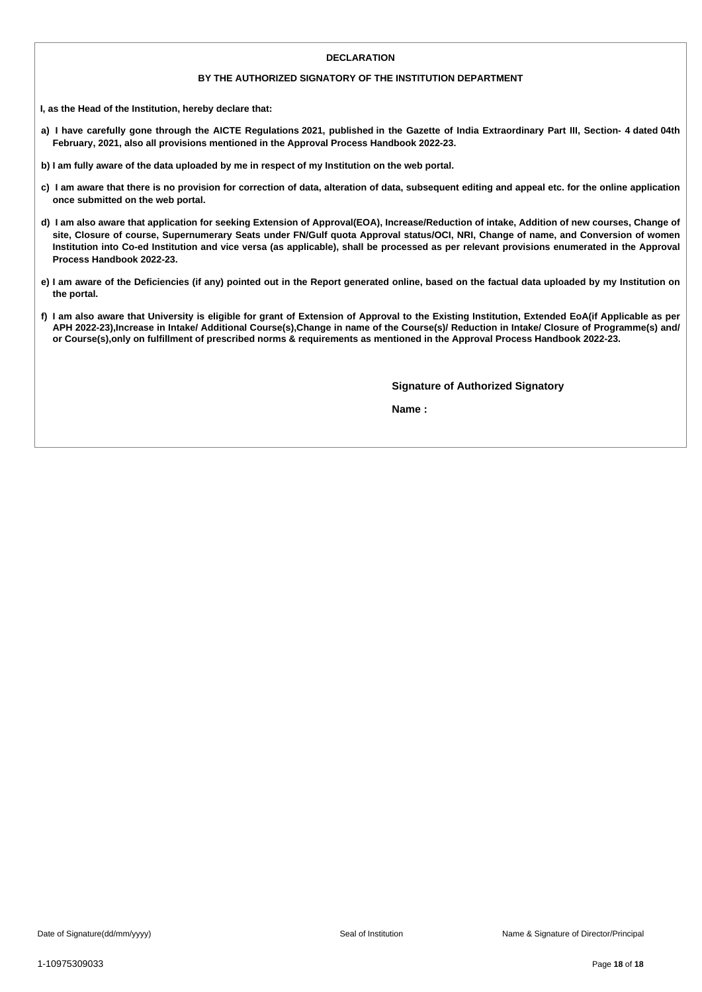#### **DECLARATION**

#### **BY THE AUTHORIZED SIGNATORY OF THE INSTITUTION DEPARTMENT**

**I, as the Head of the Institution, hereby declare that:**

- a) I have carefully gone through the AICTE Regulations 2021, published in the Gazette of India Extraordinary Part III, Section- 4 dated 04th **February, 2021, also all provisions mentioned in the Approval Process Handbook 2022-23.**
- b) I am fully aware of the data uploaded by me in respect of my Institution on the web portal.
- c) I am aware that there is no provision for correction of data, alteration of data, subsequent editing and appeal etc. for the online application **once submitted on the web portal.**
- d) I am also aware that application for seeking Extension of Approval(EOA), Increase/Reduction of intake, Addition of new courses, Change of site, Closure of course, Supernumerary Seats under FN/Gulf quota Approval status/OCI, NRI, Change of name, and Conversion of women Institution into Co-ed Institution and vice versa (as applicable), shall be processed as per relevant provisions enumerated in the Approval **Process Handbook 2022-23.**
- e) I am aware of the Deficiencies (if any) pointed out in the Report generated online, based on the factual data uploaded by my Institution on **the portal.**
- f) I am also aware that University is eligible for grant of Extension of Approval to the Existing Institution, Extended EoA(if Applicable as per APH 2022-23), Increase in Intake/ Additional Course(s), Change in name of the Course(s)/ Reduction in Intake/ Closure of Programme(s) and/ or Course(s), only on fulfillment of prescribed norms & requirements as mentioned in the Approval Process Handbook 2022-23.

**Signature of Authorized Signatory**

**Name :**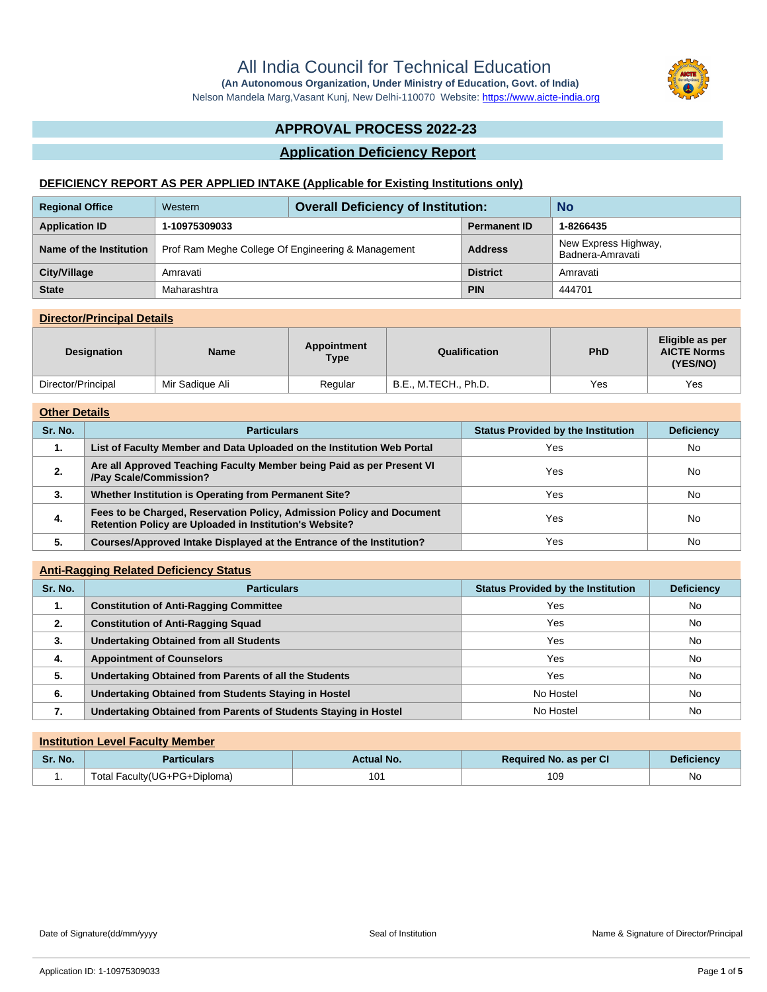Nelson Mandela Marg,Vasant Kunj, New Delhi-110070 Website:<https://www.aicte-india.org>

# **APPROVAL PROCESS 2022-23**

#### **Application Deficiency Report**

#### **DEFICIENCY REPORT AS PER APPLIED INTAKE (Applicable for Existing Institutions only)**

| <b>Regional Office</b>  | Western                                            | <b>Overall Deficiency of Institution:</b> |                     | <b>No</b>                                |
|-------------------------|----------------------------------------------------|-------------------------------------------|---------------------|------------------------------------------|
| <b>Application ID</b>   | 1-10975309033                                      |                                           | <b>Permanent ID</b> | 1-8266435                                |
| Name of the Institution | Prof Ram Meghe College Of Engineering & Management |                                           | <b>Address</b>      | New Express Highway,<br>Badnera-Amravati |
| City/Village            | Amravati                                           |                                           | <b>District</b>     | Amravati                                 |
| <b>State</b>            | Maharashtra                                        |                                           | <b>PIN</b>          | 444701                                   |

#### **Director/Principal Details**

| <b>Designation</b> | <b>Name</b>     | Appointment<br><b>Type</b> | Qualification        | <b>PhD</b> | Eligible as per<br><b>AICTE Norms</b><br>(YES/NO) |
|--------------------|-----------------|----------------------------|----------------------|------------|---------------------------------------------------|
| Director/Principal | Mir Sadique Ali | Regular                    | B.E., M.TECH., Ph.D. | Yes        | Yes                                               |

#### **Other Details**

| Sr. No. | <b>Particulars</b>                                                                                                               | <b>Status Provided by the Institution</b> | <b>Deficiency</b> |  |  |  |
|---------|----------------------------------------------------------------------------------------------------------------------------------|-------------------------------------------|-------------------|--|--|--|
| 1.      | List of Faculty Member and Data Uploaded on the Institution Web Portal                                                           | Yes                                       | <b>No</b>         |  |  |  |
| 2.      | Are all Approved Teaching Faculty Member being Paid as per Present VI<br>/Pay Scale/Commission?                                  | Yes                                       | <b>No</b>         |  |  |  |
| 3.      | Whether Institution is Operating from Permanent Site?                                                                            | Yes                                       | No                |  |  |  |
| 4.      | Fees to be Charged, Reservation Policy, Admission Policy and Document<br>Retention Policy are Uploaded in Institution's Website? | Yes                                       | <b>No</b>         |  |  |  |
| 5.      | Courses/Approved Intake Displayed at the Entrance of the Institution?                                                            | Yes                                       | No                |  |  |  |

#### **Anti-Ragging Related Deficiency Status**

| Sr. No. | <b>Particulars</b>                                              | <b>Status Provided by the Institution</b> | <b>Deficiency</b> |
|---------|-----------------------------------------------------------------|-------------------------------------------|-------------------|
| 1.      | <b>Constitution of Anti-Ragging Committee</b>                   | Yes                                       | No                |
| 2.      | <b>Constitution of Anti-Ragging Squad</b>                       | Yes                                       | No                |
| 3.      | <b>Undertaking Obtained from all Students</b>                   | Yes                                       | <b>No</b>         |
| 4.      | <b>Appointment of Counselors</b>                                | Yes                                       | <b>No</b>         |
| 5.      | Undertaking Obtained from Parents of all the Students           | Yes                                       | <b>No</b>         |
| 6.      | Undertaking Obtained from Students Staying in Hostel            | No Hostel                                 | <b>No</b>         |
| 7.      | Undertaking Obtained from Parents of Students Staying in Hostel | No Hostel                                 | No                |

|         | <b>Institution Level Faculty Member</b> |            |                               |                   |  |  |  |  |
|---------|-----------------------------------------|------------|-------------------------------|-------------------|--|--|--|--|
| Sr. No. | <b>Particulars</b>                      | Actual No. | <b>Required No. as per CI</b> | <b>Deficiency</b> |  |  |  |  |
| . .     | Total Faculty(UG+PG+Diploma)            | 101        | 109                           | No                |  |  |  |  |



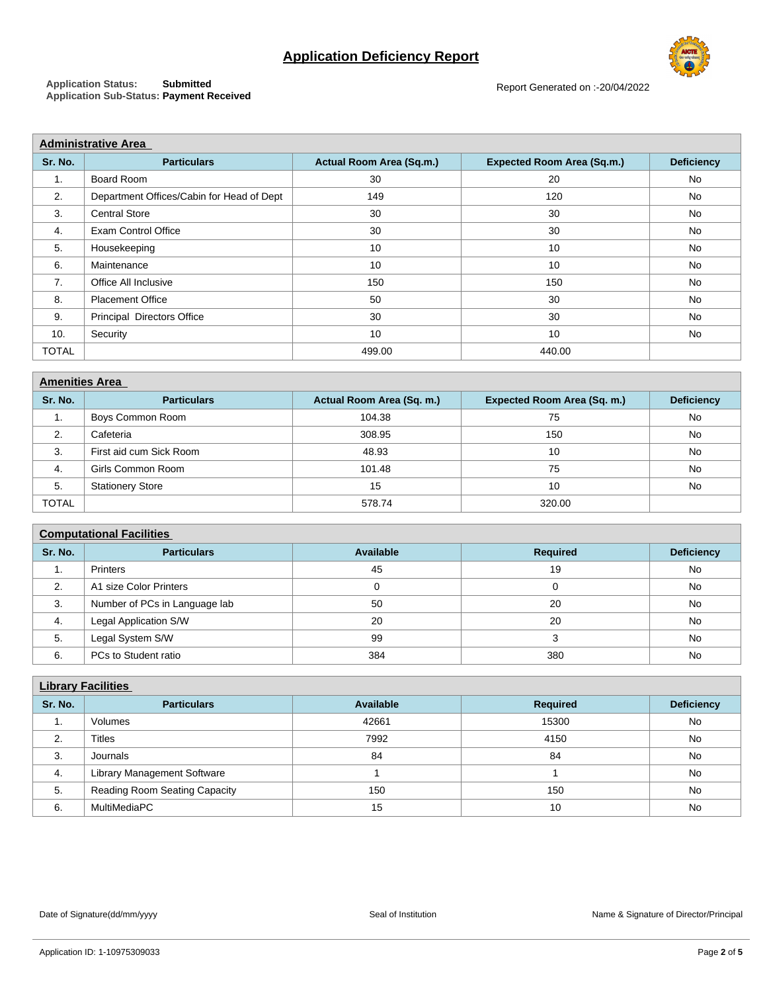# **Application Deficiency Report**



**Application Status: Submitted Application Sub-Status: Payment Received**

Report Generated on :-20/04/2022

| <b>Administrative Area</b>                |                          |                                   |                   |  |  |  |  |  |
|-------------------------------------------|--------------------------|-----------------------------------|-------------------|--|--|--|--|--|
| <b>Particulars</b>                        | Actual Room Area (Sq.m.) | <b>Expected Room Area (Sq.m.)</b> | <b>Deficiency</b> |  |  |  |  |  |
| Board Room                                | 30                       | 20                                | No                |  |  |  |  |  |
| Department Offices/Cabin for Head of Dept | 149                      | 120                               | No                |  |  |  |  |  |
| <b>Central Store</b>                      | 30                       | 30                                | No                |  |  |  |  |  |
| Exam Control Office                       | 30                       | 30                                | <b>No</b>         |  |  |  |  |  |
| Housekeeping                              | 10                       | 10                                | <b>No</b>         |  |  |  |  |  |
| Maintenance                               | 10                       | 10                                | No                |  |  |  |  |  |
| Office All Inclusive                      | 150                      | 150                               | No                |  |  |  |  |  |
| <b>Placement Office</b>                   | 50                       | 30                                | No                |  |  |  |  |  |
| <b>Principal Directors Office</b>         | 30                       | 30                                | No                |  |  |  |  |  |
| Security                                  | 10                       | 10                                | No                |  |  |  |  |  |
|                                           | 499.00                   | 440.00                            |                   |  |  |  |  |  |
|                                           |                          |                                   |                   |  |  |  |  |  |

| <b>Amenities Area</b> |                         |                           |                             |                   |  |  |  |
|-----------------------|-------------------------|---------------------------|-----------------------------|-------------------|--|--|--|
| Sr. No.               | <b>Particulars</b>      | Actual Room Area (Sq. m.) | Expected Room Area (Sq. m.) | <b>Deficiency</b> |  |  |  |
| ٠.                    | Boys Common Room        | 104.38                    | 75                          | No                |  |  |  |
| 2.                    | Cafeteria               | 308.95                    | 150                         | No                |  |  |  |
| 3.                    | First aid cum Sick Room | 48.93                     | 10                          | No                |  |  |  |
| 4.                    | Girls Common Room       | 101.48                    | 75                          | No                |  |  |  |
| 5.                    | <b>Stationery Store</b> | 15                        | 10                          | No                |  |  |  |
| <b>TOTAL</b>          |                         | 578.74                    | 320.00                      |                   |  |  |  |

### **Computational Facilities**

| Sr. No. | <b>Particulars</b>            | Available | <b>Required</b> | <b>Deficiency</b> |  |  |  |  |
|---------|-------------------------------|-----------|-----------------|-------------------|--|--|--|--|
| . .     | Printers                      | 45        | 19              | No                |  |  |  |  |
| 2.      | A1 size Color Printers        |           |                 | No                |  |  |  |  |
| 3.      | Number of PCs in Language lab | 50        | 20              | No                |  |  |  |  |
| 4.      | Legal Application S/W         | 20        | 20              | No                |  |  |  |  |
| 5.      | Legal System S/W              | 99        |                 | No                |  |  |  |  |
| 6.      | PCs to Student ratio          | 384       | 380             | No                |  |  |  |  |

|         | <b>Library Facilities</b>     |           |                 |                   |  |  |  |  |
|---------|-------------------------------|-----------|-----------------|-------------------|--|--|--|--|
| Sr. No. | <b>Particulars</b>            | Available | <b>Required</b> | <b>Deficiency</b> |  |  |  |  |
| 1.      | Volumes                       | 42661     | 15300           | No                |  |  |  |  |
| 2.      | <b>Titles</b>                 | 7992      | 4150            | No                |  |  |  |  |
| 3.      | Journals                      | 84        | 84              | No                |  |  |  |  |
| 4.      | Library Management Software   |           |                 | No                |  |  |  |  |
| 5.      | Reading Room Seating Capacity | 150       | 150             | No                |  |  |  |  |
| 6.      | MultiMediaPC                  | 15        | 10              | <b>No</b>         |  |  |  |  |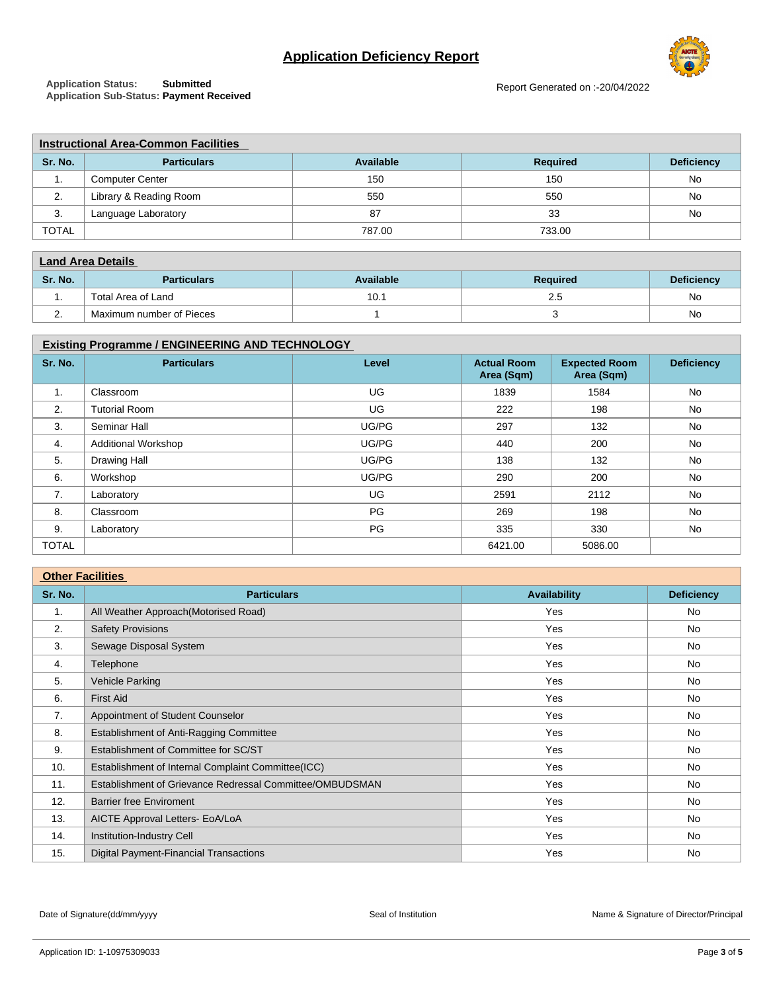# **Application Deficiency Report**



**Application Status: Submitted Application Sub-Status: Payment Received** Report Generated on :-20/04/2022

|              | <b>Instructional Area-Common Facilities</b> |           |                 |                   |  |  |  |  |
|--------------|---------------------------------------------|-----------|-----------------|-------------------|--|--|--|--|
| Sr. No.      | <b>Particulars</b>                          | Available | <b>Required</b> | <b>Deficiency</b> |  |  |  |  |
| . .          | <b>Computer Center</b>                      | 150       | 150             | No                |  |  |  |  |
| 2.           | Library & Reading Room                      | 550       | 550             | No                |  |  |  |  |
| 3.           | Language Laboratory                         | 87        | 33              | No                |  |  |  |  |
| <b>TOTAL</b> |                                             | 787.00    | 733.00          |                   |  |  |  |  |

| <b>Land Area Details</b> |                          |           |                 |                   |  |
|--------------------------|--------------------------|-----------|-----------------|-------------------|--|
| Sr. No.                  | <b>Particulars</b>       | Available | <b>Required</b> | <b>Deficiency</b> |  |
| . .                      | Total Area of Land       | 10.1      | 2.5             | No                |  |
|                          | Maximum number of Pieces |           |                 | No                |  |

### **Existing Programme / ENGINEERING AND TECHNOLOGY**

| Sr. No.      | <b>Particulars</b>         | Level     | <b>Actual Room</b><br>Area (Sqm) | <b>Expected Room</b><br>Area (Sqm) | <b>Deficiency</b> |
|--------------|----------------------------|-----------|----------------------------------|------------------------------------|-------------------|
| 1.           | Classroom                  | UG        | 1839                             | 1584                               | No                |
| 2.           | <b>Tutorial Room</b>       | UG        | 222                              | 198                                | No                |
| 3.           | Seminar Hall               | UG/PG     | 297                              | 132                                | <b>No</b>         |
| 4.           | <b>Additional Workshop</b> | UG/PG     | 440                              | 200                                | No                |
| 5.           | <b>Drawing Hall</b>        | UG/PG     | 138                              | 132                                | No                |
| 6.           | Workshop                   | UG/PG     | 290                              | 200                                | No                |
| 7.           | Laboratory                 | UG        | 2591                             | 2112                               | No                |
| 8.           | Classroom                  | <b>PG</b> | 269                              | 198                                | No                |
| 9.           | Laboratory                 | <b>PG</b> | 335                              | 330                                | No                |
| <b>TOTAL</b> |                            |           | 6421.00                          | 5086.00                            |                   |

| <b>Other Facilities</b> |                                                          |              |                   |  |
|-------------------------|----------------------------------------------------------|--------------|-------------------|--|
| Sr. No.                 | <b>Particulars</b>                                       | Availability | <b>Deficiency</b> |  |
| 1.                      | All Weather Approach (Motorised Road)                    | Yes          | No                |  |
| 2.                      | <b>Safety Provisions</b>                                 | Yes          | No                |  |
| 3.                      | Sewage Disposal System                                   | Yes          | No.               |  |
| 4.                      | Telephone                                                | Yes          | No                |  |
| 5.                      | Vehicle Parking                                          | Yes          | No                |  |
| 6.                      | <b>First Aid</b>                                         | Yes          | <b>No</b>         |  |
| 7.                      | Appointment of Student Counselor                         | Yes          | No                |  |
| 8.                      | Establishment of Anti-Ragging Committee                  | Yes          | No.               |  |
| 9.                      | Establishment of Committee for SC/ST                     | Yes          | <b>No</b>         |  |
| 10.                     | Establishment of Internal Complaint Committee(ICC)       | Yes          | No                |  |
| 11.                     | Establishment of Grievance Redressal Committee/OMBUDSMAN | Yes          | No                |  |
| 12.                     | <b>Barrier free Enviroment</b>                           | Yes          | No                |  |
| 13.                     | AICTE Approval Letters- EoA/LoA                          | Yes          | No                |  |
| 14.                     | Institution-Industry Cell                                | Yes          | No                |  |
| 15.                     | <b>Digital Payment-Financial Transactions</b>            | Yes          | <b>No</b>         |  |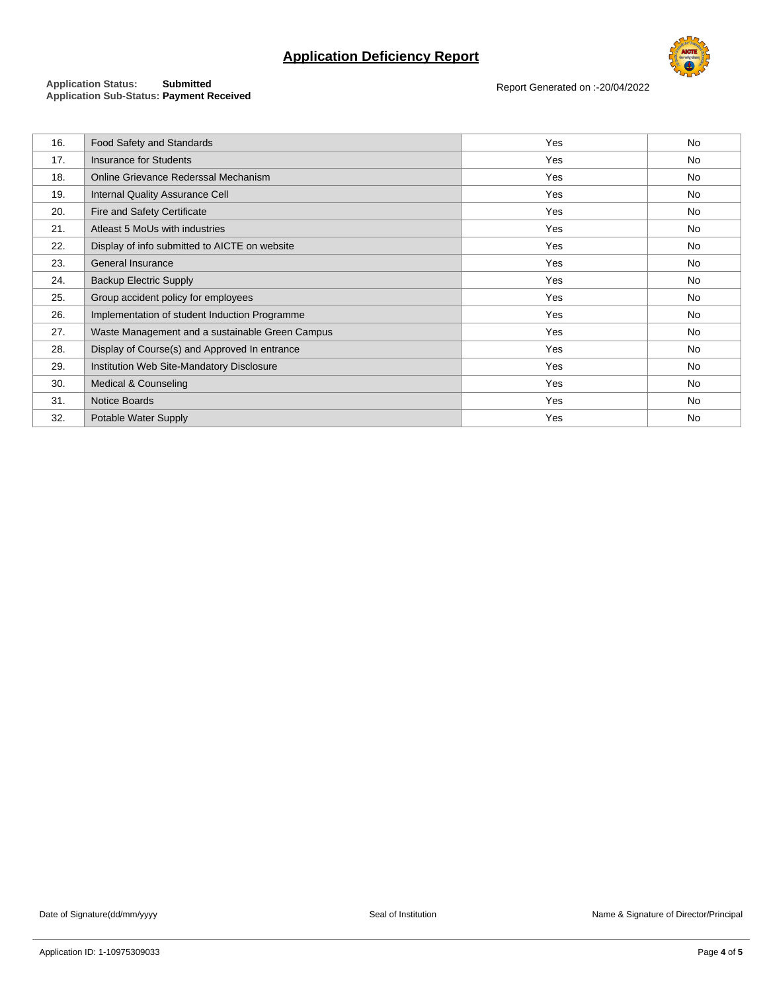# **Application Deficiency Report**



#### **Application Status: Submitted Application Sub-Status: Payment Received**

Report Generated on :-20/04/2022

| 16. | Food Safety and Standards                       | Yes | No        |
|-----|-------------------------------------------------|-----|-----------|
| 17. | <b>Insurance for Students</b>                   | Yes | No        |
| 18. | Online Grievance Rederssal Mechanism            | Yes | No        |
| 19. | <b>Internal Quality Assurance Cell</b>          | Yes | No        |
| 20. | Fire and Safety Certificate                     | Yes | No        |
| 21. | Atleast 5 MoUs with industries                  | Yes | No        |
| 22. | Display of info submitted to AICTE on website   | Yes | No        |
| 23. | General Insurance                               | Yes | No        |
| 24. | <b>Backup Electric Supply</b>                   | Yes | No        |
| 25. | Group accident policy for employees             | Yes | No        |
| 26. | Implementation of student Induction Programme   | Yes | <b>No</b> |
| 27. | Waste Management and a sustainable Green Campus | Yes | No        |
| 28. | Display of Course(s) and Approved In entrance   | Yes | No        |
| 29. | Institution Web Site-Mandatory Disclosure       | Yes | No        |
| 30. | Medical & Counseling                            | Yes | No        |
| 31. | Notice Boards                                   | Yes | No        |
| 32. | Potable Water Supply                            | Yes | No        |